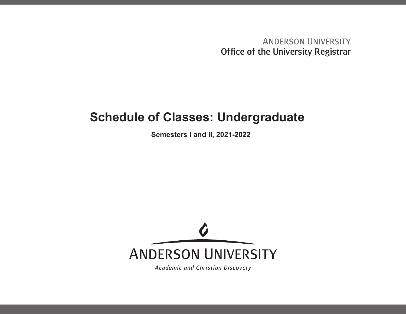**ANDERSON UNIVERSITY** Office of the University Registrar

# **Schedule of Classes: Undergraduate**

**Semesters I and II, 2021-2022**



Academic and Christian Discovery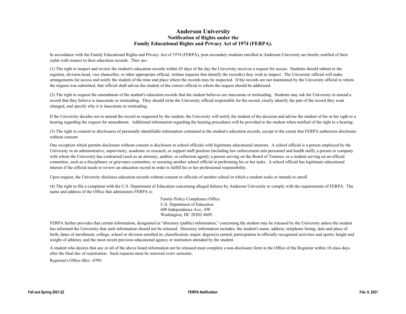### **Anderson University Notification of Rights under the Family Educational Rights and Privacy Act of 1974 (FERPA).**

In accordance with the Family Educational Rights and Privacy Act of 1974 (FERPA), post-secondary students enrolled at Anderson University are hereby notified of their rights with respect to their education records. They are:

(1) The right to inspect and review the student's education records within 45 days of the day the University receives a request for access. Students should submit to the registrar, division head, vice chancellor, or other appropriate official, written requests that identify the record(s) they wish to inspect. The University official will make arrangements for access and notify the student of the time and place where the records may be inspected. If the records are not maintained by the University official to whom the request was submitted, that official shall advise the student of the correct official to whom the request should be addressed.

(2) The right to request the amendment of the student's education records that the student believes are inaccurate or misleading. Students may ask the University to amend a record that they believe is inaccurate or misleading. They should write the University official responsible for the record, clearly identify the part of the record they want changed, and specify why it is inaccurate or misleading.

If the University decides not to amend the record as requested by the student, the University will notify the student of the decision and advise the student of his or her right to a hearing regarding the request for amendment. Additional information regarding the hearing procedures will be provided to the student when notified of the right to a hearing.

(3) The right to consent to disclosures of personally identifiable information contained in the student's education records, except to the extent that FERPA authorizes disclosure without consent.

One exception which permits disclosure without consent is disclosure to school officials with legitimate educational interests. A school official is a person employed by the University in an administrative, supervisory, academic or research, or support staff position (including law enforcement unit personnel and health staff); a person or company with whom the University has contracted (such as an attorney, auditor, or collection agent); a person serving on the Board of Trustees; or a student serving on an official committee, such as a disciplinary or grievance committee, or assisting another school official in performing his or her tasks. A school official has legitimate educational interest if the official needs to review an education record in order to fulfill his or her professional responsibility.

Upon request, the University discloses education records without consent to officials of another school in which a student seeks or intends to enroll.

(4) The right to file a complaint with the U.S. Department of Education concerning alleged failures by Anderson University to comply with the requirements of FERPA. The name and address of the Office that administers FERPA is:

> Family Policy Compliance Office U.S. Department of Education 600 Independence Ave., SW Washington, DC 20202-4605.

FERPA further provides that certain information, designated as "directory (public) information," concerning the student may be released by the University unless the student has informed the University that such information should not be released. Directory information includes: the student's name, address, telephone listing; date and place of birth; dates of enrollment; college, school or division enrolled in; classification; major; degree(s) earned; participation in officially recognized activities and sports; height and weight of athletes; and the most recent previous educational agency or institution attended by the student.

A student who desires that any or all of the above listed information not be released must complete a non-disclosure form in the Office of the Registrar within 10 class days after the final day of registration. Such requests must be renewed every semester.

Registrar's Office (Rev. 4/99)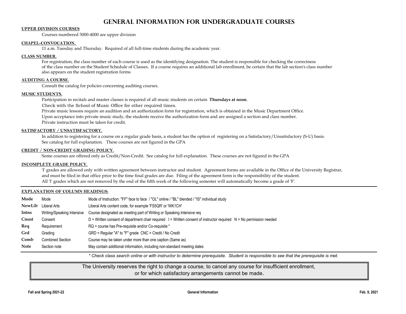## **GENERAL INFORMATION FOR UNDERGRADUATE COURSES**

#### **UPPER DIVISION COURSES**

Courses numbered 3000-4000 are upper division

#### **CHAPEL-CONVOCATION.**

11 a.m. Tuesday and Thursday. Required of all full-time students during the academic year.

#### **CLASS NUMBER.**

For registration, the class number of each course is used as the identifying designation. The student is responsible for checking the correctness of the class number on the Student Schedule of Classes. If a course requires an additional lab enrollment, be certain that the lab section's class number also appears on the student registration forms

#### **AUDITING A COURSE.**

Consult the catalog for policies concerning auditing courses.

#### **MUSIC STUDENTS.**

Participation in recitals and master classes is required of all music students on certain **Thursdays at noon**.

Check with the School of Music Office for other required times.

Private music lessons require an audition and an authorization form for registration, which is obtained in the Music Department Office. Upon acceptance into private music study, the students receive the authorization form and are assigned a section and class number. Private instruction must be taken for credit.

#### **SATISFACTORY / UNSATISFACTORY.**

In addition to registering for a course on a regular grade basis, a student has the option of registering on a Satisfactory/Unsatisfactory (S-U) basis. See catalog for full explanation. These courses are not figured in the GPA

#### **CREDIT / NON-CREDIT GRADING POLICY.**

Some courses are offered only as Credit/Non-Credit. See catalog for full explanation. These courses are not figured in the GPA

#### **INCOMPLETE GRADE POLICY.**

'I' grades are allowed only with written agreement between instructor and student. Agreement forms are available in the Office of the University Registrar, and must be filed in that office prior to the time final grades are due. Filing of the agreement form is the responsibility of the student. All 'I' grades which are not removed by the end of the fifth week of the following semester will automatically become a grade of 'F'.

#### **EXPLANATION OF COLUMN HEADINGS:**

| Mode        | Mode                       | Mode of Instruction: "FF" face to face / "OL" online / "BL" blended / "IS" individual study                                |
|-------------|----------------------------|----------------------------------------------------------------------------------------------------------------------------|
| NewLib      | Liberal Arts               | Liberal Arts content code, for example 'FS5QR' or 'WK1CH'                                                                  |
| Intns       | Writing/Speaking Intensive | Course designated as meeting part of Writing or Speaking Intensive reg                                                     |
| Cnsnt       | Consent                    | $D =$ Written consent of department chair required $D =$ Written consent of instructor required $N =$ No permission needed |
| Req         | Requirement                | $RQ$ = course has Pre-requisite and/or Co-requisite $*$                                                                    |
| Grd         | Grading                    | $GRD =$ Regular "A" to "F" grade $CNC =$ Credit / No Credit                                                                |
| Comb        | <b>Combined Section</b>    | Course may be taken under more than one caption (Same as)                                                                  |
| <b>Note</b> | Section note               | May contain additional information, including non-standard meeting dates                                                   |

*\* Check class search online or with instructor to determine prerequisite. Student is responsible to see that the prerequisite is met.*

The University reserves the right to change a course, to cancel any course for insufficient enrollment,

or for which satisfactory arrangements cannot be made.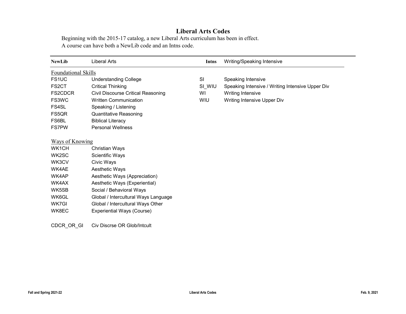## **Liberal Arts Codes**

A course can have both a NewLib code and an Intns code. Beginning with the 2015-17 catalog, a new Liberal Arts curriculum has been in effect.

| <b>NewLib</b>       | <b>Liberal Arts</b>                       | Intns     | Writing/Speaking Intensive                       |
|---------------------|-------------------------------------------|-----------|--------------------------------------------------|
| Foundational Skills |                                           |           |                                                  |
| FS <sub>1</sub> UC  | <b>Understanding College</b>              | <b>SI</b> | Speaking Intensive                               |
| FS <sub>2</sub> CT  | <b>Critical Thinking</b>                  | SI_WIU    | Speaking Intensive / Writing Intensive Upper Div |
| FS2CDCR             | <b>Civil Discourse Critical Reasoning</b> | WI        | Writing Intensive                                |
| FS3WC               | <b>Written Communication</b>              | WIU       | Writing Intensive Upper Div                      |
| FS4SL               | Speaking / Listening                      |           |                                                  |
| FS5QR               | <b>Quantitative Reasoning</b>             |           |                                                  |
| FS6BL               | <b>Biblical Literacy</b>                  |           |                                                  |
| <b>FS7PW</b>        | <b>Personal Wellness</b>                  |           |                                                  |
| Ways of Knowing     |                                           |           |                                                  |
| WK1CH               | Christian Ways                            |           |                                                  |
| WK2SC               | Scientific Ways                           |           |                                                  |
| WK3CV               | Civic Ways                                |           |                                                  |
| WK4AE               | Aesthetic Ways                            |           |                                                  |
| WK4AP               | Aesthetic Ways (Appreciation)             |           |                                                  |
| WK4AX               | Aesthetic Ways (Experiential)             |           |                                                  |
| WK5SB               | Social / Behavioral Ways                  |           |                                                  |
| WK6GL               | Global / Intercultural Ways Language      |           |                                                  |
| WK7GI               | Global / Intercultural Ways Other         |           |                                                  |
| WK8EC               | Experiential Ways (Course)                |           |                                                  |
| CDCR OR GI          | Civ Discrse OR Glob/Intcult               |           |                                                  |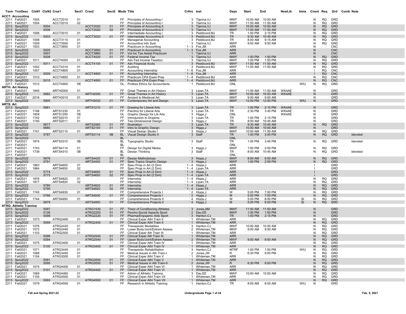|              | Term TrmDesc CIsN1 CIsN2 Crse1                  |              |      |                             |          | Sect1 Crse2     | Sect2 Mode Title |                 |                                                                    | Crilrs Inst    |                                        | Days                     | Start                | End                  | NewLib         |           |         |                        |                          | Intns Cnsnt Req Grd Comb Note |
|--------------|-------------------------------------------------|--------------|------|-----------------------------|----------|-----------------|------------------|-----------------|--------------------------------------------------------------------|----------------|----------------------------------------|--------------------------|----------------------|----------------------|----------------|-----------|---------|------------------------|--------------------------|-------------------------------|
|              | <b>ACCT: Accounting</b>                         |              |      |                             |          |                 |                  |                 |                                                                    |                |                                        |                          |                      |                      |                |           |         |                        |                          |                               |
|              | 2211 Fall2021<br>2211 Fall2021                  | 1005<br>1004 |      | ACCT2010<br>ACCT2010        | 01<br>02 |                 |                  | FF.             | FF Principles of Accounting I<br>Principles of Accounting I        |                | ` 3 Tijerina, VJ<br>` 3 Tijerina, VJ   | MWF<br><b>MWF</b>        | 10:00 AM<br>11:00 AM | 10:50 AM<br>11:50 AM |                |           | N<br>N  | <b>RQ</b><br><b>RQ</b> | <b>GRD</b><br>GRD        |                               |
|              | 2213 Sprg2022                                   |              | 5004 |                             |          | <b>ACCT2020</b> | 01               | FF.             | Principles of Accounting II                                        |                | 3 Tijerina, VJ                         | <b>MWF</b>               | 10:00 AM             | 10:50 AM             |                |           | N       | <b>RQ</b>              | <b>GRD</b>               |                               |
|              | 2213 Sprg2022<br>2211 Fall2021                  | 1006         | 5006 | ACCT3010                    | 01       | <b>ACCT2020</b> | 02               | FF.             | FF Principles of Accounting II<br>Intermediate Accounting I        |                | ` 3 Tijerina, VJ<br>3 Peddicord, MJ    | <b>MWF</b><br>TR         | 11:00 AM<br>1:00 PM  | 11:50 AM<br>2:15 PM  |                |           | N.<br>N | <b>RQ</b><br><b>RQ</b> | <b>GRD</b><br>GRD        |                               |
| 2213         | Sprg2022                                        |              | 5003 |                             |          | <b>ACCT3020</b> | 01               |                 | FF Intermediate Accounting II                                      |                | ` 3 Peddicord, MJ                      | TR.                      | 9:30 AM              | 10:45 AM             |                |           | N.      | <b>RQ</b>              | <b>GRD</b>               |                               |
| 2211         | <b>Fall2021</b>                                 | 1008         |      | ACCT3110                    | 01       |                 |                  | FF.             | Managerial Accounting                                              |                | ` 3 Peddicord, MJ                      | TR                       | 8:00 AM              | 9:15 AM              |                |           | N       | <b>RQ</b>              | GRD                      |                               |
|              | 2211 Fall2021<br>2211 Fall2021                  | 1009<br>1003 |      | <b>ACCT3500</b><br>ACCT3850 | 01<br>01 |                 |                  | FF.<br>FF.      | <b>Accounting Info Syst</b><br>Practicum in Accounting             |                | 3 Tijerina, VJ<br>1-3 Fox, JM          | <b>MWF</b><br><b>ARR</b> | 9:00 AM              | 9:50 AM              |                |           | N<br>N  | <b>RQ</b>              | GRD<br><b>CNC</b>        |                               |
|              | 2213 Sprg2022                                   |              | 5005 |                             |          | <b>ACCT3850</b> | 01               | FF.             | Practicum in Accounting                                            |                | $1 - 3$ Fox, JM                        | <b>ARR</b>               |                      |                      |                |           | N       |                        | <b>CNC</b>               |                               |
|              | 2213 Sprg2022                                   |              | 5007 |                             |          | ACCT3860        | 01               | FF.             | Vol Inc Tax Assist Practicum                                       |                | 1 Tijerina, VJ                         | <b>ARR</b>               |                      |                      |                |           | N       |                        | <b>CNC</b>               |                               |
|              | 2213 Sprg2022<br>2211 Fall2021                  | 1011         | 5008 | <b>ACCT4050</b>             | 01       | <b>ACCT4020</b> | 01               | FF.             | Federal Income Tax<br>FF Adv Fed Income Taxation                   |                | ` 3 Tijerina, VJ<br>` 3 Tijerina, VJ   | <b>MWF</b><br><b>MWF</b> | 1:00 PM<br>1:00 PM   | 1:50 PM<br>1:50 PM   |                |           | N       | <b>RQ</b><br><b>RQ</b> | <b>GRD</b><br>GRD        |                               |
|              | 2213 Sprg2022                                   |              | 5011 |                             |          | <b>ACCT4100</b> | 01               |                 | FF Adv Financial Acctg                                             |                | ` 3 Peddicord, MJ                      | <b>MWF</b>               |                      | 11:00 AM 11:50 AM    |                |           | N       | <b>RQ</b>              | <b>GRD</b>               |                               |
|              | 2211 Fall2021                                   | 1002         |      | ACCT4310                    | 01       |                 |                  |                 | FF Auditina                                                        |                | 3 Peddicord, MJ<br>$1 - 6$ Fox, JM     | MWF                      |                      | 11:00 AM  11:50 AM   |                |           | N       | RQ                     | GRD                      |                               |
|              | 2211 Fall2021<br>2213 Sprg2022                  | 1007         | 5009 | <b>ACCT4800</b>             | 01       | <b>ACCT4800</b> | 01               | FF.<br>FF.      | Accounting Internship<br>Accounting Internship                     |                | 1-6 Fox.JM                             | ARR<br><b>ARR</b>        |                      |                      |                |           |         | <b>RQ</b><br><b>RQ</b> | <b>CNC</b><br><b>CNC</b> |                               |
|              | 2211 Fall2021                                   | 1010         |      | <b>ACCT4850</b>             | 01       |                 |                  |                 | FF Practicum CPA Exam Prep                                         |                | 1 - 4 Peddicord.MJ                     | <b>ARR</b>               |                      |                      |                |           | N       | <b>RQ</b>              | <b>CNC</b>               |                               |
|              | 2213 Sprg2022<br>2211 Fall2021                  |              | 5010 |                             | '0E      | ACCT4850        | 01               |                 | FF Practicum CPA Exam Prep<br>OL Profess Ethics for Accountants    |                | 1 - 4 Peddicord, MJ<br>1 Peddicord, MJ | <b>ARR</b><br>ONL        |                      |                      |                | WIU       | N.<br>N | <b>RQ</b><br>RQ        | <b>CNC</b><br>GRD        |                               |
|              | ARTH: Art History                               | 1012         |      | <b>ACCT4900</b>             |          |                 |                  |                 |                                                                    |                |                                        |                          |                      |                      |                |           |         |                        |                          |                               |
|              | 2211 Fall2021                                   | 1845         |      | <b>ARTH2000</b>             | 01       |                 |                  |                 | FF Great Themes in Art History                                     |                | ` 3 Lipan, TA                          | <b>MWF</b>               | 11:00 AM             | 11:50 AM             | WK4AE          |           | N       |                        | GRD                      |                               |
|              | 2213 Sprg2022                                   |              | 5682 |                             | 01       | <b>ARTH2000</b> | 01               | FF.             | Great Themes in Art History                                        |                | 3 Lipan, TA                            | <b>MWF</b>               | 10:00 AM             | 10:50 AM             | WK4AE          |           |         |                        | <b>GRD</b><br>GRD        |                               |
|              | 2211 Fall2021<br>2213 Sprg2022                  | 2016         | 5905 | ARTH3010                    |          | <b>ARTH3030</b> | 01               | FF.             | Ancient to Medieval Art<br>FF Contemporary Art and Design          |                | `3 Lipan, TA<br>3 Lipan, TA            | <b>MWF</b><br><b>MWF</b> | 9:00 AM<br>12:00 PM  | 9:50 AM<br>12:50 PM  |                | WIU       | N<br>N  |                        | <b>GRD</b>               |                               |
| ARTS: Art    |                                                 |              |      |                             |          |                 |                  |                 |                                                                    |                |                                        |                          |                      |                      |                |           |         |                        |                          |                               |
|              | 2213 Sprg2022<br>2211 Fall2021                  | 1746         | 5681 | <b>ARTS1230</b>             | 01       | <b>ARTS1210</b> | 01               | FF.             | FF Drawing for Liberal Arts<br>Painting for Liberal Arts           |                | 3 Lipan, TA<br>3 Lipan, TA             | <b>TR</b><br>TR          | 1:00 PM<br>2:30 PM   | 2:15 PM<br>3:45 PM   | WK4AE<br>WK4AE |           | N       |                        | GRD<br>GRD               |                               |
|              | 2211 Fall2021                                   | 1859         |      | <b>ARTS1250</b>             | '0E      |                 |                  | OL              | Graphic Design for Lib Arts                                        |                | 3 Higgs, J                             | ONL                      |                      |                      | WK4AE          |           | N       |                        | GRD                      |                               |
|              | 2211 Fall2021                                   | 1742         |      | <b>ARTS2010</b>             | 01       |                 |                  | FF.             | Introduction to Drawing                                            |                | `3 Lipan,TA                            | TR                       | 1:00 PM              | 2:15 PM              |                |           | N       |                        | GRD                      |                               |
| 2213         | 2211 Fall2021                                   | 1740         | 5677 | <b>ARTS2011</b>             | 01       | <b>ARTS2060</b> |                  | FF.<br>FF.      | <b>Two-Dimensional Design</b>                                      |                | 3 Higgs, J<br>` 3 Lipan, TA            | TR<br>TR.                | 8:00 AM<br>9:30 AM   | 10:45 AM<br>10:45 AM |                |           | N<br>N  | <b>RQ</b>              | GRD<br><b>GRD</b>        |                               |
|              | Sprg2022<br>2213 Sprg2022                       |              | 5680 |                             |          | <b>ARTS2100</b> | 01<br>01         |                 | Illustration<br>FF Intro to Graphic Design                         |                | 3 Higgs, J                             | <b>MWF</b>               | 10:00 AM             | 10:50 AM             |                |           | N       |                        | <b>GRD</b>               |                               |
|              | 2211 Fall2021                                   | 1741         |      | <b>ARTS3110</b>             | 01       |                 |                  | FF.             | Visual Design Studio I                                             |                | 3 Higgs, J                             | <b>MWF</b>               | 10:00 AM             | 11:50 AM             |                |           | N       | <b>RQ</b>              | GRD                      |                               |
|              | 2213 Sprg2022                                   |              | 5787 |                             |          | <b>ARTS3114</b> | 0B               |                 | <b>BL</b> Visual Design Studio II                                  |                | `3 Staff                               | TR.                      | 1:00 PM              | 3:45 PM              |                |           | N       | <b>RQ</b>              | <b>GRD</b>               | blended                       |
| 2213<br>2211 | Sprg2022<br><b>Fall2021</b>                     | 1874         |      | ARTS3310                    | 0B       |                 |                  | BL.<br>BL       | <b>Typography Studio</b>                                           |                | 3 Staff                                | ONL<br>TR                | 1:00 PM              | 3:45 PM              |                |           | N       | <b>RQ</b>              | GRD                      | blended                       |
| 2211         | Fall2021                                        |              |      |                             |          |                 |                  | BL              |                                                                    |                |                                        | ONL                      |                      |                      |                |           |         |                        |                          |                               |
|              | 2211 Fall2021<br>2211 Fall2021                  | 1743<br>1739 |      | <b>ARTS4114</b><br>ARTS4310 | 01<br>0B |                 |                  | <b>FF</b><br>BL | Design for Digital Media<br>Desian Thinking                        | $\cdot$ 3<br>3 | L,Higgs<br>Staff                       | <b>MWF</b><br>TR         | 1:00 PM<br>8:00 AM   | 2:50 PM<br>10:45 AM  |                |           | N<br>N  | <b>RQ</b><br><b>RQ</b> | GRD<br>GRD               | blended                       |
|              | 2211 Fall2021                                   |              |      |                             |          |                 |                  | BL              |                                                                    |                |                                        | ONL                      |                      |                      |                |           |         |                        |                          |                               |
|              | 2213 Sprg2022                                   |              | 5676 |                             |          | <b>ARTS4420</b> | 01               | FF.             | Design Methodology                                                 |                | 3 Higgs, J                             | <b>MWF</b>               | 8:00 AM              | 9:50 AM              |                |           | N       | <b>RQ</b>              | <b>GRD</b>               |                               |
|              | 2213 Sprg2022<br>2211 Fall2021                  | 1863         | 5791 | <b>ARTS4650</b>             | 01       | <b>ARTS4450</b> | 01               | FF.<br>FF.      | Spec Topics Graphic Design<br>Spec Projs in Art (2 Dim)            |                | 3 Higgs, J<br>$1 - 4$ Higgs, J         | <b>MWF</b><br><b>ARR</b> | 1:00 PM              | 2:50 PM              |                |           |         | <b>RQ</b>              | <b>GRD</b><br>GRD        |                               |
|              | 2211 Fall2021                                   | 1864         |      | <b>ARTS4650</b>             | 02       |                 |                  | FF.             | Spec Projs in Art (2 Dim)                                          |                | $1 - 4$ Lipan, TA                      | <b>ARR</b>               |                      |                      |                |           |         |                        | GRD                      |                               |
|              | 2213 Sprg2022                                   |              | 5774 |                             |          | <b>ARTS4650</b> | 01               | FF.             | Spec Projs in Art (2 Dim)                                          |                | $\cdot$ 1 - 4 Higgs, J                 | <b>ARR</b>               |                      |                      |                |           |         |                        | <b>GRD</b>               |                               |
| 2213         | Sprg2022<br>2211 Fall2021                       | 1876         | 5775 | <b>ARTS4820</b>             | 01       | <b>ARTS4650</b> | 02               | FF.<br>FF.      | Spec Projs in Art (2 Dim)<br>Internship                            |                | 1 - 4 Lipan, TA<br>1 - 4 Higgs, J      | <b>ARR</b><br><b>ARR</b> |                      |                      |                |           | N       | <b>RQ</b>              | <b>GRD</b><br>GRD        |                               |
|              | 2211 Fall2021                                   | 1877         |      | <b>ARTS4820</b>             | 02       |                 |                  | FF.             | Internship                                                         |                | `1 - 4 Lipan,TA                        | <b>ARR</b>               |                      |                      |                |           | N       | <b>RQ</b>              | GRD                      |                               |
|              | 2213 Sprg2022                                   |              | 5789 |                             |          | <b>ARTS4820</b> | 01               |                 | FF Internship                                                      |                | $1 - 4$ Higgs, J                       | <b>ARR</b>               |                      |                      |                |           | N       | <b>RQ</b>              | <b>GRD</b>               |                               |
|              | 2213 Sprg2022<br>2211 Fall2021                  | 1745         | 5790 | <b>ARTS4930</b>             | 01       | <b>ARTS4820</b> | 02               |                 | FF Internship<br>FF Comprehensive Projects I                       |                | 1-4 Lipan, TA<br>2 Higgs, J            | <b>ARR</b><br>W          | 5:00 PM              | 7:00 PM              |                |           | N<br>N  | <b>RQ</b><br><b>RQ</b> | <b>GRD</b><br>GRD        |                               |
|              | 2213 Sprg2022                                   |              | 5766 |                             |          | <b>ARTS4930</b> | 01               |                 | FF Comprehensive Projects I                                        |                | 2 Higgs, J                             | M                        | 5:00 PM              | 7:00 PM              |                |           | N       | <b>RQ</b>              | GRD                      |                               |
|              | 2211 Fall2021                                   | 1744         |      | <b>ARTS4950</b>             | 01       |                 |                  | FF.             | Comprehensive Projects II                                          |                | 4 Higgs, J                             | W                        | 5:00 PM              | 8:00 PM              |                | <b>SI</b> | N       | <b>RQ</b>              | GRD                      |                               |
|              | 2213 Sprg2022<br><b>ATRG: Athletic Training</b> |              | 5679 |                             |          | <b>ARTS4950</b> | 01               |                 | FF Comprehensive Projects II                                       |                | 4 Higgs, J                             | M                        | 5:00 PM              | 8:00 PM              |                | <b>SI</b> | N       | <b>RQ</b>              | <b>GRD</b>               |                               |
|              | 2213 Sprg2022                                   |              | 5097 |                             |          | <b>ATRG1530</b> | 01               | FF.             | <b>Theor of Conditioning Athletes</b>                              |                | 3 Jones, AM                            | <b>MWF</b>               | 11:00 AM             | 11:50 AM             |                |           | N       |                        | <b>GRD</b>               |                               |
|              | 2213 Sprg2022                                   |              | 5126 |                             |          | <b>ATRG2200</b> | 01               | FF.             | <b>Psycho-Social Aspects Sport</b>                                 |                | 2 Day, EE                              | <b>MWF</b>               | 1:00 PM              | 1:50 PM              |                |           | N       |                        | <b>GRD</b>               |                               |
|              | 2213 Sprg2022<br>2211 Fall2021                  | 1073         | 5098 | ATRG2400                    | 01       | <b>ATRG2220</b> | 01               | FF.             | Pharma/Ergogenic Aids Sport<br>FF Clinical Exper Athl Train II     |                | 3 Hamlyn, CJ<br>1 Whiteman, TM         | <b>TR</b><br><b>ARR</b>  | 1:00 PM              | 2:15 PM              |                |           | N<br>N  | <b>RQ</b>              | GRD<br>GRD               |                               |
|              | 2213 Sprg2022                                   |              | 5099 |                             |          | <b>ATRG2400</b> | 01               |                 | FF Clinical Exper Athl Train II                                    |                | 1 Whiteman, TM                         | <b>ARR</b>               |                      |                      |                |           |         | <b>RQ</b>              | <b>GRD</b>               |                               |
| 2211         | <b>Fall2021</b><br>2211 Fall2021                | 1076         |      | ATRG2420                    | 01       |                 |                  | FF.<br>FF.      | Therapeutic Modalities                                             |                | ' 3 Hamlyn, CJ<br>2 Whiteman, TM       | MWF<br><b>MWF</b>        | 10:00 AM             | 10:50 AM             |                |           | N<br>N  | <b>RQ</b>              | GRD                      |                               |
|              | 2211 Fall2021                                   | 1072<br>1103 |      | ATRG2440<br><b>ATRG2500</b> | 01<br>01 |                 |                  | FF.             | Lower Body/Joint/Extrem Assess<br>Clinical Exper Ath Train III     |                | 1 Whiteman, TM                         | <b>ARR</b>               | 9:00 AM              | 9:50 AM              |                |           | N       | RQ<br><b>RQ</b>        | GRD<br>GRD               |                               |
|              | 2213 Sprg2022                                   |              | 5096 |                             |          | <b>ATRG2500</b> | 01               |                 | FF Clinical Exper Ath Train III                                    |                | 1 Whiteman.TM                          | <b>ARR</b>               |                      |                      |                |           | N.      | <b>RQ</b>              | <b>GRD</b>               |                               |
|              | 2213 Sprg2022                                   |              | 5094 | ATRG3400                    |          | <b>ATRG2540</b> | $\mathsf{A}$     |                 | FF Upper Body/Joint/Extrem Assess                                  |                | 2 Whiteman, TM<br>` 1 Whiteman, TM     | <b>MWF</b>               |                      | 9:00 AM 9:50 AM      |                |           | N.      | <b>RQ</b>              | GRD<br>GRD               |                               |
|              | 2211 Fall2021<br>2213 Sprg2022                  | 1075         | 5100 |                             | 01       | ATRG3400        | 01               |                 | FF Clinical Exper Athl Train IV<br>FF Clinical Exper Athl Train IV |                | 1 Whiteman, TM                         | ARR<br><b>ARR</b>        |                      |                      |                |           | N<br>N  | RQ<br><b>RQ</b>        | GRD                      |                               |
|              | 2211 Fall2021                                   | 1071         |      | ATRG3440                    | 01       |                 |                  | FF.             | Therapeutic Rehabilitation                                         |                | 3 Hamlyn, CJ                           | <b>MTRF</b>              | 1:00 PM              | 1:50 PM              |                | WIU       | N       | RQ                     | GRD                      |                               |
|              | 2211 Fall2021                                   | 1068         |      | ATRG3450                    | 01       |                 |                  | FF.             | Medical Issues in Ath Train-I                                      |                | 2 Jones, JW                            | R                        | 6:30 PM              | 9:00 PM              |                |           | N       | <b>RQ</b>              | GRD                      |                               |
|              | 2211 Fall2021<br>2213 Sprg2022                  | 1104         | 5091 | ATRG3500                    | 01       | ATRG3500        | 01               | FF.<br>FF.      | Clinical Exper Athl Train V<br>Clinical Exper Athl Train V         |                | 1 Whiteman, TM<br>* 1 Whiteman, TM     | <b>ARR</b><br><b>ARR</b> |                      |                      |                |           | N<br>N  | <b>RQ</b><br><b>RQ</b> | GRD<br>GRD               |                               |
|              | 2213 Sprg2022                                   |              | 5095 |                             |          | ATRG3550        | 01               |                 | FF Medical Issues in Ath Train-II                                  |                | 2 Jones, JW                            | R                        | 6:30 PM              | 9:00 PM              |                |           | N       | <b>RQ</b>              | GRD                      |                               |
|              | 2211 Fall2021                                   | 1074         |      | <b>ATRG4400</b>             | 01       |                 |                  | FF.             | Clinical Exper Athl Train VI<br>FF Clinical Exper Athl Train VI    |                | 1 Whiteman, TM                         | <b>ARR</b>               |                      |                      |                |           | N       | <b>RQ</b>              | GRD                      |                               |
|              | 2213 Sprg2022<br>2211 Fall2021                  | 1069         | 5101 | ATRG4460                    | 01       | <b>ATRG4400</b> | 01               |                 | FF Admin of Athletic Training                                      |                | 1 Whiteman, TM<br>3 Day, EE            | <b>ARR</b><br><b>MWF</b> | 10:00 AM             | 10:50 AM             |                |           | N<br>N  | <b>RQ</b><br><b>RQ</b> | GRD<br>GRD               |                               |
|              | 2211 Fall2021                                   | 1105         |      | <b>ATRG4500</b>             | 01       |                 |                  | FF.             | Clinical Exper Athl Train VII                                      |                | ` 1 Whiteman, TM                       | ARR                      |                      |                      |                |           | N       | <b>RQ</b>              | GRD                      |                               |
|              | 2213 Sprg2022                                   |              | 5093 |                             |          | ATRG4500        | 01               |                 | FF Clinical Exper Athl Train VII                                   |                | 1 Whiteman, TM                         | <b>ARR</b>               |                      |                      |                |           | N       | <b>RQ</b>              | GRD                      |                               |
|              | 2211 Fall2021                                   | 1079         |      | ATRG4550                    | 01       |                 |                  |                 | FF Research in Athletic Training                                   |                | 1 Hamlvn.CJ                            | TR                       | 8:00 AM              | 8:50 AM              |                | WIU       | N       |                        | GRD                      |                               |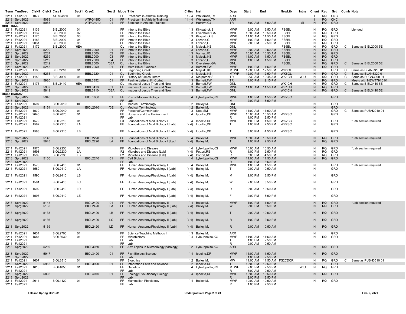| Term TrmDesc CIsN1 CIsN2 Crse1              |                 |              |              |                                    |          | Sect1 Crse2                        | Sect2 Mode Title |                      |                                                                    | CrHrs Inst                |                                      | Days                     | <b>Start</b>         | End                                   | NewLib             | Intns     | Cnsnt Reg |                        | Grd                      | <b>Comb Note</b>                                  |
|---------------------------------------------|-----------------|--------------|--------------|------------------------------------|----------|------------------------------------|------------------|----------------------|--------------------------------------------------------------------|---------------------------|--------------------------------------|--------------------------|----------------------|---------------------------------------|--------------------|-----------|-----------|------------------------|--------------------------|---------------------------------------------------|
| 2211                                        | <b>Fall2021</b> | 1077         |              | ATRG4850                           | 01       |                                    |                  | FF.                  | Practicum in Athletic Training                                     |                           | 1 - 4 Whiteman, TM                   | <b>ARR</b>               |                      |                                       |                    |           |           | RQ                     | <b>CNC</b>               |                                                   |
| 2213 Sprg2022<br>2213 Sprg2022              |                 |              | 5089<br>5088 |                                    |          | <b>ATRG4850</b><br>ATRG4910        | 01<br>01         | FF.<br>FF.           | Practicum in Athletic Training<br>Seminar in Athletic Training     |                           | 1 - 4 Whiteman, TM<br>2 Hamlyn, CJ   | <b>ARR</b><br>TR.        | 8:00 AM              | 8:50 AM                               |                    | <b>SI</b> | ${\sf N}$ | <b>RQ</b><br><b>RQ</b> | <b>CNC</b><br><b>GRD</b> |                                                   |
| <b>BIBL: Bible</b>                          |                 |              |              |                                    |          |                                    |                  |                      |                                                                    |                           |                                      |                          |                      |                                       |                    |           |           |                        |                          |                                                   |
| 2211 Fall2021                               |                 | 1139         |              | <b>BIBL2000</b>                    | 01       |                                    |                  | FF.                  | Intro to the Bible                                                 |                           | 3 Kirkpatrick, S                     | <b>MWF</b>               | 9:00 AM              | 9:50 AM                               | FS6BL              |           | N         | <b>RQ</b>              | GRD                      | blended                                           |
| <b>Fall2021</b><br>2211<br>Fall2021<br>2211 |                 | 1137<br>1175 |              | <b>BIBL2000</b><br><b>BIBL2000</b> | 02<br>03 |                                    |                  | FF.<br>FF.           | Intro to the Bible<br>Intro to the Bible                           | $\cdot$ 3<br>$\mathbf{B}$ | Overstreet, GA<br>Kirkpatrick,S      | MWF<br><b>MWF</b>        | 10:00 AM<br>11:00 AM | 10:50 AM<br>11:50 AM                  | FS6BL<br>FS6BL     |           | N<br>N    | <b>RQ</b><br><b>RQ</b> | GRD<br>GRD               |                                                   |
| Fall2021<br>2211                            |                 | 1183         |              | <b>BIBL2000</b>                    | 04       |                                    |                  | FF.                  | Intro to the Bible                                                 | . ვ                       | Lozano, G                            | <b>MWF</b>               | 1:00 PM              | 1:50 PM                               | FS6BL              |           | N         | <b>RQ</b>              | GRD                      |                                                   |
| 2211 Fall2021                               |                 | 2031         |              | <b>BIBL2000</b>                    | 05       |                                    |                  | FF.                  | Intro to the Bible                                                 | . ვ                       | Lozano, G                            | <b>MWF</b>               | 2:00 PM              | 2:50 PM                               | FS6BL              |           | N         | <b>RQ</b>              | GRD                      |                                                   |
| 2211 Fall2021<br>2213 Sprg2022              |                 | 1172         | 5220         | <b>BIBL2000</b>                    | '0EA     | <b>BIBL2000</b>                    | 01               | OL<br>FF.            | Intro to the Bible<br>Intro to the Bible                           | $\cdot$ 3<br>-3           | Majeski,KS<br>Lozano, G              | ONL<br><b>MWF</b>        | 9:00 AM              | 9:50 AM                               | FS6BL<br>FS6BL     |           | N<br>N    | <b>RQ</b><br><b>RQ</b> | GRD<br><b>GRD</b>        | C<br>Same as BIBL2000 5E                          |
| 2213 Sprg2022                               |                 |              | 5237         |                                    |          | <b>BIBL2000</b>                    | 02               | <b>FF</b>            | Intro to the Bible                                                 | $\cdot$ 3                 | Varner, JR                           | <b>MWF</b>               | 10:00 AM             | 10:50 AM                              | FS6BL              |           | N         | <b>RQ</b>              | GRD                      |                                                   |
| 2213 Sprg2022                               |                 |              | 5239         |                                    |          | <b>BIBL2000</b>                    | 03               | FF.                  | Intro to the Bible                                                 | -3                        | Majeski, KS                          | <b>MWF</b>               | 11:00 AM             | 11:50 AM                              | FS6BL              |           | N         | <b>RQ</b>              | <b>GRD</b>               |                                                   |
| 2213 Sprg2022                               |                 |              | 5219         |                                    |          | <b>BIBL2000</b>                    | 04               | FF.                  | Intro to the Bible                                                 | $\cdot$ 3                 | Lozano, G                            | <b>MWF</b>               | 1:00 PM              | 1:50 PM                               | FS6BL              |           | N         | <b>RQ</b>              | GRD                      |                                                   |
| 2213<br>2213 Sprg2022                       | Sprg2022        |              | 5242<br>5248 |                                    |          | <b>BIBL2000</b><br><b>BIBL2050</b> | '0EA<br>01       | OL.<br>FF.           | Intro to the Bible<br>Meth Biblcl Exegesis                         | 3<br>$\degree{3}$         | Overstreet, GA<br>Burnett, FW        | <b>ONL</b><br><b>MWF</b> | 1:00 PM              | 1:50 PM                               | FS6BL              |           | N<br>N    | <b>RQ</b><br><b>RQ</b> | <b>GRD</b><br>GRD        | C<br>Same as BIBL2000 5E                          |
| 2211 Fall2021                               |                 | 1160         |              | <b>BIBL2210</b>                    | 01       |                                    |                  | OL                   | <b>Beginning Greek I</b>                                           |                           | `4 Majeski,KS                        | <b>MTWF</b>              | 12:00 PM             | 12:50 PM                              | WK6GL              |           |           |                        | GRD                      | Same as BLAN5310 01<br>C                          |
| 2213 Sprg2022                               |                 |              | 5235         |                                    |          | <b>BIBL2220</b>                    | 01               | OL                   | <b>Beginning Greek II</b>                                          |                           | 4 Majeski, KS                        | <b>MTWF</b>              | 12:00 PM             | 12:50 PM                              | WK6GL              |           | N         | <b>RQ</b>              | <b>GRD</b>               | Same as BLAN5320 01<br>C                          |
| 2211 Fall2021<br>2213 Sprg2022              |                 | 1153         | 5920         | <b>BIBL3000</b>                    | 01       | <b>BIBL3352</b>                    | 01               | FF.<br>FF.           | History of Biblical Interp<br>Pauline Letters: I/II Corint         | $\mathbf{3}$              | 3 Kirkpatrick, S<br>Burnett,FW       | TR<br><b>TR</b>          | 9:30 AM<br>1:00 PM   | 10:45 AM<br>2:15 PM                   | WK1CH              | WIU       | N<br>N    | RQ<br>RQ               | GRD<br><b>GRD</b>        | C<br>Same as RLGN3000 01<br>Meets with NEWT7910 0 |
| 2211 Fall2021                               |                 | 1173         |              | <b>BIBL3410</b>                    | '0EA     |                                    |                  | OL                   | Images of Jesus Then and Now                                       |                           | `3 Burnett,FW                        | ONL                      |                      |                                       | WK <sub>1</sub> CH |           | N         | RQ                     | GRD                      | $\mathsf{C}$<br>Same as BIBL3410 5E               |
| 2213 Sprg2022                               |                 |              | 5939         |                                    |          | <b>BIBL3410</b>                    | 01               | FF.                  | Images of Jesus Then and Now                                       |                           | 3 Burnett, FW                        | <b>MWF</b>               | 11:00 AM             | 11:50 AM                              | WK1CH              |           | N         | <b>RQ</b>              | <b>GRD</b>               |                                                   |
| 2213 Sprg2022                               |                 |              | 5849         |                                    |          | <b>BIBL3410</b>                    | '0EA             |                      | OL Images of Jesus Then and Now                                    |                           | 3 Burnett, FW                        | ONL                      |                      |                                       | WK1CH              |           | N         | RQ                     | <b>GRD</b>               | C Same as BIBL3410 5E                             |
| <b>BIOL: Biology</b><br>2213 Sprg2022       |                 |              | 5946         |                                    |          | <b>BIOL1000</b>                    | 01               | FF.                  | Prin of Modern Biology                                             |                           | 4 Lyle-Ippolito, KG                  | <b>MWF</b>               | 1:00 PM              | 1:50 PM                               | WK2SC              |           | N         |                        | <b>GRD</b>               |                                                   |
| 2213 Sprg2022                               |                 |              |              |                                    |          |                                    |                  | FF                   | Lab                                                                |                           |                                      | M                        | $2:00$ PM            | 3:50 PM                               |                    |           |           |                        |                          |                                                   |
| 2211 Fall2021                               |                 | 1597         |              | <b>BIOL2010</b>                    | '0E      |                                    |                  |                      | OL Medical Terminology                                             |                           | 2 Bailey, MJ                         | ONL                      |                      |                                       |                    |           | N         |                        | GRD                      |                                                   |
| 2213 Sprg2022<br>2211 Fall2021              |                 | 1570         | 5154         | <b>BIOL2040</b>                    | 01       | <b>BIOL2010</b>                    | '0E              | OL<br>FF.            | <b>Medical Terminology</b><br>Personal/Comm Health                 |                           | 2 Bailey, MJ<br>`3 Neal,SM           | ONL<br><b>MWF</b>        | 11:00 AM             | 11:50 AM                              |                    |           | N<br>N    |                        | <b>GRD</b><br>GRD        | C<br>Same as PUBH2010 01                          |
| 2211 Fall2021                               |                 | 2045         |              | <b>BIOL2070</b>                    | 01       |                                    |                  | FF.                  | Humans and the Environment                                         | $^{\circ}$ 4              | Ippolito, DF                         | MWF                      | 10:00 AM             | 10:50 AM                              | WK2SC              |           | N         |                        | GRD                      |                                                   |
| Fall2021<br>2211                            |                 |              |              |                                    |          |                                    |                  | FF.                  | Lab                                                                |                           |                                      | R                        | 1:00 PM              | 2:50 PM                               |                    |           |           |                        |                          |                                                   |
| Fall2021<br>2211<br>2211 Fall2021           |                 | 1579<br>1587 |              | <b>BIOL2210</b><br><b>BIOL2210</b> | 01<br>LA |                                    |                  | F3<br>FF             | Foundations of Mod Biology I<br>Foundations of Mod Biology I [Lab] | $^{\circ}$ 4<br>(4)       | Ippolito, DF<br>Ippolito, DF         | MWF<br>T                 | 1:00 PM<br>1:00 PM   | 1:50 PM<br>2:50 PM                    | WK2SC<br>WK2SC     |           | N<br>N    |                        | GRD<br>GRD               | *Lab section required                             |
|                                             |                 |              |              |                                    |          |                                    |                  |                      |                                                                    |                           |                                      |                          |                      |                                       |                    |           |           |                        |                          |                                                   |
| 2211 Fall2021                               |                 | 1588         |              | <b>BIOL2210</b>                    | LB       |                                    |                  |                      | FF Foundations of Mod Biology I [Lab]                              |                           | $(4)$ Ippolito, DF                   | T.                       | 3:00 PM              | 4:50 PM                               | WK2SC              |           | N         |                        | GRD                      |                                                   |
| 2213 Sprg2022                               |                 |              | 5146         |                                    |          | <b>BIOL2220</b>                    | 01               | FF.                  | Foundations of Mod Biology II                                      |                           | 4 Bailey, MJ                         | <b>MWF</b>               | 10:00 AM             | 10:50 AM                              |                    |           | N         | <b>RQ</b>              | <b>GRD</b>               | *Lab section required                             |
| 2213 Sprg2022                               |                 |              | 5845         |                                    |          | <b>BIOL2220</b>                    | LA               | FF.                  | Foundations of Mod Biology II [Lab]                                |                           | `( 4) Bailey,MJ                      | T.                       | 1:00 PM              | 2:50 PM                               |                    |           | N         | <b>RQ</b>              | <b>GRD</b>               |                                                   |
|                                             |                 |              |              |                                    |          |                                    |                  |                      |                                                                    |                           |                                      |                          |                      |                                       |                    |           |           |                        |                          |                                                   |
| 2211 Fall2021                               |                 | 1575         |              | <b>BIOL2230</b>                    | 01       |                                    |                  | FF                   | Microbes and Disease                                               |                           | 4 Lyle-Ippolito, KG                  | MWF                      | 10:00 AM             | 10:50 AM                              |                    |           | N         | RQ                     | GRD                      | *Lab section required                             |
| <b>Fall2021</b><br>2211<br>2211 Fall2021    |                 | 1598<br>1599 |              | <b>BIOL2230</b><br><b>BIOL2230</b> | LA<br>LB |                                    |                  | F2<br>F <sub>2</sub> | Microbes and Disease [Lab]<br>Microbes and Disease [Lab]           |                           | $(4)$ Pottorf, RS<br>(4) Pottorf, RS | R<br>R                   | 1:00 PM<br>3:00 PM   | 2:50 PM<br>4:50 PM                    |                    |           | N<br>N    | <b>RQ</b><br><b>RQ</b> | GRD<br>GRD               |                                                   |
| 2213 Sprg2022                               |                 |              | 5150         |                                    |          | <b>BIOL2240</b>                    | 01               | FF.                  | Cell Biology                                                       | -4                        | Lyle-Ippolito, KG                    | <b>MWF</b>               | 11:00 AM             | 11:50 AM                              |                    |           | N         | <b>RQ</b>              | <b>GRD</b>               |                                                   |
| 2213 Sprg2022                               |                 |              |              |                                    |          |                                    |                  | FF.                  | Lab                                                                |                           |                                      | R                        | 1:00 PM              | 3:50 PM                               |                    |           |           |                        |                          |                                                   |
| 2211 Fall2021<br>2211 Fall2021              |                 | 1573<br>1589 |              | <b>BIOL2410</b><br><b>BIOL2410</b> | 01<br>LA |                                    |                  | FF<br>FF             | Human Anatomy/Physiology I<br>Human Anatomy/Physiology I [Lab]     | $4^{\circ}$<br>(4)        | Bailey,MJ<br>Bailey,MJ               | MWF<br>T.                | 1:00 PM<br>9:00 AM   | 1:50 PM<br>10:50 AM                   |                    |           | N<br>N    |                        | GRD<br>GRD               | *Lab section required                             |
|                                             |                 |              |              |                                    |          |                                    |                  |                      |                                                                    |                           |                                      |                          |                      |                                       |                    |           |           |                        |                          |                                                   |
| 2211 Fall2021                               |                 | 1590         |              | <b>BIOL2410</b>                    | LB       |                                    |                  | FF                   | Human Anatomy/Physiology I [Lab]                                   |                           | `(4) Bailey,MJ                       | м                        | 2:00 PM              | 3:50 PM                               |                    |           | N         |                        | GRD                      |                                                   |
| 2211 Fall2021                               |                 | 1591         |              | <b>BIOL2410</b>                    | LC.      |                                    |                  |                      | FF Human Anatomy/Physiology I [Lab]                                |                           | `(4) Bailey,MJ                       | W                        | 2:00 PM              | 3:50 PM                               |                    |           | N         |                        | GRD                      |                                                   |
|                                             |                 |              |              |                                    |          |                                    |                  |                      |                                                                    |                           |                                      |                          |                      |                                       |                    |           |           |                        |                          |                                                   |
| 2211 Fall2021                               |                 | 1592         |              | <b>BIOL2410</b>                    | LD       |                                    |                  |                      | FF Human Anatomy/Physiology I [Lab]                                |                           | (4) Bailey, MJ                       | R                        | 9:00 AM              | 10:50 AM                              |                    |           | N         |                        | GRD                      |                                                   |
| 2211 Fall2021                               |                 | 1593         |              | <b>BIOL2410</b>                    | LE       |                                    |                  |                      |                                                                    |                           |                                      | F                        | 2:00 PM              | 3:50 PM                               |                    |           | N         |                        | GRD                      |                                                   |
|                                             |                 |              |              |                                    |          |                                    |                  |                      | FF Human Anatomy/Physiology I [Lab]                                |                           | `(4) Bailey,MJ                       |                          |                      |                                       |                    |           |           |                        |                          |                                                   |
| 2213 Sprg2022                               |                 |              | 5145         |                                    |          | <b>BIOL2420</b>                    | 01               | FF.                  | Human Anatomy/Physiology II                                        |                           | 4 Bailey,MJ                          | <b>MWF</b>               | 1:00 PM              | 1:50 PM                               |                    |           | N         | RQ                     | <b>GRD</b>               | *Lab section required                             |
| 2213 Sprg2022                               |                 |              | 5135         |                                    |          | <b>BIOL2420</b>                    | LA               | FF                   | Human Anatomy/Physiology II [Lab]                                  |                           | `( 4) Bailey,MJ                      | W                        | 2:00 PM              | 3:50 PM                               |                    |           | N         | <b>RQ</b>              | <b>GRD</b>               |                                                   |
| 2213 Sprg2022                               |                 |              | 5138         |                                    |          | <b>BIOL2420</b>                    | LB               |                      | FF Human Anatomy/Physiology II [Lab]                               |                           | `( 4) Bailey,MJ                      | T.                       | 9:00 AM              | 10:50 AM                              |                    |           | N         | <b>RQ</b>              | <b>GRD</b>               |                                                   |
|                                             |                 |              |              |                                    |          |                                    |                  |                      |                                                                    |                           |                                      |                          |                      |                                       |                    |           |           |                        |                          |                                                   |
| 2213 Sprg2022                               |                 |              | 5136         |                                    |          | <b>BIOL2420</b>                    | LC               | FF.                  | Human Anatomy/Physiology II [Lab]                                  |                           | (4) Bailey, MJ                       | R                        | 1:00 PM              | 2:50 PM                               |                    |           | N         | <b>RQ</b>              | <b>GRD</b>               |                                                   |
| 2213 Sprg2022                               |                 |              | 5139         |                                    |          | <b>BIOL2420</b>                    | LD               | FF.                  | Human Anatomy/Physiology II [Lab]                                  |                           | `( 4) Bailey,MJ                      | R                        | 9:00 AM              | 10:50 AM                              |                    |           | N         | <b>RQ</b>              | GRD                      |                                                   |
|                                             |                 |              |              |                                    |          |                                    |                  |                      |                                                                    |                           |                                      |                          |                      |                                       |                    |           |           |                        |                          |                                                   |
| 2211 Fall2021                               |                 | 1631         |              | <b>BIOL2700</b>                    | 01       |                                    |                  | FF.                  | Science Teaching Methods I                                         |                           | `3 Bailey,MJ                         | ARR                      |                      |                                       |                    |           | N         |                        | GRD                      |                                                   |
| 2211 Fall2021<br>2211 Fall2021              |                 | 1584         |              | <b>BIOL3030</b>                    | 01       |                                    |                  | FF.<br>FF Lab        | Microbiology                                                       |                           | 4 Lyle-Ippolito, KG                  | MWF                      | 11:00 AM             | 11:50 AM<br>1:00 PM 2:50 PM           |                    |           | N         | <b>RQ</b>              | GRD                      |                                                   |
| 2211 Fall2021                               |                 |              |              |                                    |          |                                    |                  | FF Lab               |                                                                    | $\mathbf{r}$              |                                      | R                        |                      | 9:00 AM 10:50 AM                      |                    |           |           |                        |                          |                                                   |
| 2213 Sprg2022                               |                 |              | 5210         |                                    |          | <b>BIOL3050</b>                    | 01               |                      | FF Adv Topics in Microbiology [Virology]                           |                           | 2 Lyle-Ippolito, KG                  | <b>ARR</b>               |                      |                                       |                    |           | N         | RQ GRD                 |                          |                                                   |
| 2213 Sprg2022                               |                 |              | 5947         |                                    |          | <b>BIOL3420</b>                    |                  |                      | FF Fish Biology/Ecology                                            |                           |                                      |                          |                      |                                       |                    |           | N         |                        | RQ GRD                   |                                                   |
| 2213 Sprg2022                               |                 |              |              |                                    |          |                                    | 01               |                      | FF Lab                                                             |                           | 4 Ippolito, DF                       | <b>MWF</b><br>T.         | 11:00 AM 11:50 AM    | 1:00 PM 2:50 PM                       |                    |           |           |                        |                          |                                                   |
| 2211 Fall2021                               |                 | 1607         |              | <b>BIOL3510</b>                    | 01       |                                    |                  |                      | FF Bioethics                                                       |                           | 2 Bailey, MJ                         | MW                       |                      | 11:00 AM  11:50 AM  FS2CDCR           |                    |           | N         | <b>RQ</b>              | GRD                      | C Same as PUBH3510 01                             |
| 2213 Spra2022<br>2211 Fall2021              |                 | 1613         | 5918         |                                    | 01       | <b>BIOL3920</b>                    | 01               |                      | FF Integration Faith and Science<br>FF Genetics                    |                           | 2 Ippolito, DF                       | TF.<br><b>MTWF</b>       |                      | 12:00 PM 12:50 PM<br>2:00 PM 2:50 PM  |                    | WIU       | N<br>N    | RQ                     | GRD<br>GRD               |                                                   |
| 2211 Fall2021                               |                 |              |              | <b>BIOL4050</b>                    |          |                                    |                  | FF Lab               |                                                                    |                           | 4 Lyle-Ippolito, KG                  | R                        |                      | 8:00 AM 9:50 AM                       |                    |           |           |                        |                          |                                                   |
| 2213 Sprg2022                               |                 |              | 5898         |                                    |          | <b>BIOL4070</b>                    | 01               |                      | FF Ecology/Evolutionary Biology                                    |                           | 4 Ippolito, DF                       | <b>MWF</b>               |                      | 10:00 AM  10:50 AM                    |                    |           | N         | <b>RQ</b>              | <b>GRD</b>               |                                                   |
| 2213 Sprg2022<br>2211 Fall2021              |                 |              |              |                                    |          |                                    |                  | FF Lab               |                                                                    |                           |                                      | R                        |                      | 2:00 PM 3:50 PM                       |                    |           |           |                        |                          |                                                   |
| 2211 Fall2021                               |                 | 2011         |              | <b>BIOL4120</b>                    | 01       |                                    |                  | FF Lab               | FF Mammalian Physiology                                            |                           | `4 Bailey,MJ                         | MWF<br>R                 |                      | 10:00 AM  10:50 AM<br>1:00 PM 2:50 PM |                    |           | N,        | RQ GRD                 |                          |                                                   |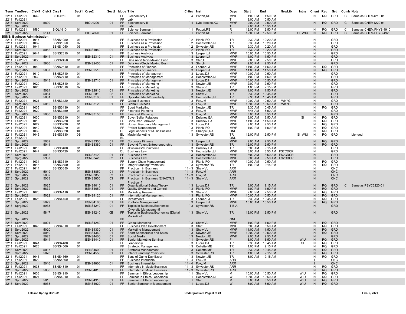|      |                                  |              | Term TrmDesc CIsN1 CIsN2 Crse1     |          | Sect1 Crse2                        | Sect2 Mode Title |                 |                                                                  | CrHrs Inst     |                                     | Days                     | Start                 | End                         | NewLib                            | Intns      | Cnsnt Req    |                        | Grd                      | <b>Comb Note</b> |                        |
|------|----------------------------------|--------------|------------------------------------|----------|------------------------------------|------------------|-----------------|------------------------------------------------------------------|----------------|-------------------------------------|--------------------------|-----------------------|-----------------------------|-----------------------------------|------------|--------------|------------------------|--------------------------|------------------|------------------------|
|      | 2211 Fall2021                    | 1649         | <b>BIOL4210</b>                    | 01       |                                    |                  |                 | FF Biochemistry I                                                |                | 4 Pottorf, RS                       | <b>MWF</b>               | 1:00 PM               | 1:50 PM                     |                                   |            | N            | <b>RQ</b>              | GRD                      | C                | Same as CHEM4210 01    |
|      | 2211 Fall2021                    |              |                                    |          |                                    |                  | FF.             | Lab                                                              |                |                                     |                          | 8:00 AM               | 10:50 AM                    |                                   |            |              |                        |                          |                  |                        |
|      | 2213 Sprg2022                    |              | 5899                               |          | <b>BIOL4220</b>                    | 01               | FF.             | <b>Biochemistry II</b><br>Lab                                    |                | Lyle-Ippolito.KG                    | <b>MWF</b>               | 9:00 AM               | 9:50 AM                     |                                   |            | N            | <b>RQ</b>              | <b>GRD</b>               | $\mathsf{C}$     | Same as CHEM4220 01    |
|      | 2213 Sprg2022<br>2211 Fall2021   | 1580         | <b>BIOL4910</b>                    | 01       |                                    |                  | FF.             | FF Science Seminar I                                             |                | 1 Pottorf, RS                       | R                        | 9:00 AM<br>12:00 PM   | 10:50 AM<br>12:50 PM        |                                   |            | N            | <b>RQ</b>              | GRD                      | C                | Same as CHEM/PHYS 4910 |
|      | 2213 Sprg2022                    |              | 5141                               |          | <b>BIOL4920</b>                    | 01               |                 | FF Science Seminar II                                            |                | 1 Pottorf, RS                       | R                        |                       | 12:00 PM 12:50 PM           |                                   | SI WIU     | N            | <b>RQ</b>              | <b>GRD</b>               | $\mathsf{C}$     | Same as CHEM/PHYS 4920 |
|      | BSNS: Business Administration    |              |                                    |          |                                    |                  |                 |                                                                  |                |                                     |                          |                       |                             |                                   |            |              |                        |                          |                  |                        |
|      | 2211 Fall2021                    | 1017         | <b>BSNS1050</b>                    | 01       |                                    |                  | FF.             | Business as a Profession                                         |                | 2 Pianki, FO                        | <b>TR</b>                | 9:30 AM               | 10:20 AM                    |                                   |            | N            |                        | GRD                      |                  |                        |
|      | 2211 Fall2021<br>2211 Fall2021   | 1032<br>1044 | <b>BSNS1050</b><br><b>BSNS1050</b> | 02<br>03 |                                    |                  | FF<br>FF        | Business as a Profession<br>Business as a Profession             |                | 2 Hochstetler, JJ<br>2 Sylvester.RS | TR<br><b>TR</b>          | 9:30 AM<br>9:30 AM    | 10:20 AM<br>10:20 AM        |                                   |            | N            |                        | GRD<br>GRD               |                  |                        |
|      | 2213 Sprg2022                    |              | 5042                               |          | <b>BSNS1050</b>                    | 01               | FF.             | Business as a Profession                                         |                | 2 Pianki, FO                        | <b>TR</b>                |                       | 9:30 AM 10:20 AM            |                                   |            |              |                        | <b>GRD</b>               |                  |                        |
|      | 2211 Fall2021                    | 2044         | <b>BSNS2310</b>                    | 01       |                                    |                  | FF              | <b>Business Analytics</b>                                        |                | 3 Leeper, LJ                        | <b>MWF</b>               | 10:00 AM              | 10:50 AM                    |                                   |            | N            |                        | GRD                      |                  |                        |
|      | 2213 Sprg2022                    |              | 5944                               |          | <b>BSNS2310</b>                    | 01               | FF.             | <b>Business Analytics</b>                                        |                | 3 Leeper, LJ                        | <b>MWF</b>               | 1:00 PM               | 1:50 PM                     |                                   |            |              |                        | <b>GRD</b>               |                  |                        |
|      | 2211 Fall2021                    | 2038         | <b>BSNS2450</b>                    | 01       |                                    |                  | FF.             | Data Anly/Decis Making Busn                                      |                | `3 Shin, H                          | <b>MWF</b>               | 2:00 PM               | 2:50 PM                     |                                   |            |              |                        | GRD                      |                  |                        |
|      | 2213 Sprg2022<br>2211 Fall2021   | 1040         | 5936<br><b>BSNS2510</b>            | 01       | <b>BSNS2450</b>                    | 01               |                 | FF Data Anly/Decis Making Busn<br>FF Principles of Finance       |                | 3 Shin, H<br>3 Leeper, LJ           | <b>MWF</b><br><b>MWF</b> | 2:00 PM<br>11:00 AM   | 2:50 PM<br>11:50 AM         |                                   |            | N            | <b>RQ</b>              | <b>GRD</b><br>GRD        |                  |                        |
|      | 2213 Sprg2022                    |              | 5037                               |          | <b>BSNS2510</b>                    | 01               |                 | FF Principles of Finance                                         |                | 3 Leeper, LJ                        | <b>MWF</b>               | 11:00 AM              | 11:50 AM                    |                                   |            | N            | <b>RQ</b>              | <b>GRD</b>               |                  |                        |
|      | 2211 Fall2021                    | 1019         | <b>BSNS2710</b>                    | 01       |                                    |                  | FF.             | Principles of Management                                         |                | 3 Lucas, DJ                         | MWF                      | 10:00 AM              | 10:50 AM                    |                                   |            |              |                        | GRD                      |                  |                        |
|      | 2211 Fall2021                    | 2039         | <b>BSNS2710</b>                    | 02       |                                    |                  | FF.             | <b>Principles of Management</b>                                  | $\cdot$ 3      | Hochstetler, JJ                     | <b>MWF</b>               | 1:00 PM               | 1:50 PM                     |                                   |            |              |                        | GRD                      |                  |                        |
|      | 2213 Sprg2022                    |              | 5013                               |          | <b>BSNS2710</b>                    | 01               | FF.             | <b>Principles of Management</b>                                  |                | 3 Lucas.DJ                          | <b>MWF</b>               | 10:00 AM              | 10:50 AM                    |                                   |            |              |                        | <b>GRD</b>               |                  |                        |
|      | 2211 Fall2021                    | 1020         | <b>BSNS2810</b>                    | 01       |                                    |                  | FF.<br>FF.      | <b>Principles of Marketing</b><br><b>Principles of Marketing</b> | $\cdot$ 3      | 3 Newton, JE                        | <b>MWF</b>               | 2:00 PM               | 2:50 PM<br>2:15 PM          |                                   |            | N            |                        | GRD<br>GRD               |                  |                        |
| 2211 | <b>Fall2021</b><br>2213 Sprg2022 | 1025         | <b>BSNS2810</b><br>5024            | 02       | <b>BSNS2810</b>                    | 01               | FF.             | <b>Principles of Marketing</b>                                   | $3^{\circ}$    | Shaw, VL<br>Newton, JE              | TR.<br><b>MWF</b>        | 1:00 PM<br>1:00 PM    | 1:50 PM                     |                                   |            |              |                        | <b>GRD</b>               |                  |                        |
|      | 2213 Sprg2022                    |              | 5014                               |          | <b>BSNS2810</b>                    | 02               | FF.             | <b>Principles of Marketing</b>                                   | $\cdot$ 3      | Shaw, VL                            | <b>TR</b>                | 9:30 AM               | 10:45 AM                    |                                   |            |              |                        | <b>GRD</b>               |                  |                        |
|      | 2213 Sprg2022                    |              | 5031                               |          | <b>BSNS3100</b>                    | 01               | FF.             | Opportun Identif/Feasibility                                     |                | 3 Hochstetler, JJ                   | <b>TR</b>                | 9:30 AM               | 10:45 AM                    |                                   |            |              |                        | <b>GRD</b>               |                  |                        |
|      | 2211 Fall2021                    | 1021         | <b>BSNS3120</b>                    | 01       |                                    |                  | FF.             | <b>Global Business</b>                                           |                | 3 Fox,JM                            | <b>MWF</b>               | 10:00 AM              | 10:50 AM                    | WK7GI                             |            | N            |                        | GRD                      |                  |                        |
| 2213 | Sprg2022                         |              | 5012                               |          | <b>BSNS3120</b>                    | 01               | FF.             | <b>Global Business</b>                                           |                | 3 Fox, JM                           | <b>MWF</b>               | 10:00 AM              | 10:50 AM                    | WK7GI                             |            | N            |                        | <b>GRD</b>               |                  |                        |
|      | 2211 Fall2021                    | 1035         | <b>BSNS3130</b>                    | 01       |                                    |                  | FF<br>FF.       | Sport Marketing                                                  | 3<br>$\cdot$ 3 | Newton,JE                           | TR<br><b>MWF</b>         | 9:30 AM<br>7:45 AM    | 10:45 AM                    |                                   |            | N            | RQ                     | GRD<br>GRD               |                  |                        |
|      | 2211 Fall2021<br>2213 Sprg2022   | 1029         | <b>BSNS3150</b><br>5030            | 01       | <b>BSNS3150</b>                    | 01               | FF.             | <b>Financial Planning</b><br><b>Financial Planning</b>           | $3^{\circ}$    | Fox,JM<br>Fox,JM                    | <b>MWF</b>               | 8:00 AM               | 8:50 AM<br>8:50 AM          |                                   |            | N            |                        | <b>GRD</b>               |                  |                        |
|      | 2211 Fall2021                    | 1030         | <b>BSNS3210</b>                    | 01       |                                    |                  | FF              | <b>Buyer/Seller Relations</b>                                    |                | 3 Dulaney, EA                       | <b>MWF</b>               | 9:00 AM               | 9:50 AM                     |                                   | <b>SI</b>  | N            | <b>RQ</b>              | GRD                      |                  |                        |
|      | 2211 Fall2021                    | 1013         | <b>BSNS3220</b>                    | 01       |                                    |                  | FF              | <b>Consumer Behavior</b>                                         | 3              | Dulanev.EA                          | <b>MWF</b>               | 11:00 AM              | 11:50 AM                    |                                   |            | N            | <b>RQ</b>              | GRD                      |                  |                        |
| 2211 | Fall2021                         | 1027         | <b>BSNS3230</b>                    | 01       |                                    |                  | FF              | Human Resource Management                                        | $\cdot$ 3      | Lucas,DJ                            | MWF                      | 9:00 AM               | 9:50 AM                     |                                   |            | N            | <b>RQ</b>              | GRD                      |                  |                        |
| 2211 | Fall2021                         | 1042         | <b>BSNS3270</b>                    | 01       |                                    |                  | FF              | <b>Project Management</b>                                        | $\cdot$ 3      | Pianki,FO                           | <b>MWF</b>               | 1:00 PM               | 1:50 PM                     |                                   |            | N            | <b>RQ</b>              | GRD                      |                  |                        |
|      | 2211 Fall2021                    | 1039         | <b>BSNS3320</b>                    | '0E      |                                    |                  | OL              | Legal Aspects of Music Busines                                   | $^{\circ}$ 2   | Chappell, RA                        | ONL                      |                       |                             |                                   |            | N            | <b>RQ</b>              | GRD                      |                  |                        |
| 2211 | 2211 Fall2021<br>Fall2021        | 1045         | <b>BSNS3330</b>                    | 0B       |                                    |                  | <b>BL</b><br>BI | Music Marketing                                                  | . ვ            | Sylvester.RS                        | TR<br>ONL                | 12:00 PM              | 12:50 PM                    |                                   | SI WIU     | N            | <b>RQ</b>              | GRD                      |                  | blended                |
|      | 2213 Sprg2022                    |              | 5039                               |          | <b>BSNS3350</b>                    | 01               | FF.             | Corporate Finance                                                |                | 3 Leeper, LJ                        | <b>MWF</b>               | 9:00 AM               | 9:50 AM                     |                                   |            | N            | <b>RQ</b>              | <b>GRD</b>               |                  |                        |
| 2213 | Sprg2022                         |              | 5041                               |          | <b>BSNS3360</b>                    | 01               | FF.             | Beyond Talent: Entrepreneurship                                  | $3^{\circ}$    | Sylvester, RS                       | <b>TR</b>                | 12:00 PM              | 12:50 PM                    |                                   |            | N            | <b>RQ</b>              | <b>GRD</b>               |                  |                        |
|      | 2211 Fall2021                    | 1016         | <b>BSNS3400</b>                    | 01       |                                    |                  | FF              | eBusiness/eCommerce                                              | ` ვ            | Dulaney,EA                          | TR                       | 8:00 AM               | 9:15 AM                     |                                   |            | -N           |                        | GRD                      |                  |                        |
|      | 2211 Fall2021                    | 1047         | <b>BSNS3420</b>                    | 01       |                                    |                  | OL              | <b>Business Law</b>                                              |                | 3 Hochstetler, JJ                   | <b>MWF</b>               | 8:00 AM               |                             | 8:50 AM FS2CDCR                   |            | N            |                        | GRD                      |                  |                        |
| 2213 | Sprg2022                         |              | 5018<br>5937                       |          | <b>BSNS3420</b>                    | 01               | FF.             | <b>Business Law</b>                                              | $\cdot$ 3      | 3 Hochstetler, JJ                   | <b>MWF</b>               | 8:00 AM               | 8:50 AM                     | <b>FS2CDCR</b><br>9:50 AM FS2CDCR |            | N            |                        | <b>GRD</b><br><b>GRD</b> |                  |                        |
|      | 2213 Sprg2022<br>2211 Fall2021   | 1031         | <b>BSNS3510</b>                    | 01       | <b>BSNS3420</b>                    | 02 <sub>2</sub>  | FF.<br>FF.      | <b>Business Law</b><br>Supply Chain Management                   | $\cdot$ 3      | Hochstetler, JJ<br>Pianki,FO        | <b>MWF</b><br><b>MWF</b> | $9:00$ AM<br>10:00 AM | 10:50 AM                    |                                   |            | N            | RQ                     | GRD                      |                  |                        |
|      | 2211 Fall2021                    | 1015         | <b>BSNS3550</b>                    | 01       |                                    |                  | FF.             | Integr Branding/Promotion I                                      | 3              | Sylvester,RS                        | TR                       | 1:00 PM               | 2:15 PM                     |                                   |            | N            | <b>RQ</b>              | GRD                      |                  |                        |
|      | 2211 Fall2021                    | 1014         | <b>BSNS3850</b>                    | 01       |                                    |                  | FF.             | <b>Practicum in Business</b>                                     |                | 1-3 Shaw, VL                        | <b>ARR</b>               |                       |                             |                                   |            | N            |                        | <b>CNC</b>               |                  |                        |
| 2213 | Sprg2022                         |              | 5019                               |          | <b>BSNS3850</b>                    | 01               | FF.             | <b>Practicum in Business</b>                                     |                | $1 - 3$ Fox, JM                     | <b>ARR</b>               |                       |                             |                                   |            | N            |                        | <b>CNC</b>               |                  |                        |
|      | 2213 Sprg2022                    |              | 5032                               |          | <b>BSNS3850</b>                    | 02               | FF.             | <b>Practicum in Business</b>                                     | $\cdot$ 1 - 3  | Fox, JM                             | <b>ARR</b>               |                       |                             |                                   |            | N            |                        | <b>CNC</b>               |                  |                        |
|      | 2213 Sprg2022                    |              | 5033                               |          | <b>BSNS3850</b>                    | 03               | FF.             | Practicum in Business [ENACTUS                                   |                | $1 - 3$ Shaw, VL                    | <b>ARR</b>               |                       |                             |                                   |            |              |                        | <b>CNC</b>               |                  |                        |
|      | 2213 Sprg2022                    |              | 5025                               |          | <b>BSNS4010</b>                    | 01               | FF.             | Practicuml<br>Organizational Behav/Theory                        |                | 3 Lucas, DJ                         | TR.                      | 8:00 AM               | 9:15 AM                     |                                   |            | N            | <b>RQ</b>              | <b>GRD</b>               |                  | C Same as PSYC3220 01  |
|      | 2213 Sprg2022                    |              | 5872                               |          | <b>BSNS4050</b>                    | 01               | FF              | <b>Quality Systems and Control</b>                               |                | 3 Pianki, FO                        | <b>MWF</b>               | 1:00 PM               | 1:50 PM                     |                                   |            |              | <b>RQ</b>              | <b>GRD</b>               |                  |                        |
|      | 2211 Fall2021                    | 1023         | <b>BSNS4110</b>                    | 01       |                                    |                  |                 | FF Marketing Research                                            |                | 3 Shaw, VL                          | MWF                      | 2:00 PM               | 2:50 PM                     |                                   |            | N            | <b>RQ</b>              | GRD                      |                  |                        |
|      | 2213 Sprg2022                    |              | 5022                               |          | <b>BSNS4120</b>                    | 01               |                 | FF International Management                                      |                | 3 Pianki, FO                        | <b>MWF</b>               | 10:00 AM              | 10:50 AM                    |                                   |            | N            | <b>RQ</b>              | <b>GRD</b>               |                  |                        |
|      | 2211 Fall2021                    | 1026         | <b>BSNS4150</b>                    | 01       |                                    |                  | FF.             | Investments                                                      |                | 3 Leeper,LJ                         | <b>TR</b>                | 9:30 AM               | 10:45 AM                    |                                   |            | N            | <b>RQ</b>              | GRD                      |                  |                        |
|      | 2213 Sprg2022<br>2213 Sprg2022   |              | 5029<br>5938                       |          | <b>BSNS4160</b><br><b>BSNS4240</b> | 01<br>01         | FF.<br>FF.      | Portfolio Management<br>Topics in Business/Economics             |                | `3 Leeper,LJ<br>3 Sylvester, RS     | <b>MWF</b><br>T.B.A.     | 10:00 AM              | 10:50 AM                    |                                   |            | N<br>N       | <b>RQ</b>              | <b>GRD</b><br><b>GRD</b> |                  |                        |
|      |                                  |              |                                    |          |                                    |                  |                 | <b>IDiversity Management1</b>                                    |                |                                     |                          |                       |                             |                                   |            |              |                        |                          |                  |                        |
|      | 2213 Sprg2022                    |              | 5847                               |          | <b>BSNS4240</b>                    | 0B               | FF              | Topics in Business/Economics [Digital                            |                | 3 Shaw, VL                          | <b>TR</b>                | 12:00 PM              | 12:50 PM                    |                                   |            | N            |                        | <b>GRD</b>               |                  |                        |
|      |                                  |              |                                    |          |                                    |                  |                 | Marketingl                                                       |                |                                     |                          |                       |                             |                                   |            |              |                        |                          |                  |                        |
|      | 2213 Sprg2022                    |              |                                    |          |                                    |                  | FF              |                                                                  |                |                                     | <b>ONL</b>               |                       |                             |                                   |            |              |                        |                          |                  |                        |
|      | 2213 Sprg2022                    |              | 5021                               | 01       | <b>BSNS4250</b>                    | 01               | FF.             | <b>Global Marketing</b>                                          |                | 3 Shaw, VL<br>`3 Staff              | <b>MWF</b><br><b>MWF</b> | 1:00 PM               | 1:50 PM                     |                                   |            | N<br>N       | <b>RQ</b>              | GRD<br>GRD               |                  |                        |
|      | 2211 Fall2021<br>2213 Sprg2022   | 1046         | <b>BSNS4310</b><br>5020            |          | <b>BSNS4330</b>                    | 01               | FF.<br>FF.      | <b>Business Plan Development</b><br>Marketing Management         |                | 3 Shaw, VL                          | <b>MWF</b>               | 8:00 AM<br>11:00 AM   | 8:50 AM<br>11:50 AM         |                                   |            | N            | RQ<br><b>RQ</b>        | GRD                      |                  |                        |
|      | 2213 Sprg2022                    |              | 5040                               |          | <b>BSNS4360</b>                    | 01               | FF.             | Sport Sponsorship and Sales                                      |                | ` 3 Newton,JE                       | <b>MWF</b>               | 10:00 AM              | 10:50 AM                    |                                   |            |              | <b>RQ</b>              | <b>GRD</b>               |                  |                        |
|      | 2213 Sprg2022                    |              | 5023                               |          | <b>BSNS4400</b>                    | 01               | FF.             | Social Media                                                     |                | 3 Newton, JE                        | <b>MWF</b>               | 9:00 AM               | 9:50 AM                     |                                   |            | N            |                        | <b>GRD</b>               |                  |                        |
|      | 2213 Sprg2022                    |              | 5044                               |          | <b>BSNS4440</b>                    | 01               | FF.             | <b>Senior Marketing Seminar</b>                                  |                | 1 Sylvester, RS                     |                          |                       | 8:00 AM 8:50 AM             |                                   | WIU        |              | <b>RQ</b>              | GRD                      |                  |                        |
|      | 2211 Fall2021                    | 1041         | <b>BSNS4480</b>                    | 01       |                                    |                  |                 | FF Leadership                                                    |                | 3 Lucas, DJ                         | TR                       |                       | 9:30 AM 10:45 AM            |                                   | SI         | N            | RQ                     | GRD                      |                  |                        |
|      | 2211 Fall2021<br>2213 Sprg2022   | 1028         | <b>BSNS4500</b><br>5017            | 01       | <b>BSNS4500</b>                    | 01               | FF.             | <b>Strategic Management</b><br>FF Strategic Management           |                | ` 3 Collette, ME<br>3 Collette, ME  | <b>TR</b><br><b>TR</b>   | 1:00 PM               | 2:15 PM<br>9:30 AM 10:45 AM |                                   |            | N<br>N       | <b>RQ</b><br><b>RQ</b> | GRD<br>GRD               |                  |                        |
|      | 2213 Sprg2022                    |              | 5028                               |          | <b>BSNS4550</b>                    | 01               | FF.             | Integr Branding/Promotion II                                     |                | `3 Sylvester, RS                    | <b>TR</b>                |                       | 1:00 PM 2:15 PM             |                                   |            | N            | <b>RQ</b>              | GRD                      |                  |                        |
|      | 2211 Fall2021                    | 1043         | <b>BSNS4560</b>                    | 01       |                                    |                  | FF.             | Bsns of Game-Day Exper                                           |                | 3 Newton, JE                        | TR                       | 8:00 AM               | 9:15 AM                     |                                   |            | N            | RQ                     | GRD                      |                  |                        |
|      | 2211 Fall2021                    | 1022         | <b>BSNS4800</b>                    | 01       |                                    |                  |                 | FF Business Internship                                           |                | 1 - 4 Fox, JM                       | <b>ARR</b>               |                       |                             |                                   |            |              |                        | <b>CNC</b>               |                  |                        |
|      | 2213 Sprg2022                    |              | 5016                               |          | <b>BSNS4800</b>                    | 01               |                 | FF Business Internship                                           |                | $1 - 4$ Fox, JM                     | <b>ARR</b>               |                       |                             |                                   |            |              |                        | <b>CNC</b>               |                  |                        |
|      | 2211 Fall2021                    | 1038         | <b>BSNS4810</b>                    | 01       |                                    |                  |                 | FF Internship in Music Business                                  |                | 1 - 3 Sylvester, RS                 | ARR                      |                       |                             |                                   |            | N            | <b>RQ</b>              | GRD                      |                  |                        |
|      | 2213 Sprg2022<br>2211 Fall2021   | 1033         | 5036<br><b>BSNS4910</b>            | 01       | <b>BSNS4810</b>                    | 01               |                 | FF Internship in Music Business<br>Seminar in Ethics/Leadership  |                | 1 - 3 Sylvester, RS<br>1 Shaw.VL    | <b>ARR</b><br>м          |                       | 10:00 AM  10:50 AM          |                                   | WIU        | N<br>N       | <b>RQ</b><br><b>RQ</b> | GRD<br>GRD               |                  |                        |
|      | 2211 Fall2021                    | 1024         | <b>BSNS4910</b>                    | 02       |                                    |                  | FF.             | FF Seminar in Ethics/Leadership                                  |                | 1 Hochstetler, JJ                   | W                        |                       | 10:00 AM  10:50 AM          |                                   | WIU        | N            | <b>RQ</b>              | GRD                      |                  |                        |
|      | 2213 Sprg2022                    |              | 5015                               |          | <b>BSNS4910</b>                    | 01               |                 | FF Seminar in Ethics/Leadership                                  |                | `1 Staff                            | M                        |                       | 8:00 AM 8:50 AM             |                                   | WIU        | $\mathsf{N}$ | <b>RQ</b>              | <b>GRD</b>               |                  |                        |
|      | 2213 Sprg2022                    |              | 5038                               |          | <b>BSNS4920</b>                    | 01               |                 | FF Senior Seminar in Management                                  |                | 1 Lucas, DJ                         | W                        |                       | 8:00 AM 8:50 AM             |                                   | <b>WIU</b> | N            | <b>RQ</b>              | GRD                      |                  |                        |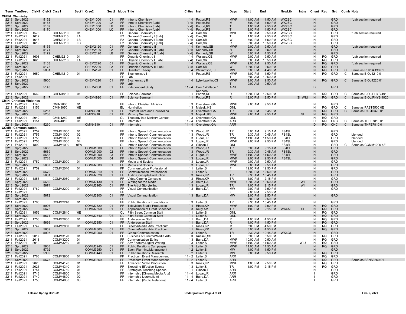| <b>CHEM: Chemistry</b><br>2213 Sprg2022<br>5152<br><b>CHEM1000</b><br>Pottorf, RS<br><b>MWF</b><br>11:00 AM<br>11:50 AM<br>WK2SC<br><b>GRD</b><br>01<br>FF.<br>Intro to Chemistry<br>*Lab section required<br>2213 Sprg2022<br>5168<br><b>CHEM1000</b><br>LA<br>FF.<br>Pottorf, RS<br>M<br>3:00 PM<br>4:50 PM<br>WK2SC<br><b>GRD</b><br>Intro to Chemistry [Lab]<br>(4)<br>N<br><b>CHEM1000</b><br><b>LB</b><br>Intro to Chemistry [Lab]<br>2:50 PM<br><b>GRD</b><br>Sprg2022<br>5169<br>FF.<br>Pottorf, RS<br>1:00 PM<br>WK2SC<br>2213<br>(4)<br>т<br>N<br><b>CHEM1000</b><br>LC<br>4:50 PM<br><b>GRD</b><br>2213<br>Sprg2022<br>5170<br>FF.<br>Intro to Chemistry [Lab]<br>Pottorf, RS<br>3:00 PM<br>WK2SC<br>(4)<br>CHEM2110<br><b>MWF</b><br>GRD<br>2211 Fall2021<br>1578<br>01<br>FF.<br>General Chemistry I<br>Carr, SR<br>9:00 AM<br>9:50 AM<br>WK2SC<br>*Lab section required<br>$^{\circ}$ 4<br>N<br>2:50 PM<br>GRD<br><b>Fall2021</b><br>1617<br>CHEM2110<br>LA<br>General Chemistry I [Lab]<br>Carr, SR<br>1:00 PM<br>WK2SC<br>2211<br>F <sub>2</sub><br>(4)<br>T.<br>N<br>LB<br>Fall2021<br>1618<br>CHEM2110<br>Carr, SR<br>W<br>3:00 PM<br>4:50 PM<br>WK2SC<br>GRD<br>2211<br>F2<br>General Chemistry I [Lab]<br>(4)<br>N<br>CHEM2110<br>LC<br>10:50 AM<br>GRD<br><b>Fall2021</b><br>1619<br>General Chemistry I [Lab]<br>(4)<br>Carr, SR<br>R<br>9:00 AM<br>WK2SC<br>2211<br>F2<br><b>MWF</b><br><b>GRD</b><br>5155<br>CHEM2120<br>FF.<br>Kennedy, SB<br>9:00 AM<br>9:50 AM<br>2213<br>Sprg2022<br>01<br>General Chemistry II<br>*Lab section required<br>LA<br>2:50 PM<br><b>GRD</b><br>2213 Sprg2022<br>5171<br><b>CHEM2120</b><br>FF.<br>General Chemistry II [Lab]<br>Kennedy, SB<br>R<br>1:00 PM<br>(4)<br>N<br>LB<br><b>FF</b><br>W<br>4:50 PM<br><b>GRD</b><br>2213 Sprg2022<br>5172<br>CHEM2120<br>General Chemistry II [Lab]<br>3:00 PM<br>(4)<br>Kennedy, SB<br>N<br>CHEM2210<br><b>MWF</b><br>2211 Fall2021<br>1608<br>01<br>Organic Chemistry<br>9:00 AM<br>9:50 AM<br><b>RQ</b><br>GRD<br>FF.<br>4 Wallace,CE<br>N<br>*Lab section required<br>1620<br>CHEM2210<br>10:50 AM<br><b>RQ</b><br>GRD<br>2211 Fall2021<br>LA<br>FF.<br>Organic Chemistry I [Lab]<br>(4)<br>Carr, SR<br>8:00 AM<br><b>MWF</b><br>GRD<br><b>RQ</b><br>2213 Sprg2022<br>5163<br><b>CHEM2220</b><br><b>Organic Chemistry II</b><br>Wallace, CE<br>9:00 AM<br>9:50 AM<br>*Lab section required<br>01<br>FF<br>N<br>5173<br><b>FF</b><br>2:50 PM<br><b>RQ</b><br><b>GRD</b><br>2213 Sprg2022<br><b>CHEM2220</b><br>LA<br>Organic Chemistry II [Lab]<br>$(4)$ Carr, SR<br>W<br>12:00 PM<br>N<br>GRD<br>01<br>FF<br>4:40 PM<br><b>RQ</b><br>2213 Sprg2022<br>5881<br><b>CHEM4120</b><br><b>Quantum Theory</b><br><b>MW</b><br>3:00 PM<br>C<br>Same as PHYS4130 01<br>Williamson,TJ<br>N<br>CHEM4210<br>1650<br>01<br>FF.<br>Biochemistry I<br>Pottorf, RS<br>MWF<br>1:00 PM<br>1:50 PM<br>RQ<br>GRD<br>C<br>Same as BIOL4210 01<br>2211 Fall2021<br>$4^{\circ}$<br>N<br>FF<br>10:50 AM<br>2211 Fall2021<br>Lab<br>8:00 AM<br><b>MWF</b><br>5900<br><b>CHEM4220</b><br><b>Biochemistry II</b><br><b>RQ</b><br><b>GRD</b><br>2213 Sprg2022<br>01<br>FF.<br>9:50 AM<br>N<br>$\mathsf{C}$<br>Same as BIOL4220 01<br>Lyle-Ippolito, KG<br>$9:00$ AM<br>2213 Sprg2022<br>FF.<br>Lab<br>9:00 AM<br>10:50 AM<br>T.<br>FF.<br><b>ARR</b><br><b>GRD</b><br>2213 Sprg2022<br>5143<br><b>CHEM4650</b><br>Independent Study<br>1 - 4 Carr / Wallace /<br>D<br>01<br>Kennedv<br>CHEM4910<br>R<br>1569<br>01<br>FF Science Seminar I<br>1 Pottorf, RS<br>12:00 PM<br>12:50 PM<br>N<br><b>RQ</b><br>GRD<br>C<br>Same as BIOL/PHYS 4910<br>2211 Fall2021<br><b>GRD</b><br><b>RQ</b><br>$\mathsf{C}$<br>2213 Sprg2022<br>5147<br><b>CHEM4920</b><br>01<br>FF Science Seminar II<br>1 Pottorf, RS<br>R<br>12:00 PM<br>12:50 PM<br>SI WIU<br>N <sub>1</sub><br>Same as BIOL/PHYS 4920<br>CMIN: Christian Ministries<br><b>MWF</b><br>9:50 AM<br>GRD<br><b>CMIN2000</b><br>01<br>FF.<br>Intro to Christian Ministry<br>`3 Overstreet, GA<br>9:00 AM<br>2211 Fall2021<br>1140<br>N<br>'0E<br>2211 Fall2021<br>1156<br><b>CMIN3050</b><br><b>BL</b><br>3 Majeski, KS<br>ONL<br><b>RQ</b><br>GRD<br>C<br>Same as PAST5500 0E<br>Homiletics<br>N<br>5257<br>3:45 PM<br><b>RQ</b><br><b>GRD</b><br>$\mathsf{C}$<br>2213 Sprg2022<br><b>CMIN3080</b><br>FF.<br>Pastoral Care and Counseling<br>3 Overstreet, GA<br>TR.<br>2:30 PM<br>N<br>Same as PAST6370 01<br>01<br>5258<br>$\cdot$ 3<br><b>RQ</b><br><b>GRD</b><br>2213 Sprg2022<br><b>CMIN3910</b><br>01<br>FF.<br><b>Ministry Seminar</b><br>Majeski,KS<br><b>MWF</b><br>9:00 AM<br>9:50 AM<br>-SI<br>N<br><b>CMIN4250</b><br>'0E<br>GRD<br>2040<br>OL<br>3 Overstreet, GA<br>ONL<br>RQ<br>2211 Fall2021<br>Theology in a Ministry Context<br>N<br>CNC<br>FF.<br><b>ARR</b><br><b>RQ</b><br>2211 Fall2021<br>1151<br>CMIN4810<br>01<br>1 - 4 Overstreet.GA<br>D<br>C<br>Same as THFE7810 01<br>Internship<br>$\mathsf{C}$<br>2213 Sprg2022<br>5230<br><b>CMIN4810</b><br>FF Internship<br>1 - 4 Overstreet.GA<br><b>ARR</b><br>D<br><b>RQ</b><br><b>CNC</b><br>Same as THFE7810 01<br>01<br>COMM: Communication<br>FS4SL<br>GRD<br>2211<br><b>Fall2021</b><br>1757<br>COMM1000<br>01<br>FF.<br>Intro to Speech Communication<br>`3 Wood,JR<br>TR<br>8:00 AM<br>9:15 AM<br>N<br>3 Wood, JR<br>COMM1000<br>02<br>TR<br>10:45 AM<br>FS4SL<br>GRD<br>2211<br>Fall2021<br>1755<br>FF.<br>Intro to Speech Communication<br>9:30 AM<br>blended<br>N<br>1756<br>03<br><b>MWF</b><br>FS4SL<br>GRD<br><b>Fall2021</b><br>COMM1000<br>FF.<br>Intro to Speech Communication<br>3 Lugar, JR<br>11:50 AM<br>2211<br>11:00 AM<br>N<br>blended<br>2211 Fall2021<br>1758<br>COMM1000<br>04<br>Intro to Speech Communication<br>3 Lugar, JR<br>MWF<br>2:00 PM<br>2:50 PM<br>FS4SL<br>GRD<br>FF<br>N<br>blended<br>1892<br>COMM1000<br>ONL<br>FS4SL<br>GRD<br>2211 Fall2021<br>'0EA<br>OL<br>Intro to Speech Communication<br>Gibson, TL<br>C<br>Same as COMM1000 5E<br>` 3<br>FS4SL<br><b>GRD</b><br>Sprg2022<br><b>FF</b><br>Intro to Speech Communication<br>3<br>Wood, JR<br>TR.<br>8:00 AM<br>9:15 AM<br>2213<br>5665<br><b>COMM1000</b><br>01<br>N<br><b>COMM1000</b><br>02<br>$\cdot$ 3<br><b>GRD</b><br>2213 Sprg2022<br>5669<br>FF.<br>Intro to Speech Communication<br>Wood, JR<br>TR<br>9:30 AM<br>10:45 AM<br>FS4SL<br>03<br><b>FF</b><br><b>MWF</b><br>FS4SL<br><b>GRD</b><br>2213 Sprg2022<br>5668<br><b>COMM1000</b><br>Intro to Speech Communication<br>11:00 AM<br>11:50 AM<br>3 Lugar, JR<br>2213 Sprg2022<br>5788<br><b>COMM1000</b><br>04<br>FF.<br>Intro to Speech Communication<br><b>MWF</b><br>2:00 PM<br>2:50 PM<br>FS4SL<br><b>GRD</b><br>3 Lugar, JR<br><b>COMM2000</b><br><b>MWF</b><br>9:00 AM<br>9:50 AM<br>GRD<br>2211 Fall2021<br>1752<br>01<br>FF.<br>Media and Society<br>3 Lugar, JR<br>N<br><b>Media and Society</b><br>9:50 AM<br><b>GRD</b><br>2213 Sprg2022<br>5667<br>COMM2000<br>01<br>FF.<br>3 Lugar, JR<br><b>MWF</b><br>9:00 AM<br>COMM2010<br>12:50 PM<br>GRD<br>2211 Fall2021<br>1759<br>01<br>FF.<br><b>Communication Professional</b><br>1 Leiter, S<br>F<br>12:00 PM<br>F.<br>12:50 PM<br><b>GRD</b><br>2213 Sprg2022<br>5670<br><b>COMM2010</b><br>FF.<br><b>Communication Professional</b><br>1 Leiter, S<br>12:00 PM<br>01<br><b>TR</b><br>2213 Sprg2022<br>5661<br><b>COMM2020</b><br>01<br>Audio Concepts/Production<br>9:30 AM<br>10:45 AM<br><b>GRD</b><br>FF.<br>` 3 Rinas,KP<br><b>TR</b><br>2:15 PM<br>GRD<br>2211 Fall2021<br>1853<br>COMM2060<br>01<br>Video/Cinema Concepts<br>`3 Rinas,KP<br>1:00 PM<br>FF.<br>N<br>5660<br><b>MWF</b><br><b>GRD</b><br>2213 Sprg2022<br>COMM2130<br>01<br><b>FF</b><br>Writing for the Media<br>$\cdot$ 3<br>Baird, DA<br>10:00 AM<br>10:50 AM<br>WI<br>N<br>$\cdot$ 3<br><b>GRD</b><br>2213 Sprg2022<br>5674<br>COMM2160<br>01<br><b>FF</b><br>The Art of Storytelling<br><b>TR</b><br>1:00 PM<br>2:15 PM<br>WI<br>Lugar, JR<br>N<br>1762<br><b>COMM2200</b><br>01<br><b>MW</b><br>2:50 PM<br>GRD<br><b>Fall2021</b><br>FF.<br>Baird,DA<br>2:00 PM<br>2211<br>Visual Communication<br>`3<br>N<br>2211 Fall2021<br>FF.<br>F.<br>2:00 PM<br>2:50 PM<br>5672<br><b>COMM2200</b><br>FF<br>3 Baird, DA<br><b>MW</b><br>2:50 PM<br><b>GRD</b><br>2213 Sprg2022<br>01<br>2:00 PM<br>N<br><b>Visual Communication</b><br>2:50 PM<br>2213 Sprg2022<br>FF<br>2:00 PM<br>F<br>1760<br><b>COMM2240</b><br>3 Leiter, S<br>TR<br>GRD<br>2211 Fall2021<br>01<br>FF.<br><b>Public Relations Foundations</b><br>9:30 AM<br>10:45 AM<br>N<br><b>MWF</b><br>2:50 PM<br><b>GRD</b><br>2213 Sprg2022<br><b>COMM2320</b><br>FF.<br><b>Television Studio Production</b><br>`4 Rinas, KP<br>1:00 PM<br><b>RQ</b><br>5906<br>01<br>N<br>2213 Sprg2022<br>5673<br>COMM2550<br>01<br>Appreciation of Great Speeches<br>`3 Kelly, AM<br><b>TR</b><br>1:00 PM<br>2:15 PM<br>WK4AE<br>-SI<br>N<br><b>RQ</b><br><b>GRD</b><br>FF.<br>1952<br>COMM2840<br>'0E<br><b>RQ</b><br>GRD<br>2211 Fall2021<br>Fifth Street Commun Staff<br>1 Leiter, S<br>ONL<br>OL<br>N<br>1 Leiter.S<br><b>GRD</b><br>2213 Sprg2022<br>5671<br>COMM2840<br>'0E<br>OL.<br>Fifth Street Commun Staff<br><b>ONL</b><br><b>RQ</b><br>N<br><b>COMM2850</b><br>4:50 PM<br><b>RQ</b><br>GRD<br>2211 Fall2021<br>1753<br>01<br>FF.<br>Andersonian Staff<br>1 Baird, DA<br>R<br>4:00 PM<br>N<br>GRD<br>4:50 PM<br><b>RQ</b><br>2213 Spra2022<br><b>COMM2850</b><br>FF.<br>Andersonian Staff<br>1 Baird, DA<br>R.<br>4:00 PM<br>5666<br>01<br>2211 Fall2021<br>1747<br>COMM2860<br>01<br>Cinema/Media Arts Practicum<br>3:00 PM<br>4:50 PM<br><b>RQ</b><br>GRD<br>FF.<br>1 Rinas.KP<br>м<br>N<br>4:50 PM<br><b>RQ</b><br><b>GRD</b><br>2213 Sprg2022<br>5659<br><b>COMM2860</b><br>FF.<br>Cinema/Media Arts Practicum<br>1 Rinas, KP<br>M<br>3:00 PM<br>01<br>N<br>5907<br><b>GRD</b><br>2213 Sprg2022<br>COMM3050<br>01<br><b>FF</b><br><b>Global Communication</b><br>3 Leiter.S<br><b>TR</b><br>9:30 AM<br>10:45 AM<br>WK6GL<br>COMM3120<br><b>RQ</b><br>GRD<br>2017<br>01<br>FF.<br>Business of Cinema/Media Arts<br>3 Russell, SS<br>6:00 PM<br>8:50 PM<br>2211 Fall2021<br>T.<br>N<br><b>MWF</b><br><b>RQ</b><br>GRD<br>2018<br>01<br>FF Communication Ethics<br>10:00 AM<br>2211 Fall2021<br>COMM3200<br>` 3 Baird.DA<br>10:50 AM<br>N<br>WIU<br><b>RQ</b><br>GRD<br>2211 Fall2021<br>2019<br>COMM3230<br>01<br>FF.<br>Adv Feature/Digital Writing<br>3 Leiter, S<br>MWF<br>11:00 AM<br>11:50 AM<br>N<br>5908<br>3 Leiter, S<br><b>MWF</b><br>11:50 AM<br><b>RQ</b><br><b>GRD</b><br>2213 Sprg2022<br>COMM3240<br><b>Public Relations Campaigns</b><br>11:00 AM<br>N<br>01<br>FF.<br>2 Leiter, S<br>GRD<br>2213 Sprg2022<br>1:50 PM<br>5792<br><b>COMM3250</b><br>01<br><b>FF</b><br>Event Planning/Management<br><b>MW</b><br>1:00 PM<br>N<br>COMM3440<br><b>Public Relations Research</b><br>2 Leiter, S<br><b>MW</b><br>9:00 AM<br>9:50 AM<br><b>RQ</b><br>GRD<br>2213 Sprg2022<br>5909<br>01<br>FF.<br>N<br>GRD<br>1763<br>COMM3860<br>RQ<br>2211 Fall2021<br>01<br><b>Practicum Event Management</b><br>1 - 2 Leiter, S<br><b>ARR</b><br>FF.<br>N<br><b>GRD</b><br>Same as BSNS3860 01<br>2213 Sprg2022<br>5675<br>COMM3860<br><b>Practicum Event Management</b><br>1-2 Leiter, S<br><b>ARR</b><br><b>RQ</b><br>01<br>FF.<br>N<br>2211 Fall2021<br><b>Advanced Video Production</b><br>`3 Rinas, KP<br><b>MWF</b><br>2:50 PM<br>RQ<br>GRD<br>2020<br>COMM4120<br>01<br>1:00 PM<br>N<br>FF.<br>3 Leiter, S<br><b>RQ</b><br>GRD<br>2211 Fall2021<br>2025<br>COMM4340<br><b>Executing Effective Events</b><br>1:00 PM<br>2:15 PM<br>01<br>FF.<br>TR<br>N<br>COMM4750<br>$^{\circ}$ 1<br>ARR<br>GRD<br>2211 Fall2021<br>1751<br>01<br>FF.<br><b>Strategies Teaching Speech</b><br>Gibson, TL<br>N<br>GRD<br>1748<br>ARR<br>2211<br><b>Fall2021</b><br>COMM4800<br>01<br>FF.<br>Internship [Cinema/Media Arts]<br>$1 - 4$ Lugar, JR<br>GRD<br>2211 Fall2021<br>1749<br>COMM4800<br>02<br>Internship [Journalism]<br>1 - 4 Baird, DA<br>ARR<br>FF.<br>2211 Fall2021<br>1750<br>COMM4800<br>03<br>FF Internship [Public Relations]<br>$1 - 4$ Leiter, S<br>ARR<br>GRD | Term TrmDesc CIsN1 CIsN2 Crse1 |  | Sect1 Crse2 | Sect2 Mode Title |  | CrHrs Inst | Days | Start | End | NewLib |  | Intns Cnsnt Req Grd Comb Note |  |
|------------------------------------------------------------------------------------------------------------------------------------------------------------------------------------------------------------------------------------------------------------------------------------------------------------------------------------------------------------------------------------------------------------------------------------------------------------------------------------------------------------------------------------------------------------------------------------------------------------------------------------------------------------------------------------------------------------------------------------------------------------------------------------------------------------------------------------------------------------------------------------------------------------------------------------------------------------------------------------------------------------------------------------------------------------------------------------------------------------------------------------------------------------------------------------------------------------------------------------------------------------------------------------------------------------------------------------------------------------------------------------------------------------------------------------------------------------------------------------------------------------------------------------------------------------------------------------------------------------------------------------------------------------------------------------------------------------------------------------------------------------------------------------------------------------------------------------------------------------------------------------------------------------------------------------------------------------------------------------------------------------------------------------------------------------------------------------------------------------------------------------------------------------------------------------------------------------------------------------------------------------------------------------------------------------------------------------------------------------------------------------------------------------------------------------------------------------------------------------------------------------------------------------------------------------------------------------------------------------------------------------------------------------------------------------------------------------------------------------------------------------------------------------------------------------------------------------------------------------------------------------------------------------------------------------------------------------------------------------------------------------------------------------------------------------------------------------------------------------------------------------------------------------------------------------------------------------------------------------------------------------------------------------------------------------------------------------------------------------------------------------------------------------------------------------------------------------------------------------------------------------------------------------------------------------------------------------------------------------------------------------------------------------------------------------------------------------------------------------------------------------------------------------------------------------------------------------------------------------------------------------------------------------------------------------------------------------------------------------------------------------------------------------------------------------------------------------------------------------------------------------------------------------------------------------------------------------------------------------------------------------------------------------------------------------------------------------------------------------------------------------------------------------------------------------------------------------------------------------------------------------------------------------------------------------------------------------------------------------------------------------------------------------------------------------------------------------------------------------------------------------------------------------------------------------------------------------------------------------------------------------------------------------------------------------------------------------------------------------------------------------------------------------------------------------------------------------------------------------------------------------------------------------------------------------------------------------------------------------------------------------------------------------------------------------------------------------------------------------------------------------------------------------------------------------------------------------------------------------------------------------------------------------------------------------------------------------------------------------------------------------------------------------------------------------------------------------------------------------------------------------------------------------------------------------------------------------------------------------------------------------------------------------------------------------------------------------------------------------------------------------------------------------------------------------------------------------------------------------------------------------------------------------------------------------------------------------------------------------------------------------------------------------------------------------------------------------------------------------------------------------------------------------------------------------------------------------------------------------------------------------------------------------------------------------------------------------------------------------------------------------------------------------------------------------------------------------------------------------------------------------------------------------------------------------------------------------------------------------------------------------------------------------------------------------------------------------------------------------------------------------------------------------------------------------------------------------------------------------------------------------------------------------------------------------------------------------------------------------------------------------------------------------------------------------------------------------------------------------------------------------------------------------------------------------------------------------------------------------------------------------------------------------------------------------------------------------------------------------------------------------------------------------------------------------------------------------------------------------------------------------------------------------------------------------------------------------------------------------------------------------------------------------------------------------------------------------------------------------------------------------------------------------------------------------------------------------------------------------------------------------------------------------------------------------------------------------------------------------------------------------------------------------------------------------------------------------------------------------------------------------------------------------------------------------------------------------------------------------------------------------------------------------------------------------------------------------------------------------------------------------------------------------------------------------------------------------------------------------------------------------------------------------------------------------------------------------------------------------------------------------------------------------------------------------------------------------------------------------------------------------------------------------------------------------------------------------------------------------------------------------------------------------------------------------------------------------------------------------------------------------------------------------------------------------------------------------------------------------------------------------------------------------------------------------------------------------------------------------------------------------------------------------------------------------------------------------------------------------------------------------------------------------------------------------------------------------------------------------------------------------------------------------------------------------------------------------------------------------------------------------------------------------------------------------------------------------------------------------------------------------------------------------------------------------------------------------------------------------------------------------------------------------------------------------------------------------------------------------------------------------------------------------------------------------------------------------------------------------------------------------------------------------------------------------------------------------------------------------------------------------------------------------------------------------------------------------------------------------------------------------------------------------------------------------------------------------------------------------------------------------------------------------------------------------------------------------------------------------------------------------------------------------------------------------------------------------------------------------------------------------------------------------------------------------------------------------------------------------------------------------------------------------------------------------------------------------------------------------------------------------------------------------------------------------------------------------------------------------------------------------------------------------------------------------------------------------------------------------------------------------------------------------------------------------------------------------------------------------------------------------------------------------------------------------------------------------------------------------------------------------------------------------------------------------------------------------------------------------------------------------------------------------------------------------------------------------------------------------------------------------------------------------------------------------------------------------------------------------------|--------------------------------|--|-------------|------------------|--|------------|------|-------|-----|--------|--|-------------------------------|--|
|                                                                                                                                                                                                                                                                                                                                                                                                                                                                                                                                                                                                                                                                                                                                                                                                                                                                                                                                                                                                                                                                                                                                                                                                                                                                                                                                                                                                                                                                                                                                                                                                                                                                                                                                                                                                                                                                                                                                                                                                                                                                                                                                                                                                                                                                                                                                                                                                                                                                                                                                                                                                                                                                                                                                                                                                                                                                                                                                                                                                                                                                                                                                                                                                                                                                                                                                                                                                                                                                                                                                                                                                                                                                                                                                                                                                                                                                                                                                                                                                                                                                                                                                                                                                                                                                                                                                                                                                                                                                                                                                                                                                                                                                                                                                                                                                                                                                                                                                                                                                                                                                                                                                                                                                                                                                                                                                                                                                                                                                                                                                                                                                                                                                                                                                                                                                                                                                                                                                                                                                                                                                                                                                                                                                                                                                                                                                                                                                                                                                                                                                                                                                                                                                                                                                                                                                                                                                                                                                                                                                                                                                                                                                                                                                                                                                                                                                                                                                                                                                                                                                                                                                                                                                                                                                                                                                                                                                                                                                                                                                                                                                                                                                                                                                                                                                                                                                                                                                                                                                                                                                                                                                                                                                                                                                                                                                                                                                                                                                                                                                                                                                                                                                                                                                                                                                                                                                                                                                                                                                                                                                                                                                                                                                                                                                                                                                                                                                                                                                                                                                                                                                                                                                                                                                                                                                                                                                                                                                                                                                                                                                                                                                                                                                                                                                                                                                                                                                                                                                                                                                                                                                                                                                                                                                                                                                                                                                                                                                                                                                                                                                                                                                                                                                                                                                                                                                                                                                                                                                                                                                                                                                                                                  |                                |  |             |                  |  |            |      |       |     |        |  |                               |  |
|                                                                                                                                                                                                                                                                                                                                                                                                                                                                                                                                                                                                                                                                                                                                                                                                                                                                                                                                                                                                                                                                                                                                                                                                                                                                                                                                                                                                                                                                                                                                                                                                                                                                                                                                                                                                                                                                                                                                                                                                                                                                                                                                                                                                                                                                                                                                                                                                                                                                                                                                                                                                                                                                                                                                                                                                                                                                                                                                                                                                                                                                                                                                                                                                                                                                                                                                                                                                                                                                                                                                                                                                                                                                                                                                                                                                                                                                                                                                                                                                                                                                                                                                                                                                                                                                                                                                                                                                                                                                                                                                                                                                                                                                                                                                                                                                                                                                                                                                                                                                                                                                                                                                                                                                                                                                                                                                                                                                                                                                                                                                                                                                                                                                                                                                                                                                                                                                                                                                                                                                                                                                                                                                                                                                                                                                                                                                                                                                                                                                                                                                                                                                                                                                                                                                                                                                                                                                                                                                                                                                                                                                                                                                                                                                                                                                                                                                                                                                                                                                                                                                                                                                                                                                                                                                                                                                                                                                                                                                                                                                                                                                                                                                                                                                                                                                                                                                                                                                                                                                                                                                                                                                                                                                                                                                                                                                                                                                                                                                                                                                                                                                                                                                                                                                                                                                                                                                                                                                                                                                                                                                                                                                                                                                                                                                                                                                                                                                                                                                                                                                                                                                                                                                                                                                                                                                                                                                                                                                                                                                                                                                                                                                                                                                                                                                                                                                                                                                                                                                                                                                                                                                                                                                                                                                                                                                                                                                                                                                                                                                                                                                                                                                                                                                                                                                                                                                                                                                                                                                                                                                                                                                                                                  |                                |  |             |                  |  |            |      |       |     |        |  |                               |  |
|                                                                                                                                                                                                                                                                                                                                                                                                                                                                                                                                                                                                                                                                                                                                                                                                                                                                                                                                                                                                                                                                                                                                                                                                                                                                                                                                                                                                                                                                                                                                                                                                                                                                                                                                                                                                                                                                                                                                                                                                                                                                                                                                                                                                                                                                                                                                                                                                                                                                                                                                                                                                                                                                                                                                                                                                                                                                                                                                                                                                                                                                                                                                                                                                                                                                                                                                                                                                                                                                                                                                                                                                                                                                                                                                                                                                                                                                                                                                                                                                                                                                                                                                                                                                                                                                                                                                                                                                                                                                                                                                                                                                                                                                                                                                                                                                                                                                                                                                                                                                                                                                                                                                                                                                                                                                                                                                                                                                                                                                                                                                                                                                                                                                                                                                                                                                                                                                                                                                                                                                                                                                                                                                                                                                                                                                                                                                                                                                                                                                                                                                                                                                                                                                                                                                                                                                                                                                                                                                                                                                                                                                                                                                                                                                                                                                                                                                                                                                                                                                                                                                                                                                                                                                                                                                                                                                                                                                                                                                                                                                                                                                                                                                                                                                                                                                                                                                                                                                                                                                                                                                                                                                                                                                                                                                                                                                                                                                                                                                                                                                                                                                                                                                                                                                                                                                                                                                                                                                                                                                                                                                                                                                                                                                                                                                                                                                                                                                                                                                                                                                                                                                                                                                                                                                                                                                                                                                                                                                                                                                                                                                                                                                                                                                                                                                                                                                                                                                                                                                                                                                                                                                                                                                                                                                                                                                                                                                                                                                                                                                                                                                                                                                                                                                                                                                                                                                                                                                                                                                                                                                                                                                                                                  |                                |  |             |                  |  |            |      |       |     |        |  |                               |  |
|                                                                                                                                                                                                                                                                                                                                                                                                                                                                                                                                                                                                                                                                                                                                                                                                                                                                                                                                                                                                                                                                                                                                                                                                                                                                                                                                                                                                                                                                                                                                                                                                                                                                                                                                                                                                                                                                                                                                                                                                                                                                                                                                                                                                                                                                                                                                                                                                                                                                                                                                                                                                                                                                                                                                                                                                                                                                                                                                                                                                                                                                                                                                                                                                                                                                                                                                                                                                                                                                                                                                                                                                                                                                                                                                                                                                                                                                                                                                                                                                                                                                                                                                                                                                                                                                                                                                                                                                                                                                                                                                                                                                                                                                                                                                                                                                                                                                                                                                                                                                                                                                                                                                                                                                                                                                                                                                                                                                                                                                                                                                                                                                                                                                                                                                                                                                                                                                                                                                                                                                                                                                                                                                                                                                                                                                                                                                                                                                                                                                                                                                                                                                                                                                                                                                                                                                                                                                                                                                                                                                                                                                                                                                                                                                                                                                                                                                                                                                                                                                                                                                                                                                                                                                                                                                                                                                                                                                                                                                                                                                                                                                                                                                                                                                                                                                                                                                                                                                                                                                                                                                                                                                                                                                                                                                                                                                                                                                                                                                                                                                                                                                                                                                                                                                                                                                                                                                                                                                                                                                                                                                                                                                                                                                                                                                                                                                                                                                                                                                                                                                                                                                                                                                                                                                                                                                                                                                                                                                                                                                                                                                                                                                                                                                                                                                                                                                                                                                                                                                                                                                                                                                                                                                                                                                                                                                                                                                                                                                                                                                                                                                                                                                                                                                                                                                                                                                                                                                                                                                                                                                                                                                                                                  |                                |  |             |                  |  |            |      |       |     |        |  |                               |  |
|                                                                                                                                                                                                                                                                                                                                                                                                                                                                                                                                                                                                                                                                                                                                                                                                                                                                                                                                                                                                                                                                                                                                                                                                                                                                                                                                                                                                                                                                                                                                                                                                                                                                                                                                                                                                                                                                                                                                                                                                                                                                                                                                                                                                                                                                                                                                                                                                                                                                                                                                                                                                                                                                                                                                                                                                                                                                                                                                                                                                                                                                                                                                                                                                                                                                                                                                                                                                                                                                                                                                                                                                                                                                                                                                                                                                                                                                                                                                                                                                                                                                                                                                                                                                                                                                                                                                                                                                                                                                                                                                                                                                                                                                                                                                                                                                                                                                                                                                                                                                                                                                                                                                                                                                                                                                                                                                                                                                                                                                                                                                                                                                                                                                                                                                                                                                                                                                                                                                                                                                                                                                                                                                                                                                                                                                                                                                                                                                                                                                                                                                                                                                                                                                                                                                                                                                                                                                                                                                                                                                                                                                                                                                                                                                                                                                                                                                                                                                                                                                                                                                                                                                                                                                                                                                                                                                                                                                                                                                                                                                                                                                                                                                                                                                                                                                                                                                                                                                                                                                                                                                                                                                                                                                                                                                                                                                                                                                                                                                                                                                                                                                                                                                                                                                                                                                                                                                                                                                                                                                                                                                                                                                                                                                                                                                                                                                                                                                                                                                                                                                                                                                                                                                                                                                                                                                                                                                                                                                                                                                                                                                                                                                                                                                                                                                                                                                                                                                                                                                                                                                                                                                                                                                                                                                                                                                                                                                                                                                                                                                                                                                                                                                                                                                                                                                                                                                                                                                                                                                                                                                                                                                                                                  |                                |  |             |                  |  |            |      |       |     |        |  |                               |  |
|                                                                                                                                                                                                                                                                                                                                                                                                                                                                                                                                                                                                                                                                                                                                                                                                                                                                                                                                                                                                                                                                                                                                                                                                                                                                                                                                                                                                                                                                                                                                                                                                                                                                                                                                                                                                                                                                                                                                                                                                                                                                                                                                                                                                                                                                                                                                                                                                                                                                                                                                                                                                                                                                                                                                                                                                                                                                                                                                                                                                                                                                                                                                                                                                                                                                                                                                                                                                                                                                                                                                                                                                                                                                                                                                                                                                                                                                                                                                                                                                                                                                                                                                                                                                                                                                                                                                                                                                                                                                                                                                                                                                                                                                                                                                                                                                                                                                                                                                                                                                                                                                                                                                                                                                                                                                                                                                                                                                                                                                                                                                                                                                                                                                                                                                                                                                                                                                                                                                                                                                                                                                                                                                                                                                                                                                                                                                                                                                                                                                                                                                                                                                                                                                                                                                                                                                                                                                                                                                                                                                                                                                                                                                                                                                                                                                                                                                                                                                                                                                                                                                                                                                                                                                                                                                                                                                                                                                                                                                                                                                                                                                                                                                                                                                                                                                                                                                                                                                                                                                                                                                                                                                                                                                                                                                                                                                                                                                                                                                                                                                                                                                                                                                                                                                                                                                                                                                                                                                                                                                                                                                                                                                                                                                                                                                                                                                                                                                                                                                                                                                                                                                                                                                                                                                                                                                                                                                                                                                                                                                                                                                                                                                                                                                                                                                                                                                                                                                                                                                                                                                                                                                                                                                                                                                                                                                                                                                                                                                                                                                                                                                                                                                                                                                                                                                                                                                                                                                                                                                                                                                                                                                                                                  |                                |  |             |                  |  |            |      |       |     |        |  |                               |  |
|                                                                                                                                                                                                                                                                                                                                                                                                                                                                                                                                                                                                                                                                                                                                                                                                                                                                                                                                                                                                                                                                                                                                                                                                                                                                                                                                                                                                                                                                                                                                                                                                                                                                                                                                                                                                                                                                                                                                                                                                                                                                                                                                                                                                                                                                                                                                                                                                                                                                                                                                                                                                                                                                                                                                                                                                                                                                                                                                                                                                                                                                                                                                                                                                                                                                                                                                                                                                                                                                                                                                                                                                                                                                                                                                                                                                                                                                                                                                                                                                                                                                                                                                                                                                                                                                                                                                                                                                                                                                                                                                                                                                                                                                                                                                                                                                                                                                                                                                                                                                                                                                                                                                                                                                                                                                                                                                                                                                                                                                                                                                                                                                                                                                                                                                                                                                                                                                                                                                                                                                                                                                                                                                                                                                                                                                                                                                                                                                                                                                                                                                                                                                                                                                                                                                                                                                                                                                                                                                                                                                                                                                                                                                                                                                                                                                                                                                                                                                                                                                                                                                                                                                                                                                                                                                                                                                                                                                                                                                                                                                                                                                                                                                                                                                                                                                                                                                                                                                                                                                                                                                                                                                                                                                                                                                                                                                                                                                                                                                                                                                                                                                                                                                                                                                                                                                                                                                                                                                                                                                                                                                                                                                                                                                                                                                                                                                                                                                                                                                                                                                                                                                                                                                                                                                                                                                                                                                                                                                                                                                                                                                                                                                                                                                                                                                                                                                                                                                                                                                                                                                                                                                                                                                                                                                                                                                                                                                                                                                                                                                                                                                                                                                                                                                                                                                                                                                                                                                                                                                                                                                                                                                                                                  |                                |  |             |                  |  |            |      |       |     |        |  |                               |  |
|                                                                                                                                                                                                                                                                                                                                                                                                                                                                                                                                                                                                                                                                                                                                                                                                                                                                                                                                                                                                                                                                                                                                                                                                                                                                                                                                                                                                                                                                                                                                                                                                                                                                                                                                                                                                                                                                                                                                                                                                                                                                                                                                                                                                                                                                                                                                                                                                                                                                                                                                                                                                                                                                                                                                                                                                                                                                                                                                                                                                                                                                                                                                                                                                                                                                                                                                                                                                                                                                                                                                                                                                                                                                                                                                                                                                                                                                                                                                                                                                                                                                                                                                                                                                                                                                                                                                                                                                                                                                                                                                                                                                                                                                                                                                                                                                                                                                                                                                                                                                                                                                                                                                                                                                                                                                                                                                                                                                                                                                                                                                                                                                                                                                                                                                                                                                                                                                                                                                                                                                                                                                                                                                                                                                                                                                                                                                                                                                                                                                                                                                                                                                                                                                                                                                                                                                                                                                                                                                                                                                                                                                                                                                                                                                                                                                                                                                                                                                                                                                                                                                                                                                                                                                                                                                                                                                                                                                                                                                                                                                                                                                                                                                                                                                                                                                                                                                                                                                                                                                                                                                                                                                                                                                                                                                                                                                                                                                                                                                                                                                                                                                                                                                                                                                                                                                                                                                                                                                                                                                                                                                                                                                                                                                                                                                                                                                                                                                                                                                                                                                                                                                                                                                                                                                                                                                                                                                                                                                                                                                                                                                                                                                                                                                                                                                                                                                                                                                                                                                                                                                                                                                                                                                                                                                                                                                                                                                                                                                                                                                                                                                                                                                                                                                                                                                                                                                                                                                                                                                                                                                                                                                                                                  |                                |  |             |                  |  |            |      |       |     |        |  |                               |  |
|                                                                                                                                                                                                                                                                                                                                                                                                                                                                                                                                                                                                                                                                                                                                                                                                                                                                                                                                                                                                                                                                                                                                                                                                                                                                                                                                                                                                                                                                                                                                                                                                                                                                                                                                                                                                                                                                                                                                                                                                                                                                                                                                                                                                                                                                                                                                                                                                                                                                                                                                                                                                                                                                                                                                                                                                                                                                                                                                                                                                                                                                                                                                                                                                                                                                                                                                                                                                                                                                                                                                                                                                                                                                                                                                                                                                                                                                                                                                                                                                                                                                                                                                                                                                                                                                                                                                                                                                                                                                                                                                                                                                                                                                                                                                                                                                                                                                                                                                                                                                                                                                                                                                                                                                                                                                                                                                                                                                                                                                                                                                                                                                                                                                                                                                                                                                                                                                                                                                                                                                                                                                                                                                                                                                                                                                                                                                                                                                                                                                                                                                                                                                                                                                                                                                                                                                                                                                                                                                                                                                                                                                                                                                                                                                                                                                                                                                                                                                                                                                                                                                                                                                                                                                                                                                                                                                                                                                                                                                                                                                                                                                                                                                                                                                                                                                                                                                                                                                                                                                                                                                                                                                                                                                                                                                                                                                                                                                                                                                                                                                                                                                                                                                                                                                                                                                                                                                                                                                                                                                                                                                                                                                                                                                                                                                                                                                                                                                                                                                                                                                                                                                                                                                                                                                                                                                                                                                                                                                                                                                                                                                                                                                                                                                                                                                                                                                                                                                                                                                                                                                                                                                                                                                                                                                                                                                                                                                                                                                                                                                                                                                                                                                                                                                                                                                                                                                                                                                                                                                                                                                                                                                                                                  |                                |  |             |                  |  |            |      |       |     |        |  |                               |  |
|                                                                                                                                                                                                                                                                                                                                                                                                                                                                                                                                                                                                                                                                                                                                                                                                                                                                                                                                                                                                                                                                                                                                                                                                                                                                                                                                                                                                                                                                                                                                                                                                                                                                                                                                                                                                                                                                                                                                                                                                                                                                                                                                                                                                                                                                                                                                                                                                                                                                                                                                                                                                                                                                                                                                                                                                                                                                                                                                                                                                                                                                                                                                                                                                                                                                                                                                                                                                                                                                                                                                                                                                                                                                                                                                                                                                                                                                                                                                                                                                                                                                                                                                                                                                                                                                                                                                                                                                                                                                                                                                                                                                                                                                                                                                                                                                                                                                                                                                                                                                                                                                                                                                                                                                                                                                                                                                                                                                                                                                                                                                                                                                                                                                                                                                                                                                                                                                                                                                                                                                                                                                                                                                                                                                                                                                                                                                                                                                                                                                                                                                                                                                                                                                                                                                                                                                                                                                                                                                                                                                                                                                                                                                                                                                                                                                                                                                                                                                                                                                                                                                                                                                                                                                                                                                                                                                                                                                                                                                                                                                                                                                                                                                                                                                                                                                                                                                                                                                                                                                                                                                                                                                                                                                                                                                                                                                                                                                                                                                                                                                                                                                                                                                                                                                                                                                                                                                                                                                                                                                                                                                                                                                                                                                                                                                                                                                                                                                                                                                                                                                                                                                                                                                                                                                                                                                                                                                                                                                                                                                                                                                                                                                                                                                                                                                                                                                                                                                                                                                                                                                                                                                                                                                                                                                                                                                                                                                                                                                                                                                                                                                                                                                                                                                                                                                                                                                                                                                                                                                                                                                                                                                                                                  |                                |  |             |                  |  |            |      |       |     |        |  |                               |  |
|                                                                                                                                                                                                                                                                                                                                                                                                                                                                                                                                                                                                                                                                                                                                                                                                                                                                                                                                                                                                                                                                                                                                                                                                                                                                                                                                                                                                                                                                                                                                                                                                                                                                                                                                                                                                                                                                                                                                                                                                                                                                                                                                                                                                                                                                                                                                                                                                                                                                                                                                                                                                                                                                                                                                                                                                                                                                                                                                                                                                                                                                                                                                                                                                                                                                                                                                                                                                                                                                                                                                                                                                                                                                                                                                                                                                                                                                                                                                                                                                                                                                                                                                                                                                                                                                                                                                                                                                                                                                                                                                                                                                                                                                                                                                                                                                                                                                                                                                                                                                                                                                                                                                                                                                                                                                                                                                                                                                                                                                                                                                                                                                                                                                                                                                                                                                                                                                                                                                                                                                                                                                                                                                                                                                                                                                                                                                                                                                                                                                                                                                                                                                                                                                                                                                                                                                                                                                                                                                                                                                                                                                                                                                                                                                                                                                                                                                                                                                                                                                                                                                                                                                                                                                                                                                                                                                                                                                                                                                                                                                                                                                                                                                                                                                                                                                                                                                                                                                                                                                                                                                                                                                                                                                                                                                                                                                                                                                                                                                                                                                                                                                                                                                                                                                                                                                                                                                                                                                                                                                                                                                                                                                                                                                                                                                                                                                                                                                                                                                                                                                                                                                                                                                                                                                                                                                                                                                                                                                                                                                                                                                                                                                                                                                                                                                                                                                                                                                                                                                                                                                                                                                                                                                                                                                                                                                                                                                                                                                                                                                                                                                                                                                                                                                                                                                                                                                                                                                                                                                                                                                                                                                                                                  |                                |  |             |                  |  |            |      |       |     |        |  |                               |  |
|                                                                                                                                                                                                                                                                                                                                                                                                                                                                                                                                                                                                                                                                                                                                                                                                                                                                                                                                                                                                                                                                                                                                                                                                                                                                                                                                                                                                                                                                                                                                                                                                                                                                                                                                                                                                                                                                                                                                                                                                                                                                                                                                                                                                                                                                                                                                                                                                                                                                                                                                                                                                                                                                                                                                                                                                                                                                                                                                                                                                                                                                                                                                                                                                                                                                                                                                                                                                                                                                                                                                                                                                                                                                                                                                                                                                                                                                                                                                                                                                                                                                                                                                                                                                                                                                                                                                                                                                                                                                                                                                                                                                                                                                                                                                                                                                                                                                                                                                                                                                                                                                                                                                                                                                                                                                                                                                                                                                                                                                                                                                                                                                                                                                                                                                                                                                                                                                                                                                                                                                                                                                                                                                                                                                                                                                                                                                                                                                                                                                                                                                                                                                                                                                                                                                                                                                                                                                                                                                                                                                                                                                                                                                                                                                                                                                                                                                                                                                                                                                                                                                                                                                                                                                                                                                                                                                                                                                                                                                                                                                                                                                                                                                                                                                                                                                                                                                                                                                                                                                                                                                                                                                                                                                                                                                                                                                                                                                                                                                                                                                                                                                                                                                                                                                                                                                                                                                                                                                                                                                                                                                                                                                                                                                                                                                                                                                                                                                                                                                                                                                                                                                                                                                                                                                                                                                                                                                                                                                                                                                                                                                                                                                                                                                                                                                                                                                                                                                                                                                                                                                                                                                                                                                                                                                                                                                                                                                                                                                                                                                                                                                                                                                                                                                                                                                                                                                                                                                                                                                                                                                                                                                                                                  |                                |  |             |                  |  |            |      |       |     |        |  |                               |  |
|                                                                                                                                                                                                                                                                                                                                                                                                                                                                                                                                                                                                                                                                                                                                                                                                                                                                                                                                                                                                                                                                                                                                                                                                                                                                                                                                                                                                                                                                                                                                                                                                                                                                                                                                                                                                                                                                                                                                                                                                                                                                                                                                                                                                                                                                                                                                                                                                                                                                                                                                                                                                                                                                                                                                                                                                                                                                                                                                                                                                                                                                                                                                                                                                                                                                                                                                                                                                                                                                                                                                                                                                                                                                                                                                                                                                                                                                                                                                                                                                                                                                                                                                                                                                                                                                                                                                                                                                                                                                                                                                                                                                                                                                                                                                                                                                                                                                                                                                                                                                                                                                                                                                                                                                                                                                                                                                                                                                                                                                                                                                                                                                                                                                                                                                                                                                                                                                                                                                                                                                                                                                                                                                                                                                                                                                                                                                                                                                                                                                                                                                                                                                                                                                                                                                                                                                                                                                                                                                                                                                                                                                                                                                                                                                                                                                                                                                                                                                                                                                                                                                                                                                                                                                                                                                                                                                                                                                                                                                                                                                                                                                                                                                                                                                                                                                                                                                                                                                                                                                                                                                                                                                                                                                                                                                                                                                                                                                                                                                                                                                                                                                                                                                                                                                                                                                                                                                                                                                                                                                                                                                                                                                                                                                                                                                                                                                                                                                                                                                                                                                                                                                                                                                                                                                                                                                                                                                                                                                                                                                                                                                                                                                                                                                                                                                                                                                                                                                                                                                                                                                                                                                                                                                                                                                                                                                                                                                                                                                                                                                                                                                                                                                                                                                                                                                                                                                                                                                                                                                                                                                                                                                                                                  |                                |  |             |                  |  |            |      |       |     |        |  |                               |  |
|                                                                                                                                                                                                                                                                                                                                                                                                                                                                                                                                                                                                                                                                                                                                                                                                                                                                                                                                                                                                                                                                                                                                                                                                                                                                                                                                                                                                                                                                                                                                                                                                                                                                                                                                                                                                                                                                                                                                                                                                                                                                                                                                                                                                                                                                                                                                                                                                                                                                                                                                                                                                                                                                                                                                                                                                                                                                                                                                                                                                                                                                                                                                                                                                                                                                                                                                                                                                                                                                                                                                                                                                                                                                                                                                                                                                                                                                                                                                                                                                                                                                                                                                                                                                                                                                                                                                                                                                                                                                                                                                                                                                                                                                                                                                                                                                                                                                                                                                                                                                                                                                                                                                                                                                                                                                                                                                                                                                                                                                                                                                                                                                                                                                                                                                                                                                                                                                                                                                                                                                                                                                                                                                                                                                                                                                                                                                                                                                                                                                                                                                                                                                                                                                                                                                                                                                                                                                                                                                                                                                                                                                                                                                                                                                                                                                                                                                                                                                                                                                                                                                                                                                                                                                                                                                                                                                                                                                                                                                                                                                                                                                                                                                                                                                                                                                                                                                                                                                                                                                                                                                                                                                                                                                                                                                                                                                                                                                                                                                                                                                                                                                                                                                                                                                                                                                                                                                                                                                                                                                                                                                                                                                                                                                                                                                                                                                                                                                                                                                                                                                                                                                                                                                                                                                                                                                                                                                                                                                                                                                                                                                                                                                                                                                                                                                                                                                                                                                                                                                                                                                                                                                                                                                                                                                                                                                                                                                                                                                                                                                                                                                                                                                                                                                                                                                                                                                                                                                                                                                                                                                                                                                                                                  |                                |  |             |                  |  |            |      |       |     |        |  |                               |  |
|                                                                                                                                                                                                                                                                                                                                                                                                                                                                                                                                                                                                                                                                                                                                                                                                                                                                                                                                                                                                                                                                                                                                                                                                                                                                                                                                                                                                                                                                                                                                                                                                                                                                                                                                                                                                                                                                                                                                                                                                                                                                                                                                                                                                                                                                                                                                                                                                                                                                                                                                                                                                                                                                                                                                                                                                                                                                                                                                                                                                                                                                                                                                                                                                                                                                                                                                                                                                                                                                                                                                                                                                                                                                                                                                                                                                                                                                                                                                                                                                                                                                                                                                                                                                                                                                                                                                                                                                                                                                                                                                                                                                                                                                                                                                                                                                                                                                                                                                                                                                                                                                                                                                                                                                                                                                                                                                                                                                                                                                                                                                                                                                                                                                                                                                                                                                                                                                                                                                                                                                                                                                                                                                                                                                                                                                                                                                                                                                                                                                                                                                                                                                                                                                                                                                                                                                                                                                                                                                                                                                                                                                                                                                                                                                                                                                                                                                                                                                                                                                                                                                                                                                                                                                                                                                                                                                                                                                                                                                                                                                                                                                                                                                                                                                                                                                                                                                                                                                                                                                                                                                                                                                                                                                                                                                                                                                                                                                                                                                                                                                                                                                                                                                                                                                                                                                                                                                                                                                                                                                                                                                                                                                                                                                                                                                                                                                                                                                                                                                                                                                                                                                                                                                                                                                                                                                                                                                                                                                                                                                                                                                                                                                                                                                                                                                                                                                                                                                                                                                                                                                                                                                                                                                                                                                                                                                                                                                                                                                                                                                                                                                                                                                                                                                                                                                                                                                                                                                                                                                                                                                                                                                                                                  |                                |  |             |                  |  |            |      |       |     |        |  |                               |  |
|                                                                                                                                                                                                                                                                                                                                                                                                                                                                                                                                                                                                                                                                                                                                                                                                                                                                                                                                                                                                                                                                                                                                                                                                                                                                                                                                                                                                                                                                                                                                                                                                                                                                                                                                                                                                                                                                                                                                                                                                                                                                                                                                                                                                                                                                                                                                                                                                                                                                                                                                                                                                                                                                                                                                                                                                                                                                                                                                                                                                                                                                                                                                                                                                                                                                                                                                                                                                                                                                                                                                                                                                                                                                                                                                                                                                                                                                                                                                                                                                                                                                                                                                                                                                                                                                                                                                                                                                                                                                                                                                                                                                                                                                                                                                                                                                                                                                                                                                                                                                                                                                                                                                                                                                                                                                                                                                                                                                                                                                                                                                                                                                                                                                                                                                                                                                                                                                                                                                                                                                                                                                                                                                                                                                                                                                                                                                                                                                                                                                                                                                                                                                                                                                                                                                                                                                                                                                                                                                                                                                                                                                                                                                                                                                                                                                                                                                                                                                                                                                                                                                                                                                                                                                                                                                                                                                                                                                                                                                                                                                                                                                                                                                                                                                                                                                                                                                                                                                                                                                                                                                                                                                                                                                                                                                                                                                                                                                                                                                                                                                                                                                                                                                                                                                                                                                                                                                                                                                                                                                                                                                                                                                                                                                                                                                                                                                                                                                                                                                                                                                                                                                                                                                                                                                                                                                                                                                                                                                                                                                                                                                                                                                                                                                                                                                                                                                                                                                                                                                                                                                                                                                                                                                                                                                                                                                                                                                                                                                                                                                                                                                                                                                                                                                                                                                                                                                                                                                                                                                                                                                                                                                                                                  |                                |  |             |                  |  |            |      |       |     |        |  |                               |  |
|                                                                                                                                                                                                                                                                                                                                                                                                                                                                                                                                                                                                                                                                                                                                                                                                                                                                                                                                                                                                                                                                                                                                                                                                                                                                                                                                                                                                                                                                                                                                                                                                                                                                                                                                                                                                                                                                                                                                                                                                                                                                                                                                                                                                                                                                                                                                                                                                                                                                                                                                                                                                                                                                                                                                                                                                                                                                                                                                                                                                                                                                                                                                                                                                                                                                                                                                                                                                                                                                                                                                                                                                                                                                                                                                                                                                                                                                                                                                                                                                                                                                                                                                                                                                                                                                                                                                                                                                                                                                                                                                                                                                                                                                                                                                                                                                                                                                                                                                                                                                                                                                                                                                                                                                                                                                                                                                                                                                                                                                                                                                                                                                                                                                                                                                                                                                                                                                                                                                                                                                                                                                                                                                                                                                                                                                                                                                                                                                                                                                                                                                                                                                                                                                                                                                                                                                                                                                                                                                                                                                                                                                                                                                                                                                                                                                                                                                                                                                                                                                                                                                                                                                                                                                                                                                                                                                                                                                                                                                                                                                                                                                                                                                                                                                                                                                                                                                                                                                                                                                                                                                                                                                                                                                                                                                                                                                                                                                                                                                                                                                                                                                                                                                                                                                                                                                                                                                                                                                                                                                                                                                                                                                                                                                                                                                                                                                                                                                                                                                                                                                                                                                                                                                                                                                                                                                                                                                                                                                                                                                                                                                                                                                                                                                                                                                                                                                                                                                                                                                                                                                                                                                                                                                                                                                                                                                                                                                                                                                                                                                                                                                                                                                                                                                                                                                                                                                                                                                                                                                                                                                                                                                                                                  |                                |  |             |                  |  |            |      |       |     |        |  |                               |  |
|                                                                                                                                                                                                                                                                                                                                                                                                                                                                                                                                                                                                                                                                                                                                                                                                                                                                                                                                                                                                                                                                                                                                                                                                                                                                                                                                                                                                                                                                                                                                                                                                                                                                                                                                                                                                                                                                                                                                                                                                                                                                                                                                                                                                                                                                                                                                                                                                                                                                                                                                                                                                                                                                                                                                                                                                                                                                                                                                                                                                                                                                                                                                                                                                                                                                                                                                                                                                                                                                                                                                                                                                                                                                                                                                                                                                                                                                                                                                                                                                                                                                                                                                                                                                                                                                                                                                                                                                                                                                                                                                                                                                                                                                                                                                                                                                                                                                                                                                                                                                                                                                                                                                                                                                                                                                                                                                                                                                                                                                                                                                                                                                                                                                                                                                                                                                                                                                                                                                                                                                                                                                                                                                                                                                                                                                                                                                                                                                                                                                                                                                                                                                                                                                                                                                                                                                                                                                                                                                                                                                                                                                                                                                                                                                                                                                                                                                                                                                                                                                                                                                                                                                                                                                                                                                                                                                                                                                                                                                                                                                                                                                                                                                                                                                                                                                                                                                                                                                                                                                                                                                                                                                                                                                                                                                                                                                                                                                                                                                                                                                                                                                                                                                                                                                                                                                                                                                                                                                                                                                                                                                                                                                                                                                                                                                                                                                                                                                                                                                                                                                                                                                                                                                                                                                                                                                                                                                                                                                                                                                                                                                                                                                                                                                                                                                                                                                                                                                                                                                                                                                                                                                                                                                                                                                                                                                                                                                                                                                                                                                                                                                                                                                                                                                                                                                                                                                                                                                                                                                                                                                                                                                                                                  |                                |  |             |                  |  |            |      |       |     |        |  |                               |  |
|                                                                                                                                                                                                                                                                                                                                                                                                                                                                                                                                                                                                                                                                                                                                                                                                                                                                                                                                                                                                                                                                                                                                                                                                                                                                                                                                                                                                                                                                                                                                                                                                                                                                                                                                                                                                                                                                                                                                                                                                                                                                                                                                                                                                                                                                                                                                                                                                                                                                                                                                                                                                                                                                                                                                                                                                                                                                                                                                                                                                                                                                                                                                                                                                                                                                                                                                                                                                                                                                                                                                                                                                                                                                                                                                                                                                                                                                                                                                                                                                                                                                                                                                                                                                                                                                                                                                                                                                                                                                                                                                                                                                                                                                                                                                                                                                                                                                                                                                                                                                                                                                                                                                                                                                                                                                                                                                                                                                                                                                                                                                                                                                                                                                                                                                                                                                                                                                                                                                                                                                                                                                                                                                                                                                                                                                                                                                                                                                                                                                                                                                                                                                                                                                                                                                                                                                                                                                                                                                                                                                                                                                                                                                                                                                                                                                                                                                                                                                                                                                                                                                                                                                                                                                                                                                                                                                                                                                                                                                                                                                                                                                                                                                                                                                                                                                                                                                                                                                                                                                                                                                                                                                                                                                                                                                                                                                                                                                                                                                                                                                                                                                                                                                                                                                                                                                                                                                                                                                                                                                                                                                                                                                                                                                                                                                                                                                                                                                                                                                                                                                                                                                                                                                                                                                                                                                                                                                                                                                                                                                                                                                                                                                                                                                                                                                                                                                                                                                                                                                                                                                                                                                                                                                                                                                                                                                                                                                                                                                                                                                                                                                                                                                                                                                                                                                                                                                                                                                                                                                                                                                                                                                                                                  |                                |  |             |                  |  |            |      |       |     |        |  |                               |  |
|                                                                                                                                                                                                                                                                                                                                                                                                                                                                                                                                                                                                                                                                                                                                                                                                                                                                                                                                                                                                                                                                                                                                                                                                                                                                                                                                                                                                                                                                                                                                                                                                                                                                                                                                                                                                                                                                                                                                                                                                                                                                                                                                                                                                                                                                                                                                                                                                                                                                                                                                                                                                                                                                                                                                                                                                                                                                                                                                                                                                                                                                                                                                                                                                                                                                                                                                                                                                                                                                                                                                                                                                                                                                                                                                                                                                                                                                                                                                                                                                                                                                                                                                                                                                                                                                                                                                                                                                                                                                                                                                                                                                                                                                                                                                                                                                                                                                                                                                                                                                                                                                                                                                                                                                                                                                                                                                                                                                                                                                                                                                                                                                                                                                                                                                                                                                                                                                                                                                                                                                                                                                                                                                                                                                                                                                                                                                                                                                                                                                                                                                                                                                                                                                                                                                                                                                                                                                                                                                                                                                                                                                                                                                                                                                                                                                                                                                                                                                                                                                                                                                                                                                                                                                                                                                                                                                                                                                                                                                                                                                                                                                                                                                                                                                                                                                                                                                                                                                                                                                                                                                                                                                                                                                                                                                                                                                                                                                                                                                                                                                                                                                                                                                                                                                                                                                                                                                                                                                                                                                                                                                                                                                                                                                                                                                                                                                                                                                                                                                                                                                                                                                                                                                                                                                                                                                                                                                                                                                                                                                                                                                                                                                                                                                                                                                                                                                                                                                                                                                                                                                                                                                                                                                                                                                                                                                                                                                                                                                                                                                                                                                                                                                                                                                                                                                                                                                                                                                                                                                                                                                                                                                                                                  |                                |  |             |                  |  |            |      |       |     |        |  |                               |  |
|                                                                                                                                                                                                                                                                                                                                                                                                                                                                                                                                                                                                                                                                                                                                                                                                                                                                                                                                                                                                                                                                                                                                                                                                                                                                                                                                                                                                                                                                                                                                                                                                                                                                                                                                                                                                                                                                                                                                                                                                                                                                                                                                                                                                                                                                                                                                                                                                                                                                                                                                                                                                                                                                                                                                                                                                                                                                                                                                                                                                                                                                                                                                                                                                                                                                                                                                                                                                                                                                                                                                                                                                                                                                                                                                                                                                                                                                                                                                                                                                                                                                                                                                                                                                                                                                                                                                                                                                                                                                                                                                                                                                                                                                                                                                                                                                                                                                                                                                                                                                                                                                                                                                                                                                                                                                                                                                                                                                                                                                                                                                                                                                                                                                                                                                                                                                                                                                                                                                                                                                                                                                                                                                                                                                                                                                                                                                                                                                                                                                                                                                                                                                                                                                                                                                                                                                                                                                                                                                                                                                                                                                                                                                                                                                                                                                                                                                                                                                                                                                                                                                                                                                                                                                                                                                                                                                                                                                                                                                                                                                                                                                                                                                                                                                                                                                                                                                                                                                                                                                                                                                                                                                                                                                                                                                                                                                                                                                                                                                                                                                                                                                                                                                                                                                                                                                                                                                                                                                                                                                                                                                                                                                                                                                                                                                                                                                                                                                                                                                                                                                                                                                                                                                                                                                                                                                                                                                                                                                                                                                                                                                                                                                                                                                                                                                                                                                                                                                                                                                                                                                                                                                                                                                                                                                                                                                                                                                                                                                                                                                                                                                                                                                                                                                                                                                                                                                                                                                                                                                                                                                                                                                                                                  |                                |  |             |                  |  |            |      |       |     |        |  |                               |  |
|                                                                                                                                                                                                                                                                                                                                                                                                                                                                                                                                                                                                                                                                                                                                                                                                                                                                                                                                                                                                                                                                                                                                                                                                                                                                                                                                                                                                                                                                                                                                                                                                                                                                                                                                                                                                                                                                                                                                                                                                                                                                                                                                                                                                                                                                                                                                                                                                                                                                                                                                                                                                                                                                                                                                                                                                                                                                                                                                                                                                                                                                                                                                                                                                                                                                                                                                                                                                                                                                                                                                                                                                                                                                                                                                                                                                                                                                                                                                                                                                                                                                                                                                                                                                                                                                                                                                                                                                                                                                                                                                                                                                                                                                                                                                                                                                                                                                                                                                                                                                                                                                                                                                                                                                                                                                                                                                                                                                                                                                                                                                                                                                                                                                                                                                                                                                                                                                                                                                                                                                                                                                                                                                                                                                                                                                                                                                                                                                                                                                                                                                                                                                                                                                                                                                                                                                                                                                                                                                                                                                                                                                                                                                                                                                                                                                                                                                                                                                                                                                                                                                                                                                                                                                                                                                                                                                                                                                                                                                                                                                                                                                                                                                                                                                                                                                                                                                                                                                                                                                                                                                                                                                                                                                                                                                                                                                                                                                                                                                                                                                                                                                                                                                                                                                                                                                                                                                                                                                                                                                                                                                                                                                                                                                                                                                                                                                                                                                                                                                                                                                                                                                                                                                                                                                                                                                                                                                                                                                                                                                                                                                                                                                                                                                                                                                                                                                                                                                                                                                                                                                                                                                                                                                                                                                                                                                                                                                                                                                                                                                                                                                                                                                                                                                                                                                                                                                                                                                                                                                                                                                                                                                                                                  |                                |  |             |                  |  |            |      |       |     |        |  |                               |  |
|                                                                                                                                                                                                                                                                                                                                                                                                                                                                                                                                                                                                                                                                                                                                                                                                                                                                                                                                                                                                                                                                                                                                                                                                                                                                                                                                                                                                                                                                                                                                                                                                                                                                                                                                                                                                                                                                                                                                                                                                                                                                                                                                                                                                                                                                                                                                                                                                                                                                                                                                                                                                                                                                                                                                                                                                                                                                                                                                                                                                                                                                                                                                                                                                                                                                                                                                                                                                                                                                                                                                                                                                                                                                                                                                                                                                                                                                                                                                                                                                                                                                                                                                                                                                                                                                                                                                                                                                                                                                                                                                                                                                                                                                                                                                                                                                                                                                                                                                                                                                                                                                                                                                                                                                                                                                                                                                                                                                                                                                                                                                                                                                                                                                                                                                                                                                                                                                                                                                                                                                                                                                                                                                                                                                                                                                                                                                                                                                                                                                                                                                                                                                                                                                                                                                                                                                                                                                                                                                                                                                                                                                                                                                                                                                                                                                                                                                                                                                                                                                                                                                                                                                                                                                                                                                                                                                                                                                                                                                                                                                                                                                                                                                                                                                                                                                                                                                                                                                                                                                                                                                                                                                                                                                                                                                                                                                                                                                                                                                                                                                                                                                                                                                                                                                                                                                                                                                                                                                                                                                                                                                                                                                                                                                                                                                                                                                                                                                                                                                                                                                                                                                                                                                                                                                                                                                                                                                                                                                                                                                                                                                                                                                                                                                                                                                                                                                                                                                                                                                                                                                                                                                                                                                                                                                                                                                                                                                                                                                                                                                                                                                                                                                                                                                                                                                                                                                                                                                                                                                                                                                                                                                                                                  |                                |  |             |                  |  |            |      |       |     |        |  |                               |  |
|                                                                                                                                                                                                                                                                                                                                                                                                                                                                                                                                                                                                                                                                                                                                                                                                                                                                                                                                                                                                                                                                                                                                                                                                                                                                                                                                                                                                                                                                                                                                                                                                                                                                                                                                                                                                                                                                                                                                                                                                                                                                                                                                                                                                                                                                                                                                                                                                                                                                                                                                                                                                                                                                                                                                                                                                                                                                                                                                                                                                                                                                                                                                                                                                                                                                                                                                                                                                                                                                                                                                                                                                                                                                                                                                                                                                                                                                                                                                                                                                                                                                                                                                                                                                                                                                                                                                                                                                                                                                                                                                                                                                                                                                                                                                                                                                                                                                                                                                                                                                                                                                                                                                                                                                                                                                                                                                                                                                                                                                                                                                                                                                                                                                                                                                                                                                                                                                                                                                                                                                                                                                                                                                                                                                                                                                                                                                                                                                                                                                                                                                                                                                                                                                                                                                                                                                                                                                                                                                                                                                                                                                                                                                                                                                                                                                                                                                                                                                                                                                                                                                                                                                                                                                                                                                                                                                                                                                                                                                                                                                                                                                                                                                                                                                                                                                                                                                                                                                                                                                                                                                                                                                                                                                                                                                                                                                                                                                                                                                                                                                                                                                                                                                                                                                                                                                                                                                                                                                                                                                                                                                                                                                                                                                                                                                                                                                                                                                                                                                                                                                                                                                                                                                                                                                                                                                                                                                                                                                                                                                                                                                                                                                                                                                                                                                                                                                                                                                                                                                                                                                                                                                                                                                                                                                                                                                                                                                                                                                                                                                                                                                                                                                                                                                                                                                                                                                                                                                                                                                                                                                                                                                                                                  |                                |  |             |                  |  |            |      |       |     |        |  |                               |  |
|                                                                                                                                                                                                                                                                                                                                                                                                                                                                                                                                                                                                                                                                                                                                                                                                                                                                                                                                                                                                                                                                                                                                                                                                                                                                                                                                                                                                                                                                                                                                                                                                                                                                                                                                                                                                                                                                                                                                                                                                                                                                                                                                                                                                                                                                                                                                                                                                                                                                                                                                                                                                                                                                                                                                                                                                                                                                                                                                                                                                                                                                                                                                                                                                                                                                                                                                                                                                                                                                                                                                                                                                                                                                                                                                                                                                                                                                                                                                                                                                                                                                                                                                                                                                                                                                                                                                                                                                                                                                                                                                                                                                                                                                                                                                                                                                                                                                                                                                                                                                                                                                                                                                                                                                                                                                                                                                                                                                                                                                                                                                                                                                                                                                                                                                                                                                                                                                                                                                                                                                                                                                                                                                                                                                                                                                                                                                                                                                                                                                                                                                                                                                                                                                                                                                                                                                                                                                                                                                                                                                                                                                                                                                                                                                                                                                                                                                                                                                                                                                                                                                                                                                                                                                                                                                                                                                                                                                                                                                                                                                                                                                                                                                                                                                                                                                                                                                                                                                                                                                                                                                                                                                                                                                                                                                                                                                                                                                                                                                                                                                                                                                                                                                                                                                                                                                                                                                                                                                                                                                                                                                                                                                                                                                                                                                                                                                                                                                                                                                                                                                                                                                                                                                                                                                                                                                                                                                                                                                                                                                                                                                                                                                                                                                                                                                                                                                                                                                                                                                                                                                                                                                                                                                                                                                                                                                                                                                                                                                                                                                                                                                                                                                                                                                                                                                                                                                                                                                                                                                                                                                                                                                                                                  |                                |  |             |                  |  |            |      |       |     |        |  |                               |  |
|                                                                                                                                                                                                                                                                                                                                                                                                                                                                                                                                                                                                                                                                                                                                                                                                                                                                                                                                                                                                                                                                                                                                                                                                                                                                                                                                                                                                                                                                                                                                                                                                                                                                                                                                                                                                                                                                                                                                                                                                                                                                                                                                                                                                                                                                                                                                                                                                                                                                                                                                                                                                                                                                                                                                                                                                                                                                                                                                                                                                                                                                                                                                                                                                                                                                                                                                                                                                                                                                                                                                                                                                                                                                                                                                                                                                                                                                                                                                                                                                                                                                                                                                                                                                                                                                                                                                                                                                                                                                                                                                                                                                                                                                                                                                                                                                                                                                                                                                                                                                                                                                                                                                                                                                                                                                                                                                                                                                                                                                                                                                                                                                                                                                                                                                                                                                                                                                                                                                                                                                                                                                                                                                                                                                                                                                                                                                                                                                                                                                                                                                                                                                                                                                                                                                                                                                                                                                                                                                                                                                                                                                                                                                                                                                                                                                                                                                                                                                                                                                                                                                                                                                                                                                                                                                                                                                                                                                                                                                                                                                                                                                                                                                                                                                                                                                                                                                                                                                                                                                                                                                                                                                                                                                                                                                                                                                                                                                                                                                                                                                                                                                                                                                                                                                                                                                                                                                                                                                                                                                                                                                                                                                                                                                                                                                                                                                                                                                                                                                                                                                                                                                                                                                                                                                                                                                                                                                                                                                                                                                                                                                                                                                                                                                                                                                                                                                                                                                                                                                                                                                                                                                                                                                                                                                                                                                                                                                                                                                                                                                                                                                                                                                                                                                                                                                                                                                                                                                                                                                                                                                                                                                                                                  |                                |  |             |                  |  |            |      |       |     |        |  |                               |  |
|                                                                                                                                                                                                                                                                                                                                                                                                                                                                                                                                                                                                                                                                                                                                                                                                                                                                                                                                                                                                                                                                                                                                                                                                                                                                                                                                                                                                                                                                                                                                                                                                                                                                                                                                                                                                                                                                                                                                                                                                                                                                                                                                                                                                                                                                                                                                                                                                                                                                                                                                                                                                                                                                                                                                                                                                                                                                                                                                                                                                                                                                                                                                                                                                                                                                                                                                                                                                                                                                                                                                                                                                                                                                                                                                                                                                                                                                                                                                                                                                                                                                                                                                                                                                                                                                                                                                                                                                                                                                                                                                                                                                                                                                                                                                                                                                                                                                                                                                                                                                                                                                                                                                                                                                                                                                                                                                                                                                                                                                                                                                                                                                                                                                                                                                                                                                                                                                                                                                                                                                                                                                                                                                                                                                                                                                                                                                                                                                                                                                                                                                                                                                                                                                                                                                                                                                                                                                                                                                                                                                                                                                                                                                                                                                                                                                                                                                                                                                                                                                                                                                                                                                                                                                                                                                                                                                                                                                                                                                                                                                                                                                                                                                                                                                                                                                                                                                                                                                                                                                                                                                                                                                                                                                                                                                                                                                                                                                                                                                                                                                                                                                                                                                                                                                                                                                                                                                                                                                                                                                                                                                                                                                                                                                                                                                                                                                                                                                                                                                                                                                                                                                                                                                                                                                                                                                                                                                                                                                                                                                                                                                                                                                                                                                                                                                                                                                                                                                                                                                                                                                                                                                                                                                                                                                                                                                                                                                                                                                                                                                                                                                                                                                                                                                                                                                                                                                                                                                                                                                                                                                                                                                                                                  |                                |  |             |                  |  |            |      |       |     |        |  |                               |  |
|                                                                                                                                                                                                                                                                                                                                                                                                                                                                                                                                                                                                                                                                                                                                                                                                                                                                                                                                                                                                                                                                                                                                                                                                                                                                                                                                                                                                                                                                                                                                                                                                                                                                                                                                                                                                                                                                                                                                                                                                                                                                                                                                                                                                                                                                                                                                                                                                                                                                                                                                                                                                                                                                                                                                                                                                                                                                                                                                                                                                                                                                                                                                                                                                                                                                                                                                                                                                                                                                                                                                                                                                                                                                                                                                                                                                                                                                                                                                                                                                                                                                                                                                                                                                                                                                                                                                                                                                                                                                                                                                                                                                                                                                                                                                                                                                                                                                                                                                                                                                                                                                                                                                                                                                                                                                                                                                                                                                                                                                                                                                                                                                                                                                                                                                                                                                                                                                                                                                                                                                                                                                                                                                                                                                                                                                                                                                                                                                                                                                                                                                                                                                                                                                                                                                                                                                                                                                                                                                                                                                                                                                                                                                                                                                                                                                                                                                                                                                                                                                                                                                                                                                                                                                                                                                                                                                                                                                                                                                                                                                                                                                                                                                                                                                                                                                                                                                                                                                                                                                                                                                                                                                                                                                                                                                                                                                                                                                                                                                                                                                                                                                                                                                                                                                                                                                                                                                                                                                                                                                                                                                                                                                                                                                                                                                                                                                                                                                                                                                                                                                                                                                                                                                                                                                                                                                                                                                                                                                                                                                                                                                                                                                                                                                                                                                                                                                                                                                                                                                                                                                                                                                                                                                                                                                                                                                                                                                                                                                                                                                                                                                                                                                                                                                                                                                                                                                                                                                                                                                                                                                                                                                                                                  |                                |  |             |                  |  |            |      |       |     |        |  |                               |  |
|                                                                                                                                                                                                                                                                                                                                                                                                                                                                                                                                                                                                                                                                                                                                                                                                                                                                                                                                                                                                                                                                                                                                                                                                                                                                                                                                                                                                                                                                                                                                                                                                                                                                                                                                                                                                                                                                                                                                                                                                                                                                                                                                                                                                                                                                                                                                                                                                                                                                                                                                                                                                                                                                                                                                                                                                                                                                                                                                                                                                                                                                                                                                                                                                                                                                                                                                                                                                                                                                                                                                                                                                                                                                                                                                                                                                                                                                                                                                                                                                                                                                                                                                                                                                                                                                                                                                                                                                                                                                                                                                                                                                                                                                                                                                                                                                                                                                                                                                                                                                                                                                                                                                                                                                                                                                                                                                                                                                                                                                                                                                                                                                                                                                                                                                                                                                                                                                                                                                                                                                                                                                                                                                                                                                                                                                                                                                                                                                                                                                                                                                                                                                                                                                                                                                                                                                                                                                                                                                                                                                                                                                                                                                                                                                                                                                                                                                                                                                                                                                                                                                                                                                                                                                                                                                                                                                                                                                                                                                                                                                                                                                                                                                                                                                                                                                                                                                                                                                                                                                                                                                                                                                                                                                                                                                                                                                                                                                                                                                                                                                                                                                                                                                                                                                                                                                                                                                                                                                                                                                                                                                                                                                                                                                                                                                                                                                                                                                                                                                                                                                                                                                                                                                                                                                                                                                                                                                                                                                                                                                                                                                                                                                                                                                                                                                                                                                                                                                                                                                                                                                                                                                                                                                                                                                                                                                                                                                                                                                                                                                                                                                                                                                                                                                                                                                                                                                                                                                                                                                                                                                                                                                                                                  |                                |  |             |                  |  |            |      |       |     |        |  |                               |  |
|                                                                                                                                                                                                                                                                                                                                                                                                                                                                                                                                                                                                                                                                                                                                                                                                                                                                                                                                                                                                                                                                                                                                                                                                                                                                                                                                                                                                                                                                                                                                                                                                                                                                                                                                                                                                                                                                                                                                                                                                                                                                                                                                                                                                                                                                                                                                                                                                                                                                                                                                                                                                                                                                                                                                                                                                                                                                                                                                                                                                                                                                                                                                                                                                                                                                                                                                                                                                                                                                                                                                                                                                                                                                                                                                                                                                                                                                                                                                                                                                                                                                                                                                                                                                                                                                                                                                                                                                                                                                                                                                                                                                                                                                                                                                                                                                                                                                                                                                                                                                                                                                                                                                                                                                                                                                                                                                                                                                                                                                                                                                                                                                                                                                                                                                                                                                                                                                                                                                                                                                                                                                                                                                                                                                                                                                                                                                                                                                                                                                                                                                                                                                                                                                                                                                                                                                                                                                                                                                                                                                                                                                                                                                                                                                                                                                                                                                                                                                                                                                                                                                                                                                                                                                                                                                                                                                                                                                                                                                                                                                                                                                                                                                                                                                                                                                                                                                                                                                                                                                                                                                                                                                                                                                                                                                                                                                                                                                                                                                                                                                                                                                                                                                                                                                                                                                                                                                                                                                                                                                                                                                                                                                                                                                                                                                                                                                                                                                                                                                                                                                                                                                                                                                                                                                                                                                                                                                                                                                                                                                                                                                                                                                                                                                                                                                                                                                                                                                                                                                                                                                                                                                                                                                                                                                                                                                                                                                                                                                                                                                                                                                                                                                                                                                                                                                                                                                                                                                                                                                                                                                                                                                                                                  |                                |  |             |                  |  |            |      |       |     |        |  |                               |  |
|                                                                                                                                                                                                                                                                                                                                                                                                                                                                                                                                                                                                                                                                                                                                                                                                                                                                                                                                                                                                                                                                                                                                                                                                                                                                                                                                                                                                                                                                                                                                                                                                                                                                                                                                                                                                                                                                                                                                                                                                                                                                                                                                                                                                                                                                                                                                                                                                                                                                                                                                                                                                                                                                                                                                                                                                                                                                                                                                                                                                                                                                                                                                                                                                                                                                                                                                                                                                                                                                                                                                                                                                                                                                                                                                                                                                                                                                                                                                                                                                                                                                                                                                                                                                                                                                                                                                                                                                                                                                                                                                                                                                                                                                                                                                                                                                                                                                                                                                                                                                                                                                                                                                                                                                                                                                                                                                                                                                                                                                                                                                                                                                                                                                                                                                                                                                                                                                                                                                                                                                                                                                                                                                                                                                                                                                                                                                                                                                                                                                                                                                                                                                                                                                                                                                                                                                                                                                                                                                                                                                                                                                                                                                                                                                                                                                                                                                                                                                                                                                                                                                                                                                                                                                                                                                                                                                                                                                                                                                                                                                                                                                                                                                                                                                                                                                                                                                                                                                                                                                                                                                                                                                                                                                                                                                                                                                                                                                                                                                                                                                                                                                                                                                                                                                                                                                                                                                                                                                                                                                                                                                                                                                                                                                                                                                                                                                                                                                                                                                                                                                                                                                                                                                                                                                                                                                                                                                                                                                                                                                                                                                                                                                                                                                                                                                                                                                                                                                                                                                                                                                                                                                                                                                                                                                                                                                                                                                                                                                                                                                                                                                                                                                                                                                                                                                                                                                                                                                                                                                                                                                                                                                                                                  |                                |  |             |                  |  |            |      |       |     |        |  |                               |  |
|                                                                                                                                                                                                                                                                                                                                                                                                                                                                                                                                                                                                                                                                                                                                                                                                                                                                                                                                                                                                                                                                                                                                                                                                                                                                                                                                                                                                                                                                                                                                                                                                                                                                                                                                                                                                                                                                                                                                                                                                                                                                                                                                                                                                                                                                                                                                                                                                                                                                                                                                                                                                                                                                                                                                                                                                                                                                                                                                                                                                                                                                                                                                                                                                                                                                                                                                                                                                                                                                                                                                                                                                                                                                                                                                                                                                                                                                                                                                                                                                                                                                                                                                                                                                                                                                                                                                                                                                                                                                                                                                                                                                                                                                                                                                                                                                                                                                                                                                                                                                                                                                                                                                                                                                                                                                                                                                                                                                                                                                                                                                                                                                                                                                                                                                                                                                                                                                                                                                                                                                                                                                                                                                                                                                                                                                                                                                                                                                                                                                                                                                                                                                                                                                                                                                                                                                                                                                                                                                                                                                                                                                                                                                                                                                                                                                                                                                                                                                                                                                                                                                                                                                                                                                                                                                                                                                                                                                                                                                                                                                                                                                                                                                                                                                                                                                                                                                                                                                                                                                                                                                                                                                                                                                                                                                                                                                                                                                                                                                                                                                                                                                                                                                                                                                                                                                                                                                                                                                                                                                                                                                                                                                                                                                                                                                                                                                                                                                                                                                                                                                                                                                                                                                                                                                                                                                                                                                                                                                                                                                                                                                                                                                                                                                                                                                                                                                                                                                                                                                                                                                                                                                                                                                                                                                                                                                                                                                                                                                                                                                                                                                                                                                                                                                                                                                                                                                                                                                                                                                                                                                                                                                                                                  |                                |  |             |                  |  |            |      |       |     |        |  |                               |  |
|                                                                                                                                                                                                                                                                                                                                                                                                                                                                                                                                                                                                                                                                                                                                                                                                                                                                                                                                                                                                                                                                                                                                                                                                                                                                                                                                                                                                                                                                                                                                                                                                                                                                                                                                                                                                                                                                                                                                                                                                                                                                                                                                                                                                                                                                                                                                                                                                                                                                                                                                                                                                                                                                                                                                                                                                                                                                                                                                                                                                                                                                                                                                                                                                                                                                                                                                                                                                                                                                                                                                                                                                                                                                                                                                                                                                                                                                                                                                                                                                                                                                                                                                                                                                                                                                                                                                                                                                                                                                                                                                                                                                                                                                                                                                                                                                                                                                                                                                                                                                                                                                                                                                                                                                                                                                                                                                                                                                                                                                                                                                                                                                                                                                                                                                                                                                                                                                                                                                                                                                                                                                                                                                                                                                                                                                                                                                                                                                                                                                                                                                                                                                                                                                                                                                                                                                                                                                                                                                                                                                                                                                                                                                                                                                                                                                                                                                                                                                                                                                                                                                                                                                                                                                                                                                                                                                                                                                                                                                                                                                                                                                                                                                                                                                                                                                                                                                                                                                                                                                                                                                                                                                                                                                                                                                                                                                                                                                                                                                                                                                                                                                                                                                                                                                                                                                                                                                                                                                                                                                                                                                                                                                                                                                                                                                                                                                                                                                                                                                                                                                                                                                                                                                                                                                                                                                                                                                                                                                                                                                                                                                                                                                                                                                                                                                                                                                                                                                                                                                                                                                                                                                                                                                                                                                                                                                                                                                                                                                                                                                                                                                                                                                                                                                                                                                                                                                                                                                                                                                                                                                                                                                                                                  |                                |  |             |                  |  |            |      |       |     |        |  |                               |  |
|                                                                                                                                                                                                                                                                                                                                                                                                                                                                                                                                                                                                                                                                                                                                                                                                                                                                                                                                                                                                                                                                                                                                                                                                                                                                                                                                                                                                                                                                                                                                                                                                                                                                                                                                                                                                                                                                                                                                                                                                                                                                                                                                                                                                                                                                                                                                                                                                                                                                                                                                                                                                                                                                                                                                                                                                                                                                                                                                                                                                                                                                                                                                                                                                                                                                                                                                                                                                                                                                                                                                                                                                                                                                                                                                                                                                                                                                                                                                                                                                                                                                                                                                                                                                                                                                                                                                                                                                                                                                                                                                                                                                                                                                                                                                                                                                                                                                                                                                                                                                                                                                                                                                                                                                                                                                                                                                                                                                                                                                                                                                                                                                                                                                                                                                                                                                                                                                                                                                                                                                                                                                                                                                                                                                                                                                                                                                                                                                                                                                                                                                                                                                                                                                                                                                                                                                                                                                                                                                                                                                                                                                                                                                                                                                                                                                                                                                                                                                                                                                                                                                                                                                                                                                                                                                                                                                                                                                                                                                                                                                                                                                                                                                                                                                                                                                                                                                                                                                                                                                                                                                                                                                                                                                                                                                                                                                                                                                                                                                                                                                                                                                                                                                                                                                                                                                                                                                                                                                                                                                                                                                                                                                                                                                                                                                                                                                                                                                                                                                                                                                                                                                                                                                                                                                                                                                                                                                                                                                                                                                                                                                                                                                                                                                                                                                                                                                                                                                                                                                                                                                                                                                                                                                                                                                                                                                                                                                                                                                                                                                                                                                                                                                                                                                                                                                                                                                                                                                                                                                                                                                                                                                                                                  |                                |  |             |                  |  |            |      |       |     |        |  |                               |  |
|                                                                                                                                                                                                                                                                                                                                                                                                                                                                                                                                                                                                                                                                                                                                                                                                                                                                                                                                                                                                                                                                                                                                                                                                                                                                                                                                                                                                                                                                                                                                                                                                                                                                                                                                                                                                                                                                                                                                                                                                                                                                                                                                                                                                                                                                                                                                                                                                                                                                                                                                                                                                                                                                                                                                                                                                                                                                                                                                                                                                                                                                                                                                                                                                                                                                                                                                                                                                                                                                                                                                                                                                                                                                                                                                                                                                                                                                                                                                                                                                                                                                                                                                                                                                                                                                                                                                                                                                                                                                                                                                                                                                                                                                                                                                                                                                                                                                                                                                                                                                                                                                                                                                                                                                                                                                                                                                                                                                                                                                                                                                                                                                                                                                                                                                                                                                                                                                                                                                                                                                                                                                                                                                                                                                                                                                                                                                                                                                                                                                                                                                                                                                                                                                                                                                                                                                                                                                                                                                                                                                                                                                                                                                                                                                                                                                                                                                                                                                                                                                                                                                                                                                                                                                                                                                                                                                                                                                                                                                                                                                                                                                                                                                                                                                                                                                                                                                                                                                                                                                                                                                                                                                                                                                                                                                                                                                                                                                                                                                                                                                                                                                                                                                                                                                                                                                                                                                                                                                                                                                                                                                                                                                                                                                                                                                                                                                                                                                                                                                                                                                                                                                                                                                                                                                                                                                                                                                                                                                                                                                                                                                                                                                                                                                                                                                                                                                                                                                                                                                                                                                                                                                                                                                                                                                                                                                                                                                                                                                                                                                                                                                                                                                                                                                                                                                                                                                                                                                                                                                                                                                                                                                                                                  |                                |  |             |                  |  |            |      |       |     |        |  |                               |  |
|                                                                                                                                                                                                                                                                                                                                                                                                                                                                                                                                                                                                                                                                                                                                                                                                                                                                                                                                                                                                                                                                                                                                                                                                                                                                                                                                                                                                                                                                                                                                                                                                                                                                                                                                                                                                                                                                                                                                                                                                                                                                                                                                                                                                                                                                                                                                                                                                                                                                                                                                                                                                                                                                                                                                                                                                                                                                                                                                                                                                                                                                                                                                                                                                                                                                                                                                                                                                                                                                                                                                                                                                                                                                                                                                                                                                                                                                                                                                                                                                                                                                                                                                                                                                                                                                                                                                                                                                                                                                                                                                                                                                                                                                                                                                                                                                                                                                                                                                                                                                                                                                                                                                                                                                                                                                                                                                                                                                                                                                                                                                                                                                                                                                                                                                                                                                                                                                                                                                                                                                                                                                                                                                                                                                                                                                                                                                                                                                                                                                                                                                                                                                                                                                                                                                                                                                                                                                                                                                                                                                                                                                                                                                                                                                                                                                                                                                                                                                                                                                                                                                                                                                                                                                                                                                                                                                                                                                                                                                                                                                                                                                                                                                                                                                                                                                                                                                                                                                                                                                                                                                                                                                                                                                                                                                                                                                                                                                                                                                                                                                                                                                                                                                                                                                                                                                                                                                                                                                                                                                                                                                                                                                                                                                                                                                                                                                                                                                                                                                                                                                                                                                                                                                                                                                                                                                                                                                                                                                                                                                                                                                                                                                                                                                                                                                                                                                                                                                                                                                                                                                                                                                                                                                                                                                                                                                                                                                                                                                                                                                                                                                                                                                                                                                                                                                                                                                                                                                                                                                                                                                                                                                                                                  |                                |  |             |                  |  |            |      |       |     |        |  |                               |  |
|                                                                                                                                                                                                                                                                                                                                                                                                                                                                                                                                                                                                                                                                                                                                                                                                                                                                                                                                                                                                                                                                                                                                                                                                                                                                                                                                                                                                                                                                                                                                                                                                                                                                                                                                                                                                                                                                                                                                                                                                                                                                                                                                                                                                                                                                                                                                                                                                                                                                                                                                                                                                                                                                                                                                                                                                                                                                                                                                                                                                                                                                                                                                                                                                                                                                                                                                                                                                                                                                                                                                                                                                                                                                                                                                                                                                                                                                                                                                                                                                                                                                                                                                                                                                                                                                                                                                                                                                                                                                                                                                                                                                                                                                                                                                                                                                                                                                                                                                                                                                                                                                                                                                                                                                                                                                                                                                                                                                                                                                                                                                                                                                                                                                                                                                                                                                                                                                                                                                                                                                                                                                                                                                                                                                                                                                                                                                                                                                                                                                                                                                                                                                                                                                                                                                                                                                                                                                                                                                                                                                                                                                                                                                                                                                                                                                                                                                                                                                                                                                                                                                                                                                                                                                                                                                                                                                                                                                                                                                                                                                                                                                                                                                                                                                                                                                                                                                                                                                                                                                                                                                                                                                                                                                                                                                                                                                                                                                                                                                                                                                                                                                                                                                                                                                                                                                                                                                                                                                                                                                                                                                                                                                                                                                                                                                                                                                                                                                                                                                                                                                                                                                                                                                                                                                                                                                                                                                                                                                                                                                                                                                                                                                                                                                                                                                                                                                                                                                                                                                                                                                                                                                                                                                                                                                                                                                                                                                                                                                                                                                                                                                                                                                                                                                                                                                                                                                                                                                                                                                                                                                                                                                                                                  |                                |  |             |                  |  |            |      |       |     |        |  |                               |  |
|                                                                                                                                                                                                                                                                                                                                                                                                                                                                                                                                                                                                                                                                                                                                                                                                                                                                                                                                                                                                                                                                                                                                                                                                                                                                                                                                                                                                                                                                                                                                                                                                                                                                                                                                                                                                                                                                                                                                                                                                                                                                                                                                                                                                                                                                                                                                                                                                                                                                                                                                                                                                                                                                                                                                                                                                                                                                                                                                                                                                                                                                                                                                                                                                                                                                                                                                                                                                                                                                                                                                                                                                                                                                                                                                                                                                                                                                                                                                                                                                                                                                                                                                                                                                                                                                                                                                                                                                                                                                                                                                                                                                                                                                                                                                                                                                                                                                                                                                                                                                                                                                                                                                                                                                                                                                                                                                                                                                                                                                                                                                                                                                                                                                                                                                                                                                                                                                                                                                                                                                                                                                                                                                                                                                                                                                                                                                                                                                                                                                                                                                                                                                                                                                                                                                                                                                                                                                                                                                                                                                                                                                                                                                                                                                                                                                                                                                                                                                                                                                                                                                                                                                                                                                                                                                                                                                                                                                                                                                                                                                                                                                                                                                                                                                                                                                                                                                                                                                                                                                                                                                                                                                                                                                                                                                                                                                                                                                                                                                                                                                                                                                                                                                                                                                                                                                                                                                                                                                                                                                                                                                                                                                                                                                                                                                                                                                                                                                                                                                                                                                                                                                                                                                                                                                                                                                                                                                                                                                                                                                                                                                                                                                                                                                                                                                                                                                                                                                                                                                                                                                                                                                                                                                                                                                                                                                                                                                                                                                                                                                                                                                                                                                                                                                                                                                                                                                                                                                                                                                                                                                                                                                                                                  |                                |  |             |                  |  |            |      |       |     |        |  |                               |  |
|                                                                                                                                                                                                                                                                                                                                                                                                                                                                                                                                                                                                                                                                                                                                                                                                                                                                                                                                                                                                                                                                                                                                                                                                                                                                                                                                                                                                                                                                                                                                                                                                                                                                                                                                                                                                                                                                                                                                                                                                                                                                                                                                                                                                                                                                                                                                                                                                                                                                                                                                                                                                                                                                                                                                                                                                                                                                                                                                                                                                                                                                                                                                                                                                                                                                                                                                                                                                                                                                                                                                                                                                                                                                                                                                                                                                                                                                                                                                                                                                                                                                                                                                                                                                                                                                                                                                                                                                                                                                                                                                                                                                                                                                                                                                                                                                                                                                                                                                                                                                                                                                                                                                                                                                                                                                                                                                                                                                                                                                                                                                                                                                                                                                                                                                                                                                                                                                                                                                                                                                                                                                                                                                                                                                                                                                                                                                                                                                                                                                                                                                                                                                                                                                                                                                                                                                                                                                                                                                                                                                                                                                                                                                                                                                                                                                                                                                                                                                                                                                                                                                                                                                                                                                                                                                                                                                                                                                                                                                                                                                                                                                                                                                                                                                                                                                                                                                                                                                                                                                                                                                                                                                                                                                                                                                                                                                                                                                                                                                                                                                                                                                                                                                                                                                                                                                                                                                                                                                                                                                                                                                                                                                                                                                                                                                                                                                                                                                                                                                                                                                                                                                                                                                                                                                                                                                                                                                                                                                                                                                                                                                                                                                                                                                                                                                                                                                                                                                                                                                                                                                                                                                                                                                                                                                                                                                                                                                                                                                                                                                                                                                                                                                                                                                                                                                                                                                                                                                                                                                                                                                                                                                                                                  |                                |  |             |                  |  |            |      |       |     |        |  |                               |  |
|                                                                                                                                                                                                                                                                                                                                                                                                                                                                                                                                                                                                                                                                                                                                                                                                                                                                                                                                                                                                                                                                                                                                                                                                                                                                                                                                                                                                                                                                                                                                                                                                                                                                                                                                                                                                                                                                                                                                                                                                                                                                                                                                                                                                                                                                                                                                                                                                                                                                                                                                                                                                                                                                                                                                                                                                                                                                                                                                                                                                                                                                                                                                                                                                                                                                                                                                                                                                                                                                                                                                                                                                                                                                                                                                                                                                                                                                                                                                                                                                                                                                                                                                                                                                                                                                                                                                                                                                                                                                                                                                                                                                                                                                                                                                                                                                                                                                                                                                                                                                                                                                                                                                                                                                                                                                                                                                                                                                                                                                                                                                                                                                                                                                                                                                                                                                                                                                                                                                                                                                                                                                                                                                                                                                                                                                                                                                                                                                                                                                                                                                                                                                                                                                                                                                                                                                                                                                                                                                                                                                                                                                                                                                                                                                                                                                                                                                                                                                                                                                                                                                                                                                                                                                                                                                                                                                                                                                                                                                                                                                                                                                                                                                                                                                                                                                                                                                                                                                                                                                                                                                                                                                                                                                                                                                                                                                                                                                                                                                                                                                                                                                                                                                                                                                                                                                                                                                                                                                                                                                                                                                                                                                                                                                                                                                                                                                                                                                                                                                                                                                                                                                                                                                                                                                                                                                                                                                                                                                                                                                                                                                                                                                                                                                                                                                                                                                                                                                                                                                                                                                                                                                                                                                                                                                                                                                                                                                                                                                                                                                                                                                                                                                                                                                                                                                                                                                                                                                                                                                                                                                                                                                                                                  |                                |  |             |                  |  |            |      |       |     |        |  |                               |  |
|                                                                                                                                                                                                                                                                                                                                                                                                                                                                                                                                                                                                                                                                                                                                                                                                                                                                                                                                                                                                                                                                                                                                                                                                                                                                                                                                                                                                                                                                                                                                                                                                                                                                                                                                                                                                                                                                                                                                                                                                                                                                                                                                                                                                                                                                                                                                                                                                                                                                                                                                                                                                                                                                                                                                                                                                                                                                                                                                                                                                                                                                                                                                                                                                                                                                                                                                                                                                                                                                                                                                                                                                                                                                                                                                                                                                                                                                                                                                                                                                                                                                                                                                                                                                                                                                                                                                                                                                                                                                                                                                                                                                                                                                                                                                                                                                                                                                                                                                                                                                                                                                                                                                                                                                                                                                                                                                                                                                                                                                                                                                                                                                                                                                                                                                                                                                                                                                                                                                                                                                                                                                                                                                                                                                                                                                                                                                                                                                                                                                                                                                                                                                                                                                                                                                                                                                                                                                                                                                                                                                                                                                                                                                                                                                                                                                                                                                                                                                                                                                                                                                                                                                                                                                                                                                                                                                                                                                                                                                                                                                                                                                                                                                                                                                                                                                                                                                                                                                                                                                                                                                                                                                                                                                                                                                                                                                                                                                                                                                                                                                                                                                                                                                                                                                                                                                                                                                                                                                                                                                                                                                                                                                                                                                                                                                                                                                                                                                                                                                                                                                                                                                                                                                                                                                                                                                                                                                                                                                                                                                                                                                                                                                                                                                                                                                                                                                                                                                                                                                                                                                                                                                                                                                                                                                                                                                                                                                                                                                                                                                                                                                                                                                                                                                                                                                                                                                                                                                                                                                                                                                                                                                                                                  |                                |  |             |                  |  |            |      |       |     |        |  |                               |  |
|                                                                                                                                                                                                                                                                                                                                                                                                                                                                                                                                                                                                                                                                                                                                                                                                                                                                                                                                                                                                                                                                                                                                                                                                                                                                                                                                                                                                                                                                                                                                                                                                                                                                                                                                                                                                                                                                                                                                                                                                                                                                                                                                                                                                                                                                                                                                                                                                                                                                                                                                                                                                                                                                                                                                                                                                                                                                                                                                                                                                                                                                                                                                                                                                                                                                                                                                                                                                                                                                                                                                                                                                                                                                                                                                                                                                                                                                                                                                                                                                                                                                                                                                                                                                                                                                                                                                                                                                                                                                                                                                                                                                                                                                                                                                                                                                                                                                                                                                                                                                                                                                                                                                                                                                                                                                                                                                                                                                                                                                                                                                                                                                                                                                                                                                                                                                                                                                                                                                                                                                                                                                                                                                                                                                                                                                                                                                                                                                                                                                                                                                                                                                                                                                                                                                                                                                                                                                                                                                                                                                                                                                                                                                                                                                                                                                                                                                                                                                                                                                                                                                                                                                                                                                                                                                                                                                                                                                                                                                                                                                                                                                                                                                                                                                                                                                                                                                                                                                                                                                                                                                                                                                                                                                                                                                                                                                                                                                                                                                                                                                                                                                                                                                                                                                                                                                                                                                                                                                                                                                                                                                                                                                                                                                                                                                                                                                                                                                                                                                                                                                                                                                                                                                                                                                                                                                                                                                                                                                                                                                                                                                                                                                                                                                                                                                                                                                                                                                                                                                                                                                                                                                                                                                                                                                                                                                                                                                                                                                                                                                                                                                                                                                                                                                                                                                                                                                                                                                                                                                                                                                                                                                                                                  |                                |  |             |                  |  |            |      |       |     |        |  |                               |  |
|                                                                                                                                                                                                                                                                                                                                                                                                                                                                                                                                                                                                                                                                                                                                                                                                                                                                                                                                                                                                                                                                                                                                                                                                                                                                                                                                                                                                                                                                                                                                                                                                                                                                                                                                                                                                                                                                                                                                                                                                                                                                                                                                                                                                                                                                                                                                                                                                                                                                                                                                                                                                                                                                                                                                                                                                                                                                                                                                                                                                                                                                                                                                                                                                                                                                                                                                                                                                                                                                                                                                                                                                                                                                                                                                                                                                                                                                                                                                                                                                                                                                                                                                                                                                                                                                                                                                                                                                                                                                                                                                                                                                                                                                                                                                                                                                                                                                                                                                                                                                                                                                                                                                                                                                                                                                                                                                                                                                                                                                                                                                                                                                                                                                                                                                                                                                                                                                                                                                                                                                                                                                                                                                                                                                                                                                                                                                                                                                                                                                                                                                                                                                                                                                                                                                                                                                                                                                                                                                                                                                                                                                                                                                                                                                                                                                                                                                                                                                                                                                                                                                                                                                                                                                                                                                                                                                                                                                                                                                                                                                                                                                                                                                                                                                                                                                                                                                                                                                                                                                                                                                                                                                                                                                                                                                                                                                                                                                                                                                                                                                                                                                                                                                                                                                                                                                                                                                                                                                                                                                                                                                                                                                                                                                                                                                                                                                                                                                                                                                                                                                                                                                                                                                                                                                                                                                                                                                                                                                                                                                                                                                                                                                                                                                                                                                                                                                                                                                                                                                                                                                                                                                                                                                                                                                                                                                                                                                                                                                                                                                                                                                                                                                                                                                                                                                                                                                                                                                                                                                                                                                                                                                                                                  |                                |  |             |                  |  |            |      |       |     |        |  |                               |  |
|                                                                                                                                                                                                                                                                                                                                                                                                                                                                                                                                                                                                                                                                                                                                                                                                                                                                                                                                                                                                                                                                                                                                                                                                                                                                                                                                                                                                                                                                                                                                                                                                                                                                                                                                                                                                                                                                                                                                                                                                                                                                                                                                                                                                                                                                                                                                                                                                                                                                                                                                                                                                                                                                                                                                                                                                                                                                                                                                                                                                                                                                                                                                                                                                                                                                                                                                                                                                                                                                                                                                                                                                                                                                                                                                                                                                                                                                                                                                                                                                                                                                                                                                                                                                                                                                                                                                                                                                                                                                                                                                                                                                                                                                                                                                                                                                                                                                                                                                                                                                                                                                                                                                                                                                                                                                                                                                                                                                                                                                                                                                                                                                                                                                                                                                                                                                                                                                                                                                                                                                                                                                                                                                                                                                                                                                                                                                                                                                                                                                                                                                                                                                                                                                                                                                                                                                                                                                                                                                                                                                                                                                                                                                                                                                                                                                                                                                                                                                                                                                                                                                                                                                                                                                                                                                                                                                                                                                                                                                                                                                                                                                                                                                                                                                                                                                                                                                                                                                                                                                                                                                                                                                                                                                                                                                                                                                                                                                                                                                                                                                                                                                                                                                                                                                                                                                                                                                                                                                                                                                                                                                                                                                                                                                                                                                                                                                                                                                                                                                                                                                                                                                                                                                                                                                                                                                                                                                                                                                                                                                                                                                                                                                                                                                                                                                                                                                                                                                                                                                                                                                                                                                                                                                                                                                                                                                                                                                                                                                                                                                                                                                                                                                                                                                                                                                                                                                                                                                                                                                                                                                                                                                                                                  |                                |  |             |                  |  |            |      |       |     |        |  |                               |  |
|                                                                                                                                                                                                                                                                                                                                                                                                                                                                                                                                                                                                                                                                                                                                                                                                                                                                                                                                                                                                                                                                                                                                                                                                                                                                                                                                                                                                                                                                                                                                                                                                                                                                                                                                                                                                                                                                                                                                                                                                                                                                                                                                                                                                                                                                                                                                                                                                                                                                                                                                                                                                                                                                                                                                                                                                                                                                                                                                                                                                                                                                                                                                                                                                                                                                                                                                                                                                                                                                                                                                                                                                                                                                                                                                                                                                                                                                                                                                                                                                                                                                                                                                                                                                                                                                                                                                                                                                                                                                                                                                                                                                                                                                                                                                                                                                                                                                                                                                                                                                                                                                                                                                                                                                                                                                                                                                                                                                                                                                                                                                                                                                                                                                                                                                                                                                                                                                                                                                                                                                                                                                                                                                                                                                                                                                                                                                                                                                                                                                                                                                                                                                                                                                                                                                                                                                                                                                                                                                                                                                                                                                                                                                                                                                                                                                                                                                                                                                                                                                                                                                                                                                                                                                                                                                                                                                                                                                                                                                                                                                                                                                                                                                                                                                                                                                                                                                                                                                                                                                                                                                                                                                                                                                                                                                                                                                                                                                                                                                                                                                                                                                                                                                                                                                                                                                                                                                                                                                                                                                                                                                                                                                                                                                                                                                                                                                                                                                                                                                                                                                                                                                                                                                                                                                                                                                                                                                                                                                                                                                                                                                                                                                                                                                                                                                                                                                                                                                                                                                                                                                                                                                                                                                                                                                                                                                                                                                                                                                                                                                                                                                                                                                                                                                                                                                                                                                                                                                                                                                                                                                                                                                                                                  |                                |  |             |                  |  |            |      |       |     |        |  |                               |  |
|                                                                                                                                                                                                                                                                                                                                                                                                                                                                                                                                                                                                                                                                                                                                                                                                                                                                                                                                                                                                                                                                                                                                                                                                                                                                                                                                                                                                                                                                                                                                                                                                                                                                                                                                                                                                                                                                                                                                                                                                                                                                                                                                                                                                                                                                                                                                                                                                                                                                                                                                                                                                                                                                                                                                                                                                                                                                                                                                                                                                                                                                                                                                                                                                                                                                                                                                                                                                                                                                                                                                                                                                                                                                                                                                                                                                                                                                                                                                                                                                                                                                                                                                                                                                                                                                                                                                                                                                                                                                                                                                                                                                                                                                                                                                                                                                                                                                                                                                                                                                                                                                                                                                                                                                                                                                                                                                                                                                                                                                                                                                                                                                                                                                                                                                                                                                                                                                                                                                                                                                                                                                                                                                                                                                                                                                                                                                                                                                                                                                                                                                                                                                                                                                                                                                                                                                                                                                                                                                                                                                                                                                                                                                                                                                                                                                                                                                                                                                                                                                                                                                                                                                                                                                                                                                                                                                                                                                                                                                                                                                                                                                                                                                                                                                                                                                                                                                                                                                                                                                                                                                                                                                                                                                                                                                                                                                                                                                                                                                                                                                                                                                                                                                                                                                                                                                                                                                                                                                                                                                                                                                                                                                                                                                                                                                                                                                                                                                                                                                                                                                                                                                                                                                                                                                                                                                                                                                                                                                                                                                                                                                                                                                                                                                                                                                                                                                                                                                                                                                                                                                                                                                                                                                                                                                                                                                                                                                                                                                                                                                                                                                                                                                                                                                                                                                                                                                                                                                                                                                                                                                                                                                                                                  |                                |  |             |                  |  |            |      |       |     |        |  |                               |  |
|                                                                                                                                                                                                                                                                                                                                                                                                                                                                                                                                                                                                                                                                                                                                                                                                                                                                                                                                                                                                                                                                                                                                                                                                                                                                                                                                                                                                                                                                                                                                                                                                                                                                                                                                                                                                                                                                                                                                                                                                                                                                                                                                                                                                                                                                                                                                                                                                                                                                                                                                                                                                                                                                                                                                                                                                                                                                                                                                                                                                                                                                                                                                                                                                                                                                                                                                                                                                                                                                                                                                                                                                                                                                                                                                                                                                                                                                                                                                                                                                                                                                                                                                                                                                                                                                                                                                                                                                                                                                                                                                                                                                                                                                                                                                                                                                                                                                                                                                                                                                                                                                                                                                                                                                                                                                                                                                                                                                                                                                                                                                                                                                                                                                                                                                                                                                                                                                                                                                                                                                                                                                                                                                                                                                                                                                                                                                                                                                                                                                                                                                                                                                                                                                                                                                                                                                                                                                                                                                                                                                                                                                                                                                                                                                                                                                                                                                                                                                                                                                                                                                                                                                                                                                                                                                                                                                                                                                                                                                                                                                                                                                                                                                                                                                                                                                                                                                                                                                                                                                                                                                                                                                                                                                                                                                                                                                                                                                                                                                                                                                                                                                                                                                                                                                                                                                                                                                                                                                                                                                                                                                                                                                                                                                                                                                                                                                                                                                                                                                                                                                                                                                                                                                                                                                                                                                                                                                                                                                                                                                                                                                                                                                                                                                                                                                                                                                                                                                                                                                                                                                                                                                                                                                                                                                                                                                                                                                                                                                                                                                                                                                                                                                                                                                                                                                                                                                                                                                                                                                                                                                                                                                                                                  |                                |  |             |                  |  |            |      |       |     |        |  |                               |  |
|                                                                                                                                                                                                                                                                                                                                                                                                                                                                                                                                                                                                                                                                                                                                                                                                                                                                                                                                                                                                                                                                                                                                                                                                                                                                                                                                                                                                                                                                                                                                                                                                                                                                                                                                                                                                                                                                                                                                                                                                                                                                                                                                                                                                                                                                                                                                                                                                                                                                                                                                                                                                                                                                                                                                                                                                                                                                                                                                                                                                                                                                                                                                                                                                                                                                                                                                                                                                                                                                                                                                                                                                                                                                                                                                                                                                                                                                                                                                                                                                                                                                                                                                                                                                                                                                                                                                                                                                                                                                                                                                                                                                                                                                                                                                                                                                                                                                                                                                                                                                                                                                                                                                                                                                                                                                                                                                                                                                                                                                                                                                                                                                                                                                                                                                                                                                                                                                                                                                                                                                                                                                                                                                                                                                                                                                                                                                                                                                                                                                                                                                                                                                                                                                                                                                                                                                                                                                                                                                                                                                                                                                                                                                                                                                                                                                                                                                                                                                                                                                                                                                                                                                                                                                                                                                                                                                                                                                                                                                                                                                                                                                                                                                                                                                                                                                                                                                                                                                                                                                                                                                                                                                                                                                                                                                                                                                                                                                                                                                                                                                                                                                                                                                                                                                                                                                                                                                                                                                                                                                                                                                                                                                                                                                                                                                                                                                                                                                                                                                                                                                                                                                                                                                                                                                                                                                                                                                                                                                                                                                                                                                                                                                                                                                                                                                                                                                                                                                                                                                                                                                                                                                                                                                                                                                                                                                                                                                                                                                                                                                                                                                                                                                                                                                                                                                                                                                                                                                                                                                                                                                                                                                                                                  |                                |  |             |                  |  |            |      |       |     |        |  |                               |  |
|                                                                                                                                                                                                                                                                                                                                                                                                                                                                                                                                                                                                                                                                                                                                                                                                                                                                                                                                                                                                                                                                                                                                                                                                                                                                                                                                                                                                                                                                                                                                                                                                                                                                                                                                                                                                                                                                                                                                                                                                                                                                                                                                                                                                                                                                                                                                                                                                                                                                                                                                                                                                                                                                                                                                                                                                                                                                                                                                                                                                                                                                                                                                                                                                                                                                                                                                                                                                                                                                                                                                                                                                                                                                                                                                                                                                                                                                                                                                                                                                                                                                                                                                                                                                                                                                                                                                                                                                                                                                                                                                                                                                                                                                                                                                                                                                                                                                                                                                                                                                                                                                                                                                                                                                                                                                                                                                                                                                                                                                                                                                                                                                                                                                                                                                                                                                                                                                                                                                                                                                                                                                                                                                                                                                                                                                                                                                                                                                                                                                                                                                                                                                                                                                                                                                                                                                                                                                                                                                                                                                                                                                                                                                                                                                                                                                                                                                                                                                                                                                                                                                                                                                                                                                                                                                                                                                                                                                                                                                                                                                                                                                                                                                                                                                                                                                                                                                                                                                                                                                                                                                                                                                                                                                                                                                                                                                                                                                                                                                                                                                                                                                                                                                                                                                                                                                                                                                                                                                                                                                                                                                                                                                                                                                                                                                                                                                                                                                                                                                                                                                                                                                                                                                                                                                                                                                                                                                                                                                                                                                                                                                                                                                                                                                                                                                                                                                                                                                                                                                                                                                                                                                                                                                                                                                                                                                                                                                                                                                                                                                                                                                                                                                                                                                                                                                                                                                                                                                                                                                                                                                                                                                                                                  |                                |  |             |                  |  |            |      |       |     |        |  |                               |  |
|                                                                                                                                                                                                                                                                                                                                                                                                                                                                                                                                                                                                                                                                                                                                                                                                                                                                                                                                                                                                                                                                                                                                                                                                                                                                                                                                                                                                                                                                                                                                                                                                                                                                                                                                                                                                                                                                                                                                                                                                                                                                                                                                                                                                                                                                                                                                                                                                                                                                                                                                                                                                                                                                                                                                                                                                                                                                                                                                                                                                                                                                                                                                                                                                                                                                                                                                                                                                                                                                                                                                                                                                                                                                                                                                                                                                                                                                                                                                                                                                                                                                                                                                                                                                                                                                                                                                                                                                                                                                                                                                                                                                                                                                                                                                                                                                                                                                                                                                                                                                                                                                                                                                                                                                                                                                                                                                                                                                                                                                                                                                                                                                                                                                                                                                                                                                                                                                                                                                                                                                                                                                                                                                                                                                                                                                                                                                                                                                                                                                                                                                                                                                                                                                                                                                                                                                                                                                                                                                                                                                                                                                                                                                                                                                                                                                                                                                                                                                                                                                                                                                                                                                                                                                                                                                                                                                                                                                                                                                                                                                                                                                                                                                                                                                                                                                                                                                                                                                                                                                                                                                                                                                                                                                                                                                                                                                                                                                                                                                                                                                                                                                                                                                                                                                                                                                                                                                                                                                                                                                                                                                                                                                                                                                                                                                                                                                                                                                                                                                                                                                                                                                                                                                                                                                                                                                                                                                                                                                                                                                                                                                                                                                                                                                                                                                                                                                                                                                                                                                                                                                                                                                                                                                                                                                                                                                                                                                                                                                                                                                                                                                                                                                                                                                                                                                                                                                                                                                                                                                                                                                                                                                                                                  |                                |  |             |                  |  |            |      |       |     |        |  |                               |  |
|                                                                                                                                                                                                                                                                                                                                                                                                                                                                                                                                                                                                                                                                                                                                                                                                                                                                                                                                                                                                                                                                                                                                                                                                                                                                                                                                                                                                                                                                                                                                                                                                                                                                                                                                                                                                                                                                                                                                                                                                                                                                                                                                                                                                                                                                                                                                                                                                                                                                                                                                                                                                                                                                                                                                                                                                                                                                                                                                                                                                                                                                                                                                                                                                                                                                                                                                                                                                                                                                                                                                                                                                                                                                                                                                                                                                                                                                                                                                                                                                                                                                                                                                                                                                                                                                                                                                                                                                                                                                                                                                                                                                                                                                                                                                                                                                                                                                                                                                                                                                                                                                                                                                                                                                                                                                                                                                                                                                                                                                                                                                                                                                                                                                                                                                                                                                                                                                                                                                                                                                                                                                                                                                                                                                                                                                                                                                                                                                                                                                                                                                                                                                                                                                                                                                                                                                                                                                                                                                                                                                                                                                                                                                                                                                                                                                                                                                                                                                                                                                                                                                                                                                                                                                                                                                                                                                                                                                                                                                                                                                                                                                                                                                                                                                                                                                                                                                                                                                                                                                                                                                                                                                                                                                                                                                                                                                                                                                                                                                                                                                                                                                                                                                                                                                                                                                                                                                                                                                                                                                                                                                                                                                                                                                                                                                                                                                                                                                                                                                                                                                                                                                                                                                                                                                                                                                                                                                                                                                                                                                                                                                                                                                                                                                                                                                                                                                                                                                                                                                                                                                                                                                                                                                                                                                                                                                                                                                                                                                                                                                                                                                                                                                                                                                                                                                                                                                                                                                                                                                                                                                                                                                                                                  |                                |  |             |                  |  |            |      |       |     |        |  |                               |  |
|                                                                                                                                                                                                                                                                                                                                                                                                                                                                                                                                                                                                                                                                                                                                                                                                                                                                                                                                                                                                                                                                                                                                                                                                                                                                                                                                                                                                                                                                                                                                                                                                                                                                                                                                                                                                                                                                                                                                                                                                                                                                                                                                                                                                                                                                                                                                                                                                                                                                                                                                                                                                                                                                                                                                                                                                                                                                                                                                                                                                                                                                                                                                                                                                                                                                                                                                                                                                                                                                                                                                                                                                                                                                                                                                                                                                                                                                                                                                                                                                                                                                                                                                                                                                                                                                                                                                                                                                                                                                                                                                                                                                                                                                                                                                                                                                                                                                                                                                                                                                                                                                                                                                                                                                                                                                                                                                                                                                                                                                                                                                                                                                                                                                                                                                                                                                                                                                                                                                                                                                                                                                                                                                                                                                                                                                                                                                                                                                                                                                                                                                                                                                                                                                                                                                                                                                                                                                                                                                                                                                                                                                                                                                                                                                                                                                                                                                                                                                                                                                                                                                                                                                                                                                                                                                                                                                                                                                                                                                                                                                                                                                                                                                                                                                                                                                                                                                                                                                                                                                                                                                                                                                                                                                                                                                                                                                                                                                                                                                                                                                                                                                                                                                                                                                                                                                                                                                                                                                                                                                                                                                                                                                                                                                                                                                                                                                                                                                                                                                                                                                                                                                                                                                                                                                                                                                                                                                                                                                                                                                                                                                                                                                                                                                                                                                                                                                                                                                                                                                                                                                                                                                                                                                                                                                                                                                                                                                                                                                                                                                                                                                                                                                                                                                                                                                                                                                                                                                                                                                                                                                                                                                                                                  |                                |  |             |                  |  |            |      |       |     |        |  |                               |  |
|                                                                                                                                                                                                                                                                                                                                                                                                                                                                                                                                                                                                                                                                                                                                                                                                                                                                                                                                                                                                                                                                                                                                                                                                                                                                                                                                                                                                                                                                                                                                                                                                                                                                                                                                                                                                                                                                                                                                                                                                                                                                                                                                                                                                                                                                                                                                                                                                                                                                                                                                                                                                                                                                                                                                                                                                                                                                                                                                                                                                                                                                                                                                                                                                                                                                                                                                                                                                                                                                                                                                                                                                                                                                                                                                                                                                                                                                                                                                                                                                                                                                                                                                                                                                                                                                                                                                                                                                                                                                                                                                                                                                                                                                                                                                                                                                                                                                                                                                                                                                                                                                                                                                                                                                                                                                                                                                                                                                                                                                                                                                                                                                                                                                                                                                                                                                                                                                                                                                                                                                                                                                                                                                                                                                                                                                                                                                                                                                                                                                                                                                                                                                                                                                                                                                                                                                                                                                                                                                                                                                                                                                                                                                                                                                                                                                                                                                                                                                                                                                                                                                                                                                                                                                                                                                                                                                                                                                                                                                                                                                                                                                                                                                                                                                                                                                                                                                                                                                                                                                                                                                                                                                                                                                                                                                                                                                                                                                                                                                                                                                                                                                                                                                                                                                                                                                                                                                                                                                                                                                                                                                                                                                                                                                                                                                                                                                                                                                                                                                                                                                                                                                                                                                                                                                                                                                                                                                                                                                                                                                                                                                                                                                                                                                                                                                                                                                                                                                                                                                                                                                                                                                                                                                                                                                                                                                                                                                                                                                                                                                                                                                                                                                                                                                                                                                                                                                                                                                                                                                                                                                                                                                                                                  |                                |  |             |                  |  |            |      |       |     |        |  |                               |  |
|                                                                                                                                                                                                                                                                                                                                                                                                                                                                                                                                                                                                                                                                                                                                                                                                                                                                                                                                                                                                                                                                                                                                                                                                                                                                                                                                                                                                                                                                                                                                                                                                                                                                                                                                                                                                                                                                                                                                                                                                                                                                                                                                                                                                                                                                                                                                                                                                                                                                                                                                                                                                                                                                                                                                                                                                                                                                                                                                                                                                                                                                                                                                                                                                                                                                                                                                                                                                                                                                                                                                                                                                                                                                                                                                                                                                                                                                                                                                                                                                                                                                                                                                                                                                                                                                                                                                                                                                                                                                                                                                                                                                                                                                                                                                                                                                                                                                                                                                                                                                                                                                                                                                                                                                                                                                                                                                                                                                                                                                                                                                                                                                                                                                                                                                                                                                                                                                                                                                                                                                                                                                                                                                                                                                                                                                                                                                                                                                                                                                                                                                                                                                                                                                                                                                                                                                                                                                                                                                                                                                                                                                                                                                                                                                                                                                                                                                                                                                                                                                                                                                                                                                                                                                                                                                                                                                                                                                                                                                                                                                                                                                                                                                                                                                                                                                                                                                                                                                                                                                                                                                                                                                                                                                                                                                                                                                                                                                                                                                                                                                                                                                                                                                                                                                                                                                                                                                                                                                                                                                                                                                                                                                                                                                                                                                                                                                                                                                                                                                                                                                                                                                                                                                                                                                                                                                                                                                                                                                                                                                                                                                                                                                                                                                                                                                                                                                                                                                                                                                                                                                                                                                                                                                                                                                                                                                                                                                                                                                                                                                                                                                                                                                                                                                                                                                                                                                                                                                                                                                                                                                                                                                                                                  |                                |  |             |                  |  |            |      |       |     |        |  |                               |  |
|                                                                                                                                                                                                                                                                                                                                                                                                                                                                                                                                                                                                                                                                                                                                                                                                                                                                                                                                                                                                                                                                                                                                                                                                                                                                                                                                                                                                                                                                                                                                                                                                                                                                                                                                                                                                                                                                                                                                                                                                                                                                                                                                                                                                                                                                                                                                                                                                                                                                                                                                                                                                                                                                                                                                                                                                                                                                                                                                                                                                                                                                                                                                                                                                                                                                                                                                                                                                                                                                                                                                                                                                                                                                                                                                                                                                                                                                                                                                                                                                                                                                                                                                                                                                                                                                                                                                                                                                                                                                                                                                                                                                                                                                                                                                                                                                                                                                                                                                                                                                                                                                                                                                                                                                                                                                                                                                                                                                                                                                                                                                                                                                                                                                                                                                                                                                                                                                                                                                                                                                                                                                                                                                                                                                                                                                                                                                                                                                                                                                                                                                                                                                                                                                                                                                                                                                                                                                                                                                                                                                                                                                                                                                                                                                                                                                                                                                                                                                                                                                                                                                                                                                                                                                                                                                                                                                                                                                                                                                                                                                                                                                                                                                                                                                                                                                                                                                                                                                                                                                                                                                                                                                                                                                                                                                                                                                                                                                                                                                                                                                                                                                                                                                                                                                                                                                                                                                                                                                                                                                                                                                                                                                                                                                                                                                                                                                                                                                                                                                                                                                                                                                                                                                                                                                                                                                                                                                                                                                                                                                                                                                                                                                                                                                                                                                                                                                                                                                                                                                                                                                                                                                                                                                                                                                                                                                                                                                                                                                                                                                                                                                                                                                                                                                                                                                                                                                                                                                                                                                                                                                                                                                                                                  |                                |  |             |                  |  |            |      |       |     |        |  |                               |  |
|                                                                                                                                                                                                                                                                                                                                                                                                                                                                                                                                                                                                                                                                                                                                                                                                                                                                                                                                                                                                                                                                                                                                                                                                                                                                                                                                                                                                                                                                                                                                                                                                                                                                                                                                                                                                                                                                                                                                                                                                                                                                                                                                                                                                                                                                                                                                                                                                                                                                                                                                                                                                                                                                                                                                                                                                                                                                                                                                                                                                                                                                                                                                                                                                                                                                                                                                                                                                                                                                                                                                                                                                                                                                                                                                                                                                                                                                                                                                                                                                                                                                                                                                                                                                                                                                                                                                                                                                                                                                                                                                                                                                                                                                                                                                                                                                                                                                                                                                                                                                                                                                                                                                                                                                                                                                                                                                                                                                                                                                                                                                                                                                                                                                                                                                                                                                                                                                                                                                                                                                                                                                                                                                                                                                                                                                                                                                                                                                                                                                                                                                                                                                                                                                                                                                                                                                                                                                                                                                                                                                                                                                                                                                                                                                                                                                                                                                                                                                                                                                                                                                                                                                                                                                                                                                                                                                                                                                                                                                                                                                                                                                                                                                                                                                                                                                                                                                                                                                                                                                                                                                                                                                                                                                                                                                                                                                                                                                                                                                                                                                                                                                                                                                                                                                                                                                                                                                                                                                                                                                                                                                                                                                                                                                                                                                                                                                                                                                                                                                                                                                                                                                                                                                                                                                                                                                                                                                                                                                                                                                                                                                                                                                                                                                                                                                                                                                                                                                                                                                                                                                                                                                                                                                                                                                                                                                                                                                                                                                                                                                                                                                                                                                                                                                                                                                                                                                                                                                                                                                                                                                                                                                                                                  |                                |  |             |                  |  |            |      |       |     |        |  |                               |  |
|                                                                                                                                                                                                                                                                                                                                                                                                                                                                                                                                                                                                                                                                                                                                                                                                                                                                                                                                                                                                                                                                                                                                                                                                                                                                                                                                                                                                                                                                                                                                                                                                                                                                                                                                                                                                                                                                                                                                                                                                                                                                                                                                                                                                                                                                                                                                                                                                                                                                                                                                                                                                                                                                                                                                                                                                                                                                                                                                                                                                                                                                                                                                                                                                                                                                                                                                                                                                                                                                                                                                                                                                                                                                                                                                                                                                                                                                                                                                                                                                                                                                                                                                                                                                                                                                                                                                                                                                                                                                                                                                                                                                                                                                                                                                                                                                                                                                                                                                                                                                                                                                                                                                                                                                                                                                                                                                                                                                                                                                                                                                                                                                                                                                                                                                                                                                                                                                                                                                                                                                                                                                                                                                                                                                                                                                                                                                                                                                                                                                                                                                                                                                                                                                                                                                                                                                                                                                                                                                                                                                                                                                                                                                                                                                                                                                                                                                                                                                                                                                                                                                                                                                                                                                                                                                                                                                                                                                                                                                                                                                                                                                                                                                                                                                                                                                                                                                                                                                                                                                                                                                                                                                                                                                                                                                                                                                                                                                                                                                                                                                                                                                                                                                                                                                                                                                                                                                                                                                                                                                                                                                                                                                                                                                                                                                                                                                                                                                                                                                                                                                                                                                                                                                                                                                                                                                                                                                                                                                                                                                                                                                                                                                                                                                                                                                                                                                                                                                                                                                                                                                                                                                                                                                                                                                                                                                                                                                                                                                                                                                                                                                                                                                                                                                                                                                                                                                                                                                                                                                                                                                                                                                                                                  |                                |  |             |                  |  |            |      |       |     |        |  |                               |  |
|                                                                                                                                                                                                                                                                                                                                                                                                                                                                                                                                                                                                                                                                                                                                                                                                                                                                                                                                                                                                                                                                                                                                                                                                                                                                                                                                                                                                                                                                                                                                                                                                                                                                                                                                                                                                                                                                                                                                                                                                                                                                                                                                                                                                                                                                                                                                                                                                                                                                                                                                                                                                                                                                                                                                                                                                                                                                                                                                                                                                                                                                                                                                                                                                                                                                                                                                                                                                                                                                                                                                                                                                                                                                                                                                                                                                                                                                                                                                                                                                                                                                                                                                                                                                                                                                                                                                                                                                                                                                                                                                                                                                                                                                                                                                                                                                                                                                                                                                                                                                                                                                                                                                                                                                                                                                                                                                                                                                                                                                                                                                                                                                                                                                                                                                                                                                                                                                                                                                                                                                                                                                                                                                                                                                                                                                                                                                                                                                                                                                                                                                                                                                                                                                                                                                                                                                                                                                                                                                                                                                                                                                                                                                                                                                                                                                                                                                                                                                                                                                                                                                                                                                                                                                                                                                                                                                                                                                                                                                                                                                                                                                                                                                                                                                                                                                                                                                                                                                                                                                                                                                                                                                                                                                                                                                                                                                                                                                                                                                                                                                                                                                                                                                                                                                                                                                                                                                                                                                                                                                                                                                                                                                                                                                                                                                                                                                                                                                                                                                                                                                                                                                                                                                                                                                                                                                                                                                                                                                                                                                                                                                                                                                                                                                                                                                                                                                                                                                                                                                                                                                                                                                                                                                                                                                                                                                                                                                                                                                                                                                                                                                                                                                                                                                                                                                                                                                                                                                                                                                                                                                                                                                                                                  |                                |  |             |                  |  |            |      |       |     |        |  |                               |  |
|                                                                                                                                                                                                                                                                                                                                                                                                                                                                                                                                                                                                                                                                                                                                                                                                                                                                                                                                                                                                                                                                                                                                                                                                                                                                                                                                                                                                                                                                                                                                                                                                                                                                                                                                                                                                                                                                                                                                                                                                                                                                                                                                                                                                                                                                                                                                                                                                                                                                                                                                                                                                                                                                                                                                                                                                                                                                                                                                                                                                                                                                                                                                                                                                                                                                                                                                                                                                                                                                                                                                                                                                                                                                                                                                                                                                                                                                                                                                                                                                                                                                                                                                                                                                                                                                                                                                                                                                                                                                                                                                                                                                                                                                                                                                                                                                                                                                                                                                                                                                                                                                                                                                                                                                                                                                                                                                                                                                                                                                                                                                                                                                                                                                                                                                                                                                                                                                                                                                                                                                                                                                                                                                                                                                                                                                                                                                                                                                                                                                                                                                                                                                                                                                                                                                                                                                                                                                                                                                                                                                                                                                                                                                                                                                                                                                                                                                                                                                                                                                                                                                                                                                                                                                                                                                                                                                                                                                                                                                                                                                                                                                                                                                                                                                                                                                                                                                                                                                                                                                                                                                                                                                                                                                                                                                                                                                                                                                                                                                                                                                                                                                                                                                                                                                                                                                                                                                                                                                                                                                                                                                                                                                                                                                                                                                                                                                                                                                                                                                                                                                                                                                                                                                                                                                                                                                                                                                                                                                                                                                                                                                                                                                                                                                                                                                                                                                                                                                                                                                                                                                                                                                                                                                                                                                                                                                                                                                                                                                                                                                                                                                                                                                                                                                                                                                                                                                                                                                                                                                                                                                                                                                                                                  |                                |  |             |                  |  |            |      |       |     |        |  |                               |  |
|                                                                                                                                                                                                                                                                                                                                                                                                                                                                                                                                                                                                                                                                                                                                                                                                                                                                                                                                                                                                                                                                                                                                                                                                                                                                                                                                                                                                                                                                                                                                                                                                                                                                                                                                                                                                                                                                                                                                                                                                                                                                                                                                                                                                                                                                                                                                                                                                                                                                                                                                                                                                                                                                                                                                                                                                                                                                                                                                                                                                                                                                                                                                                                                                                                                                                                                                                                                                                                                                                                                                                                                                                                                                                                                                                                                                                                                                                                                                                                                                                                                                                                                                                                                                                                                                                                                                                                                                                                                                                                                                                                                                                                                                                                                                                                                                                                                                                                                                                                                                                                                                                                                                                                                                                                                                                                                                                                                                                                                                                                                                                                                                                                                                                                                                                                                                                                                                                                                                                                                                                                                                                                                                                                                                                                                                                                                                                                                                                                                                                                                                                                                                                                                                                                                                                                                                                                                                                                                                                                                                                                                                                                                                                                                                                                                                                                                                                                                                                                                                                                                                                                                                                                                                                                                                                                                                                                                                                                                                                                                                                                                                                                                                                                                                                                                                                                                                                                                                                                                                                                                                                                                                                                                                                                                                                                                                                                                                                                                                                                                                                                                                                                                                                                                                                                                                                                                                                                                                                                                                                                                                                                                                                                                                                                                                                                                                                                                                                                                                                                                                                                                                                                                                                                                                                                                                                                                                                                                                                                                                                                                                                                                                                                                                                                                                                                                                                                                                                                                                                                                                                                                                                                                                                                                                                                                                                                                                                                                                                                                                                                                                                                                                                                                                                                                                                                                                                                                                                                                                                                                                                                                                                                                  |                                |  |             |                  |  |            |      |       |     |        |  |                               |  |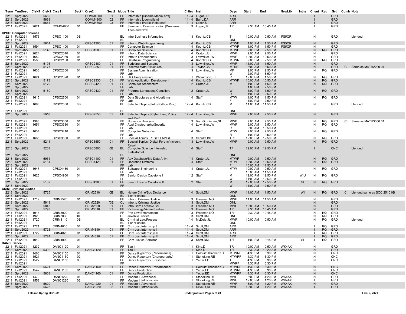|             | Term TrmDesc CIsN1 CIsN2 Crse1                           |              |                      |                      |          | Sect1 Crse2                                           | Sect2          | <b>Mode Title</b> |                                                                                               | CrHrs Inst     |                                                     | Days                                   | <b>Start</b>         | End                  | NewLib         | Intns     | Cnsnt Reg |                 | Grd                             | Comb Note                        |
|-------------|----------------------------------------------------------|--------------|----------------------|----------------------|----------|-------------------------------------------------------|----------------|-------------------|-----------------------------------------------------------------------------------------------|----------------|-----------------------------------------------------|----------------------------------------|----------------------|----------------------|----------------|-----------|-----------|-----------------|---------------------------------|----------------------------------|
|             | 2213 Sprg2022<br>2213 Sprg2022<br>2213 Sprg2022          |              | 5662<br>5663<br>5664 |                      |          | <b>COMM4800</b><br><b>COMM4800</b><br><b>COMM4800</b> | 01<br>02<br>03 | FF.<br><b>FF</b>  | Internship [Cinema/Media Arts]<br>Internship [Journalism]<br>FF Internship [Public Relations] |                | $1 - 4$ Lugar, JR<br>1-4 Baird, DA<br>1-4 Leiter, S | <b>ARR</b><br><b>ARR</b><br><b>ARR</b> |                      |                      |                |           |           |                 | <b>GRD</b><br>GRD<br><b>GRD</b> |                                  |
|             | 2211 Fall2021                                            | 2021         |                      | COMM4900             | 01       |                                                       |                | FF.               | Seminar in Communication [Westerns<br>Then and Nowl                                           |                | 3 Lugar.JR                                          | TR                                     | 9:30 AM              | 10:45 AM             |                |           |           |                 | GRD                             |                                  |
|             | CPSC: Computer Science<br>2211 Fall2021<br>2211 Fall2021 | 1576         |                      | CPSC1100             | 0B       |                                                       |                | BL<br>BL          | Intro Business Informatics                                                                    |                | 3 Koontz,CB                                         | T.<br>ONL                              | 10:00 AM             | 10:50 AM             | FS5QR          |           | N         |                 | GRD                             | blended                          |
|             | 2213 Sprg2022                                            |              | 5914                 |                      |          | <b>CPSC1200</b>                                       | 01             | FF.               | Intro to Web Programming                                                                      |                | 4 Koontz,CB                                         | <b>MTWF</b>                            | $1:00$ PM            | 1:50 PM              | FS5QR          |           | N         |                 | <b>GRD</b>                      |                                  |
|             | 2211 Fall2021<br>2213 Sprg2022                           | 1594         | 5148                 | <b>CPSC1400</b>      | 01       | <b>CPSC1500</b>                                       | 01             | FF.<br>FF.        | Computer Science I<br>Computer Science II                                                     |                | 4 Koontz,CB<br>4 Koontz,CB                          | <b>MTWR</b><br><b>MTWF</b>             | 1:00 PM<br>2:00 PM   | 1:50 PM<br>2:50 PM   | FS5QR          |           | N<br>N    | <b>RQ</b>       | GRD<br>GRD                      |                                  |
|             | 2211 Fall2021                                            | 2024         |                      | CPSC2040             | 01       |                                                       |                | FF.               | Intro to Data Science                                                                         |                | 4 Craton, JL                                        | <b>MWF</b>                             | 9:00 AM              | 9:50 AM              |                |           | N         |                 | GRD                             |                                  |
|             | 2211 Fall2021                                            | 1652         |                      | <b>CPSC2080</b>      | 01       |                                                       |                | FF.               | Intro to Cybersecurity                                                                        |                | 3 Lowmiller, JW                                     | <b>MWF</b>                             | 10:00 AM             | 10:50 AM             |                |           | N         |                 | GRD                             |                                  |
|             | 2211 Fall2021                                            | 1583         | 5195                 | CPSC2100             | 01       | <b>CPSC2180</b>                                       |                | FF.<br>FF.        | Database Programming<br>Scripting and Systems                                                 |                | 4 Koontz,CB<br>3 Lowmiller, JW                      | <b>MTWR</b><br><b>MWF</b>              | 2:00 PM<br>11:00 AM  | 2:50 PM<br>11:50 AM  |                |           | N<br>N    | RQ              | GRD<br><b>GRD</b>               |                                  |
|             | 2213 Sprg2022<br>2213 Sprg2022                           |              | 5177                 |                      |          | <b>CPSC2250</b>                                       | 01<br>01       | FF                | <b>Discrete Math Structures</b>                                                               | $4^{\circ}$    | Taylor,CK                                           | <b>MTRF</b>                            | 8:00 AM              | 8:50 AM              |                |           | N         |                 | <b>GRD</b>                      | C Same as MATH2200 01            |
|             | 2211 Fall2021                                            | 1633         |                      | CPSC2300             | 01       |                                                       |                | FF.               | <b>System Administration</b>                                                                  | 3              | Lowmiller, JW                                       | MF                                     | 2:00 PM              | 2:50 PM              |                |           | N         | RQ              | GRD                             |                                  |
|             | 2211 Fall2021<br>2211 Fall2021                           |              |                      |                      |          |                                                       |                | FF.<br>FF.        | Lab                                                                                           |                |                                                     | W<br>R                                 | 2:00 PM              | 3:50 PM<br>1:50 PM   |                |           | N         | RQ              | GRD                             |                                  |
|             | 2213 Sprg2022                                            | 1624         | 5178                 | CPSC2320             | 01       | CPSC2330                                              | 01             | FF                | C++ Programming<br>Web Application Development                                                |                | Williamson,TJ<br>4 Koontz,CB                        | <b>MTWF</b>                            | 12:00 PM<br>10:00 AM | 10:50 AM             |                |           | N         | <b>RQ</b>       | <b>GRD</b>                      |                                  |
|             | 2213 Sprg2022                                            |              | 5179                 |                      |          | <b>CPSC2420</b>                                       | 01             | FF.               | <b>Computer Architecture</b>                                                                  | $^{\circ}$ 2   | Craton, JL                                          | M                                      | 1:00 PM              | 1:50 PM              |                |           | N         | <b>RQ</b>       | <b>GRD</b>                      |                                  |
|             | 2213 Sprg2022                                            |              |                      |                      |          |                                                       |                | FF.               | Lab                                                                                           |                |                                                     | F                                      | 1:00 PM              | 2:50 PM              |                |           |           |                 |                                 |                                  |
|             | 2213 Sprg2022<br>2213 Sprg2022                           |              | 5180                 |                      |          | <b>CPSC2430</b>                                       | 01             | FF.<br>FF.        | Progrmg Languages/Compilers<br>Lab                                                            |                | 2 Craton, JL                                        | W<br>R                                 | 1:00 PM<br>1:00 PM   | 1:50 PM<br>2:50 PM   |                |           | N         | <b>RQ</b>       | GRD                             |                                  |
|             | 2211 Fall2021                                            | 1615         |                      | CPSC2500             | 01       |                                                       |                | FF                | Data Structures and Algorithms                                                                |                | `4 Staff                                            | <b>MTW</b>                             | 1:00 PM              | 1:50 PM              |                |           | N         | RQ              | GRD                             |                                  |
|             | 2211 Fall2021                                            |              |                      |                      |          |                                                       |                | FF                | Lab                                                                                           |                |                                                     | F.                                     | 1:00 PM              | 2:50 PM              |                |           |           |                 |                                 |                                  |
|             | 2211 Fall2021                                            | 1663         |                      | CPSC2550             | 0B       |                                                       |                | BL                | Selected Topics [Intro Python Prog]                                                           |                | 2-4 Koontz,CB                                       | м                                      | 11:00 AM             | 11:50 AM             |                |           | N         |                 | GRD                             | blended                          |
|             | 2211 Fall2021                                            |              |                      |                      |          |                                                       |                | BL                |                                                                                               |                |                                                     | ONL                                    |                      |                      |                |           |           |                 |                                 |                                  |
|             | 2213 Sprg2022                                            |              | 5916                 |                      |          | <b>CPSC2550</b>                                       | 01             |                   | FF Selected Topics [Cyber Law, Policy                                                         |                | 2 - 4 Lowmiller, JW                                 | <b>MWF</b>                             | 2:00 PM              | 2:50 PM              |                |           | N         |                 | <b>GRD</b>                      |                                  |
|             |                                                          |              |                      |                      |          |                                                       |                |                   | and Real                                                                                      |                |                                                     |                                        |                      |                      |                |           |           |                 |                                 |                                  |
|             | 2211 Fall2021<br>2211 Fall2021                           | 1983<br>1651 |                      | CPSC3300<br>CPSC3380 | 01<br>01 |                                                       |                | FF.<br>FF.        | <b>Numerical Analysis</b><br>Appl Cryptography/Security                                       |                | 3 Van Groningen, GL<br>4 Lowmiller,JW               | MWF<br>MWF                             | 9:00 AM<br>9:00 AM   | 9:50 AM<br>9:50 AM   |                |           | N<br>N    | RQ<br><b>RQ</b> | GRD<br>GRD                      | C Same as MATH3300 01            |
|             | 2211 Fall2021                                            |              |                      |                      |          |                                                       |                | <b>FF</b>         | Lab                                                                                           |                |                                                     | R                                      | 9:00 AM              | 10:50 AM             |                |           |           |                 |                                 |                                  |
|             | 2211 Fall2021                                            | 1634         |                      | CPSC3410             | 01       |                                                       |                | FF                | <b>Computer Networks</b>                                                                      |                | `4 Staff                                            | <b>MTW</b>                             | 2:00 PM              | 2:50 PM              |                |           | N         | <b>RQ</b>       | GRD                             |                                  |
|             | 2211 Fall2021<br>2211 Fall2021                           | 1665         |                      | CPSC3550             | 01       |                                                       |                | FF<br>FF          | Lab<br>Special Topics [RESTful API's]                                                         |                | ` 3 Schultz, BD                                     | R<br><b>TRF</b>                        | 1:00 PM<br>12:00 PM  | 2:50 PM<br>12:50 PM  |                |           | N         | <b>RQ</b>       | GRD                             |                                  |
|             | 2213 Sprg2022                                            |              | 5211                 |                      |          | CPSC3550                                              | 01             | FF                | Special Topics [Digital Forens/Incident                                                       |                | 3 Lowmiller, JW                                     | <b>MWF</b>                             | 9:00 AM              | 9:50 AM              |                |           | N         | <b>RQ</b>       | <b>GRD</b>                      |                                  |
|             |                                                          |              |                      |                      |          |                                                       |                |                   | Resnl                                                                                         |                |                                                     |                                        |                      |                      |                |           |           |                 |                                 |                                  |
|             | 2213 Sprg2022                                            |              | 5203                 |                      |          | <b>CPSC3800</b>                                       | 0B             | BL.               | Computer Science Internship                                                                   |                | 4 Staff                                             | <b>TF</b>                              | 12:00 PM             | 12:50 PM             |                |           |           |                 | <b>CNC</b>                      | blended                          |
|             | 2213 Sprg2022                                            |              |                      |                      |          |                                                       |                | <b>BL</b>         | Salesforcel                                                                                   |                |                                                     | <b>ONL</b>                             |                      |                      |                |           |           |                 |                                 |                                  |
|             | 2213 Sprg2022                                            |              | 5951                 |                      |          | <b>CPSC4100</b>                                       | 01             | FF.               | Adv Database/Big Data Anlyt                                                                   |                | 4 Craton.JL                                         | <b>MTWF</b>                            | 9:00 AM              | 9:50 AM              |                |           | N         | <b>RQ</b>       | <b>GRD</b>                      |                                  |
|             | 2213 Sprg2022                                            |              | 5181                 |                      |          | <b>CPSC4420</b>                                       | 01             | FF.               | <b>Operating Systems</b>                                                                      | 4              | Staff                                               | <b>MTW</b>                             | 10:00 AM             | 10:50 AM             |                |           | N         | <b>RQ</b>       | <b>GRD</b>                      |                                  |
|             | 2213 Sprg2022<br>2211 Fall2021                           | 1647         |                      | CPSC4430             | 01       |                                                       |                | FF.<br>FF.        | Lab<br>Software Engineering                                                                   | $\overline{4}$ | Craton,JL                                           | F.<br><b>MTW</b>                       | 10:00 AM<br>10:00 AM | 11:50 AM<br>10:50 AM |                |           | N         | RQ              | GRD                             |                                  |
|             | 2211 Fall2021                                            |              |                      |                      |          |                                                       |                | FF                | Lab                                                                                           |                |                                                     | F.                                     | 10:00 AM             | 11:50 AM             |                |           |           |                 |                                 |                                  |
|             | 2211 Fall2021                                            | 1625         |                      | CPSC4950             | 01       |                                                       |                | FF                | Senior Design Capstone I                                                                      |                | `2 Staff                                            | м                                      | 12:00 PM             | 12:50 PM             |                | WIU       | N         | RQ              | GRD                             |                                  |
|             | 2211 Fall2021<br>2213 Sprg2022                           |              | 5182                 |                      |          | <b>CPSC4960</b>                                       | 01             | FF<br>FF.         | Senior Design Capstone II                                                                     |                | 2 Staff                                             | W<br>м                                 | 11:00 AM<br>12:00 PM | 12:50 PM<br>12:50 PM |                | <b>SI</b> | N         |                 | RQ GRD                          |                                  |
|             | 2213 Sprg2022                                            |              |                      |                      |          |                                                       |                | <b>FF</b>         |                                                                                               |                |                                                     | W                                      |                      | 11:00 AM  12:50 PM   |                |           |           |                 |                                 |                                  |
|             | <b>CRIM: Criminal Justice</b>                            |              |                      |                      |          |                                                       |                |                   |                                                                                               |                |                                                     |                                        |                      |                      |                |           |           |                 |                                 |                                  |
|             | 2213 Sprg2022<br>2213 Sprg2022                           |              | 5725                 |                      |          | <b>CRIM2510</b>                                       | 0B             |                   | <b>BL</b> Nature Crime/Soc Deviance<br>BL 1 cr hr online                                      |                | 4 Scott, DM                                         | <b>MWF</b><br><b>ONL</b>               |                      | 11:00 AM 11:50 AM    |                | WI        | N         | <b>RQ</b>       | <b>GRD</b>                      | blended same as SOCI2510 0B<br>C |
|             | 2211 Fall2021                                            | 1719         |                      | <b>CRIM2520</b>      | 01       |                                                       |                |                   | FF Intro to Criminal Justice                                                                  |                | 3 Freeman, NO                                       | MWF                                    |                      | 11:00 AM 11:50 AM    |                |           | N         |                 | GRD                             |                                  |
|             | 2213 Sprg2022                                            |              | 5919                 |                      |          | <b>CRIM2520</b>                                       | '0E            | <b>OL</b>         | Intro to Criminal Justice                                                                     | 3              | Scott, DM                                           | <b>ONL</b>                             |                      |                      |                |           | N         |                 | GRD                             |                                  |
|             | 2213 Sprg2022<br>2213 Sprg2022                           |              | 5843<br>5793         |                      |          | <b>CRIM2560</b><br><b>CRIM3010</b>                    | 01<br>01       | FF.<br>FF.        | Intro Crim Forensic Sci<br>Victimology/Victim Studies                                         |                | 3 Freeman, NO<br>3 Freeman, NO                      | <b>MWF</b><br><b>TR</b>                | 10:00 AM<br>9:30 AM  | 10:50 AM<br>10:45 AM |                |           | N<br>N    |                 | <b>GRD</b><br><b>GRD</b>        |                                  |
|             | 2211 Fall2021                                            | 1915         |                      | <b>CRIM3020</b>      | 01       |                                                       |                | FF                | Prin Law Enforcement                                                                          |                | 3 Freeman, NO                                       | TR                                     | 9:30 AM              | 10:45 AM             |                |           | N         | <b>RQ</b>       | <b>GRD</b>                      |                                  |
|             | 2211 Fall2021                                            | 1923         |                      | <b>CRIM3030</b>      | '0E      |                                                       |                | OL                | Juvenile Justice                                                                              |                | 3 Scott,DM                                          | ONL                                    |                      |                      |                |           | N         | <b>RQ</b>       | GRD                             |                                  |
|             | 2211 Fall2021<br>2211 Fall2021                           | 1720         |                      | CRIM3110             | 0B       |                                                       |                | <b>BL</b><br>BL   | <b>Criminal Law/Process</b>                                                                   | $\overline{4}$ | McDole, JL                                          | <b>MWF</b><br><b>ONL</b>               |                      | 10:00 AM  10:50 AM   |                |           | N         | <b>RQ</b>       | GRD                             | blended                          |
|             | 2211 Fall2021                                            | 1721         |                      | CRIM4810             | 01       |                                                       |                | FF.               | 1 cr hr online<br>Crim Just Internship I                                                      |                | $1 - 4$ Scott, DM                                   | <b>ARR</b>                             |                      |                      |                |           |           | RQ              | GRD                             |                                  |
| 2213        | Sprg2022                                                 |              | 5723                 |                      |          | <b>CRIM4810</b>                                       | 01             | FF.               | Crim Just Internship I                                                                        |                | $1 - 4$ Scott, DM                                   | <b>ARR</b>                             |                      |                      |                |           |           | RQ              | <b>GRD</b>                      |                                  |
|             | 2211 Fall2021                                            | 1722         |                      | <b>CRIM4820</b>      | 01       |                                                       |                | FF.               | Crim Just Internship II                                                                       |                | $\degree$ 1 - 4 Scott, DM                           | <b>ARR</b>                             |                      |                      |                |           |           | RQ              | GRD                             |                                  |
|             | 2213 Sprg2022<br>2211 Fall2021                           | 1942         | 5724                 | <b>CRIM4900</b>      |          | <b>CRIM4820</b>                                       | 01             |                   | FF Crim Just Internship II<br>Crim Justice Seminar                                            |                | $1 - 4$ Scott, DM<br>3 Scott, DM                    | <b>ARR</b><br>IR.                      | 1:00 PM              | 2:15 PM              |                |           |           | <b>RQ</b><br>КQ | <b>GRD</b><br>GRD               |                                  |
| DANC: Dance |                                                          |              |                      |                      |          |                                                       |                |                   |                                                                                               |                |                                                     |                                        |                      |                      |                |           |           |                 |                                 |                                  |
|             | 2211 Fall2021                                            | 1232         |                      | <b>DANC1120</b>      | 01       |                                                       |                |                   | FF Tap I                                                                                      |                | 1 King, D                                           | TR                                     | 10:00 AM             | 10:50 AM             | WK4AX          |           | N         |                 | GRD                             |                                  |
|             | 2213 Sprg2022<br>2211 Fall2021                           | 1460         | 5302                 | <b>DANC1150</b>      | 01       | <b>DANC1120</b>                                       | 01             | FF.               | FF Tap I<br>Dance Repertory [Performance]                                                     |                | 1 King, D<br>1 Colquitt Thacker, KC                 | TR.<br><b>MTWRF</b>                    | 9:30 AM<br>4:30 PM   | 10:20 AM<br>6:30 PM  | WK4AX          |           | N         |                 | <b>GRD</b><br><b>CNC</b>        |                                  |
|             | 2211 Fall2021                                            | 1521         |                      | <b>DANC1150</b>      | 02       |                                                       |                |                   | FF Dance Repertory [Choreography]                                                             |                | 1 Stoneking, RE                                     | <b>MTWRF</b>                           | 4:30 PM              | 6:30 PM              |                |           | N         |                 | <b>CNC</b>                      |                                  |
|             | 2211 Fall2021                                            | 1522         |                      | <b>DANC1150</b>      | 03       |                                                       |                |                   | FF Dance Repertory [Freshmen]                                                                 |                | 1 Yetter, ED                                        | T.                                     | 4:30 PM              | 6:30 PM              |                |           | N         |                 | <b>CNC</b>                      |                                  |
|             | 2211 Fall2021                                            |              |                      |                      |          |                                                       |                | <b>FF</b>         |                                                                                               |                |                                                     | <b>MWRF</b>                            | 4:30 PM              | 6:30 PM              |                |           |           |                 | <b>CNC</b>                      |                                  |
|             | 2213 Sprg2022<br>2211 Fall2021                           | 1542         | 5621                 | <b>DANC1160</b>      | 01       | <b>DANC1150</b>                                       | 01             |                   | FF Dance Repertory [Performance]<br>FF Dance Production                                       |                | * 1 Colquitt Thacker, KC<br>1 Yetter, ED            | <b>MTWRF</b><br><b>MTWRF</b>           | 4:30 PM<br>4:30 PM   | 6:30 PM<br>6:30 PM   |                |           | N         |                 | <b>CNC</b>                      |                                  |
|             | 2213 Sprg2022                                            |              | 5603                 |                      |          | DANC1160                                              | 01             |                   | FF Dance Production                                                                           |                | 1 Yetter, ED                                        | <b>MTWRF</b>                           | 4:30 PM              | 6:30 PM              |                |           |           |                 | <b>CNC</b>                      |                                  |
|             | 2211 Fall2021                                            | 1479         |                      | <b>DANC1220</b>      | 01       |                                                       |                |                   | FF Modern I [Advanced]                                                                        |                | 1 Stoneking, RE                                     | MWF                                    | 3:00 PM              | 4:20 PM              | WK4AX          |           | N         |                 | GRD                             |                                  |
|             | 2211 Fall2021<br>2213 Sprg2022                           | 1558         | 5620                 | <b>DANC1220</b>      | 02       | <b>DANC1220</b>                                       | 01             |                   | FF Modern I [Introduction]<br>FF Modern I [Advanced]                                          |                | 1 Stoneking, RE<br>1 Stoneking, RE                  | <b>MWF</b><br><b>MWF</b>               | 12:00 PM<br>3:00 PM  | 1:20 PM<br>4:20 PM   | WK4AX<br>WK4AX |           | N         |                 | GRD<br><b>GRD</b>               |                                  |
|             | 2213 Sprg2022                                            |              | 5623                 |                      |          | <b>DANC1220</b>                                       | 02             |                   | FF Modern I [Introduction]                                                                    |                | 1 Silveus, DL                                       | <b>MWF</b>                             | 12:00 PM             | 1:20 PM WK4AX        |                |           |           |                 | <b>GRD</b>                      |                                  |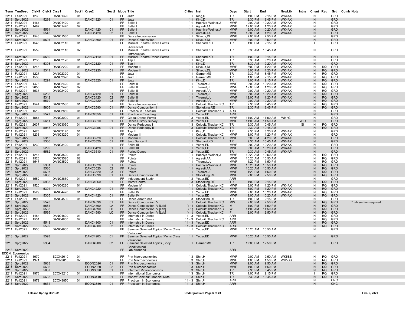|      | Term TrmDesc                            | CISN1 CISN2 Crse1 |      |                 | Sect1 | Crse2           | Sect2 Mode Title |     |                                                            | CrHrs Inst    |                                                  | Days                     | Start              | End                                      | NewLib         | Intns | Cnsnt Req                        |                   | Grd Comb Note         |
|------|-----------------------------------------|-------------------|------|-----------------|-------|-----------------|------------------|-----|------------------------------------------------------------|---------------|--------------------------------------------------|--------------------------|--------------------|------------------------------------------|----------------|-------|----------------------------------|-------------------|-----------------------|
|      | 2211 Fall2021                           | 1233              |      | <b>DANC1320</b> | 01    |                 |                  |     | FF Jazz                                                    |               | 1 King, D                                        | <b>TR</b>                | 1:00 PM            | 2:15 PM                                  | WK4AX          |       | N                                | GRD               |                       |
| 2213 | Sprg2022                                |                   | 5298 |                 |       | <b>DANC1320</b> | 01               | FF. | Jazz                                                       |               | 1 King, D                                        | <b>TR</b>                | 2:30 PM            | 3:45 PM                                  | WK4AX          |       |                                  | <b>GRD</b>        |                       |
| 2211 | <b>Fall2021</b>                         | 1467              |      | <b>DANC1420</b> | 01    |                 |                  | FF  | Ballet                                                     |               | 1 Hachiya-Weiner, J                              | <b>MWF</b>               | 9:00 AM            | 10:20 AM                                 | WK4AX          |       | N                                | GRD               |                       |
| 2211 | <b>Fall2021</b>                         | 1487              |      | <b>DANC1420</b> | 02    |                 |                  | FF. | Ballet                                                     |               | 1 Agresti, AA                                    | <b>MWF</b>               | 12:00 PM           | 1:20 PM                                  | WK4AX          |       |                                  | GRD               |                       |
| 2213 | Sprg2022                                |                   | 5534 |                 |       | <b>DANC1420</b> | 01               | FF. | <b>Ballet</b>                                              |               | 1 Hachiya-Weiner, J                              | <b>MWF</b>               | 9:00 AM            | 10:20 AM                                 | WK4AX          |       |                                  | <b>GRD</b>        |                       |
|      | 2213 Sprg2022                           |                   | 5543 |                 |       | <b>DANC1420</b> | 02               |     | FF Ballet                                                  |               | 1 Agresti, AA                                    | <b>MWF</b>               | 12:00 PM           | 1:20 PM                                  | WK4AX          |       |                                  | <b>GRD</b>        |                       |
|      | 2211 Fall2021                           | 1543              |      | <b>DANC1580</b> | 01    |                 |                  | FF. | Dance Improvisation I                                      |               | 1 Silveus, DL                                    | <b>MWF</b>               | 2:00 PM            | 2:50 PM                                  |                |       |                                  | GRD               |                       |
| 2213 | Sprg2022                                |                   | 5604 |                 |       | <b>DANC1590</b> | 01               | FF. | Dance Composition I                                        |               | 1 Silveus, DL                                    | <b>MWF</b>               | 2:00 PM            | 2:50 PM                                  |                |       |                                  | <b>GRD</b>        |                       |
| 2211 | <b>Fall2021</b>                         | 1546              |      | <b>DANC2110</b> | 01    |                 |                  | FF. | Musical Theatre Dance Forms                                |               | 1 Shepard, KD                                    | TR                       | 1:00 PM            | 2:15 PM                                  |                |       |                                  | GRD               |                       |
|      | 2211 Fall2021                           | 1559              |      | <b>DANC2110</b> | 02    |                 |                  | FF. | <b>IAdvanced1</b>                                          |               |                                                  | <b>TR</b>                | 9:30 AM            | 10:45 AM                                 |                |       | N                                | GRD               |                       |
|      |                                         |                   |      |                 |       |                 |                  |     | Musical Theatre Dance Forms                                |               | 1 Shepard, KD                                    |                          |                    |                                          |                |       |                                  |                   |                       |
|      | 2213 Sprg2022                           |                   | 5539 |                 |       | <b>DANC2110</b> | 01               | FF. | <b>Introduction1</b><br><b>Musical Theatre Dance Forms</b> |               | 1 Shepard, KD                                    | <b>TR</b>                | 1:00 PM            | 2:15 PM                                  |                |       |                                  | GRD               |                       |
|      | 2211 Fall2021                           | 1235              |      | <b>DANC2120</b> | 01    |                 |                  |     | FF Tap II                                                  |               | 1 King, D                                        | <b>TR</b>                | 8:30 AM            | 9:20 AM                                  | WK4AX          |       | N                                | GRD               |                       |
|      | 2213 Sprg2022                           |                   | 5303 |                 |       | <b>DANC2120</b> | 01               |     | FF Tap II                                                  |               | 1 King, D                                        | <b>TR</b>                | 8:30 AM            | 9:20 AM                                  | WK4AX          |       | N                                | GRD               |                       |
|      | 2211 Fall2021                           | 1245              |      | <b>DANC2220</b> | 01    |                 |                  | FF. | Modern II                                                  |               | 1 Silveus, DL                                    | <b>MWF</b>               | 3:00 PM            | 4:20 PM                                  | WK4AX          |       | <b>RQ</b><br>N                   | GRD               |                       |
| 2213 | Sprg2022                                |                   | 5311 |                 |       | <b>DANC2220</b> | 01               |     | FF Modern I                                                |               | 1 Silveus, DL                                    | <b>MWF</b>               | 3:00 PM            | 4:20 PM                                  | WK4AX          |       | <b>RQ</b><br>N                   | <b>GRD</b>        |                       |
| 2211 | <b>Fall2021</b>                         | 1227              |      | <b>DANC2320</b> | 01    |                 |                  | FF. | Jazz II                                                    |               | 1 Garner, MS                                     | TR                       | 2:30 PM            | 3:45 PM                                  | WK4AX          |       | RQ<br>N                          | GRD               |                       |
| 2211 | Fall2021                                | 1538              |      | <b>DANC2320</b> | 02    |                 |                  | FF  | Jazz I                                                     | $^{\circ}$ 1  | Garner, MS                                       | <b>TR</b>                | 1:00 PM            | 2:15 PM                                  | WK4AX          |       | <b>RQ</b><br>N                   | GRD               |                       |
| 2213 | Sprg2022                                |                   | 5291 |                 |       | <b>DANC2320</b> | 01               | FF. | Jazz I                                                     |               | King,D                                           | <b>TR</b>                | 1:00 PM            | 2:15 PM                                  | WK4AX          |       | <b>RQ</b><br>N                   | GRD               |                       |
| 2211 | <b>Fall2021</b>                         | 1476              |      | <b>DANC2420</b> | 01    |                 |                  | FF. | Ballet I                                                   | ` 1           | Thiemet, JL                                      | <b>MWF</b>               | 9:00 AM            | 10:20 AM                                 | WK4AX          |       | <b>RQ</b><br>N                   | GRD               |                       |
|      | 2211 Fall2021                           | 2055              |      | <b>DANC2420</b> | 02    |                 |                  | FF. | <b>Ballet II</b>                                           | $^{\circ}$ 1  | Thiemet,JL                                       | <b>MWF</b>               | 12:00 PM           | 1:20 PM                                  | WK4AX          |       | <b>RQ</b><br>N                   | GRD               |                       |
|      | 2211 Fall2021                           | 1537              |      | <b>DANC2420</b> | 03    |                 |                  | FF. | <b>Ballet II</b>                                           |               | 1 Agresti, AA                                    | <b>MWF</b>               | 9:00 AM            | 10:20 AM                                 | WK4AX          |       | <b>RQ</b><br>N                   | GRD               |                       |
| 2213 | Sprg2022                                |                   | 5288 |                 |       | <b>DANC2420</b> | 01               | FF  | <b>Ballet II</b>                                           |               | Thiemet, JL                                      | <b>MWF</b>               | 9:00 AM            | 10:20 AM                                 | WK4AX          |       | <b>RQ</b><br>N                   | GRD               |                       |
| 2213 | Sprg2022                                |                   | 5312 |                 |       | <b>DANC2420</b> | 02               | FF. | <b>Ballet II</b>                                           |               | 1 Thiemet, JL                                    | <b>MWF</b>               | 12:00 PM           | 1:20 PM                                  | WK4AX          |       | <b>RQ</b><br>N                   | <b>GRD</b>        |                       |
| 2213 | Sprg2022                                |                   | 5579 |                 |       | <b>DANC2420</b> | 03               | FF. | <b>Ballet II</b>                                           |               | 1 Agresti, AA                                    | <b>MWF</b>               | 9:00 AM            | 10:20 AM                                 | WK4AX          |       | <b>RQ</b><br>N                   | GRD               |                       |
|      | 2211 Fall2021                           | 1544              |      | <b>DANC2580</b> | 01    |                 |                  | FF. | Dance Improvisation II                                     |               | 1 Colquitt Thacker, KC                           | TR                       | 2:30 PM            | 3:45 PM                                  |                |       | <b>RQ</b><br>N                   | GRD               |                       |
| 2213 | Sprg2022                                |                   | 5605 |                 |       | <b>DANC2590</b> | 01               |     | FF Dance Composition II                                    |               | 1 Stoneking, RE<br>1 Colquitt Thacker.KC         | <b>TR</b>                | 2:30 PM            | 3:45 PM                                  |                |       | <b>RQ</b>                        | <b>GRD</b>        |                       |
| 2211 | <b>Fall2021</b>                         | 1519              |      | <b>DANC2850</b> | 01    |                 |                  | FF. | Practice in Teaching                                       |               |                                                  | ARR                      |                    |                                          |                |       |                                  | GRD               |                       |
| 2213 | Sprg2022                                |                   | 5577 |                 |       | <b>DANC2850</b> | 01               |     | FF Practice in Teaching                                    |               | 1 Yetter, ED                                     | <b>ARR</b>               |                    |                                          |                |       |                                  | GRD<br>GRD        |                       |
| 2213 | 2211 Fall2021<br>Sprg2022               | 1557              | 5611 | <b>DANC3000</b> | 01    | <b>DANC3010</b> | 01               | FF. | <b>Global Dance Forms</b><br>FF Dance History Survey       |               | `3 Yetter,ED<br>3 Yetter, ED                     | <b>MWF</b><br><b>MWF</b> |                    | 11:00 AM  11:50 AM<br>11:00 AM  11:50 AM | WK7GI          | WIU   | N<br>N                           | <b>GRD</b>        |                       |
|      | 2211 Fall2021                           | 2037              |      | <b>DANC3050</b> | 01    |                 |                  |     | FF Dance Pedagogy I                                        |               | 3 Colquitt Thacker, KC                           | <b>TR</b>                | 9:30 AM            | 10:45 AM                                 |                | SI    | <b>RQ</b><br>N                   | GRD               |                       |
| 2213 | Sprg2022                                |                   | 5943 |                 |       | <b>DANC3055</b> | 01               | FF. | Dance Pedagogy II                                          |               | 3 Colquitt Thacker, KC                           | <b>TR</b>                | 9:30 AM            | 10:45 AM                                 |                |       | <b>RQ</b><br>N                   | GRD               |                       |
|      | 2211 Fall2021                           | 1478              |      | <b>DANC3120</b> | 01    |                 |                  |     | FF Tap III                                                 |               | 1 King, D                                        | TR                       | 2:30 PM            | 3:20 PM                                  | WK4AX          |       | N                                | GRD               |                       |
| 2211 | <b>Fall2021</b>                         | 1238              |      | <b>DANC3220</b> | 01    |                 |                  | FF. | Modern II                                                  | $^{\circ}$ 1  | Colquitt Thacker, KC                             | <b>MWF</b>               | 3:00 PM            | 4:20 PM                                  | WK4AX          |       |                                  | GRD               |                       |
| 2213 | Sprg2022                                |                   | 5313 |                 |       | <b>DANC3220</b> | 01               | FF. | Modern III                                                 | $^{\circ}$ 1  | Colquitt Thacker, KC                             | <b>MWF</b>               | 3:00 PM            | 4:20 PM                                  | WK4AX          |       | N                                | <b>GRD</b>        |                       |
| 2213 | Sprg2022                                |                   | 5306 |                 |       | <b>DANC3320</b> | 01               | FF. | Jazz Dance III                                             |               | 1 Shepard, KD                                    | <b>TR</b>                | 9:30 AM            | 10:45 AM                                 | WK4AX          |       |                                  | <b>GRD</b>        |                       |
| 2211 | <b>Fall2021</b>                         | 1239              |      | <b>DANC3420</b> | 01    |                 |                  | FF. | <b>Ballet III</b>                                          |               | 1 Yetter, ED                                     | <b>MWF</b>               | 9:00 AM            | 10:20 AM                                 | WK4AX          |       |                                  | GRD               |                       |
|      | 2213 Sprg2022                           |                   | 5299 |                 |       | <b>DANC3420</b> | 01               | FF. | <b>Ballet III</b>                                          | ` 1           | Yetter,ED                                        | <b>MWF</b>               | 9:00 AM            | 10:20 AM                                 | WK4AX          |       | N                                | GRD               |                       |
| 2213 | Sprg2022                                |                   | 5582 |                 |       | <b>DANC3510</b> | 01               | FF. | <b>Period Dance</b>                                        |               | 2 Yetter, ED                                     | <b>TR</b>                | 9:30 AM            | 10:45 AM                                 | WK4AP          |       |                                  | GRD               |                       |
| 2211 | <b>Fall2021</b>                         | 1244              |      | <b>DANC3520</b> | 01    |                 |                  | FF. | Pointe                                                     |               | 1 Hachiya-Weiner, J                              | <b>MWF</b>               | 10:20 AM           | 10:50 AM                                 |                |       | <b>RQ</b><br>N                   | GRD               |                       |
|      | 2211 Fall2021                           | 1523              |      | <b>DANC3520</b> | 02    |                 |                  | FF. | Pointe                                                     |               | 1 Agresti, AA                                    | <b>MWF</b>               | 10:20 AM           | 10:50 AM                                 |                |       | <b>RQ</b><br>N                   | GRD               |                       |
| 2211 | <b>Fall2021</b>                         | 1547              |      | <b>DANC3520</b> | 03    |                 |                  | FF. | Pointe                                                     | $^{\circ}$ 1  | Thiemet,JL                                       | <b>MWF</b>               | 1:20 PM            | 1:50 PM                                  |                |       | <b>RQ</b><br>N                   | GRD               |                       |
| 2213 | Sprg2022                                |                   | 5301 |                 |       | <b>DANC3520</b> | 01               | FF. | Pointe                                                     | $^{\circ}$ 1  | Hachiya-Weiner, J                                | <b>MWF</b>               | 10:20 AM           | 10:50 AM                                 |                |       | <b>RQ</b><br>N                   | GRD               |                       |
| 2213 | Sprg2022                                |                   | 5580 |                 |       | <b>DANC3520</b> | 02               | FF. | Pointe                                                     | $^{\circ}$ 1  | Agresti, AA                                      | <b>MWF</b>               | 10:20 AM           | 10:50 AM                                 |                |       | <b>RQ</b>                        | GRD               |                       |
| 2213 | Sprg2022                                |                   | 5607 |                 |       | <b>DANC3520</b> | 03               | FF. | Pointe                                                     |               | 1 Thiemet, JL                                    | <b>MWF</b>               | 1:20 PM            | 1:50 PM                                  |                |       | <b>RQ</b><br>N                   | <b>GRD</b>        |                       |
| 2213 | Sprg2022                                |                   | 5606 |                 |       | <b>DANC3590</b> | 01               | FF. | Dance Composition III                                      |               | 1 Stoneking, RE                                  | <b>MWF</b>               | 2:00 PM            | 2:50 PM                                  |                |       | <b>RQ</b>                        | <b>GRD</b>        |                       |
| 2211 | <b>Fall2021</b>                         | 1552              |      | <b>DANC3650</b> | 01    |                 |                  | FF. | Independent Study                                          |               | ` 3 Yetter, ED                                   | ARR                      |                    |                                          |                |       |                                  | GRD               |                       |
| 2213 | Sprg2022                                |                   | 5935 |                 |       | <b>DANC4060</b> | 01               | FF. | <b>Motor Control</b>                                       |               | 3 Stoneking, RE                                  | TR                       | 1:00 PM            | 2:15 PM                                  |                |       | <b>RQ</b>                        | GRD               |                       |
| 2213 | 2211 Fall2021                           | 1520              |      | <b>DANC4220</b> | 01    |                 |                  | FF. | Modern IV<br>FF Modern IV                                  |               | 1 Colquitt Thacker, KC<br>1 Colquitt Thacker, KC | <b>MWF</b><br><b>MWF</b> | 3:00 PM            | 4:20 PM<br>4:20 PM                       | WK4AX<br>WK4AX |       | <b>RQ</b><br>N<br><b>RQ</b><br>N | GRD<br><b>GRD</b> |                       |
|      | Sprg2022<br>2211 Fall2021               | 1529              | 5304 | <b>DANC4420</b> | 01    | <b>DANC4220</b> | 01               |     | FF Ballet IV                                               |               | 1 Yetter, ED                                     | <b>MWF</b>               | 3:00 PM<br>9:00 AM | 10:20 AM                                 | WK4AX          |       | <b>RQ</b><br>N                   | GRD               |                       |
| 2213 | Sprg2022                                |                   | 5305 |                 |       | <b>DANC4420</b> | 01               | FF. | <b>Ballet IV</b>                                           | $^{\circ}$ 1  | Yetter, ED                                       | <b>MWF</b>               | 9:00 AM            | 10:20 AM                                 | WK4AX          |       | <b>RQ</b><br>N                   | GRD               |                       |
|      | 2211 Fall2021                           | 1993              |      | <b>DANC4500</b> | 01    |                 |                  |     | FF Dance Anat/Kines                                        |               | ` 3 Stoneking, RE                                | TR                       | 1:00 PM            | 2:15 PM                                  |                |       | N                                | GRD               |                       |
| 2213 | Sprg2022                                |                   | 5578 |                 |       | <b>DANC4590</b> | 01               | FF. | Dance Composition IV                                       |               | 1 Colquitt Thacker, KC                           | <b>MW</b>                | 2:00 PM            | 2:50 PM                                  |                |       | <b>RQ</b><br>N                   | <b>GRD</b>        | *Lab section required |
| 2213 | Sprg2022                                |                   | 5584 |                 |       | <b>DANC4590</b> | LA.              | FF. | Dance Composition IV [Lab]                                 |               | (1) Colquitt Thacker, KC                         | М                        | 1:00 PM            | 1:50 PM                                  |                |       | <b>RQ</b>                        | <b>GRD</b>        |                       |
| 2213 | Sprg2022                                |                   | 5585 |                 |       | <b>DANC4590</b> | LB               | FF. | Dance Composition IV [Lab]                                 | (1)           | <b>Colquitt Thacker, KC</b>                      | W                        | 11:00 AM           | 11:50 AM                                 |                |       | <b>RQ</b><br>N                   | <b>GRD</b>        |                       |
| 2213 | Sprg2022                                |                   | 5595 |                 |       | <b>DANC4590</b> | LC               | FF. | Dance Composition IV [Lab]                                 | (1)           | <b>Colquitt Thacker, KC</b>                      | F                        | 2:00 PM            | 2:50 PM                                  |                |       | <b>RQ</b>                        | GRD               |                       |
|      | 2211 Fall2021                           | 1484              |      | <b>DANC4800</b> | 01    |                 |                  | FF. | Internship in Dance                                        |               | 1 - 3 Yetter, ED                                 | <b>ARR</b>               |                    |                                          |                |       | <b>RQ</b><br>N                   | GRD               |                       |
|      | 2211 Fall2021                           | 1531              |      | <b>DANC4800</b> | 02    |                 |                  | FF. | Internship in Dance                                        | `1-3          | Colquitt Thacker, KC                             | <b>ARR</b>               |                    |                                          |                |       | <b>RQ</b><br>N                   | GRD               |                       |
|      | 2213 Sprg2022                           |                   | 5548 |                 |       | <b>DANC4800</b> | 01               | FF. | Internship in Dance                                        | $\cdot$ 1 - 3 | Yetter, ED                                       | <b>ARR</b>               |                    |                                          |                |       | <b>RQ</b><br>N                   | <b>GRD</b>        |                       |
| 2213 | Sprg2022                                |                   | 5592 |                 |       | <b>DANC4800</b> | 02               | FF. | Internship in Dance                                        |               | 1 - 3 Colquitt Thacker, KC                       | <b>ARR</b>               |                    |                                          |                |       | <b>RQ</b><br>N                   | <b>GRD</b>        |                       |
|      | 2211 Fall2021                           | 1530              |      | <b>DANC4900</b> | 01    |                 |                  |     | FF Seminar Selected Topics [Men's Class                    |               | 1 Yetter, ED                                     | <b>MWF</b>               | 10:20 AM           | 10:50 AM                                 |                |       | N                                | GRD               |                       |
|      |                                         |                   |      |                 |       |                 |                  |     | Variationsl                                                |               |                                                  |                          |                    |                                          |                |       |                                  |                   |                       |
|      | 2213 Sprg2022                           |                   | 5593 |                 |       | <b>DANC4900</b> | 01               | FF. | Seminar Selected Topics [Men's Class                       |               | 1 Yetter, ED                                     | <b>MWF</b>               |                    | 10:20 AM  10:50 AM                       |                |       | N                                | <b>GRD</b>        |                       |
|      |                                         |                   |      |                 |       |                 |                  |     | Variations1                                                |               |                                                  |                          |                    |                                          |                |       |                                  |                   |                       |
|      | 2213 Sprg2022                           |                   | 5934 |                 |       | <b>DANC4900</b> | 02               |     | FF Seminar Selected Topics [Body                           |               | 1 Garner, MS                                     | <b>TR</b>                |                    | 12:00 PM 12:50 PM                        |                |       | N                                | GRD               |                       |
|      |                                         |                   |      |                 |       |                 |                  |     | Conditioninal                                              |               |                                                  |                          |                    |                                          |                |       |                                  |                   |                       |
|      | 2213 Sprg2022                           |                   |      |                 |       |                 |                  |     | FF Lab arranged                                            |               |                                                  | ARR                      |                    |                                          |                |       |                                  |                   |                       |
|      | <b>ECON: Economics</b><br>2211 Fall2021 | 1970              |      | ECON2010        | 01    |                 |                  |     | FF Prin Macroeconomics                                     |               | 3 Shin, H                                        | MWF                      | 9:00 AM            | 9:50 AM                                  | WK5SB          |       | RQ<br>N                          | GRD               |                       |
|      | 2211 Fall2021                           | 1971              |      | ECON2010        | 02    |                 |                  |     | FF Prin Macroeconomics                                     |               | `3 Shin, H                                       | <b>MWF</b>               | 1:00 PM            | 1:50 PM                                  | WK5SB          |       | <b>RQ</b><br>N                   | GRD               |                       |
|      | 2213 Sprg2022                           |                   | 5633 |                 |       | <b>ECON2020</b> | 01               |     | FF Prin Microeconomics                                     |               | 3 Shin, H                                        | <b>MWF</b>               | 9:00 AM            | 9:50 AM                                  |                |       | <b>RQ</b><br>N                   | GRD               |                       |
|      | 2213 Sprg2022                           |                   | 5636 |                 |       | <b>ECON2020</b> | 02               |     | FF Prin Microeconomics                                     |               | `3 Shin, H                                       | <b>MWF</b>               | 1:00 PM            | 1:50 PM                                  |                |       | N<br><b>RQ</b>                   | GRD               |                       |
|      | 2213 Sprg2022                           |                   | 5637 |                 |       | <b>ECON3020</b> | 01               |     | FF Intermed Microeconomics                                 |               | `3 Shin, H                                       | TR.                      | 2:30 PM            | 3:45 PM                                  |                |       | <b>RQ</b><br>N                   | GRD               |                       |
|      | 2211 Fall2021                           | 1973              |      | ECON3210        | 01    |                 |                  |     | FF International Economics                                 |               | `3 Shin, H                                       | TR                       | 1:00 PM            | 2:15 PM                                  |                |       | RQ                               | GRD               |                       |
|      | 2213 Sprg2022                           |                   | 5635 |                 |       | ECON3410        | 01               |     | FF Money/Banking/Financial Mkts                            |               | `3 Shin, H                                       | <b>TR</b>                |                    | 9:30 AM 10:45 AM                         |                |       | <b>RQ</b><br>N                   | GRD               |                       |
|      | 2211 Fall2021                           | 1972              |      | ECON3850        | 01    |                 |                  |     | FF Practicum in Economics                                  |               | $1 - 3$ Shin, H                                  | ARR                      |                    |                                          |                |       | N                                | <b>CNC</b>        |                       |
|      | 2213 Sprg2022                           |                   | 5634 |                 |       | <b>ECON3850</b> | 01               |     | FF Practicum in Economics                                  |               | 1-3 Shin, H                                      | ARR                      |                    |                                          |                |       | N                                | <b>CNC</b>        |                       |
|      |                                         |                   |      |                 |       |                 |                  |     |                                                            |               |                                                  |                          |                    |                                          |                |       |                                  |                   |                       |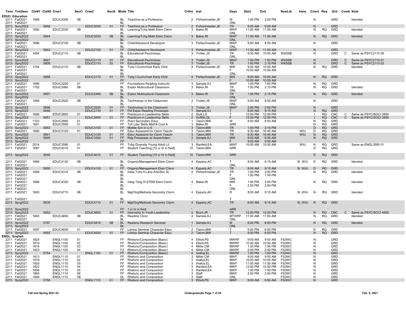|              | Term TrmDesc CIsN1 CIsN2 Crse1        |              |              |                                    | Sect1 Crse2 |                                    | Sect2 Mode Title |                  |                                                                    | Crilrs Inst  |                                      | Days                       | Start                | End                   | NewLib                | Intns  |         |                        |                   | Cnsnt Req Grd Comb Note                        |
|--------------|---------------------------------------|--------------|--------------|------------------------------------|-------------|------------------------------------|------------------|------------------|--------------------------------------------------------------------|--------------|--------------------------------------|----------------------------|----------------------|-----------------------|-----------------------|--------|---------|------------------------|-------------------|------------------------------------------------|
|              | <b>EDUC: Education</b>                |              |              |                                    |             |                                    |                  |                  |                                                                    |              |                                      |                            |                      |                       |                       |        |         |                        |                   |                                                |
|              | 2211 Fall2021<br>2211 Fall2021        | 1698         |              | <b>EDUC2000</b>                    | 0B          |                                    |                  | BL               | BL Teaching as a Profession                                        |              | 2 Pohlschneider, JE                  | W<br>ONL                   | 1:00 PM              | 2:50 PM               |                       |        | N       |                        | GRD               | blended                                        |
|              | 2213 Sprg2022                         |              | 5649         |                                    |             | <b>EDUC2000</b>                    | 01               | FF.              | Teaching as a Profession                                           |              | 2 Pohlschneider, JE                  | TR.                        | 9:00 AM              | 9:50 AM               |                       |        |         |                        | <b>GRD</b>        |                                                |
|              | 2211 Fall2021                         | 1692         |              | <b>EDUC2030</b>                    | 0B          |                                    |                  | BL               | Learning/Tchg Math Elem Clsrm                                      |              | 3 Baker, RI                          | <b>MWF</b>                 | 11:00 AM             | 11:50 AM              |                       |        | N       | RQ                     | GRD               | blended                                        |
|              | 2211 Fall2021                         |              |              |                                    |             |                                    |                  | BL               |                                                                    |              |                                      | ONL                        |                      |                       |                       |        |         |                        |                   |                                                |
| 2213<br>2213 | Sprg2022<br>Sprg2022                  |              | 5644         |                                    |             | <b>EDUC2030</b>                    | 0B               | <b>BL</b><br>BL. | Learning/Tchg Math Elem Clsrm                                      |              | 3 Baker, RI                          | <b>MWF</b><br>ONL          | 11:00 AM             | 11:50 AM              |                       |        | N       | <b>RQ</b>              | GRD               | blended                                        |
|              | 2211 Fall2021                         | 1686         |              | <b>EDUC2100</b>                    | 0B          |                                    |                  | BL               | Child/Adolescnt Developmt                                          |              | 3 Pohlschneider, JE                  | <b>MWF</b>                 | 8:00 AM              | 8:50 AM               |                       |        | N       |                        | GRD               |                                                |
|              | 2211 Fall2021                         |              |              |                                    |             |                                    |                  | BL               |                                                                    |              |                                      | <b>ONL</b>                 |                      |                       |                       |        |         |                        |                   |                                                |
|              | 2213 Sprg2022<br>2211 Fall2021        | 1694         | 5643         | <b>EDUC2110</b>                    | 0B          | <b>EDUC2100</b>                    | 01               | FF.<br>BL        | <b>Child/Adolescnt Developmt</b><br><b>Educational Psychology</b>  |              | 3 Pohlschneider, JE<br>3 Trotter, JS | <b>MWF</b><br>TR           | 11:00 AM<br>9:30 AM  | 11:50 AM<br>10:45 AM  | WK5SB                 |        | N       |                        | <b>GRD</b><br>GRD | C<br>Same as PSYC2110 0E                       |
|              | 2211 Fall2021                         |              |              |                                    |             |                                    |                  | BL               |                                                                    |              |                                      | ONL                        |                      |                       |                       |        |         |                        |                   |                                                |
|              | 2213 Sprg2022                         |              | 5647         |                                    |             | <b>EDUC2110</b>                    | 01               | FF.              | <b>Educational Psychology</b>                                      |              | 3 Trotter, JS                        | <b>MWF</b>                 | 1:00 PM              | 1:50 PM               | WK5SB                 |        | N       |                        | GRD               | Same as PSYC2110 01<br>C                       |
|              | 2213 Sprg2022<br>2211 Fall2021        | 1704         | 5809         | <b>EDUC2170</b>                    | 0В          | <b>EDUC2110</b>                    | 02               | FF.<br>BL        | <b>Educational Psychology</b><br>Tchg I:Curric/Instr Early Chid    |              | 3 Trotter, JS<br>4 Pohlschneider, JE | TR.<br>MW                  | 1:00 PM<br>9:00 AM   | 2:15 PM<br>10:50 AM   | WK5SB                 |        | N<br>N  | RQ                     | <b>GRD</b><br>GRD | $\mathsf{C}$<br>Same as PSYC2110 02<br>blended |
| 2211         | <b>Fall2021</b>                       |              |              |                                    |             |                                    |                  | BL               |                                                                    |              |                                      | F.                         | 10:00 AM             | 10:50 AM              |                       |        |         |                        |                   |                                                |
| 2211         | <b>Fall2021</b>                       |              |              |                                    |             |                                    |                  | BL               |                                                                    |              |                                      | ONL                        |                      |                       |                       |        |         |                        |                   |                                                |
|              | 2213 Sprg2022                         |              | 5658         |                                    |             | <b>EDUC2170</b>                    | 01               | FF.              | Tcha I:Curric/Instr Early Chld                                     |              | Pohlschneider, JE                    | <b>MW</b><br>F.            | 9:00 AM              | 10:50 AM              |                       |        | N       | <b>RQ</b>              | <b>GRD</b>        |                                                |
|              | 2213 Sprg2022<br>2211 Fall2021        | 1696         |              | <b>EDUC2200</b>                    | 01          |                                    |                  | FF<br>FF         | Foundations Reading Instructn                                      | `3           | Sample.KJ                            | <b>MWF</b>                 | 10:00 AM<br>1:00 PM  | 10:50 AM<br>1:50 PM   |                       |        | N       | <b>RQ</b>              | GRD               |                                                |
|              | 2211 Fall2021                         | 1702         |              | <b>EDUC2460</b>                    | 0B          |                                    |                  | BL               | Explor Multicultural Classroom                                     | 3            | Baker,RI                             | TR                         | 1:00 PM              | 2:15 PM               |                       |        | N       | RQ                     | GRD               | blended                                        |
|              | 2211 Fall2021                         |              |              |                                    |             |                                    |                  | BL               |                                                                    |              |                                      | ONL                        |                      |                       |                       |        |         |                        |                   |                                                |
|              | 2213 Sprg2022<br>2213 Sprg2022        |              | 5657         |                                    |             | <b>EDUC2460</b>                    | 0B               | <b>BL</b><br>BL  | <b>Explor Multicultural Classroom</b>                              | $\mathbf{B}$ | Baker,RI                             | <b>TR</b><br>ONL           | 1:00 PM              | 2:15 PM               |                       |        | N       | <b>RQ</b>              | GRD               | blended                                        |
|              | 2211 Fall2021                         | 1699         |              | <b>EDUC2520</b>                    | 0B          |                                    |                  | BL               | Technology in the Classroom                                        |              | 3 Trotter, JS                        | <b>MWF</b>                 | 9:00 AM              | 9:50 AM               |                       |        | N       |                        | GRD               |                                                |
| 2211         | <b>Fall2021</b>                       |              |              |                                    |             |                                    |                  | BL               |                                                                    |              |                                      | ONL                        |                      |                       |                       |        |         |                        |                   |                                                |
| 2213         | Sprg2022<br>2213 Spra2022             |              | 5656<br>5646 |                                    |             | <b>EDUC2520</b><br><b>EDUC2730</b> | 01<br>01         | FF.<br>FF.       | Technology in the Classroom<br><b>Fld Exper Reading Processes</b>  |              | 3 Trotter, JS<br>1 Sample, KJ        | <b>MWF</b><br>т            | 2:00 PM<br>8:00 AM   | 2:50 PM<br>$9:15$ AM  |                       |        | N<br>N. | <b>RQ</b>              | GRD<br><b>GRD</b> |                                                |
|              | 2211 Fall2021                         | 1695         |              | <b>EDUC2850</b>                    | 01          |                                    |                  | FF.              | Practicum in Leadership Skills                                     |              | 2 Stull,LG                           | Т                          | 12:00 PM             | 12:50 PM              |                       |        |         | <b>RQ</b>              | <b>CNC</b>        | Same as PSYC/SOCI 2850<br>C                    |
|              | 2213 Sprg2022                         |              | 5651         |                                    |             | <b>EDUC2850</b>                    | 01               | FF.              | Practicum in Leadership Skills                                     |              | 2 Griffith, GL                       | F                          | 12:00 PM             | 12:50 PM              |                       |        |         | <b>RQ</b>              | <b>CNC</b>        | C Same as PSYC/SOCI 2850                       |
|              | 2211 Fall2021<br><b>Fall2021</b>      | 1703<br>1691 |              | <b>EDUC2860</b>                    | 01          |                                    |                  | FF.<br>FF.       | Pract Secondary Educ<br>Tch Liter Skills Mid/Hi Cont A             |              | 1 Tatom.MW<br>3 Baker, RI            | W<br><b>ARR</b>            | 8:00 AM              | 8:50 AM               |                       |        | N<br>D  | <b>RQ</b><br><b>RQ</b> | GRD<br>GRD        |                                                |
| 2211         | 2213 Sprg2022                         |              | 5653         | <b>EDUC3000</b>                    | 01          | <b>EDUC3100</b>                    | 01               | FF.              | Middle Sch in U S                                                  |              | 3 Tatom, MW                          | <b>TR</b>                  | 1:00 PM              | 2:15 PM               |                       |        | D       | <b>RQ</b>              | GRD               |                                                |
|              | 2211 Fall2021                         | 1690         |              | <b>EDUC3120</b>                    | 01          |                                    |                  | FF.              | Educ Assessmt for Clsrm Teachr                                     |              | 3 Tatom,MW                           | TR                         | 9:30 AM              | 10:45 AM              |                       | WIU    | D       | <b>RQ</b>              | GRD               |                                                |
|              | 2213 Sprg2022                         |              | 5641         |                                    |             | <b>EDUC3120</b>                    | 01               | FF.              | Educ Assessmt for CIsrm Teachr                                     |              | 3 Tatom, MW                          | <b>TR</b>                  | 9:30 AM              | 10:45 AM              |                       | WIU    | N       | <b>RQ</b>              | <b>GRD</b>        |                                                |
| 2213<br>2213 | Sprg2022<br>Sprg2022                  |              | 5640         |                                    |             | <b>EDUC3300</b>                    | 01               | FF.<br>FF.       | Rdg Processes w/ Asses/Interv                                      | $\cdot$ 3    | Sample, KJ                           | <b>MW</b><br>F             | 9:00 AM<br>8:00 AM   | 9:50 AM<br>9:50 AM    |                       |        | N       | <b>RQ</b>              | <b>GRD</b>        |                                                |
|              | 2211 Fall2021                         | 2014         |              | <b>EDUC3590</b>                    | 01          |                                    |                  | FF.              | Tchg Diversity Young Adult Lit                                     |              | 3 Ranfeld, EA                        | <b>MWF</b>                 | 10:00 AM             | 10:50 AM              |                       | WIU    | N       | <b>RQ</b>              | GRD               | Same as ENGL3590 01                            |
|              | 2211 Fall2021                         | 1687         |              | <b>EDUC4010</b>                    | 01          |                                    |                  | FF.              | Student Teaching [10 cr hr in field]                               |              | 10 Tatom,MW                          | ARR                        |                      |                       |                       |        | D       | RQ                     | GRD               |                                                |
|              | 2213 Sprg2022                         |              | 5648         |                                    |             | <b>EDUC4010</b>                    | 01               |                  | FF Student Teaching [10 cr hr in field]                            |              | 10 Tatom, MW                         | <b>ARR</b>                 |                      |                       |                       |        | D       | <b>RQ</b>              | <b>GRD</b>        |                                                |
|              |                                       |              |              |                                    |             |                                    |                  |                  |                                                                    |              |                                      |                            |                      |                       |                       |        |         |                        |                   |                                                |
|              | 2211 Fall2021                         | 1685         |              | <b>EDUC4120</b>                    | 0B          |                                    |                  |                  | BL Organiz/Management Elem Clsrm                                   |              | 4 Epperly, AC                        | T                          | 8:00 AM              | 9:15 AM               |                       | SI WIU | D       | RQ                     | GRD               | blended                                        |
|              | 2211 Fall2021<br>2213 Sprg2022        |              | 5650         |                                    |             | <b>EDUC4120</b>                    | 01               | BL<br>FF.        | Organiz/Management Elem Clsrm                                      |              | 4 Epperly, AC                        | ONL<br>TR.                 | 8:00 AM              | 9:15 AM               |                       | SI WIU | D       | <b>RQ</b>              | <b>GRD</b>        |                                                |
| 2211         | <b>Fall2021</b>                       | 1689         |              | <b>EDUC4310</b>                    | 0B          |                                    |                  | BL.              | Integ Tchg II: Lang Arts/Soc St                                    |              | 4 Pohlschneider, JE                  | TR                         | 1:00 PM              | 2:50 PM               |                       |        | N       | RQ                     | GRD               | blended                                        |
| 2211         | <b>Fall2021</b>                       |              |              |                                    |             |                                    |                  | BL               |                                                                    |              |                                      | F.                         | 1:00 PM              | 1:50 PM               |                       |        |         |                        |                   |                                                |
|              | 2211 Fall2021<br>2211 Fall2021        | 1688         |              | <b>EDUC4320</b>                    | 0B          |                                    |                  | <b>BL</b><br>BL  | Integ Tchg III:STEM Elem Clsrm                                     |              | Baker, RI                            | ONL<br>MW                  | 1:00 PM              | 2:50 PM               |                       |        | N       | <b>RQ</b>              | GRD               | blended                                        |
|              | 2211 Fall2021                         |              |              |                                    |             |                                    |                  | BL               |                                                                    |              |                                      | F.                         | 2:00 PM              | 2:50 PM               |                       |        |         |                        |                   |                                                |
|              | 2211 Fall2021                         |              |              |                                    |             |                                    |                  | BL               |                                                                    |              |                                      | <b>ONL</b>                 |                      |                       |                       |        |         |                        |                   |                                                |
|              | 2211 Fall2021                         | 1693         |              | <b>EDUC4710</b>                    | 0B          |                                    |                  | BL               | Mgt/Org/Methods Secondry Clsrm                                     |              | Epperly, AC                          | R                          | 8:00 AM              | 9:15 AM               |                       | SI WIU | N       | RQ                     | GRD               | blended                                        |
|              | 2211 Fall2021                         |              |              |                                    |             |                                    |                  | <b>BL</b>        |                                                                    |              |                                      | т                          |                      |                       |                       |        |         |                        |                   |                                                |
|              | 2213 Sprg2022                         |              | 5639         |                                    |             | <b>EDUC4710</b>                    | 01               | FF.              | Mgt/Org/Methods Secondry Clsrm                                     |              | 4 Epperly, AC                        | <b>TR</b>                  | 8:00 AM              | 9:15 AM               |                       | SI WIU | N       | <b>RQ</b>              | <b>GRD</b>        |                                                |
|              | 2213 Sprg2022                         |              |              |                                    |             |                                    |                  |                  | FF 1 cr hr in field                                                |              |                                      | <b>ARR</b>                 |                      |                       |                       |        |         |                        |                   |                                                |
|              | 2213 Sprg2022                         |              | 5652         |                                    |             | <b>EDUC4800</b>                    | 01               | FF.              | Internship in Youth Leadership                                     |              | 2 Blunt, JR                          | <b>TR</b>                  | 12:00 PM             | 12:50 PM              |                       |        | N       | <b>RQ</b>              | <b>CNC</b>        | Same as PSYC/SOCI 4800<br>$\mathbf C$          |
|              | 2211 Fall2021                         | 1883         |              | <b>EDUC4850</b>                    | 0B          |                                    |                  | BL               | <b>Reading Clinic</b>                                              | 4            | Sample,KJ                            | <b>MTWRF</b>               | 11:00 AM             | 11:50 AM              |                       |        | N       | <b>RQ</b>              | GRD               | blended                                        |
|              | 2211 Fall2021<br>2213 Sprg2022        |              | 5797         |                                    |             | <b>EDUC4910</b>                    | 0B               | BL<br>BL.        | Reading Research Seminar                                           |              | Sample,KJ                            | ONL<br>M                   | 6:00 PM              | 6:50 PM               |                       |        | N       | <b>RQ</b>              | GRD               | blended                                        |
|              | 2213 Sprg2022                         |              |              |                                    |             |                                    |                  | BL.              |                                                                    |              |                                      | ONL                        |                      |                       |                       |        |         |                        |                   |                                                |
|              | 2211 Fall2021                         | 1697         |              | <b>EDUC4930</b>                    | 01          |                                    |                  |                  | FF Ldrshp Seminar Character Educ                                   |              | 2 Tatom, MW                          | T.                         | 5:00 PM              | 6:50 PM               |                       |        | D       | <b>RQ</b>              | GRD               |                                                |
|              | 2213 Sprg2022                         |              | 5655         |                                    |             | <b>EDUC4930</b>                    | - 01             |                  | FF Ldrshp Seminar Character Educ                                   |              | 2 Tatom, MW                          |                            | 5:00 PM              | 6:50 PM               |                       |        | N.      | RQ GRD                 |                   |                                                |
|              | <b>ENGL: Enalish</b><br>2211 Fall2021 | 1825         |              | ENGL1100 01                        |             |                                    |                  |                  | FF Rhetoric/Composition (Basic)                                    |              | ` 4 Elliott, PS                      | <b>MWRF</b>                |                      | 9:00 AM 9:50 AM FS3WC |                       |        | N       |                        | GRD               |                                                |
|              | 2211 Fall2021                         | 1810         |              | <b>ENGL1100</b>                    | 02          |                                    |                  |                  | FF Rhetoric/Composition (Basic)                                    |              | 4 Elliott, PS                        | <b>MWRF</b>                | 10:00 AM             | 10:50 AM              | FS3WC                 |        | N       |                        | GRD               |                                                |
|              | 2211 Fall2021                         | 1816         |              | <b>ENGL1100</b>                    | 03          |                                    |                  |                  | FF Rhetoric/Composition (Basic)                                    |              | `4 Miller, CM                        | <b>MWRF</b>                | 1:00 PM              | 1:50 PM               | FS3WC                 |        | N<br>N  |                        | GRD               |                                                |
|              | 2211 Fall2021<br>2213 Sprg2022        | 1823         | 5754         | <b>ENGL1100</b>                    | 04          | <b>ENGL1100</b>                    | 01               |                  | F2 Rhetoric/Composition (Basic)<br>FF Rhetoric/Composition (Basic) |              | 4 Miller, CM<br>4 Imafuji, EL        | <b>MWRF</b><br><b>MWRF</b> | 2:00 PM<br>1:00 PM   | 2:50 PM<br>1:50 PM    | FS3WC<br>FS3WC        |        | N       |                        | GRD<br><b>GRD</b> |                                                |
|              | 2211 Fall2021                         | 1813         |              | <b>ENGL1110</b>                    | 01          |                                    |                  | FF.              | <b>Rhetoric and Composition</b>                                    |              | ` 3 Miller, CM                       | MWF                        | 9:00 AM              | 9:50 AM               | FS3WC                 |        | N       |                        | GRD               |                                                |
|              | 2211 Fall2021                         | 1819         |              | <b>ENGL1110</b>                    | 02          |                                    |                  | FF.              | <b>Rhetoric and Composition</b>                                    |              | 3 Imafuji, EL                        | MWF                        | 10:00 AM             | 10:50 AM              | FS3WC                 |        | N       |                        | GRD               |                                                |
|              | 2211 Fall2021<br>2211 Fall2021        | 1820<br>1822 |              | <b>ENGL1110</b><br><b>ENGL1110</b> | 03<br>04    |                                    |                  | FF.<br>FF.       | Rhetoric and Composition<br><b>Rhetoric and Composition</b>        |              | `3 Imafuji, EL<br>3 Ranfeld, EA      | <b>MWF</b><br>MWF          | 11:00 AM<br>12:00 PM | 11:50 AM<br>12:50 PM  | FS3WC<br>FS3WC        |        | N<br>N  |                        | GRD<br>GRD        |                                                |
|              | 2211 Fall2021                         | 1858         |              | <b>ENGL1110</b>                    | 05          |                                    |                  | FF.              | Rhetoric and Composition                                           |              | 3 Ranfeld, EA                        | MWF                        | 1:00 PM              | 1:50 PM               | FS3WC                 |        | N       |                        | GRD               |                                                |
|              | 2211 Fall2021                         | 1860         |              | <b>ENGL1110</b>                    | 06          |                                    |                  | FF.              | <b>Rhetoric and Composition</b>                                    |              | `3 Staff                             | <b>MWF</b>                 | 2:00 PM              | 2:50 PM               | FS3WC                 |        | N       |                        | GRD               |                                                |
|              | 2211 Fall2021<br>2213 Sprg2022        | 1946         | 5756         | <b>ENGL1110</b>                    | '0E         | <b>ENGL1110</b>                    | 01               |                  | OL Rhetoric and Composition<br>FF Rhetoric and Composition         |              | `3 Staff<br>3 Elliott, PS            | ONL<br><b>MWF</b>          | 9:00 AM              | 9:50 AM               | FS3WC<br><b>FS3WC</b> |        | N<br>N  |                        | GRD<br><b>GRD</b> |                                                |
|              |                                       |              |              |                                    |             |                                    |                  |                  |                                                                    |              |                                      |                            |                      |                       |                       |        |         |                        |                   |                                                |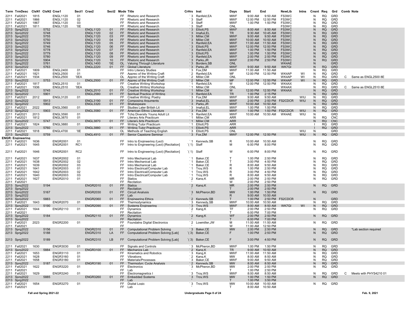|      | Term TrmDesc                   |      | CISN1 CISN2 Crse1       |                 | Sect1 Crse2                        | Sect2 Mode Title |            |                                                                  | CrHrs Inst     |                            | Days                     | Start              | End                 | NewLib          | Intns | Cnsnt Req |                        | Grd                      | <b>Comb Note</b>         |
|------|--------------------------------|------|-------------------------|-----------------|------------------------------------|------------------|------------|------------------------------------------------------------------|----------------|----------------------------|--------------------------|--------------------|---------------------|-----------------|-------|-----------|------------------------|--------------------------|--------------------------|
| 2211 | <b>Fall2021</b>                | 1815 | <b>ENGL1120</b>         | 01              |                                    |                  | FF.        | Rhetoric and Research                                            | . ვ            | Ranfeld, EA                | <b>MWF</b>               | 9:00 AM            | 9:50 AM             | FS3WC           |       | N         | <b>RQ</b>              | GRD                      |                          |
| 2211 | <b>Fall2021</b>                | 1866 | <b>ENGL1120</b>         | 02              |                                    |                  | FF         | Rhetoric and Research                                            | $3^{\circ}$    | Staff                      | <b>MWF</b>               | 12:00 PM           | 12:50 PM            | FS3WC           |       | N         | <b>RQ</b>              | GRD                      |                          |
| 2211 | <b>Fall2021</b>                | 1867 | <b>ENGL1120</b>         | 03              |                                    |                  | FF         | Rhetoric and Research                                            | $3^{\circ}$    | Staff                      | MWF                      | 1:00 PM            | 1:50 PM             | FS3WC           |       | N         | <b>RQ</b>              | GRD                      |                          |
|      | 2211 Fall2021                  | 1811 | <b>ENGL1120</b>         | '0E             |                                    |                  | FF         | <b>Rhetoric and Research</b>                                     | $\cdot$ 3      | Staff                      | ONL                      |                    |                     | FS3WC           |       | N         | <b>RQ</b>              | GRD                      |                          |
| 2213 | Sprg2022                       |      | 5752                    |                 | <b>ENGL1120</b>                    | 01               | FF         | <b>Rhetoric and Research</b>                                     | 3              | Elliott, PS                | <b>MWF</b>               | 8:00 AM            | 8:50 AM             | FS3WC           |       | N         | <b>RQ</b>              | <b>GRD</b>               |                          |
|      | 2213 Sprg2022                  |      | 5748                    |                 | <b>ENGL1120</b>                    | 02               | FF.        | <b>Rhetoric and Research</b>                                     | $\cdot$ 3      | Imafuji, EL                | TR.                      | 9:30 AM            | 10:45 AM            | FS3WC           |       | N         | <b>RQ</b>              | <b>GRD</b>               |                          |
|      | 2213 Sprg2022                  |      | 5755                    |                 | <b>ENGL1120</b>                    | 03               | FF.        | <b>Rhetoric and Research</b>                                     | $\cdot$ 3      | Miller, CM                 | <b>MWF</b>               | 9:00 AM            | 9:50 AM             | FS3WC           |       | N         | <b>RQ</b>              | <b>GRD</b>               |                          |
|      | 2213 Sprg2022                  |      | 5750                    |                 | <b>ENGL1120</b>                    | 04               | FF.        | <b>Rhetoric and Research</b>                                     | 3              | Miller, CM                 | <b>MWF</b>               | 10:00 AM           | 10:50 AM            | FS3WC           |       | N         | <b>RQ</b>              | GRD                      |                          |
| 2213 | Sprg2022                       |      | 5749                    |                 | <b>ENGL1120</b><br><b>ENGL1120</b> | 05               | FF.        | <b>Rhetoric and Research</b>                                     | ` 3<br>` 3     | Ranfeld, EA                | <b>MWF</b>               | 11:00 AM           | 11:50 AM            | FS3WC           |       | N         | <b>RQ</b>              | <b>GRD</b>               |                          |
| 2213 | Sprg2022                       |      | 5746                    |                 |                                    | 06<br>07         | FF.<br>FF. | <b>Rhetoric and Research</b><br><b>Rhetoric and Research</b>     | $\cdot$ 3      | Elliott, PS                | <b>MWF</b><br><b>MWF</b> | 12:00 PM           | 12:50 PM<br>1:50 PM | FS3WC           |       | N<br>N    | <b>RQ</b><br><b>RQ</b> | <b>GRD</b><br><b>GRD</b> |                          |
| 2213 | Sprg2022<br>2213 Sprg2022      |      | 5778<br>5779            |                 | <b>ENGL1120</b><br><b>ENGL1120</b> | 08               | FF         | <b>Rhetoric and Research</b>                                     | 3              | Ranfeld, EA<br>Elliott, PS | <b>MWF</b>               | 1:00 PM<br>1:00 PM | 1:50 PM             | FS3WC<br>FS3WC  |       | N         | <b>RQ</b>              | <b>GRD</b>               |                          |
|      | 2213 Sprg2022                  |      | 5780                    |                 | <b>ENGL1120</b>                    | 09               | <b>FF</b>  | <b>Rhetoric and Research</b>                                     | 3              | Ranfeld, EA                | <b>MWF</b>               | 2:00 PM            | 2:50 PM             | FS3WC           |       | N         | <b>RQ</b>              | <b>GRD</b>               |                          |
| 2213 | Sprg2022                       |      | 5904                    |                 | <b>ENGL1120</b>                    | 10               | FF.        | <b>Rhetoric and Research</b>                                     | ` 3            | Parks, JR                  | <b>MWF</b>               | 2:00 PM            | 2:50 PM             | FS3WC           |       | N         | <b>RQ</b>              | <b>GRD</b>               |                          |
| 2213 | Sprg2022                       |      | 5761                    |                 | <b>ENGL1400</b>                    | '0E              | OL         | Valuing Through Literature                                       | $\cdot$ 3      | Borders, SB                | <b>ONL</b>               |                    |                     | WK4AE           |       | N         |                        | <b>GRD</b>               |                          |
| 2213 | Sprg2022                       |      | 5763                    |                 | <b>ENGL2220</b>                    | 01               | FF.        | <b>Global Literature</b>                                         | $3^{\circ}$    | Parks, JR                  | <b>MWF</b>               | 9:00 AM            | 9:50 AM             | WK7GI           |       | N         | <b>RQ</b>              | <b>GRD</b>               |                          |
|      | 2211 Fall2021                  | 1809 | <b>ENGL2400</b>         | 01              |                                    |                  | FF.        | Intro Literary Studies                                           | $\degree$ 3    | Fox,DM                     | <b>MWF</b>               | 11:00 AM           | 11:50 AM            |                 |       | N         | <b>RQ</b>              | GRD                      |                          |
|      | 2211 Fall2021                  | 1821 | <b>ENGL2500</b>         | 01              |                                    |                  | FF.        | Apprec of the Writing Craft                                      | $^{\circ}$ 2   | Ranfeld,EA                 | MF                       | 12:00 PM           | 12:50 PM            | WK4AP           | WI    | N         | <b>RQ</b>              | GRD                      |                          |
|      | 2211 Fall2021                  | 1934 | <b>ENGL2500</b>         | '0EA            |                                    |                  | OL         | Apprec of the Writing Craft                                      | $^{\circ}$ 2   | Miller,CM                  | <b>ONL</b>               |                    |                     | WK4AP           | WI    | N         | <b>RQ</b>              | GRD                      | C<br>Same as ENGL2500 8E |
| 2213 | Sprg2022                       |      | 5753                    |                 | <b>ENGL2500</b>                    | 01               | FF.        | Apprec of the Writing Craft                                      |                | 2 Miller, CM               | MF                       | 12:00 PM           | 12:50 PM            | WK4AP           | WI    | N         | RQ                     | <b>GRD</b>               |                          |
|      | 2211 Fall2021                  | 1817 | <b>ENGL2510</b>         | 01              |                                    |                  | FF.        | <b>Creative Writing Workshop</b>                                 | $^{\circ}$ 1   | Ranfeld, EA                | W                        | 12:00 PM           | 12:50 PM            | WK4AX           |       | N         | <b>RQ</b>              | GRD                      |                          |
|      | 2211 Fall2021                  | 1936 | <b>ENGL2510</b>         | '0EA            |                                    |                  | OL         | Creative Writing Workshop                                        |                | Miller, CM                 | ONL                      |                    |                     | WK4AX           |       | N         | <b>RQ</b>              | GRD                      | C Same as ENGL2510 8E    |
|      | 2213 Sprg2022                  |      | 5745                    |                 | <b>ENGL2510</b>                    | 01               | FF.        | <b>Creative Writing Workshop</b>                                 | $^{\circ}$ 1   | Miller, CM                 | W                        | 12:00 PM           | 12:50 PM            | WK4AX           |       | N         | <b>RQ</b>              | <b>GRD</b>               |                          |
|      | 2213 Sprg2022                  |      | 5901                    |                 | <b>ENGL2580</b>                    | 01               | FF.        | Spiritual Practice of Writing                                    | $\cdot$ 3      | Ranfeld, EA                | <b>TR</b>                | 1:00 PM            | 2:15 PM             |                 |       | N         | <b>RQ</b>              | <b>GRD</b>               |                          |
|      | 2211 Fall2021                  | 2012 | <b>ENGL3120</b>         | 01              |                                    |                  | FF         | Creative Writing: Poetry                                         |                | `3 Fox,DM                  | MWF                      | 9:00 AM            | 9:50 AM             |                 | WIU   | N         | <b>RQ</b>              | GRD                      |                          |
|      | 2213 Sprg2022                  |      | 5913                    |                 | <b>ENGL3190</b>                    | 01               | FF.        | <b>Composing Arguments</b>                                       |                | 3 Imafuji, EL              | <b>MWF</b>               | 2:00 PM            |                     | 2:50 PM FS2CDCR | WIU   | N         | <b>RQ</b>              | <b>GRD</b>               |                          |
|      | 2213 Sprg2022                  |      | 5902                    |                 | <b>ENGL3320</b>                    | 01               | FF.        | Shakespeare                                                      |                | 3 Parks, JR                | <b>MWF</b>               | 10:00 AM           | 10:50 AM            |                 |       | N         | <b>RQ</b>              | <b>GRD</b>               |                          |
|      | 2211 Fall2021                  | 2022 | <b>ENGL3560</b>         | 01              |                                    |                  | FF.        | Studies Later British Lit                                        |                | `3 Imafuji, EL             | <b>MWF</b>               | 1:00 PM            | 1:50 PM             |                 |       | N         | RQ                     | GRD                      |                          |
|      | 2213 Sprg2022                  |      | 5903                    |                 | <b>ENGL3580</b>                    | 01               | FF.        | American Ethnic Literature                                       |                | 3 Fox,DM                   | <b>MWF</b>               | 1:00 PM            |                     | 1:50 PM FS2CDCR | WIU   | N         | <b>RQ</b>              | <b>GRD</b>               |                          |
|      | 2211 Fall2021                  | 2013 | <b>ENGL3590</b>         | 01              |                                    |                  | FF         | Tchg Diversity Young Adult Lit                                   |                | 3 Ranfeld, EA              | MWF                      | 10:00 AM           | 10:50 AM            | WK4AE           | WIU   | N         |                        | GRD                      |                          |
|      | 2211 Fall2021                  | 1812 | <b>ENGL3870</b>         | 01              | <b>ENGL3870</b>                    |                  | FF.<br>FF. | Literary Arts Practicum                                          |                | Miller.CM<br>1 Miller.CM   | <b>ARR</b>               |                    |                     |                 |       | N<br>N    | <b>RQ</b>              | <b>CNC</b>               |                          |
|      | 2213 Sprg2022<br>2211 Fall2021 | 1824 | 5747<br><b>ENGL3880</b> | 01              |                                    | 01               | FF.        | <b>Literary Arts Practicum</b><br><b>Writing Tutor Practicum</b> |                | 1 Elliott, PS              | <b>ARR</b><br><b>ARR</b> |                    |                     |                 |       |           | <b>RQ</b><br>RQ        | <b>CNC</b><br>GRD        |                          |
|      | 2213 Sprg2022                  |      | 5760                    |                 | <b>ENGL3880</b>                    | 01               |            | FF Writing Tutor Practicum                                       |                | 1 Elliott, PS              | <b>ARR</b>               |                    |                     |                 |       |           | <b>RQ</b>              | GRD                      |                          |
|      | 2211 Fall2021                  | 1818 | <b>ENGL4700</b>         | '0E             |                                    |                  | OL         | Methods of Teaching English                                      |                | 3 Elliott,PS               | ONL                      |                    |                     |                 | WIU   | N         |                        | GRD                      |                          |
|      | 2213 Sprg2022                  |      | 5759                    |                 | <b>ENGL4910</b>                    | 01               |            | FF Senior Capstone Seminar                                       |                | 3 Fox,DM                   | <b>MWF</b>               | 12:00 PM           | 12:50 PM            |                 | WIU   | N         | <b>RQ</b>              | GRD                      |                          |
|      | <b>ENGR: Engineering</b>       |      |                         |                 |                                    |                  |            |                                                                  |                |                            |                          |                    |                     |                 |       |           |                        |                          |                          |
|      | 2211 Fall2021                  | 1636 | <b>ENGR2001</b>         | 01              |                                    |                  | FF.        | Intro to Engineering (Lect)                                      |                | 1 Kennedy, SB              | R                        | 10:00 AM           | 10:50 AM            |                 |       | N         | <b>RQ</b>              | GRD                      |                          |
|      | 2211 Fall2021                  | 1645 | <b>ENGR2001</b>         | RC1             |                                    |                  | FF.        | Intro to Engineering (Lect) [Recitation]                         | $(1)$ Staff    |                            | M                        | 6:00 PM            | 8:00 PM             |                 |       | N         | <b>RQ</b>              | GRD                      |                          |
|      |                                |      |                         |                 |                                    |                  |            |                                                                  |                |                            |                          |                    |                     |                 |       |           |                        |                          |                          |
|      | 2211 Fall2021                  | 1646 | <b>ENGR2001</b>         | RC <sub>2</sub> |                                    |                  | FF.        | Intro to Engineering (Lect) [Recitation]                         | $'(1)$ Staff   |                            | W                        | 6:00 PM            | 8:00 PM             |                 |       | N         | <b>RQ</b>              | GRD                      |                          |
|      |                                |      |                         |                 |                                    |                  |            |                                                                  |                |                            |                          |                    |                     |                 |       |           |                        |                          |                          |
| 2211 | Fall2021                       | 1637 | <b>ENGR2002</b>         | 01              |                                    |                  | FF.        | Intro Mechanical Lab                                             |                | Baker,CE                   |                          | 1:00 PM            | 2:50 PM             |                 |       | N         | <b>RQ</b>              | GRD                      |                          |
| 2211 | Fall2021                       | 1638 | <b>ENGR2002</b>         | 02              |                                    |                  | FF         | Intro Mechanical Lab                                             | $^{\circ}$ 1   | Baker,CE                   | $\mathsf{T}$             | 3:00 PM            | 4:50 PM             |                 |       | N         | RQ                     | GRD                      |                          |
| 2211 | <b>Fall2021</b>                | 1639 | <b>ENGR2002</b>         | 03              |                                    |                  | FF         | Intro Mechanical Lab                                             | $^{\circ}$ 1   | Baker,CE                   | R                        | 8:00 AM            | 9:50 AM             |                 |       | N         | RQ                     | GRD                      |                          |
| 2211 | Fall2021                       | 1641 | <b>ENGR2003</b>         | 01              |                                    |                  | FF         | Intro Electrical/Computer Lab                                    |                | 1 Troy, WS                 | R                        | 1:00 PM            | 2:50 PM             |                 |       | N         | <b>RQ</b>              | GRD                      |                          |
|      | 2211 Fall2021                  | 1642 | <b>ENGR2003</b>         | 02              |                                    |                  | FF         | Intro Electrical/Computer Lab                                    | $^{\circ}$ 1   | Troy.WS                    | R                        | 3:00 PM            | 4:50 PM             |                 |       | N         | <b>RQ</b>              | GRD                      |                          |
|      | 2211 Fall2021                  | 1640 | <b>ENGR2003</b>         | 03              |                                    |                  | FF         | Intro Electrical/Computer Lab                                    |                | 1 Troy, WS                 | R                        | 8:00 AM            | 9:50 AM             |                 |       | N         | <b>RQ</b>              | GRD                      |                          |
|      | 2211 Fall2021                  | 1627 | <b>ENGR2010</b>         | 01              |                                    |                  | FF         | Statics                                                          | $^{\circ}$ 2   | Kang,K                     | MR                       | 2:00 PM            | 2:50 PM             |                 |       | N         | <b>RQ</b>              | GRD                      |                          |
| 2211 | Fall2021                       |      |                         |                 |                                    |                  | FF         | Recitation                                                       | $\overline{2}$ |                            | W<br><b>MR</b>           | 2:00 PM            | 2:50 PM<br>2:50 PM  |                 |       | N         | <b>RQ</b>              | <b>GRD</b>               |                          |
| 2213 | Sprg2022<br>2213 Sprg2022      |      | 5194                    |                 | <b>ENGR2010</b>                    | 01               | FF.<br>FF  | <b>Statics</b><br>Recitation                                     |                | Kang, K                    | T.                       | 2:00 PM<br>2:00 PM | 2:50 PM             |                 |       |           |                        |                          |                          |
|      | 2213 Sprg2022                  |      | 5167                    |                 | ENGR2030                           | 01               | FF.        | <b>Circuit Analysis</b>                                          | 3              | McPheron, BD               | <b>MW</b>                | 1:00 PM            | 1:50 PM             |                 |       | N         | <b>RQ</b>              | GRD                      |                          |
| 2213 | Sprg2022                       |      |                         |                 |                                    |                  | FF.        | Lab                                                              |                |                            | R                        | 9:00 AM            | 10:50 AM            |                 |       |           |                        |                          |                          |
|      | 2213 Sprg2022                  |      | 5883                    |                 | <b>ENGR2060</b>                    | 01               | FF.        | <b>Engineering Ethics</b>                                        |                | 2 Kennedy, SB              |                          | 1:00 PM            |                     | 2:50 PM FS2CDCR |       |           |                        | <b>GRD</b>               |                          |
|      | 2211 Fall2021                  | 1643 | <b>ENGR2070</b>         | 01              |                                    |                  | FF.        | Thermodynamics                                                   |                | '3 Kennedy, SB             | <b>MWF</b>               | 10:00 AM           | 10:50 AM            |                 |       |           | <b>RQ</b>              | GRD                      |                          |
|      | 2213 Sprg2022                  |      | 5190                    |                 | <b>ENGR2090</b>                    | 01               | FF.        | <b>Systems Engineering</b>                                       |                | 3 Troy, WS                 | <b>MWF</b>               | 8:00 AM            | 8:50 AM             | WK7GI           | WI    | N         | <b>RQ</b>              | <b>GRD</b>               |                          |
|      | 2211 Fall2021                  | 1644 | <b>ENGR2110</b>         | 01              |                                    |                  | FF         | Dynamics                                                         |                | 2 Kang, K                  | TF                       | 2:00 PM            | 2:50 PM             |                 |       | N         | <b>RQ</b>              | GRD                      |                          |
|      | 2211 Fall2021                  |      |                         |                 |                                    |                  | FF         | Recitation                                                       |                |                            | т                        | 6:00 PM            | 7:00 PM             |                 |       |           |                        |                          |                          |
|      | 2213 Sprg2022                  |      | 5184                    |                 | <b>ENGR2110</b>                    | 01               | FF.        | Dynamics                                                         |                | 2 Kang, K                  | WF                       | 2:00 PM            | 2:50 PM             |                 |       | N         | <b>RQ</b>              | <b>GRD</b>               |                          |
| 2213 | Sprg2022                       |      |                         |                 |                                    |                  | FF.        | Recitation                                                       |                |                            | T.                       | 6:00 PM            | 7:00 PM             |                 |       |           |                        |                          |                          |
|      | 2211 Fall2021                  | 2023 | <b>ENGR2200</b>         | 01              |                                    |                  | FF         | <b>Foundatns Digital Electronics</b>                             |                | 2 Lowmiller, JW            | M                        | 11:00 AM           | 11:50 AM            |                 |       | N         | <b>RQ</b>              | GRD                      |                          |
|      | 2211 Fall2021                  |      |                         |                 |                                    |                  | FF         |                                                                  |                |                            | W                        | 11:00 AM           | 12:50 PM            |                 |       |           |                        |                          |                          |
|      | 2213 Sprg2022                  |      | 5156                    |                 | ENGR2310                           | 01               | FF.        | <b>Computational Problem Solving</b>                             |                | 3 Baker, CE                | <b>MW</b>                | 2:00 PM            | 2:50 PM             |                 |       | N         | <b>RQ</b>              | <b>GRD</b>               | *Lab section required    |
|      | 2213 Sprg2022                  |      | 5188                    |                 | <b>ENGR2310</b>                    | LA               | FF.        | Computational Problem Solving [Lab]                              |                | `(3) Baker,CE              | F                        | 1:00 PM            | 2:50 PM             |                 |       |           | <b>RQ</b>              | <b>GRD</b>               |                          |
|      |                                |      | 5189                    |                 | <b>ENGR2310</b>                    | LB               |            |                                                                  |                |                            | F                        | 3:00 PM            | 4:50 PM             |                 |       |           | <b>RQ</b>              | GRD                      |                          |
|      | 2213 Sprg2022                  |      |                         |                 |                                    |                  |            | FF Computational Problem Solving [Lab]                           |                | $(3)$ Baker, CE            |                          |                    |                     |                 |       | N         |                        |                          |                          |
|      | 2211 Fall2021                  | 1630 | <b>ENGR3030</b>         | 01              |                                    |                  |            | FF Signals and Controls                                          |                | 3 McPheron, BD             | MWF                      |                    | 1:00 PM 1:50 PM     |                 |       | N         | RQ GRD                 |                          |                          |
|      | 2213 Sprg2022                  |      | 5884                    |                 | <b>ENGR3100</b>                    | 01               |            | FF Mechanics Lab                                                 |                | 2 Kang, K                  | TR .                     |                    | 9:00 AM 10:50 AM    |                 |       |           | RQ GRD                 |                          |                          |
|      | 2211 Fall2021                  | 1653 | <b>ENGR3110</b>         | 01              |                                    |                  |            | FF Kinematics and Robotics                                       |                | 3 Kang, K                  | MWF                      |                    | 11:00 AM  11:50 AM  |                 |       | N         | RQ GRD                 |                          |                          |
|      | 2211 Fall2021                  | 1628 | <b>ENGR3160</b>         | 01              |                                    |                  |            | FF Vibrations                                                    |                | 2 Kang, K                  | MW                       |                    | 8:00 AM 8:50 AM     |                 |       | N         | RQ GRD                 |                          |                          |
|      | 2211 Fall2021                  | 1658 | <b>ENGR3180</b>         | 01              |                                    |                  |            | FF Materials/Processes                                           |                | `3 Baker, CE               | MWF                      |                    | 9:00 AM 9:50 AM     |                 |       | N         | RQ GRD                 |                          |                          |
|      | 2213 Sprg2022                  |      | 5187                    |                 | <b>ENGR3190</b>                    | 01               |            | FF Thermodyn: Cycle Analysis                                     |                | 2 Kennedy, SB              | MW                       |                    | 8:00 AM 8:50 AM     |                 |       | N         | RQ GRD                 |                          |                          |
|      | 2211 Fall2021                  | 1622 | <b>ENGR3220</b>         | 01              |                                    |                  |            | FF Electronics                                                   |                | 3 McPheron, BD             | MW                       |                    | 2:00 PM 2:50 PM     |                 |       | N         | RQ GRD                 |                          |                          |
|      | 2211 Fall2021                  |      |                         |                 |                                    |                  | FF Lab     |                                                                  |                |                            | T                        |                    | 1:00 PM 2:50 PM     |                 |       |           |                        |                          |                          |
|      | 2211 Fall2021                  | 1629 | <b>ENGR3240</b>         | 01              |                                    |                  |            | FF Electromagnetics I                                            |                | `3 Troy, WS                | <b>MWF</b>               |                    | 8:00 AM 8:50 AM     |                 |       | N         |                        | RQ GRD                   | C Meets with PHYS4210 01 |
|      | 2213 Sprg2022                  |      | 5885                    |                 | <b>ENGR3260</b>                    | 01               |            | FF Embedded Systems                                              |                | 3 Troy, WS                 | <b>MW</b>                |                    | 1:00 PM 1:50 PM     |                 |       | N         | RQ GRD                 |                          |                          |
|      | 2213 Sprg2022                  |      |                         |                 |                                    |                  | FF Lab     |                                                                  |                |                            | T.                       |                    | 1:00 PM 3:50 PM     |                 |       |           |                        |                          |                          |
|      | 2211 Fall2021                  | 1654 | <b>ENGR3270</b>         | 01              |                                    |                  |            | FF Digital Logic                                                 |                | 3 Troy, WS                 | MW                       |                    | 10:00 AM  10:50 AM  |                 |       | N.        | RQ GRD                 |                          |                          |
|      | 2211 Fall2021                  |      |                         |                 |                                    |                  | FF Lab     |                                                                  |                |                            | T.                       |                    | 8:00 AM 10:50 AM    |                 |       |           |                        |                          |                          |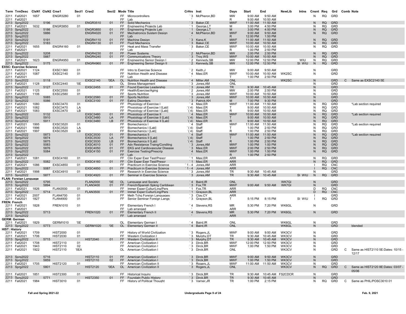|                     | Term TrmDesc CIsN1 CIsN2 Crse1                 |              |              |                                    |          | Sect1 Crse2                        | Sect2 Mode Title |            |                                                                  | CrHrs Inst   |                                | Days                     | Start                | End                                  | NewLib         | Intns  | Cnsnt Req |                        | Grd                      | Comb Note    |                                      |
|---------------------|------------------------------------------------|--------------|--------------|------------------------------------|----------|------------------------------------|------------------|------------|------------------------------------------------------------------|--------------|--------------------------------|--------------------------|----------------------|--------------------------------------|----------------|--------|-----------|------------------------|--------------------------|--------------|--------------------------------------|
|                     | 2211 Fall2021                                  | 1657         |              | <b>ENGR3280</b>                    | 01       |                                    |                  |            | FF Microcontrollers                                              |              | 3 McPheron, BD                 | MW                       | 9:00 AM              | 9:50 AM                              |                |        | N         | <b>RQ</b>              | GRD                      |              |                                      |
| 2211                | Fall2021<br>2213 Sprg2022                      |              | 5196         |                                    |          | <b>ENGR3510</b>                    | 01               | FF Lab     | FF Solid Mechanics                                               |              | 3 Baker, CE                    | R<br><b>MWF</b>          | 9:00 AM<br>11:00 AM  | 10:50 AM<br>11:50 AM                 |                |        | N.        | <b>RQ</b>              | <b>GRD</b>               |              |                                      |
|                     | 2211 Fall2021                                  | 1632         |              | <b>ENGR3850</b>                    | 01       |                                    |                  | FF.        | <b>Engineering Projects Lab</b>                                  |              | 1 George, LT                   | М                        | 3:00 PM              | 4:50 PM                              |                |        | N         | <b>RQ</b>              | GRD                      |              |                                      |
|                     | 2213 Sprg2022                                  |              | 5186         |                                    |          | <b>ENGR3850</b>                    | 01               | FF.        | Engineering Projects Lab                                         | $\cdot$ 1    | George, LT                     | M                        | 3:00 PM              | 4:50 PM                              |                |        | N         | <b>RQ</b>              | <b>GRD</b>               |              |                                      |
|                     | 2213 Sprg2022                                  |              | 5886         |                                    |          | <b>ENGR4020</b>                    | 01               |            | FF Mechatronics System Design                                    |              | 4 McPheron, BD                 | <b>MWF</b>               | 9:00 AM              | 9:50 AM                              |                |        | N         | <b>RQ</b>              | <b>GRD</b>               |              |                                      |
| 2213<br>2213        | Sprg2022<br>Sprg2022                           |              | 5191         |                                    |          | <b>ENGR4110</b>                    | 01               | FF.        | Lab<br>FF Machine Design                                         |              | `3 Kang, K                     | R.<br><b>MWF</b>         | 12:00 PM<br>11:00 AM | 1:50 PM<br>11:50 AM                  |                |        | N.        | <b>RQ</b>              | <b>GRD</b>               |              |                                      |
|                     | 2213 Sprg2022                                  |              | 5183         |                                    |          | <b>ENGR4130</b>                    | 01               |            | FF Fluid Mechanics                                               | 3            | Baker,CE                       | <b>MWF</b>               | 10:00 AM             | 10:50 AM                             |                |        | N.        | <b>RQ</b>              | <b>GRD</b>               |              |                                      |
|                     | 2211 Fall2021                                  | 1655         |              | <b>ENGR4160</b>                    | 01       |                                    |                  | FF.        | Heat and Mass Transfer                                           | 3            | Baker,CE                       | <b>MWF</b>               | 10:00 AM             | 10:50 AM                             |                |        | N         | RQ                     | GRD                      |              |                                      |
|                     | 2211 Fall2021                                  |              |              |                                    |          |                                    |                  | FF Lab     |                                                                  |              |                                | R                        | 1:00 PM              | 2:50 PM                              |                |        |           |                        |                          |              |                                      |
|                     | 2213 Sprg2022<br>2213 Sprg2022                 |              | 5208<br>5887 |                                    |          | <b>ENGR4230</b><br><b>ENGR4240</b> | 01<br>01         | FF.        | <b>Power Systems</b><br>FF Communications Theory                 |              | 2 McPheron, BD<br>3 Troy, WS   | <b>MW</b><br><b>MWF</b>  | 2:00 PM<br>10:00 AM  | 2:50 PM<br>10:50 AM                  |                |        | N<br>N    | <b>RQ</b><br><b>RQ</b> | <b>GRD</b><br><b>GRD</b> |              |                                      |
|                     | 2211 Fall2021                                  | 1623         |              | <b>ENGR4950</b>                    | 01       |                                    |                  | FF.        | Engineering Senior Design I                                      |              | 2 Kennedy, SB                  | MW                       | 12:00 PM             | 12:50 PM                             |                | WIU    | N         | <b>RQ</b>              | GRD                      |              |                                      |
|                     | 2213 Sprg2022                                  |              | 5175         |                                    |          | <b>ENGR4960</b>                    | 01               |            | FF Engineering Senior Design II                                  |              | 2 Kennedy, SB                  | <b>MW</b>                | 12:00 PM             | 12:50 PM                             |                | SI WIU | N         | <b>RQ</b>              | <b>GRD</b>               |              |                                      |
|                     | <b>EXSC: Exercise Science</b><br>2211 Fall2021 | 1124         |              | <b>EXSC1360</b>                    | 01       |                                    |                  | FF.        | Intro to Exercise Science                                        |              | 2 Keith, J                     | <b>MW</b>                | 9:00 AM              | 9:50 AM                              |                |        | N         |                        | GRD                      |              |                                      |
|                     | 2211 Fall2021                                  | 1087         |              | EXSC2140                           | 01       |                                    |                  | FF.        | Nutrition Health and Disease                                     |              | 4 Masi,ER                      | <b>MWF</b>               | 10:00 AM             | 10:50 AM                             | WK2SC          |        | N         |                        | GRD                      |              |                                      |
|                     | 2211 Fall2021                                  |              |              |                                    |          |                                    |                  | FF Lab     |                                                                  |              |                                | T.                       | 1:00 PM              | 2:50 PM                              |                |        |           |                        |                          |              |                                      |
|                     | 2213 Sprg2022                                  |              | 5118         |                                    |          | <b>EXSC2140</b>                    | '0EA             |            | OL Nutrition Health and Disease                                  |              | 4 Miller, AM                   | <b>ONL</b>               |                      |                                      | WK2SC          |        |           |                        | <b>GRD</b>               |              | C Same as EXSC2140 5E                |
| 2213                | 2211 Fall2021                                  | 1128         |              | <b>EXSC2440</b>                    | '0E      | <b>EXSC2455</b>                    |                  | OL.<br>FF. | <b>Stress Management</b>                                         |              | 3 Jones, AM                    | ONL                      |                      |                                      |                |        | N         |                        | GRD<br><b>GRD</b>        |              |                                      |
|                     | Sprg2022<br>2211 Fall2021                      | 1125         | 5127         | <b>EXSC2550</b>                    | 01       |                                    | 01               | FF.        | Found Exercise Leadership<br>Health/Exercise/Aging               |              | 3 Jones, AM<br>2 Jones, AM     | TR.<br>MW                | 9:30 AM<br>2:00 PM   | 10:45 AM<br>2:50 PM                  |                |        | N         |                        | GRD                      |              |                                      |
|                     | 2211 Fall2021                                  | 1106         |              | <b>EXSC2580</b>                    | 01       |                                    |                  | FF.        | <b>Sports Nutrition</b>                                          |              | 3 Jones, AM                    | <b>MWF</b>               | 10:00 AM             | 10:50 AM                             |                |        |           |                        | GRD                      |              |                                      |
|                     | 2213 Sprg2022                                  |              | 5085         |                                    |          | <b>EXSC2580</b>                    | 01               | FF.        | <b>Sports Nutrition</b>                                          |              | `3 Jones,AM                    | <b>MWF</b>               | 10:00 AM             | 10:50 AM                             |                |        | N         |                        | <b>GRD</b>               |              |                                      |
| 2213                | Sprg2022                                       |              | 5086         |                                    |          | <b>EXSC3100</b>                    | 01               | FF.        | <b>Eating Disorders</b>                                          |              | `3 Patrick, KH                 | M                        | 7:00 PM              | 9:30 PM                              |                |        | N         |                        | GRD                      |              |                                      |
| 2211<br>2211        | <b>Fall2021</b><br><b>Fall2021</b>             | 1080<br>1082 |              | <b>EXSC3470</b><br><b>EXSC3470</b> | 01<br>LA |                                    |                  | FF<br>FF.  | Physiology of Exercise I<br>Physiology of Exercise I [Lab]       |              | `4 Masi,ER<br>(4) Masi, ER     | <b>MWF</b><br>T.         | 11:00 AM<br>9:00 AM  | 11:50 AM<br>10:50 AM                 |                |        | N<br>N    | <b>RQ</b><br><b>RQ</b> | GRD<br>GRD               |              | *Lab section required                |
|                     | 2211 Fall2021                                  | 1083         |              | <b>EXSC3470</b>                    | LB       |                                    |                  | FF.        | Physiology of Exercise I [Lab]                                   | (4)          | Masi,ER                        | R                        | 9:00 AM              | 10:50 AM                             |                |        | N         | <b>RQ</b>              | GRD                      |              |                                      |
|                     | 2213 Sprg2022                                  |              | 5132         |                                    |          | <b>EXSC3480</b>                    | 01               | FF.        | Physiology of Exercise II                                        |              | Masi,ER                        | <b>MWF</b>               | 10:00 AM             | 10:50 AM                             |                |        | N         | <b>RQ</b>              | <b>GRD</b>               |              | *Lab section required                |
|                     | 2213 Sprg2022                                  |              | 5910         |                                    |          | <b>EXSC3480</b>                    | LA               | FF.        | Physiology of Exercise II [Lab]                                  |              | $(4)$ Masi, ER                 | T.                       | 9:00 AM              | 10:50 AM                             |                |        | N         | <b>RQ</b>              | <b>GRD</b>               |              |                                      |
| 2213                | Sprg2022<br>2211 Fall2021                      | 1995         | 5911         | <b>EXSC3520</b>                    | 01       | <b>EXSC3480</b>                    | <b>LB</b>        | FF.<br>FF. | Physiology of Exercise II [Lab]<br>Biomechanics I                | (4)          | Masi,ER<br>`4 Staff            | R<br><b>MWF</b>          | 9:00 AM<br>11:00 AM  | 10:50 AM<br>11:50 AM                 |                |        | N<br>N    | <b>RQ</b><br><b>RQ</b> | <b>GRD</b><br>GRD        |              | *Lab section required                |
|                     | 2211 Fall2021                                  | 1996         |              | <b>EXSC3520</b>                    | LA       |                                    |                  | FF.        | Biomechanics I [Lab]                                             | $(4)$ Staff  |                                | T.                       | 1:00 PM              | 2:50 PM                              |                |        | N         | <b>RQ</b>              | GRD                      |              |                                      |
| 2211                | <b>Fall2021</b>                                | 1997         |              | <b>EXSC3520</b>                    | LB       |                                    |                  | FF.        | Biomechanics I [Lab]                                             | (4)          | Staff                          | R                        | 1:00 PM              | 2:50 PM                              |                |        | N         | <b>RQ</b>              | GRD                      |              |                                      |
|                     | 2213 Sprg2022                                  |              | 5873         |                                    |          | <b>EXSC3530</b>                    | 01               | FF.        | Biomechanics II                                                  |              | `4 Staff                       | <b>MWF</b>               | 11:00 AM             | 11:50 AM                             |                |        | N         | <b>RQ</b>              | GRD                      |              | *Lab section required                |
| 2213<br>2213        | Sprg2022<br>Sprg2022                           |              | 5874<br>5875 |                                    |          | <b>EXSC3530</b>                    | LA<br>LB         | FF.        | <b>Biomechanics II [Lab]</b><br>Biomechanics II [Lab]            | (4)<br>(4)   | Staff<br>Staff                 | т<br>R.                  | 1:00 PM<br>1:00 PM   | 2:50 PM                              |                |        | N<br>N    | <b>RQ</b><br><b>RQ</b> | <b>GRD</b><br><b>GRD</b> |              |                                      |
|                     | 2213 Sprg2022                                  |              | 5083         |                                    |          | <b>EXSC3530</b><br><b>EXSC4010</b> | 01               | FF.<br>FF. | Adv Resistance Traing/Conditng                                   | $\cdot$ 3    | Jones, AM                      | <b>MWF</b>               | 1:00 PM              | 2:50 PM<br>1:50 PM                   |                |        | N         | <b>RQ</b>              | <b>GRD</b>               |              |                                      |
|                     | 2213 Sprg2022                                  |              | 5876         |                                    |          | <b>EXSC4050</b>                    | 01               | FF.        | <b>EKG and Cardiovascular Disease</b>                            | ` 3          | Masi,ER                        | <b>MWF</b>               | 2:00 PM              | 2:50 PM                              |                |        | N         | <b>RQ</b>              | <b>GRD</b>               |              |                                      |
|                     | 2213 Sprg2022                                  |              | 5084         |                                    |          | <b>EXSC4150</b>                    | 01               | FF.        | <b>Exercise Testing/Prescrip</b>                                 |              | 4 Masi, ER                     | <b>MWF</b>               | 1:00 PM              | 1:50 PM                              |                |        | N         | <b>RQ</b>              | <b>GRD</b>               |              |                                      |
| 2213                | Sprg2022                                       |              |              |                                    |          |                                    |                  | FF Lab     |                                                                  |              |                                | R                        |                      | 1:00 PM 2:50 PM                      |                |        | N         |                        | GRD                      |              |                                      |
|                     | 2211 Fall2021<br>2213 Sprg2022                 | 1081         | 5082         | <b>EXSC4160</b>                    | 01       | <b>EXSC4160</b>                    | 01               |            | FF Clin Exper Exer Test/Prescr<br>FF Clin Exper Exer Test/Prescr |              | 1 Masi, ER<br>1 Masi, ER       | ARR<br><b>ARR</b>        |                      |                                      |                |        | N         | <b>RQ</b><br><b>RQ</b> | GRD                      |              |                                      |
|                     | 2211 Fall2021                                  | 1086         |              | <b>EXSC4850</b>                    | 01       |                                    |                  | FF.        | Practicum in Exercise Science                                    |              | $\cdot$ 1 - 4 Jones, AM        | <b>ARR</b>               |                      |                                      |                |        |           | <b>RQ</b>              | <b>CNC</b>               |              |                                      |
|                     | 2213 Sprg2022                                  |              | 5087         |                                    |          | <b>EXSC4850</b>                    | 01               |            | FF Practicum in Exercise Science                                 |              | 1-4 Jones, AM                  | <b>ARR</b>               |                      |                                      |                |        |           | <b>RQ</b>              | <b>CNC</b>               |              |                                      |
|                     | 2211 Fall2021                                  | 1998         |              | <b>EXSC4910</b>                    | 01       |                                    |                  | FF.        | Research in Exercise Science                                     |              | 3 Jones, AM                    | TR                       |                      | 9:30 AM 10:45 AM                     |                |        | N         |                        | GRD                      |              |                                      |
|                     | 2213 Sprg2022<br><b>FLAN: Foreign Language</b> |              | 5877         |                                    |          | <b>EXSC4920</b>                    | 01               |            | FF Seminar in Exercise Science                                   |              | 3 Jones, AM                    | TR.                      | 9:30 AM              | 10:45 AM                             |                | SI WIU | N,        | RQ                     | <b>GRD</b>               |              |                                      |
|                     | 2213 Sprg2022                                  |              | 5795         |                                    |          | <b>FLAN2000</b>                    | '0E              |            | OL Language and Society                                          |              | 4 Baird, IR                    | <b>ONL</b>               |                      |                                      | WK7GI          |        | N         |                        | <b>GRD</b>               |              |                                      |
|                     | 2213 Sprg2022                                  |              | 5894         |                                    |          | <b>FLAN3400</b>                    | 01               |            | FF French/Spanish Spkng Caribbean                                |              | 3 Fox,TR                       | <b>MWF</b>               | 9:00 AM              | 9:50 AM                              | WK7GI          |        | N         |                        | <b>GRD</b>               |              |                                      |
|                     | 2211 Fall2021                                  | 1826         |              | <b>FLAN3500</b>                    | 01       |                                    |                  |            | FF Immer Exper: Cultur/Ling/Pers                                 |              | 1 Fox, TR                      | <b>ARR</b>               |                      |                                      |                |        | D         | <b>RQ</b>              | <b>CNC</b>               |              |                                      |
|                     | 2213 Sprg2022<br>2211 Fall2021                 | 2007         | 5714         | <b>FLAN4700</b>                    | 01       | <b>FLAN3500</b>                    | 01               | FF.<br>FF. | Immer Exper: Cultur/Ling/Pers<br>Meth Tchg Foreign Languages     |              | 1 Grayson, BL<br>`3 Clay,CY    | <b>ARR</b><br><b>ARR</b> |                      |                                      |                |        | D         | <b>RQ</b>              | <b>CNC</b><br>GRD        |              |                                      |
|                     | 2211 Fall2021                                  | 1827         |              | <b>FLAN4900</b>                    | 01       |                                    |                  | FF.        | Senior Seminar Foreign Langs                                     |              | 3 Grayson, BL                  | T.                       | 5:15 PM              | 8:15 PM                              |                | SI WIU |           | <b>RQ</b>              | GRD                      |              |                                      |
| <b>FREN: French</b> |                                                |              |              |                                    |          |                                    |                  |            |                                                                  |              |                                |                          |                      |                                      |                |        |           |                        |                          |              |                                      |
|                     | 2211 Fall2021                                  | 1828         |              | FREN1010                           | 01       |                                    |                  | FF.        | Elementary French I                                              | $^{\circ}$ 4 | Stevens, RS                    | MR                       | 5:30 PM              | 7:20 PM                              | WK6GL          |        | N         |                        | GRD                      |              |                                      |
|                     | 2211 Fall2021<br>2213 Sprg2022                 |              | 5713         |                                    |          | <b>FREN1020</b>                    | 01               | FF.<br>FF. | Lab arranged<br><b>Elementary French II</b>                      |              | 4 Stevens, RS                  | <b>ARR</b><br><b>MR</b>  | 5:30 PM              | 7:20 PM                              | WK6GL          |        | N         |                        | <b>GRD</b>               |              |                                      |
|                     | 2213 Sprg2022                                  |              |              |                                    |          |                                    |                  |            | FF Lab arranged                                                  |              |                                | <b>ARR</b>               |                      |                                      |                |        |           |                        |                          |              |                                      |
| <b>GERM: German</b> |                                                |              |              |                                    |          |                                    |                  |            |                                                                  |              |                                |                          |                      |                                      |                |        |           |                        |                          |              |                                      |
|                     | 2211 Fall2021                                  | 1829         |              | GERM1010                           | '0E      |                                    |                  |            | OL Elementary German I                                           |              | 4 Baird, IR                    | ONL                      |                      |                                      | WK6GL          |        | N         |                        | GRD                      |              |                                      |
| HIST: History       | 2213 Sprg2022                                  |              | 5773         |                                    |          | <b>GERM1020</b>                    | '0E              |            | OL Elementary German II                                          |              | 4 Baird, IR                    | ONL                      |                      |                                      | WK6GL          |        |           |                        | <b>GRD</b>               |              | blended                              |
|                     | 2211 Fall2021                                  | 1709         |              | <b>HIST2000</b>                    | 01       |                                    |                  |            | FF History of World Civilization                                 |              | 3 Rogers, JL                   | <b>MWF</b>               | 9:00 AM              | 9:50 AM                              | WK3CV          |        | N         |                        | GRD                      |              |                                      |
|                     | 2211 Fall2021                                  | 1706         |              | <b>HIST2030</b>                    | 01       |                                    |                  |            | FF Western Civilization I                                        |              | ` 3 Murphy, DT                 | TR                       | 9:30 AM              | 10:45 AM                             | WK3CV          |        | N         |                        | GRD                      |              |                                      |
|                     | 2213 Sprg2022                                  |              | 5715         |                                    |          | <b>HIST2040</b>                    |                  |            | FF Western Civilization II                                       |              | 3 Murphy, DT                   | TR                       |                      | 9:30 AM  10:45 AM  WK3CV             |                |        | N.        |                        | GRD                      |              |                                      |
|                     | 2211 Fall2021 1708<br>2211 Fall2021            | 1943         |              | <b>HIST2110</b><br><b>HIST2110</b> | 01<br>02 |                                    |                  |            | FF American Civilization I<br>FF American Civilization I         |              | 3 Dirck, BR<br>3 Dirck, BR     | MWF<br><b>MWF</b>        | 1:00 PM              | 12:00 PM  12:50 PM  WK3CV<br>1:50 PM | WK3CV          |        | N<br>N    |                        | GRD<br>GRD               |              |                                      |
|                     | 2211 Fall2021                                  | 1922         |              | <b>HIST2110</b>                    | '0EA     |                                    |                  |            | OL American Civilization I                                       |              | 3 Dirck, BR                    | ONL                      |                      |                                      | WK3CV          |        | N         |                        | GRD                      | $\mathbf{C}$ | Same as HIST2110 5E:Dates: 10/15 -   |
|                     |                                                |              |              |                                    |          |                                    |                  |            |                                                                  |              |                                |                          |                      |                                      |                |        |           |                        |                          |              | 12/17                                |
|                     | 2213 Sprg2022                                  |              | 5716         |                                    |          | <b>HIST2110</b>                    | 01               |            | FF American Civilization I                                       |              | ` 3 Dirck, BR                  | <b>MWF</b>               | 9:00 AM              | 9:50 AM                              | WK3CV          |        | N         |                        | GRD                      |              |                                      |
|                     | 2213 Sprg2022                                  |              | 5859         |                                    |          | <b>HIST2110</b>                    | 02               |            | FF American Civilization I                                       |              | ` 3 Dirck, BR                  | <b>MWF</b>               |                      | 1:00 PM 1:50 PM                      | WK3CV          |        | N         |                        | <b>GRD</b>               |              |                                      |
|                     | 2211 Fall2021<br>2213 Sprg2022                 | 1705         | 5801         | <b>HIST2120</b>                    | 01       | <b>HIST2120</b>                    | '0EA             |            | FF American Civilization II<br>OL American Civilization II       |              | `3 Rogers.JL<br>` 3 Rogers, JL | MWF<br>ONL               |                      | 11:00 AM  11:50 AM                   | WK3CV<br>WK3CV |        | N<br>N    | <b>RQ</b>              | GRD<br>GRD               |              | C Same as HIST2120 8E:Dates: 03/07 - |
|                     |                                                |              |              |                                    |          |                                    |                  |            |                                                                  |              |                                |                          |                      |                                      |                |        |           |                        |                          |              | 05/06                                |
|                     | 2211 Fall2021                                  | 1851         |              | <b>HIST2300</b>                    | 01       |                                    |                  |            | FF Historical Inquiry                                            |              | ` 3 Dirck, BR                  | TR                       |                      | 9:30 AM  10:45 AM  FS2CDCR           |                |        | N         |                        | GRD                      |              |                                      |
|                     | 2213 Sprg2022                                  |              | 5771         |                                    |          | <b>HIST2350</b>                    | 01               |            | FF Foundatn Public History                                       |              | 3 Dirck, BR                    | <b>TR</b>                |                      | 9:30 AM 10:45 AM                     |                |        | N         |                        | GRD                      |              |                                      |
|                     | 2211 Fall2021                                  | 1984         |              | <b>HIST3010</b>                    | 01       |                                    |                  |            | FF History of Political Thought                                  |              | 3 Varner.JR                    | TR                       |                      | 1:00 PM 2:15 PM                      |                |        | N.        |                        | RQ GRD                   |              | C Same as PHIL/POSC3010 01           |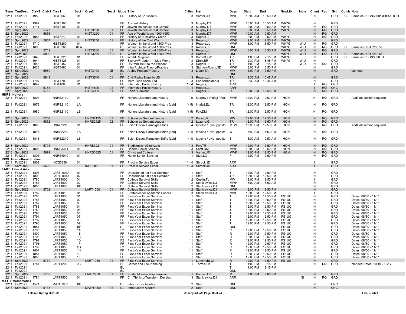|              | Term TrmDesc                                | CIsN1        | CIsN2 Crse1             |                                    |          | Sect1 Crse2                        | Sect2 Mode Title |                 |                                                                    | CrHrs                    | Inst                                | Days                     | <b>Start</b>         | End                  | <b>NewLib</b>                      | Intns      | Cnsnt Req |                        | Grd                      | <b>Comb Note</b>  |                                              |
|--------------|---------------------------------------------|--------------|-------------------------|------------------------------------|----------|------------------------------------|------------------|-----------------|--------------------------------------------------------------------|--------------------------|-------------------------------------|--------------------------|----------------------|----------------------|------------------------------------|------------|-----------|------------------------|--------------------------|-------------------|----------------------------------------------|
|              | 2211 Fall2021                               | 1950         |                         | <b>HIST3060</b>                    | 01       |                                    |                  |                 | FF History of Christianity                                         |                          | 3 Varner,JR                         | <b>MWF</b>               | 10:00 AM             | 10:50 AM             |                                    |            | N         |                        | GRD                      | C                 | Same as RLGN3060/CHIS5100 01                 |
| 2211         | Fall2021                                    | 1987         |                         | <b>HIST3100</b>                    | 01       |                                    |                  | FF.             | <b>Ancient History</b>                                             | $3^{\circ}$              | Murphy, DT                          | MWF                      | 10:00 AM             | 10:50 AM             | WK7GI                              |            |           |                        | GRD                      |                   |                                              |
| 2211<br>2213 | Fall2021<br>Sprg2022                        | 1711         | 5777                    | <b>HIST3190</b>                    | 01       | <b>HIST3190</b>                    | 01               | FF<br>FF.       | Jewish Holocaust/Hist Context<br>Jewish Holocaust/Hist Context     | . ვ<br>$\mathbf{3}$      | Murphy.DT<br>Murphy, DT             | <b>MWF</b><br><b>MWF</b> | 9:00 AM<br>9:00 AM   | 9:50 AM<br>9:50 AM   | WK7GI<br>WK7GI                     |            | N<br>N    | <b>RQ</b><br><b>RQ</b> | GRD<br><b>GRD</b>        |                   |                                              |
| 2213         | Sprg2022                                    |              | 5856                    |                                    |          | <b>HIST3220</b>                    | 01               | FF.             | Age of World Wars 1900-1950                                        | $\cdot$ 3                | Murphy, DT                          | <b>MWF</b>               | 10:00 AM             | 10:50 AM             |                                    |            | N         | <b>RQ</b>              | <b>GRD</b>               |                   |                                              |
|              | 2211 Fall2021<br>2213 Sprg2022              | 1988         | 5857                    | <b>HIST3240</b>                    | 01       | <b>HIST3250</b>                    | 01               | FF.<br>FF.      | History of Russia/Sov Union<br>History of the Cold War             | $\cdot$ 3<br>3           | Rogers, JL<br>Rogers, JL            | <b>MWF</b><br><b>MWF</b> | 2:00 PM<br>2:00 PM   | 2:50 PM<br>2:50 PM   | WK7GI<br>WK7GI                     |            | N<br>N    | <b>RQ</b>              | GRD<br>GRD               |                   |                                              |
|              | 2211 Fall2021                               | 1710         |                         | <b>HIST3260</b>                    | 01       |                                    |                  | FF.             | Women in the World 1800-Pres                                       | $\cdot$ 3                | Rogers, JL                          | MWF                      | 3:00 PM              | 3:50 PM              | WK7GI                              | WIU        | N         | <b>RQ</b>              | GRD                      |                   |                                              |
| 2211         | <b>Fall2021</b><br>2213 Sprg2022            | 1893         | 5719                    | <b>HIST3260</b>                    | '0EA     | <b>HIST3260</b>                    | 01               | OL<br>FF.       | Women in the World 1800-Pres<br>Women in the World 1800-Pres       | ۰.<br>$\cdot$ 3          | Rogers, JL<br>Rogers, JL            | ONL<br><b>MWF</b>        | 3:00 PM              | 3:50 PM              | WK7GI<br>WK7GI                     | WIU<br>WIU | N<br>N    | <b>RQ</b><br><b>RQ</b> | GRD<br><b>GRD</b>        |                   | C Same as HIST3260 5E                        |
|              | 2213 Sprg2022                               |              | 5802                    |                                    |          | <b>HIST3260</b>                    | '0EA             | <b>OL</b>       | Women in the World 1800-Pres<br><b>World Religions</b>             | $\cdot$ 3                | Rogers, JL                          | ONL                      |                      |                      | WK7GI                              | WIU        | N         | <b>RQ</b>              | <b>GRD</b><br>GRD        | $\mathbf{C}$<br>C | Same as HIST3260 5E                          |
| 2211<br>2211 | <b>Fall2021</b><br>Fall2021                 | 2043<br>1944 |                         | <b>HIST3320</b><br><b>HIST3425</b> | 01<br>01 |                                    |                  | FF.<br>FF.      | Slavery/Freedom in Mod World                                       | $3^{\circ}$<br>$\cdot$ 3 | Burnett,FW<br>Dirck, BR             | TR<br>TR                 | 1:00 PM<br>2:30 PM   | 2:15 PM<br>3:45 PM   | WK7GI<br>WK7GI                     | WIU        | N<br>N    |                        | GRD                      |                   | Same as RLGN3320 01                          |
| 2211<br>2211 | Fall2021<br><b>Fall2021</b>                 | 2046<br>2033 |                         | <b>HIST3452</b><br><b>HIST3480</b> | 01<br>01 |                                    |                  | FF<br>FF        | US from 1945 to the Present<br>Intro Archival Theory/Practice      | $\cdot$ 3<br>. ვ         | Rogers, JL<br>Stanton-Roark, ND     | TR<br><b>MWF</b>         | 1:00 PM<br>3:00 PM   | 2:15 PM<br>3:50 PM   |                                    | WIU        | N<br>N    | <b>RQ</b>              | GRD<br>GRD               |                   |                                              |
|              | 2213 Sprg2022                               |              | 5930                    |                                    |          | <b>HIST3490</b>                    | 0B               | <b>BL</b>       | <b>Archiv Present/Preserv</b>                                      | 3                        | Lipan, TA                           | <b>MW</b>                | 1:00 PM              | 1:50 PM              |                                    |            | N         |                        | <b>GRD</b>               |                   | blended                                      |
|              | 2213 Sprg2022<br>2213 Sprg2022              |              | 5948                    |                                    |          | <b>HIST3540</b>                    | 01               | <b>BL</b><br>FF | Civil Rights Mymt in US                                            | $\cdot$ 3                | Rogers, JL                          | ONL<br><b>TR</b>         | 9:30 AM              | 10:45 AM             |                                    |            | N         |                        | <b>GRD</b>               |                   |                                              |
|              | 2211 Fall2021                               | 1707         |                         | <b>HIST4700</b>                    | 01       |                                    |                  | FF              | Meth Tchg Social Std                                               | . ვ                      | Pohlschneider, JE                   | TR                       | 9:30 AM              | 10:45 AM             |                                    |            | N         |                        | GRD                      |                   |                                              |
| 2211         | <b>Fall2021</b><br>2213 Sprg2022            | 1842         | 5765                    | <b>HIST4800</b>                    | 01       | <b>HIST4800</b>                    | 01               | FF.<br>FF.      | Internship Public History<br>Internship Public History             | ` 1 - 4                  | Rogers, JL<br>1 - 4 Rogers, JL      | <b>ARR</b><br><b>ARR</b> |                      |                      |                                    |            |           | RQ<br><b>RQ</b>        | <b>CNC</b><br><b>CNC</b> |                   |                                              |
|              | 2213 Sprg2022<br><b>INRS: Honors</b>        |              | 5718                    |                                    |          | <b>HIST4930</b>                    | 01               | FF              | Senior Seminar                                                     | $^{\circ}$ 1             | Rogers, JL                          | $\mathsf{R}$             | 12:00 PM             | 12:50 PM             |                                    |            | N         | <b>RQ</b>              | <b>GRD</b>               |                   |                                              |
|              | 2211 Fall2021                               | 1804         |                         | <b>HNRS2110</b>                    | 01       |                                    |                  | FF              | Honors Literature and History                                      |                          | 5 Murphy / Imafuji / Fox            | MWF                      | 12:00 PM             | 12:50 PM             | <b>HON</b>                         |            | N         | <b>RQ</b>              | GRD                      |                   | Addl lab section required                    |
|              | 2211 Fall2021                               | 1979         |                         | <b>HNRS2110</b>                    | LA       |                                    |                  | FF.             | Honors Literature and History [Lab]                                |                          | `(5) Imafuji,EL                     | TR                       | 12:00 PM             | 12:50 PM             | <b>HON</b>                         |            | N         | RQ                     | GRD                      |                   |                                              |
|              | 2211 Fall2021                               | 1980         |                         | <b>HNRS2110</b>                    | LB       |                                    |                  |                 | FF Honors Literature and History [Lab]                             |                          | $(5)$ Fox, DM                       | TR                       | 12:00 PM             | 12:50 PM             | <b>HON</b>                         |            | N         | <b>RQ</b>              | GRD                      |                   |                                              |
|              | 2213 Sprg2022<br>2213 Sprg2022              |              | 5700<br>5852            |                                    |          | <b>HNRS2125</b><br><b>HNRS2125</b> | 01<br>02         | FF.<br>FF       | Scholar as Servant Leader<br>Scholar as Servant Leader             |                          | 2 Parks, JR<br>2 Lozano, G          | <b>MW</b><br><b>TR</b>   | 12:00 PM<br>12:00 PM | 12:50 PM<br>12:50 PM | <b>HON</b><br><b>HON</b>           |            | N<br>N    | RQ<br><b>RQ</b>        | <b>GRD</b><br><b>GRD</b> |                   |                                              |
|              | 2211 Fall2021                               | 1803         |                         | <b>HNRS2210</b>                    | 01       |                                    |                  | FF              | Scien Discov/Paradigm Shifts                                       |                          | 4 Ippolito / Lyle-Ippolito          | MTW                      | 12:00 PM             | 12:50 PM             | HON                                |            | N         | RQ                     | GRD                      |                   | Addl lab section required                    |
|              | 2211 Fall2021                               | 1847         |                         | <b>HNRS2210</b>                    | LA       |                                    |                  | FF.             | Scien Discov/Paradigm Shifts [Lab]                                 |                          | $(4)$ Ippolito / Lyle-Ippolito      | W                        | 3:00 PM              | 4:50 PM              | <b>HON</b>                         |            | N         | RQ                     | GRD                      |                   |                                              |
|              | 2211 Fall2021                               | 1848         |                         | <b>HNRS2210</b>                    | LВ       |                                    |                  | FF              | Scien Discov/Paradigm Shifts [Lab]                                 |                          | $(4)$ Ippolito / Lyle-Ippolito      |                          | 8:00 AM              | 9:50 AM              | <b>HON</b>                         |            | N         | RQ                     | GRD                      |                   |                                              |
|              | 2213 Sprg2022                               |              | 5701                    |                                    |          | <b>HNRS3221</b>                    | 01               | FF.             | Traditionlism/Globlizatn                                           |                          | 3 Fox, TR                           | <b>MWF</b>               | 12:00 PM             | 12:50 PM             | <b>HON</b>                         |            |           | <b>RQ</b>              | <b>GRD</b>               |                   |                                              |
|              | 2211 Fall2021<br>2213 Sprg2022              | 1806         | 5699                    | <b>HNRS3311</b>                    | 01       | <b>HNRS3325</b>                    | 01               | FF.<br>FF.      | <b>Honors Social Science</b><br><b>Christ and Culture</b>          |                          | ` 3 Scott, DM<br>3 Varner, JR       | <b>MWF</b><br><b>MWF</b> | 12:00 PM<br>12:00 PM | 12:50 PM<br>12:50 PM | <b>HON</b><br><b>HON</b>           |            | N<br>N    | <b>RQ</b><br><b>RQ</b> | GRD<br><b>GRD</b>        |                   |                                              |
|              | 2211 Fall2021                               | 1805         |                         | <b>HNRS4910</b>                    | 01       |                                    |                  | FF.             | <b>Honor Senior Seminar</b>                                        |                          | 1 Stull.LG                          | F.                       | 12:00 PM             | 12:50 PM             |                                    |            | N         | <b>RQ</b>              | GRD                      |                   |                                              |
|              | NCS: Intercultural Studies<br>2211 Fall2021 | 1802         |                         | <b>INCS3850</b>                    | 01       |                                    |                  | FF.             | Pract in Service Exper                                             |                          | 1 - 4 Shrock, JD                    | ARR                      |                      |                      |                                    |            |           |                        | GRD                      |                   |                                              |
|              | 2213 Sprg2022                               |              | 5698                    |                                    |          | <b>INCS3850</b>                    | 01               | FF.             | <b>Pract in Service Exper</b>                                      |                          | 1 - 4 Shrock, JD                    | <b>ARR</b>               |                      |                      |                                    |            |           |                        | <b>GRD</b>               |                   |                                              |
|              | <b>ART: Liberal Arts</b><br>2211 Fall2021   | 1807         |                         | LART 001A                          | 01       |                                    |                  | FF.             | Unassigned 1st Year Seminar                                        | $^{\circ}$ 1             | Staff                               | T.                       | 12:00 PM             | 12:50 PM             |                                    |            | N         |                        | GRD                      |                   |                                              |
| 2211<br>2211 | Fall2021<br>Fall2021                        | 1808<br>1780 |                         | LART 001A<br><b>LART1000</b>       | 02<br>01 |                                    |                  | FF<br>FF.       | Unassigned 1st Year Seminar<br><b>College Survival Skills</b>      | ` 1<br>$^{\circ}$ 2      | Staff<br>Coplin, TJ                 | TR<br><b>MW</b>          | 12:00 PM<br>12:00 PM | 12:50 PM<br>12:50 PM |                                    |            |           |                        | GRD<br>GRD               |                   |                                              |
| 2211         | Fall2021                                    | 1783         |                         | <b>LART1000</b>                    | 02       |                                    |                  | FF.             | <b>College Survival Skills</b>                                     | $^{\circ}$ 2             | Stankiewicz, DJ                     | <b>MWF</b>               | 8:00 AM              | 8:50 AM              |                                    |            | N         |                        | GRD                      |                   |                                              |
|              | 2211 Fall2021<br>2213 Sprg2022              | 1850         | 5702                    | <b>LART1000</b>                    | '0E      | <b>LART1000</b>                    | 01               | OL<br>FF.       | <b>College Survival Skills</b><br><b>College Survival Skills</b>   | $\cdot$ 2                | Stankiewicz, DJ<br>2 Stankiewicz,DJ | ONL<br><b>MWF</b>        | 2:00 PM              | 2:50 PM              |                                    |            | N<br>N    |                        | GRD<br>GRD               |                   |                                              |
| 2211         | Fall2021                                    | 1782         |                         | LART1010                           | 01       |                                    |                  | FF.             | <b>Strategies for Academic Succes</b>                              | 3                        | Stankiewicz,DJ                      | MWF                      | 12:00 PM             | 12:50 PM             |                                    |            |           |                        | GRD                      |                   |                                              |
| 2211<br>2211 | Fall2021<br><b>Fall2021</b>                 | 1785<br>1786 |                         | <b>LART1050</b><br><b>LART1050</b> | 01<br>02 |                                    |                  | FF<br>FF        | First-Year Exper Seminar<br>First-Year Exper Seminar               | ` 1<br>` 1               | Staff<br>Staff                      | T<br>т                   | 12:00 PM<br>12:00 PM | 12:50 PM<br>12:50 PM | FS1UC<br>FS1UC                     |            | N<br>N    |                        | GRD<br>GRD               |                   | Dates: 08/30 - 11/11<br>Dates: 08/30 - 11/11 |
| 2211         | Fall2021                                    | 1787         |                         | <b>LART1050</b>                    | 03       |                                    |                  | FF              | First-Year Exper Seminar                                           | ່ 1                      | Staff                               |                          | 12:00 PM             | 12:50 PM             | FS1UC                              |            |           |                        | GRD                      |                   | Dates: 08/30 - 11/1                          |
| 2211<br>2211 | Fall2021<br>Fall2021                        | 1788<br>1789 |                         | <b>LART1050</b><br><b>LART1050</b> | 04<br>05 |                                    |                  | FF<br>FF        | First-Year Exper Seminar<br>First-Year Exper Seminar               | ` 1<br>` 1               | Staff<br>Staff                      |                          | 12:00 PM<br>12:00 PM | 12:50 PM<br>12:50 PM | FS1UC<br>FS1UC                     |            | N<br>N    |                        | GRD<br>GRD               |                   | Dates: 08/30 - 11/1<br>Dates: 08/30 - 11/11  |
| 2211         | Fall2021                                    | 1790         |                         | <b>LART1050</b>                    | 06       |                                    |                  | FF              | First-Year Exper Seminar                                           | $^{\circ}$ 1             | Staff                               |                          | 12:00 PM             | 12:50 PM             | FS1UC                              |            | N         |                        | GRD                      |                   | Dates: 08/30 - 11/11                         |
| 2211         | Fall2021                                    | 1791         |                         | <b>LART1050</b>                    | 07       |                                    |                  | FF.             | First-Year Exper Seminar                                           | $^{\circ}$ 1             | Staff                               |                          | 12:00 PM             | 12:50 PM             | FS <sub>1</sub> UC                 |            | N         |                        | GRD                      |                   | Dates: 08/30 - 11/11                         |
| 2211<br>2211 | <b>Fall2021</b><br><b>Fall2021</b>          | 1792<br>1793 |                         | <b>LART1050</b><br><b>LART1050</b> | 08<br>09 |                                    |                  | FF.<br>FF.      | First-Year Exper Seminar<br>First-Year Exper Seminar               | ` 1<br>` 1               | Staf<br>Staff                       | т<br>т                   | 12:00 PM<br>12:00 PM | 12:50 PM<br>12:50 PM | FS1UC<br>FS <sub>1</sub> UC        |            | N<br>N    |                        | GRD<br>GRD               |                   | Dates: 08/30 - 11/11<br>Dates: 08/30 - 11/11 |
| 2211         | Fall2021                                    | 1951         |                         | <b>LART1050</b>                    | '0E      |                                    |                  | OL              | First-Year Exper Seminar                                           | ` 1                      | Staff                               | ONL                      |                      |                      | FS1UC                              |            | N         |                        | GRD                      |                   | Dates: 08/30 - 11/11                         |
| 2211         | Fall2021                                    | 1795         |                         | <b>LART1050</b>                    | 1A       |                                    |                  | F <sub>2</sub>  | First-Year Exper Seminar                                           | ` 1                      | Staff                               | R                        | 12:00 PM             | 12:50 PM             | FS1UC                              |            | N         |                        | GRD                      |                   | Dates: 08/30 - 11/11                         |
| 2211         | Fall2021                                    | 1800         |                         | LART1050                           | 1B<br>1C |                                    |                  | FF<br>FF.       | First-Year Exper Seminar                                           | ` 1<br>$^{\circ}$ 1      | Staff                               | R.<br>R                  | 12:00 PM             | 12:50 PM             | FS <sub>1</sub> UC                 |            | N<br>N    |                        | GRD<br>GRD               |                   | Dates: 08/30 - 11/11                         |
| 2211         | Fall2021<br>2211 Fall2021                   | 1796<br>1797 |                         | <b>LART1050</b><br>LART1050        | 1D       |                                    |                  | F <sub>2</sub>  | First-Year Exper Seminar<br>First-Year Exper Seminar               | -1                       | Staff<br>Staff                      | $\mathbf{\kappa}$        | 12:00 PM<br>12:00 PM | 12:50 PM<br>12:50 PM | FS <sub>1</sub> UC<br><b>FS1UC</b> |            | N         |                        | GRD                      |                   | Dates: 08/30 - 11/1<br>Dates: 08/30 - 11/11  |
|              | 2211 Fall2021                               | 1798         |                         | LART1050                           | 1F       |                                    |                  | FF.             | First-Year Exper Seminar                                           |                          | `1 Staff                            | R                        | 12:00 PM             | 12:50 PM             | FS1UC                              |            | N         |                        | GRD                      |                   | Dates: 08/30 - 11/11                         |
|              | 2211 Fall2021                               | 1799         |                         | LART1050                           | 1G       |                                    |                  | F2              | First-Year Exper Seminar                                           |                          | `1 Staff<br>`1 Staff                | R                        | 12:00 PM             | 12:50 PM             | FS <sub>1</sub> UC                 |            | N         |                        | GRD                      |                   | Dates: 08/30 - 11/11                         |
|              | 2211 Fall2021<br>2211 Fall2021              | 1801<br>1854 |                         | <b>LART1050</b><br><b>LART1050</b> | 1H<br>1J |                                    |                  | FF.             | First-Year Exper Seminar<br>FF First-Year Exper Seminar            |                          | `1 Staff                            | R.<br>R                  | 12:00 PM<br>12:00 PM | 12:50 PM<br>12:50 PM | FS <sub>1</sub> UC<br>FS1UC        |            | N<br>N    |                        | GRD<br>GRD               |                   | Dates: 08/30 - 11/11<br>Dates: 08/30 - 11/11 |
|              | 2211 Fall2021                               | 1855         |                         | <b>LART1050</b>                    | 1K       |                                    |                  |                 | FF First-Year Exper Seminar                                        |                          | `1 Staff                            | $\mathsf{R}$             | 12:00 PM             | 12:50 PM             | FS1UC                              |            | N         |                        | GRD                      |                   | Dates: 08/30 - 11/11                         |
|              | 2213 Sprg2022                               |              | 5770                    | <b>LART1200</b>                    | 0B       | <b>LART1050</b>                    | 01               |                 | FF First-Year Exper Seminar<br>Career and Life Planning            |                          | 1 Lambright, JJ<br>1 Torres, LM     | R                        | 12:00 PM             | 12:50 PM             | FS1UC                              |            | N         | <b>RQ</b>              | <b>GRD</b><br>GRD        |                   | blended:Dates: 10/19 - 12/17                 |
|              | 2211 Fall2021<br>2211 Fall2021              | 1781         |                         |                                    |          |                                    |                  | BL<br>BL        |                                                                    |                          |                                     | T.<br>T.                 | 1:00 PM<br>1:00 PM   | 2:15 PM<br>2:15 PM   |                                    |            | N         |                        |                          |                   |                                              |
|              | 2211 Fall2021                               |              |                         |                                    |          |                                    |                  | <b>BL</b>       |                                                                    |                          |                                     | ONL                      |                      |                      |                                    |            |           |                        |                          |                   |                                              |
|              | 2213 Sprg2022<br>2211 Fall2021              | 1784         | 5703                    | <b>LART4500</b>                    | 01       | <b>LART2900</b>                    | 01               |                 | FF Student-Leadership Seminar<br>FF Crit Thinkng/Transform Develop |                          | 1 Palmer, TR<br>3 Stankiewicz,DJ    | M<br>ARR                 | 7:00 PM              | 9:00 PM              |                                    | SI         | N<br>N    | RQ                     | <b>GRD</b><br>GRD        |                   |                                              |
|              | MATH: Mathematics<br>2211 Fall2021 1571     |              |                         | MATH1000                           | '0E      |                                    |                  |                 | OL Introductory Algebra                                            |                          | 2 Staff                             | ONL                      |                      |                      |                                    |            | N         |                        | <b>CNC</b>               |                   |                                              |
|              | 2213 Sprg2022                               |              | 5133                    |                                    |          | MATH1000                           | $^{\prime}$ 0E   |                 | OL Introductory Algebra                                            |                          | 2 Staff                             | ONL                      |                      |                      |                                    |            | N         |                        | <b>CNC</b>               |                   |                                              |
|              |                                             |              | Fall and Spring 2021-22 |                                    |          |                                    |                  |                 |                                                                    |                          | Undergraduate Page 10 of 24         |                          |                      |                      |                                    |            |           |                        |                          |                   | Feb. 9, 2021                                 |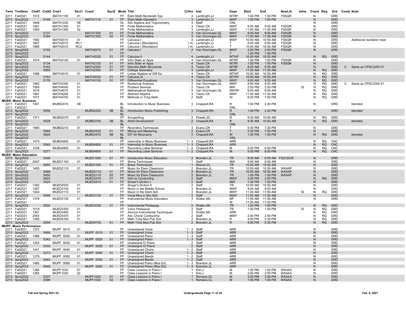|              | Term TrmDesc                                    | CIsN1 CIsN2 Crse1 |              |                                    |                 | Sect1 Crse2                        | Sect2 Mode Title |                  |                                                          | CrHrs Inst                   |                                        | Days                      | Start                | End                  | NewLib          | Intns     | Cnsnt Req |                        |                          | Grd Comb Note              |
|--------------|-------------------------------------------------|-------------------|--------------|------------------------------------|-----------------|------------------------------------|------------------|------------------|----------------------------------------------------------|------------------------------|----------------------------------------|---------------------------|----------------------|----------------------|-----------------|-----------|-----------|------------------------|--------------------------|----------------------------|
|              | 2211 Fall2021                                   | 1572              |              | <b>MATH1100</b>                    | 01              |                                    |                  |                  | FF Elem Math-Numeratn Sys                                |                              | 4 Lambright, JJ                        | <b>MTRF</b>               | 1:00 PM              | 1:50 PM              | FS5QR           |           | N         |                        | GRD                      |                            |
|              | 2213 Spra2022                                   |                   | 5149         |                                    |                 | <b>MATH1110</b>                    | 01               |                  | FF Elem Math-Geometry                                    |                              | 3 Lambright.JJ                         | <b>MWF</b>                | 1:00 PM              | 1:50 PM              |                 |           |           |                        | <b>GRD</b>               |                            |
|              | 2211 Fall2021                                   | 1648              |              | <b>MATH1220</b>                    | '0E             |                                    |                  | OL               | Adv Algebra and Trigonometry                             |                              | `3 Staff                               | ONL                       |                      |                      |                 |           | N         |                        | GRD                      |                            |
| 2211         | Fall2021<br>2211 Fall2021                       | 1581<br>1595      |              | <b>MATH1300</b><br><b>MATH1300</b> | 01<br>02        |                                    |                  | FF<br>FF.        | <b>Finite Mathematics</b><br><b>Finite Mathematics</b>   | $\cdot$ 3                    | 3 Taylor, CK<br>Lambright, JJ          | <b>MWF</b><br><b>MWF</b>  | 9:00 AM<br>11:00 AM  | 9:50 AM<br>11:50 AM  | FS5QR<br>FS5QR  |           |           |                        | GRD<br>GRD               |                            |
|              | 2213 Sprg2022                                   |                   | 5137         |                                    |                 | MATH1300                           | 01               | FF.              | <b>Finite Mathematics</b>                                |                              | 3 Van Groningen, GL                    | <b>MWF</b>                | 8:00 AM              | 8:50 AM              | FS5QR           |           |           |                        | <b>GRD</b>               |                            |
|              | 2213 Spra2022                                   |                   | 5164         |                                    |                 | <b>MATH1300</b>                    | 02 <sub>2</sub>  | FF.              | <b>Finite Mathematics</b>                                |                              | 3 Van Groningen, GL                    | <b>MWF</b>                | 11:00 AM             | 11:50 AM             | FS5QR           |           |           |                        | <b>GRD</b>               |                            |
|              | 2211 Fall2021                                   | 1582              |              | <b>MATH2010</b>                    | 01              |                                    |                  | FF               | Calculus I                                               |                              | 4 Lambright, JJ                        | <b>MWF</b>                | 10:00 AM             | 10:50 AM             | FS5QR           |           | N         |                        | GRD                      | Additional recitation regd |
| 2211         | Fall2021                                        | 1667              |              | <b>MATH2010</b>                    | RC <sub>1</sub> |                                    |                  | FF               | Calculus I [Recitation]                                  |                              | (4) Lambright, JJ                      | T.                        | 8:00 AM              | 8:50 AM              | FS5QR           |           |           |                        | GRD                      |                            |
|              | 2211 Fall2021                                   | 1668              |              | <b>MATH2010</b>                    | RC <sub>2</sub> |                                    |                  | FF               | Calculus I [Recitation]                                  | (4)                          | Lambright, JJ                          | T.                        | 10:00 AM             | 10:50 AM             | FS5QR           |           |           |                        | GRD                      |                            |
|              | 2213 Sprg2022                                   |                   | 5193         |                                    |                 | <b>MATH2010</b>                    | 01               | FF.              | Calculus I                                               |                              | Van Groningen, GL                      | <b>MWF</b>                | 2:00 PM              | 2:50 PM              | FS5QR           |           | N         |                        | <b>GRD</b>               |                            |
|              | 2213 Sprg2022<br>2213 Sprg2022                  |                   | 5144         |                                    |                 | <b>MATH2020</b>                    | 01               | FF<br>FF.        | Calculus II                                              |                              | 4 Lambright, JJ                        | <b>MTWF</b>               | 1:00 PM<br>10:00 AM  | 1:50 PM<br>10:50 AM  |                 |           | N         | <b>RQ</b>              | GRD                      |                            |
|              | 2211 Fall2021                                   | 1574              |              | MATH2120                           | 01              |                                    |                  | FF.              | Intro Stats w/ Apps                                      |                              | 4 Van Groningen, GL                    | <b>MTRF</b>               | 1:00 PM              | 1:50 PM              | FS5QR           |           |           |                        | GRD                      |                            |
|              | 2213 Sprg2022                                   |                   | 5134         |                                    |                 | <b>MATH2120</b>                    | 01               | FF.              | Intro Stats w/ Apps                                      |                              | 4 Taylor, CK                           | <b>MTRF</b>               | 1:00 PM              | 1:50 PM              | FS5QR           |           | N         |                        | <b>GRD</b>               |                            |
|              | 2213 Sprg2022                                   |                   | 5142         |                                    |                 | <b>MATH2200</b>                    | 01               | FF.              | <b>Discrete Math Structures</b>                          |                              | `4 Taylor, CK                          | <b>MTRF</b>               | 8:00 AM              | 8:50 AM              |                 |           |           |                        | <b>GRD</b>               | C Same as CPSC2250 01      |
|              | 2213 Sprg2022                                   |                   | 5855         |                                    |                 | <b>MATH2300</b>                    | 01               | FF.              | <b>College Geometry</b>                                  |                              | 3 Lambright, JJ                        | <b>MWF</b>                | 11:00 AM             | 11:50 AM             |                 |           | N         | <b>RQ</b>              | GRD                      |                            |
|              | 2211 Fall2021                                   | 1586              |              | MATH3010                           | 01              |                                    |                  | FF               | Linear Algebra w/ Diff Eq                                |                              | 4 Taylor, CK                           | <b>MTWF</b>               | 10:00 AM             | 10:50 AM             |                 |           | N         | RQ                     | GRD                      |                            |
| 2213<br>2213 | Sprg2022<br>Sprg2022                            |                   | 5153<br>5176 |                                    |                 | <b>MATH3020</b><br><b>MATH3100</b> | 01<br>01         | FF.<br>FF.       | Calculus III<br><b>Differential Equations</b>            | $4^{\circ}$<br>$3^{\circ}$   | Taylor, CK<br>Van Groningen, GL        | <b>MTWF</b><br><b>MWF</b> | 10:00 AM<br>9:00 AM  | 10:50 AM<br>9:50 AM  |                 |           | N         | <b>RQ</b><br><b>RQ</b> | <b>GRD</b><br><b>GRD</b> |                            |
|              | 2211 Fall2021                                   | 1982              |              | <b>MATH3300</b>                    | 01              |                                    |                  | FF               | <b>Numerical Analysis</b>                                |                              | 3 Van Groningen, GL                    | <b>MWF</b>                | 9:00 AM              | 9:50 AM              |                 |           | N         | <b>RQ</b>              | GRD                      | Same as CPSC3300 01<br>C   |
|              | 2211 Fall2021                                   | 1585              |              | MATH4000                           | 01              |                                    |                  | FF               | Problem Seminar                                          | $^{\circ}$ 2                 | Taylor, CK                             | MW                        | 2:00 PM              | 2:50 PM              |                 | SI        | N         | <b>RQ</b>              | GRD                      |                            |
|              | 2211 Fall2021                                   | 1616              |              | MATH4010                           | 01              |                                    |                  | FF               | <b>Mathematical Statistics</b>                           | $\Delta$                     | Van Groningen, GL                      | <b>MWRF</b>               | 8:00 AM              | 8:50 AM              |                 |           | N         | <b>RQ</b>              | GRD                      |                            |
| 2211         | <b>Fall2021</b>                                 | 1981              |              | <b>MATH4200</b>                    | 01              |                                    |                  | FF               | Abstract Algebra                                         |                              | 3 Taylor, CK                           | MWF                       | 11:00 AM             | 11:50 AM             |                 |           | N         | <b>RQ</b>              | GRD                      |                            |
|              | 2211 Fall2021                                   | 1577              |              | <b>MATH4700</b>                    | 01              |                                    |                  | FF.              | Methods in Tchg Math                                     |                              | 2 Staff                                | W                         | 6:00 PM              | 7:50 PM              |                 |           | N         | <b>RQ</b>              | GRD                      |                            |
|              | <b>MUBS: Music Business</b>                     |                   |              |                                    |                 |                                    |                  |                  |                                                          |                              |                                        |                           |                      |                      |                 |           |           |                        |                          |                            |
|              | 2211 Fall2021<br>2211 Fall2021                  | 1491              |              | <b>MUBS2010</b>                    | 0B              |                                    |                  | BL<br>BI         | Introduction to Music Business                           |                              | 3 Chappell, RA                         | R<br>ONL                  | 1:00 PM              | 2:20 PM              |                 |           | N         |                        | GRD                      | blended                    |
|              | 2213 Sprg2022                                   |                   | 5556         |                                    |                 | <b>MUBS2020</b>                    | 0B               | <b>BL</b>        | Introduction Music Publishing                            |                              | Chappell, RA                           | $\mathsf{R}$              | 1:00 PM              | 2:20 PM              |                 |           | N         |                        | <b>GRD</b>               | blended                    |
|              | 2213 Sprg2022                                   |                   |              |                                    |                 |                                    |                  | <b>BL</b>        |                                                          |                              |                                        | ONL                       |                      |                      |                 |           |           |                        |                          |                            |
|              | 2211 Fall2021                                   | 1371              |              | <b>MUBS2070</b>                    | 01              |                                    |                  | FF.              | Songwriting                                              |                              | 2 Powell, JG                           | R                         | 9:30 AM              | 10:50 AM             |                 |           | N         | <b>RQ</b>              | GRD                      |                            |
|              | 2213 Sprg2022                                   |                   | 5528         |                                    |                 | <b>MUBS3100</b>                    | 0B               | <b>BL</b>        | <b>Artist Development</b>                                | $^{\circ}$ 2                 | Chappell, RA                           | R                         | 9:30 AM              | 10:50 AM             |                 |           | N         | <b>RQ</b>              | <b>GRD</b>               | blended                    |
|              | 2213 Sprg2022<br>2211 Fall2021                  | 1560              |              | <b>MUBS3210</b>                    | 01              |                                    |                  | <b>BL</b><br>FF. | <b>Recording Techniques</b>                              |                              | 3 Evans, CR                            | <b>ONL</b><br>T.          | 5:30 PM              | 7:20 PM              |                 |           | N         |                        | GRD                      |                            |
|              | 2213 Sprg2022                                   |                   | 5949         |                                    |                 | <b>MUBS3220</b>                    | 01               | FF.              | Mixing and Mastering                                     | $^{\circ}$ 2                 | Evans, CR                              | T.                        | 5:30 PM              | 7:20 PM              |                 |           | N         |                        | <b>GRD</b>               |                            |
|              | 2213 Sprg2022                                   |                   | 5625         |                                    |                 | <b>MUBS3470</b>                    | 0B               | <b>BL</b>        | <b>DIY for Musicians</b>                                 | $\cdot$ 2                    | Chappell, RA                           | W                         | 1:00 PM              | 1:50 PM              |                 |           | N         | <b>RQ</b>              | GRD                      | blended                    |
|              | 2213 Sprg2022                                   |                   |              |                                    |                 |                                    |                  | <b>BL</b>        |                                                          |                              |                                        | ONL                       |                      |                      |                 |           |           |                        |                          |                            |
|              | 2211 Fall2021                                   | 1470              |              | <b>MUBS4800</b>                    | 01              |                                    |                  | FF.              | Internship in Music Business                             |                              | 1-3 Chappell, RA                       | <b>ARR</b>                |                      |                      |                 |           | N         | RQ                     | <b>CNC</b>               |                            |
|              | 2213 Sprg2022                                   |                   | 5540         |                                    |                 | MUBS4800                           | 01               | FF.              | Internship in Music Business                             |                              | 1-3 Chappell.RA                        | <b>ARR</b>                |                      |                      |                 |           | N         | <b>RQ</b>              | <b>CNC</b>               |                            |
|              | 2211 Fall2021                                   | 1236              |              | <b>MUBS4900</b>                    | 01              | <b>MUBS4900</b>                    |                  |                  | FF Recording Label Seminar<br>FF Recording Label Seminar |                              | 1 - 2 Chappell, RA<br>1-2 Chappell, RA | м<br>M                    | 5:00 PM              | 6:00 PM<br>6:00 PM   |                 |           | N<br>N    | <b>RQ</b><br><b>RQ</b> | <b>CNC</b><br><b>CNC</b> |                            |
|              | 2213 Sprg2022<br><b>MUED: Music Education</b>   |                   | 5277         |                                    |                 |                                    | 01               |                  |                                                          |                              |                                        |                           | 5:00 PM              |                      |                 |           |           |                        |                          |                            |
|              | 2213 Sprg2022                                   |                   | 5346         |                                    |                 | <b>MUED1000</b>                    | 01               | FF.              | <b>Introduction Music Education</b>                      |                              | 2 Brandon.JL                           | <b>TR</b>                 | 8:00 AM              |                      | 8:50 AM FS2CDCR |           |           |                        | <b>GRD</b>               |                            |
| 2211         | <b>Fall2021</b>                                 | 2047              |              | <b>MUED1100</b>                    | 01              |                                    |                  | FF.              | <b>String Techniques</b>                                 |                              | `1 Staff                               | MW                        | 9:00 AM              | 9:50 AM              |                 |           | N         |                        | GRD                      |                            |
|              | 2213 Sprg2022                                   |                   | 5950         |                                    |                 | <b>MUED1300</b>                    | 01               |                  | FF Brass Techniques                                      |                              | 1 Shaver, CL                           | <b>TR</b>                 | 10:00 AM             | 10:50 AM             |                 |           |           |                        | <b>GRD</b>               |                            |
|              | 2211 Fall2021                                   | 1405              |              | <b>MUED2110</b>                    | 01              |                                    |                  |                  | FF Music for Elem Classroom                              |                              | 2 Brandon, JL                          | <b>TR</b>                 | 10:00 AM             | 10:50 AM             | WK4AP           |           | N         |                        | GRD                      |                            |
|              | 2213 Sprg2022                                   |                   | 5488         |                                    |                 | <b>MUED2110</b>                    | 01               | FF.              | Music for Elem Classroom                                 |                              | 2 Brandon, JL                          | <b>TR</b>                 | 10:00 AM             | 10:50 AM             | WK4AP           |           | N         |                        | <b>GRD</b>               |                            |
| 2213<br>2213 | Sprg2022<br>Sprg2022                            |                   | 5450<br>5622 |                                    |                 | <b>MUED2110</b><br><b>MUED2470</b> | 02<br>01         | FF.<br>FF.       | Music for Elem Classroom<br>Intro to Conducting          | $^{\circ}$ 2<br>$^{\circ}$ 2 | Brandon, JL<br>Staff                   | <b>TR</b><br><b>MWF</b>   | 1:00 PM<br>2:00 PM   | 1:50 PM<br>2:50 PM   | WK4AP           |           | N<br>N    | <b>RQ</b>              | <b>GRD</b><br><b>GRD</b> |                            |
| 2213         | Sprg2022                                        |                   | 5424         |                                    |                 | <b>MUED2510</b>                    | 01               | FF.              | Singer's Diction I                                       | $^{\circ}$ 2                 | Staff                                  | <b>MW</b>                 | 1:00 PM              | 1:50 PM              |                 |           |           |                        | <b>GRD</b>               |                            |
|              | 2211 Fall2021                                   | 1382              |              | <b>MUED2520</b>                    | 01              |                                    |                  | FF               | Singer's Diction II                                      |                              | 2 Staff                                | <b>TR</b>                 | 10:00 AM             | 10:50 AM             |                 |           | N         |                        | GRD                      |                            |
|              | 2211 Fall2021                                   | 1287              |              | <b>MUED3100</b>                    | 01              |                                    |                  | FF               | Music in the Middle School                               | 3                            | Brandon, JL                            | <b>MWF</b>                | 8:00 AM              | 8:50 AM              |                 |           | N         |                        | GRD                      |                            |
|              | 2211 Fall2021                                   | 1404              |              | MUED3110                           | 01              |                                    |                  | FF               | Music in the Elem Sch                                    |                              | ` 3 Brandon, JL                        | <b>MWF</b>                | 11:00 AM             | 11:50 AM             |                 | <b>SI</b> | N         | <b>RQ</b>              | GRD                      |                            |
|              | 2213 Sprg2022                                   |                   | 5499         |                                    |                 | <b>MUED3120</b>                    | 01               | FF               | Vocal Mus in Sec Sch                                     |                              | 3 Staff                                | <b>MWF</b>                | 11:00 AM             | 11:50 AM             |                 |           | N         |                        | <b>GRD</b>               |                            |
|              | 2211 Fall2021<br>2211 Fall2021                  | 1378              |              | <b>MUED3130</b>                    | 01              |                                    |                  | FF.<br>FF        | Instrumental Music Education                             |                              | 3 Waller, AN                           | MF.<br>W                  | 11:00 AM<br>11:00 AM | 11:50 AM<br>11:50 PM |                 |           | N         |                        | GRD                      |                            |
|              | 2213 Sprg2022                                   |                   | 5532         |                                    |                 | MUED3330                           | 01               |                  | FF Instrumental Pedagogy                                 |                              | 2 Waller, AN                           | <b>TR</b>                 | 1:00 PM              | 1:50 PM              |                 |           | N         | <b>RQ</b>              | GRD                      |                            |
|              | 2211 Fall2021                                   | 1518              |              | <b>MUED3350</b>                    | 01              |                                    |                  | FF               | Voice Pedagogy                                           |                              | 2 Staff                                | TR                        | 1:00 PM              | 1:50 PM              |                 | -SI       | N         | <b>RQ</b>              | GRD                      |                            |
| 2211         | <b>Fall2021</b>                                 | 1361              |              | <b>MUED3460</b>                    | 01              |                                    |                  | FF               | <b>Advncd Instrumental Techniques</b>                    |                              | 2 Waller, AN                           | <b>ARR</b>                |                      |                      |                 |           | N         | <b>RQ</b>              | GRD                      |                            |
|              | 2211 Fall2021                                   | 2054              |              | <b>MUED3470</b>                    | 01              |                                    |                  | FF               | Adv Choral Conducting                                    | $^{\circ}$ 2                 | Staff                                  | <b>MWF</b>                | 2:00 PM              | 2:50 PM              |                 |           | N         | <b>RQ</b>              | GRD                      |                            |
|              | 2211 Fall2021                                   | 1395              |              | <b>MUED4700</b>                    | 01              |                                    |                  | FF.              | Meth Tchg Mus Pub Sch                                    |                              | 2 Brandon, JL                          | R                         | 4:00 PM              | 5:30 PM              |                 |           | N         | <b>RQ</b>              | GRD                      |                            |
|              | 2213 Sprg2022<br><b>MUPF: Music Performance</b> |                   | 5509         |                                    |                 | <b>MUED4700</b>                    | 01               |                  | FF Meth Tcha Mus Pub Sch                                 |                              | 2 Brandon.JL                           | R.                        |                      | 4:00 PM 5:30 PM      |                 |           | N         | <b>RQ</b>              | <b>GRD</b>               |                            |
|              | 2211 Fall2021                                   | 1372              |              | MUPF 0010                          | 01              |                                    |                  |                  | FF Unassigned Voice                                      | `1 - 3 Staff                 |                                        | <b>ARR</b>                |                      |                      |                 |           |           |                        | GRD                      |                            |
|              | 2213 Sprg2022                                   |                   | 5466         |                                    |                 | MUPF 0010                          | $_{\bigcirc}$ 01 |                  | FF Unassigned Voice                                      | $1 - 3$ Staff                |                                        | <b>ARR</b>                |                      |                      |                 |           |           |                        | <b>GRD</b>               |                            |
|              | 2211 Fall2021                                   | 1369              |              | <b>MUPF 0020</b>                   | 01              |                                    |                  |                  | FF Unassigned Piano                                      | 1 - 3 Staff                  |                                        | <b>ARR</b>                |                      |                      |                 |           |           |                        | GRD                      |                            |
|              | 2213 Sprg2022                                   |                   | 5342         |                                    |                 | MUPF 0020                          | 01               |                  | FF Unassigned Piano                                      | $1 - 3$ Staff                |                                        | <b>ARR</b>                |                      |                      |                 |           | N         |                        | <b>GRD</b>               |                            |
|              | 2211 Fall2021                                   | 1253              |              | MUPF 0030                          | 01              |                                    |                  |                  | FF Unassignd Cl Piano                                    |                              | 2 Staff                                | <b>ARR</b>                |                      |                      |                 |           | N         |                        | GRD                      |                            |
|              | 2213 Sprg2022<br>2211 Fall2021                  | 1431              | 5335         | MUPF 0040                          | 01              | MUPF 0030                          | $_{01}$          |                  | FF Unassignd Cl Piano<br>FF Unassigned Choirs            | $1 - 2$ Staff                | `2 Staff                               | <b>ARR</b><br><b>ARR</b>  |                      |                      |                 |           | N<br>N    |                        | <b>GRD</b><br>GRD        |                            |
|              | 2213 Sprg2022                                   |                   | 5373         |                                    |                 | <b>MUPF 0040</b>                   | $_{01}$          |                  | FF Unassigned Choirs                                     | 1-2 Staff                    |                                        | <b>ARR</b>                |                      |                      |                 |           | N         |                        | <b>GRD</b>               |                            |
|              | 2211 Fall2021                                   | 1279              |              | <b>MUPF 0050</b>                   | 01              |                                    |                  |                  | FF Unassigned Bands                                      | $1 - 2$ Staff                |                                        | <b>ARR</b>                |                      |                      |                 |           | N         |                        | GRD                      |                            |
|              | 2213 Sprg2022                                   |                   | 5443         |                                    |                 | <b>MUPF 0050</b>                   | $_{\bigcirc}$ 01 |                  | FF Unassigned Bands                                      | $1 - 2$ Staff                |                                        | <b>ARR</b>                |                      |                      |                 |           |           |                        | <b>GRD</b>               |                            |
|              | 2211 Fall2021                                   | 1485              |              | <b>MUPF 0060</b>                   | 01              |                                    |                  |                  | FF Unassigned Piano (Mus Ed)                             |                              | 1 - 3 Brandon, JL                      | <b>ARR</b>                |                      |                      |                 |           | N         |                        | GRD                      |                            |
|              | 2213 Sprg2022                                   |                   | 5549         |                                    |                 | <b>MUPF 0060</b>                   | 01               |                  | FF Unassigned Piano (Mus Ed)                             |                              | 1 - 3 Brandon, JL                      | <b>ARR</b>                |                      |                      |                 |           | N         |                        | <b>GRD</b>               |                            |
|              | 2211 Fall2021<br>2211 Fall2021                  | 1380              |              | MUPF1030                           | 01              |                                    |                  |                  | FF Class Lessons in Piano I<br>FF Class Lessons in Piano |                              | $\cdot$ 1 Kim, J                       | м<br>м                    | 1:00 PM              | 1:50 PM              | WK4AX           |           | N         |                        | GRD<br>GRD               |                            |
|              | 2213 Sprg2022                                   | 1283              | 5337         | <b>MUPF1030</b>                    | 02              | <b>MUPF1030</b>                    | 01               |                  | FF Class Lessons in Piano I                              |                              | 1 Kim, J<br>1 Romano, CL               | M                         | 2:00 PM<br>3:00 PM   | 2:50 PM<br>3:50 PM   | WK4AX<br>WK4AX  |           | N<br>N    |                        | <b>GRD</b>               |                            |
|              | 2213 Sprg2022                                   |                   | 5398         |                                    |                 | <b>MUPF1030</b>                    | 02               |                  | FF Class Lessons in Piano I                              |                              | 1 Romano, CL                           | M                         | 1:00 PM              | 1:50 PM              | WK4AX           |           | N         |                        | <b>GRD</b>               |                            |
|              |                                                 |                   |              |                                    |                 |                                    |                  |                  |                                                          |                              |                                        |                           |                      |                      |                 |           |           |                        |                          |                            |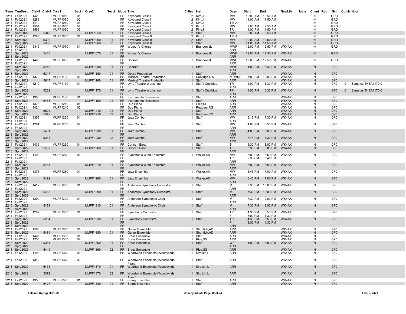| Term TrmDesc                   |              | CISN1 CISN2 Crse1 |                                    |          | Sect1 Crse2     | Sect2 Mode Title |            |                                                          | Crilirs Inst |                             | Days                    | Start              | End                            | Newl ib        | Intns Cnsnt Req |                   | Grd Comb Note            |
|--------------------------------|--------------|-------------------|------------------------------------|----------|-----------------|------------------|------------|----------------------------------------------------------|--------------|-----------------------------|-------------------------|--------------------|--------------------------------|----------------|-----------------|-------------------|--------------------------|
| 2211 Fall2021                  | 1420         |                   | <b>MUPF1050</b>                    | 01       |                 |                  | FF.        | Keyboard Class I                                         |              | 2 Kim, J                    | <b>MW</b>               |                    | 10:00 AM  10:50 AM             |                | N               | GRD               |                          |
| 2211 Fall2021                  | 1286         |                   | <b>MUPF1050</b>                    | 02       |                 |                  | FF         | Keyboard Class                                           |              | `2 Kim,J                    | MW                      |                    | 11:00 AM 11:50 AM              |                |                 | GRD               |                          |
| 2211 Fall2021                  | 1410         |                   | <b>MUPF1050</b>                    | 03       |                 |                  | FF         | Keyboard Class                                           |              | `2 Kim,J                    | T.B.A.                  |                    |                                |                |                 | GRD               |                          |
| 2211 Fall2021                  | 1564         |                   | <b>MUPF1050</b>                    | 04       |                 |                  | FF         | Keyboard Class                                           |              | 2 Kim, J                    | MW                      | 9:00 AM            | 9:50 AM                        |                |                 | GRD               |                          |
| 2211 Fall2021                  | 1565         |                   | <b>MUPF1050</b>                    | 05       |                 |                  | FF.        | Keyboard Class                                           |              | 2 Pine, N                   | TR                      | 1:00 PM            | 1:50 PM                        |                |                 | GRD               |                          |
| 2213 Sprg2022                  |              | 5348              |                                    |          | <b>MUPF1050</b> | 01               | FF.        | <b>Keyboard Class I</b>                                  |              | 2 Staff                     | <b>MW</b>               |                    | 9:00 AM 9:50 AM                |                |                 | <b>GRD</b>        |                          |
| 2211 Fall2021                  | 1285         |                   | MUPF1060                           | 01       | <b>MUPF1060</b> |                  | FF.<br>FF. | <b>Keyboard Class II</b><br><b>Keyboard Class II</b>     |              | `2 Kim,J<br>2 Staff         | T.B.A<br><b>MW</b>      |                    |                                |                | N               | GRD<br><b>GRD</b> |                          |
| 2213 Sprg2022<br>2213 Sprg2022 |              | 5392<br>5339      |                                    |          | <b>MUPF1060</b> | 01<br>02         | FF.        | <b>Keyboard Class II</b>                                 |              | 2 Staff                     | <b>MW</b>               | 11:00 AM           | 10:00 AM  10:50 AM<br>11:50 AM |                | N               | <b>GRD</b>        |                          |
| 2211 Fall2021                  | 1349         |                   | <b>MUPF1070</b>                    | 01       |                 |                  | FF.        | Women's Chorus                                           |              | Brandon, JL                 | <b>MWF</b>              | 12:00 PM           | 12:50 PM                       | WK4AX          | N               | GRD               |                          |
| 2211 Fall2021                  |              |                   |                                    |          |                 |                  | <b>FF</b>  |                                                          |              |                             | <b>ARR</b>              |                    |                                |                |                 |                   |                          |
| 2213 Sprg2022                  |              | 5455              |                                    |          | <b>MUPF1070</b> | 01               | FF.        | Women's Chorus                                           |              | Brandon, JL                 | <b>MWF</b>              | 12:00 PM           | 12:50 PM                       | WK4AX          | N               | <b>GRD</b>        |                          |
| 2213 Sprg2022                  |              |                   |                                    |          |                 |                  | FF.        |                                                          |              |                             | <b>ARR</b>              |                    |                                |                |                 |                   |                          |
| 2211 Fall2021                  | 1408         |                   | <b>MUPF1080</b>                    | 01       |                 |                  | FF.        | Chorale                                                  | $^{\circ}$ 1 | Brandon, JL                 | <b>MWF</b>              | 12:00 PM           | 12:50 PM                       | WK4AX          | N               | GRD               |                          |
| 2211 Fall2021                  |              |                   |                                    |          |                 |                  | FF         |                                                          |              |                             | ARR                     |                    |                                |                |                 |                   |                          |
| 2213 Sprg2022                  |              | 5446              |                                    |          | <b>MUPF1080</b> | 01               | FF.        | Chorale                                                  |              | Staff                       | <b>MWF</b>              | 4:00 PM            | 5:30 PM                        | WK4AX          | N               | <b>GRD</b>        |                          |
| 2213 Sprg2022                  |              |                   |                                    |          | <b>MUPF1150</b> |                  | FF.        |                                                          |              | `1 Staff                    | <b>ARR</b>              |                    |                                | WK4AX          | N               | GRD               |                          |
| 2213 Sprg2022<br>2211 Fall2021 | 1379         | 5317              | <b>MUPF1160</b>                    | 01       |                 | 01               | FF.        | FF Opera Production<br><b>Musical Theatre Production</b> |              | Coolidge,DW                 | ARR<br><b>MTWRF</b>     |                    | 7:00 PM 10:00 PM               | WK4AX          |                 | GRD               |                          |
| 2213 Sprg2022                  |              | 5617              |                                    |          | <b>MUPF1160</b> | 01               | FF.        | <b>Musical Theatre Production</b>                        |              | `1 Staff                    | <b>ARR</b>              |                    |                                | WK4AX          |                 | GRD               |                          |
| 2211 Fall2021                  | 1210         |                   | <b>MUPF1170</b>                    | 01       |                 |                  | FF.        | Lyric Theatre Workshop                                   |              | Staff / Coolidge            | TR                      | 4:00 PM            | 6:30 PM                        | WK4AX          | N               | GRD               | Same as THEA1170 01<br>C |
| 2211 Fall2021                  |              |                   |                                    |          |                 |                  | FF.        |                                                          |              |                             | <b>ARR</b>              |                    |                                |                |                 |                   |                          |
| 2213 Sprg2022                  |              | 5282              |                                    |          | <b>MUPF1170</b> | 01               | FF.        | Lyric Theatre Workshop                                   |              | 1 Staff / Coolidge          | TR                      | 4:00 PM            | 6:30 PM                        | WK4AX          | N.              | <b>GRD</b>        | C Same as THEA1170 01    |
| 2213 Sprg2022                  |              |                   |                                    |          |                 |                  | FF.        |                                                          |              |                             | <b>ARR</b>              |                    |                                |                |                 |                   |                          |
| 2211 Fall2021                  | 1385         |                   | <b>MUPF1190</b>                    | 01       |                 |                  | FF.        | Instrumental Ensemble                                    |              | `1 Staff                    | ARR                     |                    |                                | WK4AX          | N               | GRD               |                          |
| 2213 Sprg2022                  |              | 5453              |                                    |          | <b>MUPF1190</b> | 01               | FF.        | Instrumental Ensemble                                    |              | 1 Staff                     | <b>ARR</b>              |                    |                                | WK4AX          |                 | GRD               |                          |
| 2211 Fall2021<br>2211 Fall2021 | 1375<br>1424 |                   | <b>MUPF1210</b><br><b>MUPF1210</b> | 01<br>02 |                 |                  | FF.<br>FF. | Duo Piano<br>Duo Piano                                   |              | 1 Edie, RL<br>1 Rodgers, RG | <b>ARR</b><br>ARR       |                    |                                | WK4AX<br>WK4AX | N               | GRD<br>GRD        |                          |
| 2213 Sprg2022                  |              | 5525              |                                    |          | <b>MUPF1210</b> | -01              | FF.        | Duo Piano                                                | $^{\circ}$ 1 | Staff                       | <b>ARR</b>              |                    |                                | WK4AX          | N               | GRD               |                          |
| 2213 Sprg2022                  |              | 5349              |                                    |          | <b>MUPF1210</b> | 02               | FF.        | Duo Piano                                                | $\cdot$ 1    | Rodgers, RG                 | <b>ARR</b>              |                    |                                | WK4AX          |                 | <b>GRD</b>        |                          |
| 2211 Fall2021                  | 1355         |                   | <b>MUPF1230</b>                    | 01       |                 |                  | FF.        | Jazz Combo                                               |              | Staff                       | MW                      | 6:15 PM            | 7:30 PM                        | WK4AX          | N               | GRD               |                          |
| 2211 Fall2021                  |              |                   |                                    |          |                 |                  | <b>FF</b>  |                                                          |              |                             | <b>ARR</b>              |                    |                                |                |                 |                   |                          |
| 2211 Fall2021                  | 1261         |                   | <b>MUPF1230</b>                    | 02       |                 |                  | FF.        | Jazz Combo                                               | $^{\circ}$ 1 | Staff                       | MW                      | 4:00 PM            | 5:50 PM                        | WK4AX          | N               | GRD               |                          |
| 2211 Fall2021                  |              |                   |                                    |          |                 |                  | FF         |                                                          |              |                             | <b>ARR</b>              |                    |                                |                |                 |                   |                          |
| 2213 Sprg2022                  |              | 5401              |                                    |          | <b>MUPF1230</b> | 01               | FF.        | Jazz Combo                                               |              | Staff                       | <b>MW</b>               | 4:00 PM            | 5:00 PM                        | WK4AX          |                 | <b>GRD</b>        |                          |
| 2213 Sprg2022<br>2213 Sprg2022 |              | 5343              |                                    |          | <b>MUPF1230</b> | 02               | FF.<br>FF. | Jazz Combo                                               | $^{\circ}$ 1 | Staff                       | <b>ARR</b><br><b>MW</b> | 6:15 PM            | 7:30 PM                        | WK4AX          | N               | GRD               |                          |
| 2213 Sprg2022                  |              |                   |                                    |          |                 |                  | FF.        |                                                          |              |                             | <b>ARR</b>              |                    |                                |                |                 |                   |                          |
| 2211 Fall2021                  | 1436         |                   | <b>MUPF1260</b>                    | 01       |                 |                  | FF.        | Concert Band                                             |              | `1 Staff                    | T.                      | 6:30 PM            | 8:00 PM                        | WK4AX          | N               | GRD               |                          |
| 2213 Sprg2022                  |              | 5502              |                                    |          | <b>MUPF1260</b> | 01               | FF.        | <b>Concert Band</b>                                      |              | Staff                       | T.                      | 6:30 PM            | 8:00 PM                        | WK4AX          | N               | <b>GRD</b>        |                          |
| 2213 Sprg2022                  |              |                   |                                    |          |                 |                  | FF         |                                                          |              |                             | <b>ARR</b>              |                    |                                |                |                 |                   |                          |
| 2211 Fall2021                  | 1402         |                   | <b>MUPF1270</b>                    | 01       |                 |                  | FF         | Symphonic Wind Ensemble                                  | ` 1          | Waller, AN                  | MW                      | 3:00 PM            | 3:50 PM                        | WK4AX          | N               | GRD               |                          |
| 2211 Fall2021                  |              |                   |                                    |          |                 |                  | FF         |                                                          |              |                             | TR                      | 2:30 PM            | 3:45 PM                        |                |                 |                   |                          |
| 2211 Fall2021                  |              |                   |                                    |          | <b>MUPF1270</b> |                  | EF         |                                                          |              |                             | ARR                     |                    |                                |                | N               | GRD               |                          |
| 2213 Sprg2022<br>2213 Sprg2022 |              | 5464              |                                    |          |                 | 01               | FF.<br>FF  | <b>Symphonic Wind Ensemble</b>                           |              | Waller, AN                  | <b>MW</b><br><b>ARR</b> | 3:00 PM            | 3:50 PM                        | WK4AX          |                 |                   |                          |
| 2211 Fall2021                  | 1376         |                   | <b>MUPF1280</b>                    | 01       |                 |                  | FF.        | Jazz Ensemble                                            | $^{\circ}$ 1 | Waller, AN                  | MW                      | 5:45 PM            | 7:00 PM                        | WK4AX          | N               | GRD               |                          |
| 2211 Fall2021                  |              |                   |                                    |          |                 |                  | FF         |                                                          |              |                             | ARR                     |                    |                                |                |                 |                   |                          |
| 2213 Sprg2022                  |              | 5492              |                                    |          | <b>MUPF1280</b> | 01               | FF.        | Jazz Ensemble                                            |              | `1 Waller, AN               | <b>MW</b>               | 5:45 PM            | 7:00 PM                        | WK4AX          | N               | GRD               |                          |
| 2213 Sprg2022                  |              |                   |                                    |          |                 |                  | FF.        |                                                          |              |                             | <b>ARR</b>              |                    |                                |                |                 |                   |                          |
| 2211 Fall2021                  | 1417         |                   | <b>MUPF1290</b>                    | 01       |                 |                  | FF         | Anderson Symphony Orchestra                              |              | `1 Staff                    | м                       | 7:30 PM            | 10:00 PM                       | WK4AX          | N               | GRD               |                          |
| 2211 Fall2021                  |              |                   |                                    |          |                 |                  | FF<br>FF.  |                                                          |              |                             | <b>ARR</b>              |                    |                                |                |                 |                   |                          |
| 2213 Sprg2022<br>2213 Sprg2022 |              | 5468              |                                    |          | <b>MUPF1290</b> | 01               | FF         | Anderson Symphony Orchestra                              |              | `1 Staff                    | M<br><b>ARR</b>         | 7:30 PM            | 10:00 PM                       | WK4AX          | N.              | <b>GRD</b>        |                          |
| 2211 Fall2021                  | 1390         |                   | MUPF1310                           | 01       |                 |                  | FF.        | Anderson Symphonic Choir                                 |              | `1 Staff                    | м                       | 7:30 PM            | 9:00 PM                        | WK4AX          | N               | GRD               |                          |
| 2211 Fall2021                  |              |                   |                                    |          |                 |                  | FF         |                                                          |              |                             | ARR                     |                    |                                |                |                 |                   |                          |
| 2213 Sprg2022                  |              | 5458              |                                    |          | <b>MUPF1310</b> | 01               | FF.        | Anderson Symphonic Choir                                 |              | `1 Staff                    | M                       | 7:30 PM            | 9:00 PM                        | WK4AX          | N               | <b>GRD</b>        |                          |
| 2213 Sprg2022                  |              |                   |                                    |          |                 |                  | FF.        |                                                          |              |                             | <b>ARR</b>              |                    |                                |                |                 |                   |                          |
| 2211 Fall2021                  | 1209         |                   | <b>MUPF1330</b>                    | 01       |                 |                  | FF.        | Symphony Orchestra                                       |              | `1 Staff                    | TR                      | 4:30 PM            | 5:50 PM                        | WK4AX          | N               | GRD               |                          |
| 2211 Fall2021<br>2213 Sprg2022 |              | 5284              |                                    |          | <b>MUPF1330</b> | 01               | FF<br>FF.  | Symphony Orchestra                                       |              | Staff                       | <b>TR</b>               | 3:00 PM<br>4:30 PM | 4:30 PM<br>5:50 PM             | WK4AX          | N               | GRD               |                          |
| 2213 Sprg2022                  |              |                   |                                    |          |                 |                  | FF.        |                                                          |              |                             | F.                      | 3:00 PM            | 4:30 PM                        |                |                 |                   |                          |
| 2213 Sprg2022                  |              |                   |                                    |          |                 |                  | FF         |                                                          |              |                             | <b>ARR</b>              |                    |                                |                |                 |                   |                          |
| 2211 Fall2021                  | 1563         |                   | <b>MUPF1350</b>                    | 01       |                 |                  |            | FF Guitar Ensemble                                       |              | 1 Shuntich, AD              | <b>ARR</b>              |                    |                                | WK4AX          | N               | GRD               |                          |
| 2213 Sprg2022                  |              | 5484              |                                    |          | <b>MUPF1350</b> | 01               | FF.        | <b>Guitar Ensemble</b>                                   |              | 1 Shuntich, AD              | <b>ARR</b>              |                    |                                | WK4AX          |                 | <b>GRD</b>        |                          |
| 2211 Fall2021                  | 1407         |                   | <b>MUPF1360</b>                    | 01       |                 |                  |            | FF Brass Ensemble                                        |              | `1 Staff                    | ARR                     |                    |                                | WK4AX          | N               | GRD               |                          |
| 2211 Fall2021                  | 1258         |                   | MUPF1360                           | 02       |                 |                  |            | FF Brass Ensemble                                        |              | 1 Rice.SS                   | <b>ARR</b>              |                    |                                | WK4AX          | N               | GRD               |                          |
| 2213 Sprg2022                  |              | 5351              |                                    |          | <b>MUPF1360</b> | 01               |            | FF Brass Ensemble                                        |              | 1 Staff                     | WF                      | 4:00 PM            | 5:00 PM                        | WK4AX          | N               | GRD               |                          |
| 2213 Sprg2022<br>2213 Sprg2022 |              |                   |                                    |          | <b>MUPF1360</b> | 02               | FF         | FF Brass Ensemble                                        |              | 1 Rice, SS                  | <b>ARR</b>              |                    |                                | WK4AX          | N               | GRD               |                          |
| 2211 Fall2021                  | 1403         | 5449              | <b>MUPF1370</b>                    | 01       |                 |                  |            | FF Woodwind Ensemble [Woodwinds]                         |              | 1 Sirotkin,L                | <b>ARR</b><br>ARR       |                    |                                | WK4AX          | N               | GRD               |                          |
|                                |              |                   |                                    |          |                 |                  |            |                                                          |              |                             |                         |                    |                                |                |                 |                   |                          |
| 2211 Fall2021                  | 1342         |                   | <b>MUPF1370</b>                    | 02       |                 |                  |            | FF Woodwind Ensemble [Woodwinds                          |              | `1 Staff                    | <b>ARR</b>              |                    |                                | WK4AX          | Ν               | GRD               |                          |
|                                |              |                   |                                    |          |                 |                  |            | Pianol                                                   |              |                             |                         |                    |                                |                |                 |                   |                          |
| 2213 Sprg2022                  |              | 5471              |                                    |          | <b>MUPF1370</b> | 01               |            | FF Woodwind Ensemble [Woodwinds]                         |              | 1 Sirotkin,L                | ARR                     |                    |                                | WK4AX          | N               | GRD               |                          |
|                                |              |                   |                                    |          |                 |                  |            |                                                          |              |                             |                         |                    |                                |                |                 |                   |                          |
| 2213 Sprg2022                  |              | 5372              |                                    |          | <b>MUPF1370</b> | 02               |            | FF Woodwind Ensemble [Woodwinds                          |              | 1 Sirotkin, L               | ARR                     |                    |                                | WK4AX          | N               | GRD               |                          |
| 2211 Fall2021                  | 1350         |                   | <b>MUPF1380</b>                    | 01       |                 |                  |            | Pianol<br>FF String Ensemble                             |              | `1 Staff                    | <b>ARR</b>              |                    |                                | WK4AX          | N               | GRD               |                          |
| 2213 Sprg2022                  |              | 5427              |                                    |          | <b>MUPF1380</b> | 01               |            | FF String Ensemble                                       |              | `1 Staff                    | <b>ARR</b>              |                    |                                | WK4AX          | N               | GRD               |                          |
|                                |              |                   |                                    |          |                 |                  |            |                                                          |              |                             |                         |                    |                                |                |                 |                   |                          |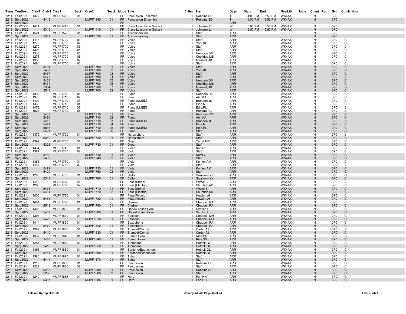| Term TrmDesc CIsN1 CIsN2 Crse1 |              |              |                                    | Sect1    | Crse2                              | Sect2 Mode Title |            |                                                         | CrHrs Inst   |                                | Days                     | <b>Start</b>       | End                | NewLib         | Intns | Cnsnt Reg | Grd                      | <b>Comb Note</b>            |
|--------------------------------|--------------|--------------|------------------------------------|----------|------------------------------------|------------------|------------|---------------------------------------------------------|--------------|--------------------------------|--------------------------|--------------------|--------------------|----------------|-------|-----------|--------------------------|-----------------------------|
| 2211 Fall2021                  | 1377         |              | <b>MUPF1390</b>                    | 01       |                                    |                  |            | FF Percussion Ensemble                                  |              | 1 Robbins, SD                  | T                        | 4:00 PM            | 5:50 PM            | WK4AX          |       | N         | GRD                      |                             |
| 2213 Sprg2022                  |              | 5445         |                                    |          | <b>MUPF1390</b>                    | 01               | FF.        | <b>Percussion Ensemble</b>                              |              | Robbins, SD                    | T.                       | 4:00 PM            | 5:50 PM            | WK4AX          |       |           | GRD                      |                             |
| 2213 Sprg2022                  |              |              |                                    |          |                                    |                  | FF         |                                                         |              |                                | <b>ARR</b>               |                    |                    |                |       |           |                          |                             |
| 2211 Fall2021<br>2213 Sprg2022 | 1411         | 5319         | <b>MUPF1410</b>                    | 01       | <b>MUPF1410</b>                    | 01               | FF         | Class Lessons in Guitar<br>FF Class Lessons in Guitar I |              | 1 Johnson, JJ<br>`1 Johnson,JJ | W<br>W                   | 5:00 PM<br>5:00 PM | 5:50 PM<br>5:50 PM | WK4AX<br>WK4AX |       |           | GRD<br><b>GRD</b>        |                             |
| 2211 Fall2021                  | 1524         |              | <b>MUPF1520</b>                    | 01       |                                    |                  | FF.        | Accompanying I                                          |              | `1 Staff                       | <b>ARR</b>               |                    |                    |                |       |           | GRD                      |                             |
| 2213 Sprg2022                  |              | 5587         |                                    |          | <b>MUPF1530</b>                    | 01               | FF.        | Accompanying II                                         |              | Staff                          | <b>ARR</b>               |                    |                    |                |       |           | <b>GRD</b>               |                             |
| 2211 Fall2021                  | 1415         |              | <b>MUPF1700</b>                    | 01       |                                    |                  | FF         | Voice                                                   | $^{\circ}$ 1 | Staff                          | ARR                      |                    |                    | WK4AX          |       |           | GRD                      | C                           |
| 2211 Fall2021<br>2211 Fall2021 | 1275<br>1270 |              | <b>MUPF1700</b><br><b>MUPF1700</b> | 02<br>03 |                                    |                  | FF.<br>FF. | Voice<br>Voice                                          | $\cdot$ 1    | York,KL<br>Staff               | <b>ARR</b><br><b>ARR</b> |                    |                    | WK4AX<br>WK4AX |       |           | GRD<br>GRD               | $\mathbf C$<br>$\mathsf{C}$ |
| 2211 Fall2021                  | 1394         |              | <b>MUPF1700</b>                    | 04       |                                    |                  | FF.        | Voice                                                   | $^{\circ}$ 1 | Staff                          | <b>ARR</b>               |                    |                    | WK4AX          |       |           | GRD                      | C                           |
| 2211 Fall2021                  | 1340         |              | <b>MUPF1700</b>                    | 05       |                                    |                  | FF.        | Voice                                                   |              | Huntoon, DM                    | <b>ARR</b>               |                    |                    | WK4AX          |       |           | GRD                      | C                           |
| 2211 Fall2021                  | 1276         |              | <b>MUPF1700</b>                    | 06       |                                    |                  | FF.        | Voice                                                   |              | Coolidge, MB                   | ARR                      |                    |                    | WK4AX          |       |           | GRD                      | C                           |
| 2211 Fall2021                  | 1330         |              | <b>MUPF1700</b>                    | 07       |                                    |                  | FF.        | Voice                                                   |              | Mannell,DB                     | <b>ARR</b>               |                    |                    | WK4AX          |       |           | GRD                      | C                           |
| 2211 Fall2021<br>2213 Sprg2022 | 1480         | 5491         | <b>MUPF1700</b>                    | 08       | <b>MUPF1700</b>                    | 01               | FF.<br>FF. | Voice<br>Voice                                          |              | Staff<br>Staff                 | <b>ARR</b><br><b>ARR</b> |                    |                    | WK4AX<br>WK4AX |       |           | GRD<br><b>GRD</b>        | C<br>C                      |
| 2213 Sprg2022                  |              | 5457         |                                    |          | <b>MUPF1700</b>                    | 02               | FF.        | Voice                                                   |              | York, KL                       | <b>ARR</b>               |                    |                    | WK4AX          |       |           | <b>GRD</b>               | C                           |
| 2213 Sprg2022                  |              | 5477         |                                    |          | <b>MUPF1700</b>                    | 03               | FF.        | Voice                                                   |              | Staff                          | <b>ARR</b>               |                    |                    | WK4AX          |       |           | <b>GRD</b>               | C                           |
| 2213 Sprg2022                  |              | 5473         |                                    |          | <b>MUPF1700</b>                    | 04               | FF.        | Voice                                                   |              | Staff                          | <b>ARR</b>               |                    |                    | WK4AX          |       |           | <b>GRD</b>               | $\mathsf{C}$                |
| 2213 Spra2022<br>2213 Sprg2022 |              | 5433<br>5474 |                                    |          | <b>MUPF1700</b><br><b>MUPF1700</b> | 05<br>06         | FF.<br>FF. | Voice                                                   |              | Huntoon.DM<br>Coolidge, MB     | <b>ARR</b><br><b>ARR</b> |                    |                    | WK4AX<br>WK4AX |       |           | <b>GRD</b><br><b>GRD</b> | $\mathcal{C}$               |
| 2213 Sprg2022                  |              | 5364         |                                    |          | <b>MUPF1700</b>                    | 07               | FF.        | Voice<br>Voice                                          |              | Mannell, DB                    | <b>ARR</b>               |                    |                    | WK4AX          |       |           | <b>GRD</b>               | C                           |
| 2213 Sprg2022                  |              | 5544         |                                    |          | <b>MUPF1700</b>                    | 08               | FF.        | Voice                                                   |              | Staff                          | <b>ARR</b>               |                    |                    | WK4AX          |       |           | <b>GRD</b>               | C                           |
| 2211 Fall2021                  | 1392         |              | <b>MUPF1710</b>                    | 01       |                                    |                  | FF.        | Piano                                                   |              | Rodgers, RG                    | <b>ARR</b>               |                    |                    | WK4AX          |       |           | GRD                      | C                           |
| 2211 Fall2021                  | 1373         |              | MUPF1710                           | 02       |                                    |                  | FF         | Piano                                                   |              | Ahn, KA                        | ARR                      |                    |                    | WK4AX          |       |           | GRD                      | C                           |
| 2211 Fall2021<br>2211 Fall2021 | 1409<br>1336 |              | <b>MUPF1710</b><br><b>MUPF1710</b> | 03<br>04 |                                    |                  | FF<br>FF   | Piano [MUED]<br>Piano                                   |              | Brandon, JL<br>Pine, N         | <b>ARR</b><br>ARR        |                    |                    | WK4AX<br>WK4AX |       |           | GRD<br>GRD               | C<br>C                      |
| 2211 Fall2021                  | 1472         |              | MUPF1710                           | 05       |                                    |                  | FF         | Piano [MUED]                                            |              | Edie, RL                       | ARR                      |                    |                    | WK4AX          |       |           | GRD                      | C                           |
| 2211 Fall2021                  | 1525         |              | <b>MUPF1710</b>                    | 06       |                                    |                  | FF.        | Piano                                                   |              | Romano, CL                     | <b>ARR</b>               |                    |                    | WK4AX          |       |           | GRD                      | C                           |
| 2213 Sprg2022                  |              | 5463         |                                    |          | <b>MUPF1710</b>                    | 01               | FF         | Piano                                                   |              | Rodgers, RG                    | <b>ARR</b>               |                    |                    | WK4AX          |       |           | <b>GRD</b>               | C                           |
| 2213 Sprg2022                  |              | 5460         |                                    |          | <b>MUPF1710</b>                    | 02               | FF.        | Piano                                                   |              | Ahn, KA                        | <b>ARR</b>               |                    |                    | WK4AX          |       |           | <b>GRD</b><br><b>GRD</b> | C<br>C                      |
| 2213 Sprg2022<br>2213 Sprg2022 |              | 5519<br>5441 |                                    |          | <b>MUPF1710</b><br><b>MUPF1710</b> | 03<br>04         | FF.<br>FF. | Piano [MUED]<br>Piano                                   |              | Brandon, JL<br>Pine, N         | <b>ARR</b><br><b>ARR</b> |                    |                    | WK4AX<br>WK4AX |       |           | <b>GRD</b>               | $\mathcal{C}$               |
| 2213 Sprg2022                  |              | 5536         |                                    |          | <b>MUPF1710</b>                    | 05               | FF.        | Piano [MUED]                                            |              | Edie, RL                       | <b>ARR</b>               |                    |                    | WK4AX          |       |           | <b>GRD</b>               | $\mathsf{C}$                |
| 2213 Sprg2022                  |              | 5591         |                                    |          | <b>MUPF1710</b>                    | 06               | FF.        | Piano                                                   |              | Staff                          | <b>ARR</b>               |                    |                    | WK4AX          |       |           | <b>GRD</b>               | C                           |
| 2211 Fall2021                  | 1370         |              | <b>MUPF1720</b>                    | 01       |                                    |                  | FF.        | Harpsichord                                             | $^{\circ}$ 1 | Staff                          | <b>ARR</b>               |                    |                    | WK4AX          |       |           | GRD                      | C                           |
| 2213 Sprg2022<br>2211 Fall2021 | 1399         | 5340         | <b>MUPF1730</b>                    | 01       | <b>MUPF1720</b>                    | 01               | FF.<br>FF. | Harpsichord<br>Organ                                    |              | Staff<br>1 Yetter, MR          | <b>ARR</b><br><b>ARR</b> |                    |                    | WK4AX<br>WK4AX |       |           | <b>GRD</b><br>GRD        | C<br>C                      |
| 2213 Sprg2022                  |              | 5328         |                                    |          | <b>MUPF1730</b>                    | 01               | FF.        | Organ                                                   |              | Staff                          | <b>ARR</b>               |                    |                    | WK4AX          |       |           | GRD                      | C                           |
| 2211 Fall2021                  | 1434         |              | <b>MUPF1740</b>                    | 01       |                                    |                  | FF.        | Violin                                                  |              | 1 Kumi, G                      | ARR                      |                    |                    | WK4AX          |       |           | GRD                      | C                           |
| 2211 Fall2021                  | 1387         |              | <b>MUPF1740</b>                    | 02       |                                    |                  | FF.        | Violin                                                  | $^{\circ}$ 1 | Staff                          | <b>ARR</b>               |                    |                    | WK4AX          |       |           | GRD                      | $\mathsf{C}$                |
| 2213 Sprg2022<br>2213 Sprg2022 |              | 5459<br>5439 |                                    |          | <b>MUPF1740</b><br><b>MUPF1740</b> | 01<br>02         | FF.<br>FF. | Violin<br>Violin                                        |              | Kumi, G<br>Staff               | <b>ARR</b><br><b>ARR</b> |                    |                    | WK4AX<br>WK4AX |       |           | <b>GRD</b><br>GRD        | C<br>C                      |
| 2211 Fall2021                  | 1386         |              | <b>MUPF1750</b>                    | 01       |                                    |                  | FF.        | Viola                                                   | $^{\circ}$ 1 | Kniffen, AM                    | <b>ARR</b>               |                    |                    | WK4AX          |       |           | GRD                      | C                           |
| 2211 Fall2021                  | 1447         |              | <b>MUPF1750</b>                    | 02       |                                    |                  | FF         | Viola                                                   |              | Staff                          | <b>ARR</b>               |                    |                    | WK4AX          |       |           | GRD                      | C                           |
| 2213 Sprg2022                  |              | 5479         |                                    |          | <b>MUPF1750</b>                    | 01               | FF.        | Viola                                                   | $\cdot$ 1    | Kniffen, AM                    | <b>ARR</b>               |                    |                    | WK4AX          |       |           | <b>GRD</b>               | C                           |
| 2213 Sprg2022                  |              | 5420         | <b>MUPF1760</b>                    | 01       | <b>MUPF1750</b>                    | 02               | FF.        | Viola<br>Cello                                          |              | Staff                          | <b>ARR</b>               |                    |                    | WK4AX          |       |           | <b>GRD</b><br>GRD        | C<br>C                      |
| 2211 Fall2021<br>2213 Sprg2022 | 1280         | 5341         |                                    |          | <b>MUPF1760</b>                    | 01               | FF.<br>FF. | Cello                                                   |              | Swanson, YK<br>Swanson, YK     | <b>ARR</b><br><b>ARR</b> |                    |                    | WK4AX<br>WK4AX |       |           | GRD                      | C                           |
| 2211 Fall2021                  | 1412         |              | <b>MUPF1770</b>                    | 01       |                                    |                  | FF         | Bass [String]                                           |              | 1 Witzel, B                    | ARR                      |                    |                    | WK4AX          |       |           | GRD                      | C                           |
| 2211 Fall2021                  | 1260         |              | <b>MUPF1770</b>                    | 02       |                                    |                  | FF.        | <b>Bass [Electric]</b>                                  | $^{\circ}$ 1 | Shuntich, AD                   | <b>ARR</b>               |                    |                    | WK4AX          |       |           | GRD                      | $\mathsf{C}$                |
| 2213 Sprg2022                  |              | 5478         |                                    |          | <b>MUPF1770</b>                    | 01               | FF.        | <b>Bass [String]</b>                                    |              | Witzel, B                      | <b>ARR</b>               |                    |                    | WK4AX          |       |           | <b>GRD</b>               | C                           |
| 2213 Sprg2022<br>2211 Fall2021 | 1400         | 5461         | <b>MUPF1780</b>                    | 01       | <b>MUPF1770</b>                    | 02               | FF.<br>FF. | <b>Bass [Electric]</b><br>Flute/Piccolo                 | $^{\circ}$ 1 | Shuntich, AD<br>Howlett, Al    | <b>ARR</b><br><b>ARR</b> |                    |                    | WK4AX<br>WK4AX |       |           | GRD<br>GRD               | C<br>C                      |
| 2213 Sprg2022                  |              | 5465         |                                    |          | <b>MUPF1780</b>                    | 01               | FF.        | Flute/Piccolo                                           |              | Howlett, AI                    | <b>ARR</b>               |                    |                    | WK4AX          |       |           | <b>GRD</b>               | C                           |
| 2211 Fall2021                  | 1401         |              | <b>MUPF1790</b>                    | 01       |                                    |                  | FF.        | Clarinet                                                |              | 1 Chappell, RA                 | <b>ARR</b>               |                    |                    | WK4AX          |       |           | GRD                      | C                           |
| 2213 Sprg2022                  |              | 5513         |                                    |          | <b>MUPF1790</b>                    | 01               | FF.        | Clarinet                                                |              | Chappell, RA                   | <b>ARR</b>               |                    |                    | WK4AX          |       |           | <b>GRD</b>               | C.                          |
| 2211 Fall2021<br>2213 Sprg2022 | 1406         | 5469         | <b>MUPF1800</b>                    | 01       | <b>MUPF1800</b>                    | 01               | FF.<br>FF. | Oboe/English Horn<br>Oboe/English Horn                  |              | 1 Sirotkin, L<br>1 Sirotkin, L | <b>ARR</b><br><b>ARR</b> |                    |                    | WK4AX<br>WK4AX |       |           | GRD<br>GRD               | C<br>C                      |
| 2211 Fall2021                  | 1397         |              | MUPF1810                           | 01       |                                    |                  | FF.        | Bassoon                                                 |              | 1 Chappell, MH                 | ARR                      |                    |                    | WK4AX          |       | N         | GRD                      | C                           |
| 2213 Sprg2022                  |              | 5423         |                                    |          | <b>MUPF1810</b>                    | 01               | FF.        | Bassoon                                                 |              | Chappell, MH                   | <b>ARR</b>               |                    |                    | WK4AX          |       |           | GRD                      |                             |
| 2211 Fall2021                  | 1414         |              | <b>MUPF1820</b>                    | 01       |                                    |                  | FF.        | Saxophone                                               |              | Chappell, RA                   | ARR                      |                    |                    | WK4AX          |       |           | GRD                      | C                           |
| 2213 Sprg2022<br>2211 Fall2021 | 1362         | 5470         | <b>MUPF1830</b>                    | 01       | <b>MUPF1820</b>                    | 01               | FF.<br>FF. | Saxophone<br>Trumpet/Cornet                             |              | Chappell, RA<br>1 Carter, AJ   | <b>ARR</b><br><b>ARR</b> |                    |                    | WK4AX<br>WK4AX |       |           | GRD<br><b>GRD</b>        | C<br>C                      |
| 2213 Sprg2022                  |              | 5410         |                                    |          | <b>MUPF1830</b>                    | 01               |            | FF Trumpet/Cornet                                       |              | 1 Carter, AJ                   | <b>ARR</b>               |                    |                    | WK4AX          |       |           | <b>GRD</b>               | C                           |
| 2211 Fall2021                  | 1337         |              | <b>MUPF1840</b>                    | 01       |                                    |                  |            | FF French Horn                                          |              | 1 Rice, SS                     | <b>ARR</b>               |                    |                    | WK4AX          |       | N         | GRD                      | C                           |
| 2213 Sprg2022                  |              |              |                                    |          | MUPF1840                           |                  |            | FF French Horr                                          |              | 1 Rice, SS                     | <b>ARR</b>               |                    |                    | WK4AX          |       |           | <b>GRD</b>               |                             |
| 2211 Fall2021                  | 1281         |              | <b>MUPF1850</b>                    | 01       |                                    |                  |            | FF Trombone                                             |              | 1 Hetrick, GL<br>1 Hetrick, GL | <b>ARR</b>               |                    |                    | WK4AX          |       | N<br>N    | GRD                      | C<br>C                      |
| 2213 Sprg2022<br>2211 Fall2021 | 1398         | 5416         | <b>MUPF1860</b>                    | 01       | <b>MUPF1850</b>                    | 01               |            | FF Trombone<br>FF Baritone/Euphonium                    |              | 1 Hetrick, GL                  | <b>ARR</b><br>ARR        |                    |                    | WK4AX<br>WK4AX |       | N         | <b>GRD</b><br>GRD        | C                           |
| 2213 Sprg2022                  |              | 5454         |                                    |          | <b>MUPF1860</b>                    | 01               |            | FF Baritone/Euphonium                                   |              | 1 Hetrick, GL                  | ARR                      |                    |                    | WK4AX          |       |           | GRD                      | C                           |
| 2211 Fall2021                  | 1383         |              | <b>MUPF1870</b>                    | 01       |                                    |                  |            | FF Tuba                                                 |              | `1 Staff                       | ARR                      |                    |                    | WK4AX          |       |           | GRD                      | C                           |
| 2213 Sprg2022                  |              | 5444         |                                    |          | <b>MUPF1870</b>                    | 01 FF Tuba       |            |                                                         |              | `1 Staff                       | ARR                      |                    |                    | WK4AX          |       |           | GRD                      | C                           |
| 2211 Fall2021<br>2211 Fall2021 | 1219<br>1222 |              | <b>MUPF1880</b><br><b>MUPF1880</b> | 01<br>02 |                                    |                  |            | FF Percussion<br>FF Percussion                          |              | 1 Robbins.SD<br>1 Staff        | <b>ARR</b><br><b>ARR</b> |                    |                    | WK4AX<br>WK4AX |       | N<br>N    | GRD<br>GRD               | C<br>C                      |
| 2213 Sprg2022                  |              | 5283         |                                    |          | <b>MUPF1880</b>                    | 01               |            | FF Percussion                                           |              | 1 Robbins, SD                  | ARR                      |                    |                    | WK4AX          |       | N         | GRD                      | $\mathsf{C}$                |
| 2213 Sprg2022                  |              | 5296         |                                    |          | <b>MUPF1880</b>                    | 02               |            | FF Percussion                                           |              | `1 Staff                       | <b>ARR</b>               |                    |                    | WK4AX          |       |           | <b>GRD</b>               | $\mathsf{C}$                |
| 2211 Fall2021                  | 1240         |              | <b>MUPF1885</b>                    | 01       |                                    |                  |            | FF Harp                                                 |              | `1 Fan, HH                     | <b>ARR</b>               |                    |                    | WK4AX          |       | N         | GRD                      | C                           |
| 2213 Sprg2022                  |              | 5307         |                                    |          | <b>MUPF1885</b>                    | 01 FF Harp       |            |                                                         |              | `1 Fan, HH                     | <b>ARR</b>               |                    |                    | WK4AX          |       | N         | GRD                      | $\mathsf{C}$                |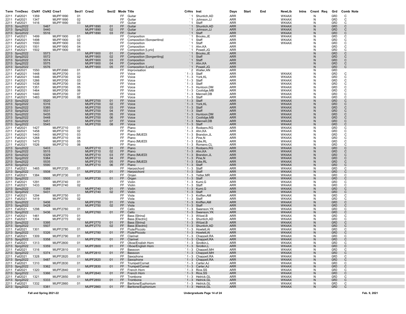|      | Term TrmDesc                   | CISN1 CISN2 Crse1 |      |                                    | Sect1    | Crse2           | Sect2 Mode Title |            |                                                 | CrHrs Inst                     |                                        | Days                     | Start | End | NewLib         | Intns | Cnsnt Req | Grd               | Comb Note    |  |
|------|--------------------------------|-------------------|------|------------------------------------|----------|-----------------|------------------|------------|-------------------------------------------------|--------------------------------|----------------------------------------|--------------------------|-------|-----|----------------|-------|-----------|-------------------|--------------|--|
|      | 2211 Fall2021                  | 1359              |      | <b>MUPF1890</b>                    | 01       |                 |                  | FF.        | Guitar                                          | $^{\circ}$ 1                   | Shuntich, AD                           | <b>ARR</b>               |       |     | WK4AX          |       | N         | GRD               | C            |  |
|      | 2211 Fall2021                  | 1347              |      | <b>MUPF1890</b>                    | 02       |                 |                  | FF.        | Guitar                                          |                                | Johnson, JJ                            | <b>ARR</b>               |       |     | WK4AX          |       | N         | GRD               | C            |  |
|      | 2211 Fall2021                  | 1416              |      | <b>MUPF1890</b>                    | 03       |                 |                  | FF.        | Guitar                                          | $^{\circ}$ 1                   | Staff                                  | <b>ARR</b>               |       |     | WK4AX          |       |           | GRD               | C            |  |
|      | 2213 Sprg2022                  |                   | 5467 |                                    |          | <b>MUPF1890</b> | 01               | FF.        | Guitar                                          |                                | Shuntich, AD                           | <b>ARR</b>               |       |     | WK4AX          |       |           | GRD               | C            |  |
|      | 2213 Sprg2022                  |                   | 5440 |                                    |          | <b>MUPF1890</b> | 02               | FF.        | Guitar                                          | $^{\circ}$ 1                   | Johnson, JJ                            | <b>ARR</b>               |       |     | WK4AX          |       |           | GRD               | C            |  |
|      | 2213 Sprg2022                  |                   | 5516 |                                    |          | <b>MUPF1890</b> | 03               | FF         | Guitar                                          | $^{\circ}$ 1<br>` 1            | Staff                                  | <b>ARR</b>               |       |     | WK4AX          |       |           | GRD               |              |  |
|      | 2211 Fall2021<br>2211 Fall2021 | 1499<br>1498      |      | <b>MUPF1900</b><br><b>MUPF1900</b> | 01<br>02 |                 |                  | FF.<br>FF. | Composition<br><b>Composition [Songwriting]</b> | $^{\circ}$ 1                   | Brooks, JE<br>Staff                    | <b>ARR</b><br><b>ARR</b> |       |     | WK4AX<br>WK4AX |       |           | GRD<br>GRD        | C<br>C       |  |
|      | 2211 Fall2021                  | 1500              |      | <b>MUPF1900</b>                    | 03       |                 |                  | FF.        | Composition                                     | $^{\circ}$ 1                   | Staff                                  | <b>ARR</b>               |       |     | WK4AX          |       |           | GRD               | C            |  |
|      | 2211 Fall2021                  | 1501              |      | <b>MUPF1900</b>                    | 04       |                 |                  | FF         | Composition                                     |                                | `1 Ahn, KA                             | ARR                      |       |     |                |       |           | GRD               | C            |  |
|      | 2211 Fall2021                  | 1502              |      | <b>MUPF1900</b>                    | 05       |                 |                  | FF.        | <b>Composition [Lyric]</b>                      |                                | Powell, JG                             | <b>ARR</b>               |       |     |                |       |           | GRD               | C            |  |
|      | 2213 Sprg2022                  |                   | 5573 |                                    |          | <b>MUPF1900</b> | 01               | FF.        | Composition                                     |                                | Brooks, JE                             | <b>ARR</b>               |       |     |                |       |           | GRD               | C            |  |
|      | 2213 Sprg2022                  |                   | 5572 |                                    |          | <b>MUPF1900</b> | 02               | FF.        | <b>Composition [Songwriting]</b>                | $^{\circ}$ 1                   | Staff                                  | <b>ARR</b>               |       |     |                |       |           | GRD               | $\mathsf{C}$ |  |
|      | 2213 Sprg2022                  |                   | 5574 |                                    |          | <b>MUPF1900</b> | 03               | FF.        | Composition                                     | $^{\circ}$ 1                   | Staff                                  | <b>ARR</b>               |       |     |                |       |           | GRD               |              |  |
| 2213 | Sprg2022                       |                   | 5575 |                                    |          | <b>MUPF1900</b> | 04               | FF.        | Composition                                     | $^{\circ}$ 1                   | Ahn, KA                                | <b>ARR</b>               |       |     |                |       |           | GRD               | C            |  |
|      | 2213 Sprg2022                  |                   | 5576 |                                    |          | <b>MUPF1900</b> | 05               | FF.        | <b>Composition [Lyric]</b>                      | $^{\circ}$ 1                   | Powell, JG                             | <b>ARR</b>               |       |     |                |       |           | GRD               | C            |  |
|      | 2211 Fall2021                  | 1550              |      | <b>MUPF2060</b>                    | 01       |                 |                  | FF.        | Improvisation                                   |                                | 2 Waller, AN                           | <b>ARR</b>               |       |     |                |       |           | GRD               |              |  |
|      | 2211 Fall2021                  | 1448              |      | <b>MUPF2700</b>                    | 01       |                 |                  | FF.        | Voice                                           | $\cdot$ 1 - 3                  | Staff                                  | <b>ARR</b>               |       |     | WK4AX          |       |           | GRD               | C            |  |
|      | 2211 Fall2021                  | 1446              |      | <b>MUPF2700</b>                    | 02       |                 |                  | FF.        | Voice                                           |                                | 1 - 3 York, KL                         | <b>ARR</b>               |       |     | WK4AX          |       |           | GRD               | C            |  |
|      | 2211 Fall2021<br>2211 Fall2021 | 1266              |      | <b>MUPF2700</b>                    | 03       |                 |                  | FF.        | Voice                                           | $1 - 3$<br>$\cdot$ 1 - 3       | Staff<br>Staff                         | ARR<br><b>ARR</b>        |       |     | WK4AX          |       |           | GRD<br>GRD        | C<br>C       |  |
|      | 2211 Fall2021                  | 1438<br>1351      |      | <b>MUPF2700</b><br><b>MUPF2700</b> | 04<br>05 |                 |                  | FF<br>FF.  | Voice<br>Voice                                  |                                | 1 - 3 Huntoon, DM                      | <b>ARR</b>               |       |     | WK4AX<br>WK4AX |       |           | GRD               | C            |  |
|      | 2211 Fall2021                  | 1464              |      | <b>MUPF2700</b>                    | 06       |                 |                  | FF.        | Voice                                           | $\cdot$ 1 - 3                  | Coolidge, MB                           | <b>ARR</b>               |       |     | WK4AX          |       |           | GRD               | C            |  |
|      | 2211 Fall2021                  | 1440              |      | <b>MUPF2700</b>                    | 07       |                 |                  | FF.        | Voice                                           |                                | $\dot{ }$ 1 - 3 Mannell, DB            | ARR                      |       |     | WK4AX          |       |           | GRD               | C            |  |
|      | 2211 Fall2021                  | 1483              |      | MUPF2700                           | 08       |                 |                  | FF         | Voice                                           | $1 - 3$                        | Staff                                  | <b>ARR</b>               |       |     | WK4AX          |       |           | GRD               | C            |  |
|      | 2213 Sprg2022                  |                   | 5520 |                                    |          | <b>MUPF2700</b> | 01               | FF.        | Voice                                           | $1 - 3$                        | Staff                                  | <b>ARR</b>               |       |     | WK4AX          |       |           | GRD               |              |  |
| 2213 | Sprg2022                       |                   | 5316 |                                    |          | <b>MUPF2700</b> | 02               | FF         | Voice                                           | $\cdot$ 1 - 3                  | York, KL                               | <b>ARR</b>               |       |     | WK4AX          |       |           | GRD               | C            |  |
|      | 2213 Sprg2022                  |                   | 5385 |                                    |          | <b>MUPF2700</b> | 03               | FF.        | Voice                                           | $\cdot$ 1 - 3                  | Staff                                  | <b>ARR</b>               |       |     | WK4AX          |       |           | GRD               | C            |  |
|      | 2213 Sprg2022                  |                   | 5531 |                                    |          | <b>MUPF2700</b> | 04               | FF.        | Voice                                           | $1 - 3$ Staff                  |                                        | <b>ARR</b>               |       |     | WK4AX          |       |           | GRD               | C            |  |
| 2213 | Sprg2022                       |                   | 5435 |                                    |          | <b>MUPF2700</b> | 05               | FF.        | Voice                                           |                                | 1 - 3 Huntoon, DM                      | <b>ARR</b>               |       |     | WK4AX          |       |           | GRD               | C            |  |
|      | 2213 Sprg2022                  |                   | 5448 |                                    |          | <b>MUPF2700</b> | 06               | FF.        | Voice                                           |                                | $\dot{ }$ 1 - 3 Coolidge, MB           | <b>ARR</b>               |       |     | WK4AX          |       |           | GRD               | C            |  |
|      | 2213 Sprg2022                  |                   | 5451 |                                    |          | <b>MUPF2700</b> | 07               | FF.        | Voice                                           | $\cdot$ 1 - 3                  | Mannell, DB                            | <b>ARR</b>               |       |     | WK4AX          |       |           | GRD               | C            |  |
|      | 2213 Sprg2022                  |                   | 5545 |                                    |          | <b>MUPF2700</b> | 08               | FF.        | Voice                                           | $\cdot$ 1 - 3                  | Staff                                  | <b>ARR</b>               |       |     | WK4AX          |       |           | GRD               | C            |  |
|      | 2211 Fall2021<br>2211 Fall2021 | 1427<br>1458      |      | <b>MUPF2710</b><br><b>MUPF2710</b> | 01<br>02 |                 |                  | FF.<br>FF. | Piano<br>Piano                                  | $\cdot$ 1 - 3                  | 1 - 3 Rodgers, RG<br>Ahn,KA            | ARR<br>ARR               |       |     | WK4AX<br>WK4AX |       |           | GRD<br>GRD        | C<br>C       |  |
|      | 2211 Fall2021                  | 1443              |      | <b>MUPF2710</b>                    | 03       |                 |                  | FF.        | Piano [MUED]                                    | $\cdot$ 1 - 3                  | Brandon, JL                            | <b>ARR</b>               |       |     | WK4AX          |       |           | GRD               | C            |  |
|      | 2211 Fall2021                  | 1268              |      | <b>MUPF2710</b>                    | 04       |                 |                  | FF.        | Piano                                           | $\cdot$ 1 - 3                  | Pine, N                                | <b>ARR</b>               |       |     | WK4AX          |       |           | GRD               | C            |  |
|      | 2211 Fall2021                  | 1473              |      | <b>MUPF2710</b>                    | 05       |                 |                  | FF.        | Piano [MUED]                                    |                                | 1 - 3 Edie, RL                         | <b>ARR</b>               |       |     | WK4AX          |       |           | GRD               | C            |  |
|      | 2211 Fall2021                  | 1526              |      | <b>MUPF2710</b>                    | 06       |                 |                  | FF.        | Piano                                           |                                | 1 - 3 Romano, CL                       | <b>ARR</b>               |       |     | WK4AX          |       |           | GRD               | C            |  |
| 2213 | Sprg2022                       |                   | 5403 |                                    |          | <b>MUPF2710</b> | 01               | FF.        | Piano                                           | $\cdot$ 1 - 3                  | Rodgers, RG                            | <b>ARR</b>               |       |     | WK4AX          |       |           | GRD               | C            |  |
|      | 2213 Sprg2022                  |                   | 5515 |                                    |          | <b>MUPF2710</b> | 02               | FF.        | Piano                                           | $\cdot$ 1 - 3                  | Ahn, KA                                | <b>ARR</b>               |       |     | WK4AX          |       |           | GRD               | C            |  |
|      | 2213 Sprg2022                  |                   | 5329 |                                    |          | <b>MUPF2710</b> | 03               | FF.        | Piano [MUED]                                    | $\cdot$ 1 - 3                  | Brandon, JL                            | <b>ARR</b>               |       |     | WK4AX          |       |           | GRD               | C.           |  |
|      | 2213 Sprg2022                  |                   | 5384 |                                    |          | <b>MUPF2710</b> | 04               | FF.        | Piano                                           | $'1 - 3$                       | Pine, N                                | <b>ARR</b>               |       |     | WK4AX          |       |           | GRD               | C            |  |
|      | 2213 Sprg2022                  |                   | 5535 |                                    |          | <b>MUPF2710</b> | 05               | FF.        | Piano [MUED]                                    | $\cdot$ 1 - 3                  | Edie,RL                                | <b>ARR</b>               |       |     | WK4AX          |       |           | GRD               | C            |  |
|      | 2213 Sprg2022                  |                   | 5590 |                                    |          | <b>MUPF2710</b> | 06               | FF.        | Piano                                           | $\cdot$ 1 - 3                  | Staff                                  | <b>ARR</b>               |       |     | WK4AX          |       |           | GRD               |              |  |
|      | 2211 Fall2021<br>2213 Sprg2022 | 1465              |      | <b>MUPF2720</b>                    | 01       |                 |                  | FF.        | FF Harpsichord<br>Harpsichord                   | $1 - 3$ Staff<br>$1 - 3$ Staff |                                        | <b>ARR</b><br><b>ARR</b> |       |     | WK4AX<br>WK4AX |       | N         | GRD<br>GRD        | C            |  |
|      | 2211 Fall2021                  | 1384              | 5508 | <b>MUPF2730</b>                    | 01       | <b>MUPF2720</b> | 01               | FF.        | Organ                                           |                                | 1 - 3 Yetter, MR                       | <b>ARR</b>               |       |     | WK4AX          |       | N         | GRD               | C            |  |
|      | 2213 Sprg2022                  |                   | 5505 |                                    |          | <b>MUPF2730</b> | 01               |            | FF Organ                                        | $1 - 3$ Staff                  |                                        | <b>ARR</b>               |       |     | WK4AX          |       |           | GRD               | C            |  |
|      | 2211 Fall2021                  | 1291              |      | <b>MUPF2740</b>                    | 01       |                 |                  | FF.        | Violin                                          |                                | $\dot{ }$ 1 - 3 Kumi, G                | ARR                      |       |     | WK4AX          |       | N         | GRD               | C            |  |
|      | 2211 Fall2021                  | 1433              |      | <b>MUPF2740</b>                    | 02       |                 |                  | FF.        | Violin                                          | $1 - 3$ Staff                  |                                        | <b>ARR</b>               |       |     | WK4AX          |       | N         | GRD               | C            |  |
|      | 2213 Sprg2022                  |                   | 5389 |                                    |          | <b>MUPF2740</b> | 01               | FF.        | Violin                                          |                                | 1 - 3 Kumi, G                          | <b>ARR</b>               |       |     | WK4AX          |       | N         | GRD               | C            |  |
|      | 2213 Sprg2022                  |                   | 5431 |                                    |          | <b>MUPF2740</b> | 02               | FF.        | Violin                                          | $\cdot$ 1 - 3                  | Staff                                  | <b>ARR</b>               |       |     | WK4AX          |       |           | GRD               | $\mathsf{C}$ |  |
|      | 2211 Fall2021                  | 1294              |      | <b>MUPF2750</b>                    | 01       |                 |                  | FF.        | Viola                                           |                                | 1 - 3 Kniffen, AM                      | ARR                      |       |     | WK4AX          |       | N         | GRD               | C            |  |
|      | 2211 Fall2021                  | 1419              |      | MUPF2750                           | 02       |                 |                  | FF.        | Viola                                           | $\cdot$ 1 - 3                  | Staff                                  | ARR                      |       |     | WK4AX          |       |           | GRD               | $\mathsf{C}$ |  |
|      | 2213 Sprg2022                  |                   | 5406 |                                    |          | <b>MUPF2750</b> | 01               | FF.        | Viola                                           | $1 - 3$                        | Kniffen, AM                            | <b>ARR</b>               |       |     | WK4AX          |       |           | GRD               |              |  |
|      | 2213 Sprg2022<br>2211 Fall2021 | 1298              | 5428 | <b>MUPF2760</b>                    | 01       | <b>MUPF2750</b> | 02               | FF.<br>FF. | Viola<br>Cello                                  | $\cdot$ 1 - 3                  | Staff<br>1 - 3 Swanson, YK             | <b>ARR</b><br><b>ARR</b> |       |     | WK4AX<br>WK4AX |       | N         | GRD<br>GRD        | C            |  |
|      | 2213 Sprg2022                  |                   | 5436 |                                    |          | <b>MUPF2760</b> | 01               |            | FF Cello                                        |                                | 1 - 3 Swanson, YK                      | <b>ARR</b>               |       |     | WK4AX          |       |           | <b>GRD</b>        | C            |  |
|      | 2211 Fall2021                  | 1461              |      | <b>MUPF2770</b>                    | 01       |                 |                  | FF.        | Bass [String]                                   |                                | $\degree$ 1 - 3 Witzel, B              | ARR                      |       |     | WK4AX          |       | N         | GRD               | C            |  |
|      | 2211 Fall2021                  | 1304              |      | <b>MUPF2770</b>                    | 02       |                 |                  | FF.        | <b>Bass [Electric]</b>                          |                                | 1 - 3 Shuntich, AD                     | <b>ARR</b>               |       |     | WK4AX          |       | N         | GRD               | C            |  |
|      | 2213 Sprg2022                  |                   | 5395 |                                    |          | <b>MUPF2770</b> | 01               | FF.        | <b>Bass [String]</b>                            |                                | $1 - 3$ Witzel, B                      | <b>ARR</b>               |       |     | WK4AX          |       | N         | GRD               | C            |  |
|      | 2213 Sprg2022                  |                   | 5507 |                                    |          | <b>MUPF2770</b> | 02               | FF.        | <b>Bass [Electric]</b>                          | $\cdot$ 1 - 3                  | Shuntich, AD                           | <b>ARR</b>               |       |     | WK4AX          |       |           | GRD               | C            |  |
|      | 2211 Fall2021                  | 1301              |      | <b>MUPF2780</b>                    | 01       |                 |                  |            | FF Flute/Piccolo                                |                                | 1 - 3 Howlett, Al                      | <b>ARR</b>               |       |     | WK4AX          |       | N         | GRD               | C            |  |
|      | 2213 Sprg2022                  |                   | 5326 |                                    |          | <b>MUPF2780</b> | 01               |            | FF Flute/Piccolo                                |                                | 1 - 3 Howlett, AI                      | <b>ARR</b>               |       |     | WK4AX          |       |           | <b>GRD</b>        |              |  |
|      | 2211 Fall2021                  | 1309              |      | <b>MUPF2790</b>                    | 01       |                 |                  |            | FF Clarinet                                     |                                | 1 - 3 Chappell.RA                      | ARR                      |       |     | WK4AX          |       | N         | GRD               | C            |  |
|      | 2213 Sprg2022                  |                   | 5358 |                                    |          | <b>MUPF2790</b> | 01               |            | FF Clarinet                                     |                                | 1-3 Chappell, RA                       | <b>ARR</b>               |       |     | WK4AX          |       | N         | GRD               |              |  |
|      | 2211 Fall2021                  | 1313              |      | <b>MUPF2800</b>                    | 01       |                 |                  |            | FF Oboe/English Horn                            |                                | 1 - 3 Sirotkin, L                      | <b>ARR</b>               |       |     | WK4AX          |       | N         | GRD               | C            |  |
|      | 2213 Sprg2022<br>2211 Fall2021 |                   | 5359 | <b>MUPF2810</b>                    | 01       | <b>MUPF2800</b> | 01               |            | FF Oboe/English Horn<br>FF Bassoon              |                                | 1 - 3 Sirotkin.L                       | <b>ARR</b><br>ARR        |       |     | WK4AX<br>WK4AX |       | N<br>N    | <b>GRD</b>        | C<br>C       |  |
|      | 2213 Sprg2022                  | 1316              | 5374 |                                    |          | <b>MUPF2810</b> | 01               |            | FF Bassoon                                      |                                | 1 - 3 Chappell, MH<br>1-3 Chappell, MH | <b>ARR</b>               |       |     | WK4AX          |       | N         | GRD<br><b>GRD</b> | C            |  |
|      | 2211 Fall2021                  | 1328              |      | <b>MUPF2820</b>                    | 01       |                 |                  |            | FF Saxophone                                    |                                | 1 - 3 Chappell, RA                     | <b>ARR</b>               |       |     | WK4AX          |       | N         | GRD               | C            |  |
|      | 2213 Sprg2022                  |                   | 5487 |                                    |          | <b>MUPF2820</b> | 01               |            | FF Saxophone                                    |                                | 1-3 Chappell, RA                       | <b>ARR</b>               |       |     | WK4AX          |       | N         | <b>GRD</b>        | C            |  |
|      | 2211 Fall2021                  | 1310              |      | <b>MUPF2830</b>                    | 01       |                 |                  |            | FF Trumpet/Cornet                               |                                | 1 - 3 Carter, AJ                       | ARR                      |       |     | WK4AX          |       | N         | GRD               | C            |  |
|      | 2213 Sprg2022                  |                   | 5362 |                                    |          | <b>MUPF2830</b> | 01               |            | FF Trumpet/Cornet                               |                                | 1 - 3 Carter, AJ                       | <b>ARR</b>               |       |     | WK4AX          |       | N         | GRD               | C            |  |
|      | 2211 Fall2021                  | 1320              |      | <b>MUPF2840</b>                    | 01       |                 |                  |            | FF French Horn                                  |                                | $1 - 3$ Rice SS                        | ARR                      |       |     | WK4AX          |       | N         | GRD               | C            |  |
|      | 2213 Sprg2022                  |                   | 5366 |                                    |          | <b>MUPF2840</b> | 01               |            | FF French Horn                                  |                                | $1 - 3$ Rice, SS                       | <b>ARR</b>               |       |     | WK4AX          |       | N         | GRD               | C            |  |
|      | 2211 Fall2021                  | 1321              |      | <b>MUPF2850</b>                    | 01       |                 |                  |            | FF Trombone                                     |                                | 1 - 3 Hetrick, GL                      | <b>ARR</b>               |       |     | WK4AX          |       | N         | GRD               | C            |  |
|      | 2213 Sprg2022                  |                   | 5333 |                                    |          | <b>MUPF2850</b> | 01               |            | FF Trombone                                     |                                | 1 - 3 Hetrick, GL                      | <b>ARR</b>               |       |     | WK4AX          |       | N         | GRD               | C            |  |
|      | 2211 Fall2021                  | 1332              |      | <b>MUPF2860</b>                    | 01       |                 |                  |            | FF Baritone/Euphonium                           |                                | 1 - 3 Hetrick, GL                      | ARR                      |       |     | WK4AX          |       | N         | GRD               | C            |  |
|      | 2213 Sprg2022                  |                   | 5381 |                                    |          | <b>MUPF2860</b> | 01               |            | FF Baritone/Euphonium                           |                                | 1-3 Hetrick, GL                        | ARR                      |       |     | WK4AX          |       | N         | <b>GRD</b>        | C            |  |

m.  $\mathcal{L}_{\mathcal{A}}$ 

**Contract**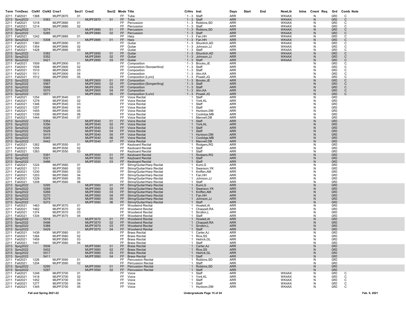|              | Term TrmDesc                       | CISN1 CISN2 Crse1 |              |                                    | Sect1    | Crse2                              | Sect2           | Mode Title |                                                          | Crilrs Inst                    |                                    | Days                     | Start | End | NewLib         | Intns | Cnsnt Rea | Grd                      | Comb Note         |
|--------------|------------------------------------|-------------------|--------------|------------------------------------|----------|------------------------------------|-----------------|------------|----------------------------------------------------------|--------------------------------|------------------------------------|--------------------------|-------|-----|----------------|-------|-----------|--------------------------|-------------------|
|              | 2211 Fall2021                      | 1368              |              | <b>MUPF2870</b>                    | 01       |                                    |                 |            | FF Tuba                                                  | $1 - 3$ Staff                  |                                    | <b>ARR</b>               |       |     | WK4AX          |       | N         | GRD                      | C                 |
| 2213<br>2211 | Sprg2022<br><b>Fall2021</b>        | 1218              | 5383         | <b>MUPF2880</b>                    | 01       | <b>MUPF2870</b>                    | 01              | FF.<br>FF. | Tuba<br>Percussion                                       | $1 - 3$                        | Staff<br>1-3 Robbins, SD           | <b>ARR</b><br>ARR        |       |     | WK4AX<br>WK4AX |       | N<br>Ν    | <b>GRD</b><br>GRD        | C<br>С            |
| 2211         | <b>Fall2021</b>                    | 1214              |              | <b>MUPF2880</b>                    | 02       |                                    |                 | FF.        | Percussion                                               |                                | 1 - 3 Staff                        | ARR                      |       |     | WK4AX          |       | N         | GRD                      | C                 |
| 2213         | 2213 Sprg2022<br>Sprg2022          |                   | 5274<br>5285 |                                    |          | <b>MUPF2880</b><br><b>MUPF2880</b> | 01<br>02        | FF.        | Percussion<br>FF Percussion                              |                                | 1 - 3 Robbins, SD<br>$1 - 3$ Staff | <b>ARR</b><br><b>ARR</b> |       |     | WK4AX<br>WK4AX |       | N<br>N    | <b>GRD</b><br><b>GRD</b> | C<br>C            |
| 2211         | <b>Fall2021</b>                    | 1242              |              | <b>MUPF2885</b>                    | 01       |                                    |                 | FF.        | Harp                                                     |                                | 1-3 Fan, HH                        | <b>ARR</b>               |       |     | WK4AX          |       | N         | <b>GRD</b>               | С                 |
| 2213<br>2211 | Sprg2022<br><b>Fall2021</b>        |                   | 5308         | <b>MUPF2890</b>                    | 01       | <b>MUPF2885</b>                    | 01              | FF.<br>FF. | Harp                                                     |                                | 1-3 Fan, HH<br>1 - 3 Shuntich, AD  | <b>ARR</b><br>ARR        |       |     | WK4AX          |       | N<br>N    | <b>GRD</b><br>GRD        | C                 |
| 2211         | <b>Fall2021</b>                    | 1360<br>1354      |              | MUPF2890                           | 02       |                                    |                 | FF         | Guitar<br>Guitar                                         | $1 - 3$                        | Johnson,JJ                         | <b>ARR</b>               |       |     | WK4AX<br>WK4AX |       | N         | <b>GRD</b>               | C<br>$\mathsf{C}$ |
|              | 2211 Fall2021                      | 1428              |              | <b>MUPF2890</b>                    | 03       |                                    |                 | FF.        | Guitar                                                   | $1 - 3$ Staff                  |                                    | <b>ARR</b>               |       |     | WK4AX          |       | N         | GRD                      | C                 |
| 2213<br>2213 | Sprg2022<br>Sprg2022               |                   | 5382<br>5352 |                                    |          | <b>MUPF2890</b><br><b>MUPF2890</b> | 01<br>02        | FF.<br>FF. | Guitar<br>Guitar                                         | $1 - 3$<br>$1 - 3$             | Shuntich, AD<br>Johnson, JJ        | <b>ARR</b><br><b>ARR</b> |       |     | WK4AX<br>WK4AX |       | N<br>N    | <b>GRD</b><br><b>GRD</b> | C<br>C            |
| 2213         | Sprg2022                           |                   | 5421         |                                    |          | <b>MUPF2890</b>                    | 03              | FF.        | Guitar                                                   | $1 - 3$                        | Staff                              | <b>ARR</b>               |       |     | WK4AX          |       | N         | <b>GRD</b>               | C                 |
| 2211         | <b>Fall2021</b><br>2211 Fall2021   | 1509<br>1508      |              | <b>MUPF2900</b><br><b>MUPF2900</b> | 01<br>02 |                                    |                 | FF<br>FF.  | Composition<br><b>Composition [Songwriting]</b>          | ` 1 - 3 Staff                  | 1-3 Brooks.JE                      | <b>ARR</b><br>ARR        |       |     |                |       | Ν<br>Ν    | GRD<br><b>GRD</b>        | С<br>С            |
| 2211         | <b>Fall2021</b>                    | 1510              |              | <b>MUPF2900</b>                    | 03       |                                    |                 | FF         | Composition                                              | $\cdot$ 1 - 3                  | Staff                              | <b>ARR</b>               |       |     |                |       | Ν         | GRD                      | C                 |
| 2211<br>2211 | <b>Fall2021</b><br><b>Fall2021</b> | 1511<br>1512      |              | <b>MUPF2900</b>                    | 04<br>05 |                                    |                 | FF.<br>FF. | Composition<br><b>Composition [Lyric]</b>                | $1 - 3$<br>$4 - 3$             | Ahn,KA<br>Powell.JG                | ARR<br>ARR               |       |     |                |       |           | GRD<br>GRD               | C<br>C            |
|              | 2213 Sprg2022                      |                   | 5569         | <b>MUPF2900</b>                    |          | <b>MUPF2900</b>                    | 01              | FF.        | Composition                                              | $1 - 3$                        | Brooks.JE                          | <b>ARR</b>               |       |     |                |       | N         | <b>GRD</b>               | $\mathsf C$       |
|              | 2213 Sprg2022                      |                   | 5567         |                                    |          | <b>MUPF2900</b>                    | 02              | FF.        | <b>Composition [Songwriting]</b>                         | $\cdot$ 1 - 3                  | Staff                              | <b>ARR</b>               |       |     |                |       | N         | <b>GRD</b>               | $\mathsf{C}$      |
| 2213<br>2213 | Sprg2022<br>Sprg2022               |                   | 5568<br>5570 |                                    |          | <b>MUPF2900</b><br><b>MUPF2900</b> | 03<br>04        | FF.<br>FF. | Composition<br>Composition                               | $\cdot$ 1 - 3<br>$\cdot$ 1 - 3 | Staff<br>Ahn, KA                   | <b>ARR</b><br><b>ARR</b> |       |     |                |       | N<br>N    | <b>GRD</b><br><b>GRD</b> | C<br>C            |
| 2213         | Sprg2022                           |                   | 5571         |                                    |          | <b>MUPF2900</b>                    | 05              | FF.        | <b>Composition [Lyric]</b>                               | $\cdot$ 1 - 3                  | Powell, JG                         | <b>ARR</b>               |       |     |                |       |           | <b>GRD</b>               | C                 |
| 2211<br>2211 | <b>Fall2021</b><br>Fall2021        | 1254<br>1278      |              | <b>MUPF3540</b><br>MUPF3540        | 01<br>02 |                                    |                 | FF.<br>FF. | <b>Voice Recital</b><br><b>Voice Recital</b>             | -1<br>` 1                      | Staff<br>York,KL                   | <b>ARR</b><br>ARR        |       |     |                |       | N<br>Ν    | GRD<br>GRD               |                   |
| 2211         | <b>Fall2021</b>                    | 1346              |              | MUPF3540                           | 03       |                                    |                 | FF.        | <b>Voice Recital</b>                                     | ` 1                            | Staff                              | <b>ARR</b>               |       |     |                |       | N         | <b>GRD</b>               |                   |
| 2211         | Fall2021                           | 1257              |              | MUPF3540                           | 04       |                                    |                 | FF.<br>FF  | <b>Voice Recital</b>                                     | ` 1<br>$^{\circ}$ 1            | Staff<br>Huntoon.DM                | ARR                      |       |     |                |       | N<br>N    | GRD<br>GRD               |                   |
| 2211<br>2211 | Fall2021<br>Fall2021               | 1455<br>1339      |              | <b>MUPF3540</b><br><b>MUPF3540</b> | 05<br>06 |                                    |                 | FF.        | Voice Recital<br><b>Voice Recital</b>                    | ` 1                            | Coolidge, MB                       | ARR<br><b>ARR</b>        |       |     |                |       | Ν         | GRD                      |                   |
|              | 2211 Fall2021                      | 1444              |              | <b>MUPF3540</b>                    | 07       |                                    |                 | FF.        | Voice Recital                                            | $^{\circ}$ 1                   | Mannell.DB                         | ARR                      |       |     |                |       | N         | GRD                      |                   |
| 2213<br>2213 | Spra2022<br>Sprg2022               |                   | 5354<br>5356 |                                    |          | <b>MUPF3540</b><br><b>MUPF3540</b> | 01<br>02        | FF.<br>FF. | <b>Voice Recital</b><br><b>Voice Recital</b>             | $^{\circ}$ 1<br>$\cdot$ 1      | Staff<br>York, KL                  | <b>ARR</b><br><b>ARR</b> |       |     |                |       |           | <b>GRD</b><br><b>GRD</b> |                   |
| 2213         | Sprg2022                           |                   | 5426         |                                    |          | <b>MUPF3540</b>                    | 03              | FF.        | <b>Voice Recital</b>                                     |                                | Staff                              | <b>ARR</b>               |       |     |                |       | N         | <b>GRD</b>               |                   |
| 2213<br>2213 | Spra2022<br>Sprg2022               |                   | 5529<br>5415 |                                    |          | <b>MUPF3540</b><br><b>MUPF3540</b> | 04<br>05        | FF.<br>FF. | <b>Voice Recital</b><br><b>Voice Recital</b>             | $^{\circ}$ 1<br>$^{\circ}$ 1   | Staff<br>Huntoon.DM                | <b>ARR</b><br><b>ARR</b> |       |     |                |       | N<br>N    | <b>GRD</b><br><b>GRD</b> |                   |
| 2213         | Sprg2022                           |                   | 5345         |                                    |          | <b>MUPF3540</b>                    | 06              | FF.        | <b>Voice Recital</b>                                     | $^{\circ}$ 1                   | Coolidge, MB                       | <b>ARR</b>               |       |     |                |       | N         | <b>GRD</b>               |                   |
| 2213         | Sprg2022                           |                   | 5442         |                                    |          | <b>MUPF3540</b>                    | 07              | FF.<br>FF  | <b>Voice Recital</b><br><b>Keyboard Recital</b>          | $\cdot$ 1<br>່ 1               | Mannell,DB                         | <b>ARR</b>               |       |     |                |       | N         | <b>GRD</b>               |                   |
| 2211<br>2211 | <b>Fall2021</b><br><b>Fall2021</b> | 1262<br>1255      |              | MUPF3550<br>MUPF3550               | 01<br>02 |                                    |                 | FF.        | Keyboard Recital                                         | $^{\circ}$ 1                   | Rodgers, RG<br>Staff               | ARR<br><b>ARR</b>        |       |     |                |       | Ν         | <b>GRD</b><br>GRD        |                   |
|              | 2211 Fall2021                      | 1263              |              | <b>MUPF3550</b>                    | 03       |                                    |                 | FF.        | <b>Keyboard Recital</b>                                  | $^{\circ}$ 1                   | Staff                              | <b>ARR</b>               |       |     |                |       | N         | GRD                      |                   |
| 2213<br>2213 | Sprg2022<br>Sprg2022               |                   | 5391<br>5321 |                                    |          | <b>MUPF3550</b><br><b>MUPF3550</b> | 01<br>02        | FF.<br>FF. | <b>Keyboard Recital</b><br><b>Keyboard Recital</b>       | ີ 1<br>$^{\circ}$ 1            | Rodgers, RG<br>Staff               | <b>ARR</b><br><b>ARR</b> |       |     |                |       | N<br>N    | <b>GRD</b><br><b>GRD</b> |                   |
| 2213         | Sprg2022                           |                   | 5486         |                                    |          | <b>MUPF3550</b>                    | 03              | FF.        | <b>Keyboard Recital</b>                                  | $^{\circ}$ 1                   | Staff                              | <b>ARR</b>               |       |     |                |       |           | <b>GRD</b>               |                   |
| 2211<br>2211 | <b>Fall2021</b><br>Fall2021        | 1224<br>1211      |              | <b>MUPF3560</b><br>MUPF3560        | 01<br>02 |                                    |                 | FF.<br>FF  | String/Guitar/Harp Recital<br>String/Guitar/Harp Recital | ` 1<br>` 1                     | Kumi,G<br>Swanson, YK              | <b>ARR</b><br>ARR        |       |     |                |       | N<br>Ν    | GRD<br>GRD               |                   |
| 2211         | <b>Fall2021</b>                    | 1230              |              | MUPF3560                           | 03       |                                    |                 | FF.        | String/Guitar/Harp Recital                               | $^{\circ}$ 1                   | Kniffen, AM                        | <b>ARR</b>               |       |     |                |       | Ν         | GRD                      |                   |
| 2211<br>2211 | <b>Fall2021</b><br><b>Fall2021</b> | 1203<br>1229      |              | MUPF3560<br>MUPF3560               | 04<br>05 |                                    |                 | FF<br>FF   | String/Guitar/Harp Recital<br>String/Guitar/Harp Recital | ` 1<br>$^{\circ}$ 1            | Fan,HH<br>Johnson, JJ              | ARR<br>ARR               |       |     |                |       | N<br>N    | GRD<br>GRD               |                   |
|              | 2211 Fall2021                      | 1208              |              | MUPF3560                           | 06       |                                    |                 | FF.        | String/Guitar/Harp Recital                               | ` 1                            | Staff                              | <b>ARR</b>               |       |     |                |       | Ν         | GRD                      |                   |
| 2213         | 2213 Sprg2022<br>Sprg2022          |                   | 5295<br>5289 |                                    |          | <b>MUPF3560</b><br><b>MUPF3560</b> | 01<br>02        | FF.<br>FF. | String/Guitar/Harp Recital<br>String/Guitar/Harp Recital | $^{\circ}$ 1<br>$^{\circ}$ 1   | Kumi, G<br>Swanson, YK             | <b>ARR</b><br><b>ARR</b> |       |     |                |       | N<br>N    | <b>GRD</b><br><b>GRD</b> |                   |
| 2213         | Sprg2022                           |                   | 5268         |                                    |          | <b>MUPF3560</b>                    | 03              | FF.        | String/Guitar/Harp Recital                               | $\cdot$ 1                      | Kniffen,AM                         | <b>ARR</b>               |       |     |                |       |           | <b>GRD</b>               |                   |
| 2213         | Sprg2022                           |                   | 5270         |                                    |          | <b>MUPF3560</b>                    | 04<br>05        | FF.<br>FF. | String/Guitar/Harp Recital                               | $^{\circ}$ 1                   | Fan, HH                            | <b>ARR</b><br><b>ARR</b> |       |     |                |       | N<br>N    | <b>GRD</b><br><b>GRD</b> |                   |
| 2213<br>2213 | Sprg2022<br>Sprg2022               |                   | 5279<br>5272 |                                    |          | <b>MUPF3560</b><br><b>MUPF3560</b> | 06              | FF.        | String/Guitar/Harp Recital<br>String/Guitar/Harp Recital | $^{\circ}$ 1<br>$^{\circ}$ 1   | Johnson, JJ<br>Staff               | <b>ARR</b>               |       |     |                |       | N         | <b>GRD</b>               |                   |
| 2211         | <b>Fall2021</b>                    | 1463              |              | MUPF3570                           | 01       |                                    |                 | FF.        | <b>Woodwind Recital</b>                                  | ` 1                            | Howlett, Al                        | <b>ARR</b>               |       |     |                |       | N         | GRD                      |                   |
| 2211<br>2211 | <b>Fall2021</b><br><b>Fall2021</b> | 1462<br>1374      |              | MUPF3570<br>MUPF3570               | 02<br>03 |                                    |                 | FF.<br>FF  | <b>Woodwind Recital</b><br><b>Woodwind Recital</b>       | ` 1<br>$^{\circ}$ 1            | Chappell, RA<br>Sirotkin, L        | ARR<br>ARR               |       |     |                |       | N<br>N    | GRD<br>GRD               |                   |
| 2211         | <b>Fall2021</b>                    | 1334              |              | <b>MUPF3570</b>                    | 04       |                                    |                 | FF.        | <b>Woodwind Recital</b>                                  | $^{\circ}$ 1                   | Staff                              | <b>ARR</b>               |       |     |                |       | Ν         | GRD                      |                   |
| 2213         | 2213 Sprg2022<br>Sprg2022          |                   | 5518<br>5498 |                                    |          | <b>MUPF3570</b><br><b>MUPF3570</b> | 01<br>02        | FF.<br>FF. | <b>Woodwind Recital</b><br><b>Woodwind Recital</b>       | $^{\circ}$ 1<br>$^{\circ}$ 1   | Howlett, AI<br>Chappell, RA        | <b>ARR</b><br><b>ARR</b> |       |     |                |       | N<br>N    | <b>GRD</b><br><b>GRD</b> |                   |
| 2213         | Sprg2022                           |                   | 5388         |                                    |          | <b>MUPF3570</b>                    | 03              | FF.        | <b>Woodwind Recital</b>                                  | $^{\circ}$ 1                   | Sirotkin.L                         | <b>ARR</b>               |       |     |                |       |           | <b>GRD</b>               |                   |
| 2213<br>2211 | Sprg2022<br>Fall2021               | 1439              | 5429         | <b>MUPF3580</b>                    | 01       | <b>MUPF3570</b>                    | 04              | FF.<br>FF. | <b>Woodwind Recital</b><br><b>Brass Recital</b>          | $^{\circ}$ 1<br>ີ 1            | Staff<br>Carter, AJ                | <b>ARR</b><br><b>ARR</b> |       |     |                |       | N         | <b>GRD</b><br>GRD        |                   |
|              | 2211 Fall2021                      | 1264              |              | MUPF3580                           | 02       |                                    |                 | FF.        | <b>Brass Recital</b>                                     |                                | 1 Rice, SS                         | <b>ARR</b>               |       |     |                |       | Ν         | GRD                      |                   |
|              | 2211 Fall2021                      | 1459<br>1441      |              | <b>MUPF3580</b>                    | 03<br>04 |                                    |                 | FF.        | <b>Brass Recital</b><br>FF Brass Recital                 | $^{\circ}$ 1                   | Hetrick,GL<br>1 Staff              | <b>ARR</b><br>ARR        |       |     |                |       | N         | GRD<br>GRD               |                   |
|              | 2211 Fall2021<br>2213 Sprg2022     |                   | 5506         | MUPF3580                           |          | <b>MUPF3580</b>                    | 01              |            | FF Brass Recital                                         |                                | 1 Carter, AJ                       | <b>ARR</b>               |       |     |                |       | N         | <b>GRD</b>               |                   |
|              | 2213 Sprg2022                      |                   | 5402         |                                    |          | <b>MUPF3580</b>                    | 02              |            | FF Brass Recital                                         |                                | 1 Rice, SS                         | <b>ARR</b>               |       |     |                |       | N         | <b>GRD</b>               |                   |
|              | 2213 Sprg2022<br>2213 Sprg2022     |                   | 5517<br>5411 |                                    |          | <b>MUPF3580</b><br><b>MUPF3580</b> | 03<br>04        |            | FF Brass Recital<br>FF Brass Recital                     |                                | 1 Hetrick, GL<br>`1 Staff          | <b>ARR</b><br><b>ARR</b> |       |     |                |       | N<br>N    | <b>GRD</b><br>GRD        |                   |
|              | 2211 Fall2021                      | 1226              |              | <b>MUPF3590</b>                    | 01       |                                    |                 |            | FF Percussion Recital                                    |                                | 1 Robbins, SD                      | ARR                      |       |     |                |       | Ν         | GRD                      |                   |
|              | 2211 Fall2021<br>2213 Sprg2022     | 1204              | 5290         | <b>MUPF3590</b>                    | 02       | <b>MUPF3590</b>                    | 01              |            | FF Percussion Recital<br>FF Percussion Recital           |                                | 1 Staff<br>1 Robbins, SD           | <b>ARR</b><br><b>ARR</b> |       |     |                |       | N<br>N    | GRD<br><b>GRD</b>        |                   |
|              | 2213 Sprg2022                      |                   | 5297         |                                    |          | <b>MUPF3590</b>                    | 02 <sub>2</sub> |            | FF Percussion Recital                                    |                                | `1 Staff                           | <b>ARR</b>               |       |     |                |       | N         | <b>GRD</b>               |                   |
|              | 2211 Fall2021<br>2211 Fall2021     | 1248<br>1418      |              | <b>MUPF3700</b><br><b>MUPF3700</b> | 01<br>02 |                                    |                 |            | FF Voice<br>FF Voice                                     |                                | `1 Staff<br>1 York, KL             | <b>ARR</b><br><b>ARR</b> |       |     | WK4AX<br>WK4AX |       | N<br>Ν    | GRD<br>GRD               | C<br>$\mathsf{C}$ |
|              | 2211 Fall2021                      | 1452              |              | MUPF3700                           | 03       |                                    |                 |            | FF Voice                                                 |                                | `1 Staff                           | <b>ARR</b>               |       |     | WK4AX          |       | N         | GRD                      | C                 |
|              | 2211 Fall2021                      | 1277              |              | MUPF3700                           | 04       |                                    |                 |            | FF Voice                                                 |                                | `1 Staff                           | ARR                      |       |     | WK4AX          |       | N         | GRD<br>GRD               | C<br>C            |
|              | 2211 Fall2021                      | 1345              |              | MUPF3700                           | 05       |                                    |                 |            | FF Voice                                                 |                                | 1 Huntoon, DM                      | ARR                      |       |     | WK4AX          |       | N         |                          |                   |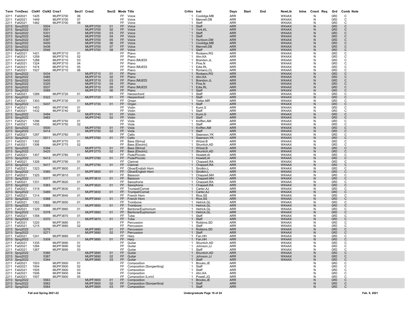|      | Term TrmDesc                   |      | CISN1 CISN2 Crse1 |                 | Sect1 | Crse2                              | Sect2 Mode Title |            | CrHrs Inst                                                     |              |                             | Days                     | Start | End | NewLib         | Intns | Cnsnt Req | Grd                      | <b>Comb Note</b>  |
|------|--------------------------------|------|-------------------|-----------------|-------|------------------------------------|------------------|------------|----------------------------------------------------------------|--------------|-----------------------------|--------------------------|-------|-----|----------------|-------|-----------|--------------------------|-------------------|
|      | 2211 Fall2021                  | 1425 |                   | MUPF3700        | 06    |                                    |                  | FF         | Voice                                                          | $^{\circ}$ 1 | Coolidge, MB                | ARR                      |       |     | WK4AX          |       | N         | GRD                      | C                 |
|      | 2211 Fall2021                  | 1449 |                   | MUPF3700        | 07    |                                    |                  | FF         | $^{\circ}$ 1<br>Voice                                          |              | Mannell,DB                  | ARR                      |       |     | WK4AX          |       | N         | GRD                      | C                 |
|      | 2211 Fall2021                  | 1482 |                   | <b>MUPF3700</b> | 08    |                                    |                  | FF.        | Voice<br>$^{\circ}$ 1                                          |              | Staff                       | <b>ARR</b>               |       |     | WK4AX          |       |           | GRD                      | C                 |
|      | 2213 Sprg2022                  |      | 5504              |                 |       | <b>MUPF3700</b>                    | 01               | FF.        | Voice                                                          |              | Staff                       | <b>ARR</b>               |       |     | WK4AX          |       |           | <b>GRD</b>               | $\mathsf{C}$      |
| 2213 | Sprg2022                       |      | 5501              |                 |       | <b>MUPF3700</b>                    | 02               | FF.        | Voice                                                          |              | York, KL                    | <b>ARR</b>               |       |     | WK4AX          |       |           | <b>GRD</b>               | C                 |
| 2213 | Sprg2022                       |      | 5331              |                 |       | <b>MUPF3700</b>                    | 03               | FF.        | $\cdot$ 1<br>Voice                                             |              | Staff                       | <b>ARR</b>               |       |     | WK4AX          |       |           | <b>GRD</b>               | C                 |
| 2213 | Sprg2022                       |      | 5482              |                 |       | <b>MUPF3700</b>                    | 04               | FF.        | Voice                                                          |              | Staff                       | <b>ARR</b>               |       |     | WK4AX          |       |           | <b>GRD</b>               | C<br>$\mathsf{C}$ |
| 2213 | Sprg2022<br>2213 Sprg2022      |      | 5397              |                 |       | <b>MUPF3700</b><br><b>MUPF3700</b> | 05               | FF.<br>FF. | Voice                                                          |              | Huntoon, DM                 | <b>ARR</b><br><b>ARR</b> |       |     | WK4AX          |       |           | <b>GRD</b><br><b>GRD</b> | $\mathbf C$       |
| 2213 | Sprg2022                       |      | 5405<br>5438      |                 |       | <b>MUPF3700</b>                    | 06<br>07         | FF.        | Voice<br>Voice                                                 |              | Coolidge, MB<br>Mannell, DB | <b>ARR</b>               |       |     | WK4AX<br>WK4AX |       | N         | <b>GRD</b>               | $\mathsf{C}$      |
|      | 2213 Sprg2022                  |      | 5546              |                 |       | <b>MUPF3700</b>                    | 08               | FF.        | $\cdot$ 1<br>Voice                                             |              | Staff                       | <b>ARR</b>               |       |     | WK4AX          |       |           | <b>GRD</b>               | $\mathsf{C}$      |
|      | 2211 Fall2021                  | 1421 |                   | MUPF3710        | 01    |                                    |                  | FF.        | Piano                                                          |              | Rodgers, RG                 | ARR                      |       |     | WK4AX          |       | N         | GRD                      | C                 |
|      | 2211 Fall2021                  | 1259 |                   | <b>MUPF3710</b> | 02    |                                    |                  | FF         | Piano                                                          |              | Ahn,KA                      | <b>ARR</b>               |       |     | WK4AX          |       |           | GRD                      | C                 |
|      | 2211 Fall2021                  | 1288 |                   | <b>MUPF3710</b> | 03    |                                    |                  | FF         | Piano [MUED]                                                   |              | Brandon, JL                 | <b>ARR</b>               |       |     | WK4AX          |       |           | GRD                      | $\mathbf C$       |
|      | 2211 Fall2021                  | 1324 |                   | <b>MUPF3710</b> | 04    |                                    |                  | FF         | Piano                                                          |              | Pine,N                      | ARR                      |       |     | WK4AX          |       |           | <b>GRD</b>               | C                 |
|      | 2211 Fall2021                  | 1474 |                   | MUPF3710        | 05    |                                    |                  | FF         | Piano [MUED]<br>` 1                                            |              | Edie,RL                     | ARR                      |       |     | WK4AX          |       |           | GRD                      | C                 |
|      | 2211 Fall2021                  | 1527 |                   | <b>MUPF3710</b> | 06    |                                    |                  | FF.        | Piano                                                          |              | Romano, CL                  | <b>ARR</b>               |       |     | WK4AX          |       |           | GRD                      | C                 |
|      | 2213 Sprg2022                  |      | 5434              |                 |       | <b>MUPF3710</b>                    | 01               | FF.        | Piano                                                          |              | Rodgers, RG                 | <b>ARR</b>               |       |     | WK4AX          |       |           | GRD                      | $\mathsf{C}$      |
| 2213 | Sprg2022                       |      | 5485              |                 |       | <b>MUPF3710</b>                    | 02               | FF.        | Piano                                                          |              | Ahn, KA                     | <b>ARR</b>               |       |     | WK4AX          |       |           | <b>GRD</b>               | $\mathbf C$       |
| 2213 | Sprg2022                       |      | 5400              |                 |       | MUPF3710                           | 03               | FF         | Piano [MUED]                                                   |              | Brandon, JL                 | <b>ARR</b>               |       |     | WK4AX          |       |           | <b>GRD</b>               | C                 |
| 2213 | Sprg2022                       |      | 5325              |                 |       | <b>MUPF3710</b>                    | 04               | FF         | Piano                                                          |              | Pine, N                     | <b>ARR</b>               |       |     | WK4AX          |       |           | <b>GRD</b>               | C                 |
| 2213 | Sprg2022                       |      | 5537              |                 |       | <b>MUPF3710</b>                    | 05               | FF.        | Piano [MUED]                                                   |              | Edie, RL                    | <b>ARR</b>               |       |     | WK4AX          |       |           | <b>GRD</b>               | C                 |
| 2213 | Sprg2022                       |      | 5589              |                 |       | MUPF3710                           | 06               | FF.        | Piano                                                          |              | Staff                       | <b>ARR</b>               |       |     | WK4AX          |       |           | <b>GRD</b>               | C                 |
|      | 2211 Fall2021                  | 1289 |                   | <b>MUPF3720</b> | 01    |                                    |                  | FF         | Harpsichord                                                    |              | `1 Staff                    | <b>ARR</b>               |       |     | WK4AX          |       |           | GRD                      | C                 |
|      | 2213 Sprg2022                  |      | 5322              |                 |       | <b>MUPF3720</b>                    | 01               | FF.        | Harpsichord                                                    |              | Staff                       | <b>ARR</b>               |       |     | WK4AX          |       |           | <b>GRD</b>               | C                 |
|      | 2211 Fall2021                  | 1303 |                   | <b>MUPF3730</b> | 01    |                                    |                  | FF.        | Organ                                                          |              | 1 Yetter, MR                | <b>ARR</b>               |       |     | WK4AX          |       | N         | GRD                      | C                 |
|      | 2213 Sprg2022                  |      | 5437              |                 |       | <b>MUPF3730</b>                    | 01               | FF.        | Organ                                                          |              | Staff                       | <b>ARR</b>               |       |     | WK4AX          |       |           | <b>GRD</b>               | C                 |
|      | 2211 Fall2021                  | 1453 |                   | <b>MUPF3740</b> | 01    |                                    |                  | FF.        | Violin                                                         |              | '1 Kumi, G                  | ARR                      |       |     | WK4AX          |       |           | GRD                      | C                 |
|      | 2211 Fall2021                  | 1432 |                   | <b>MUPF3740</b> | 02    |                                    |                  | FF         | Violin<br>$^{\circ}$ 1                                         |              | Staff                       | <b>ARR</b>               |       |     | WK4AX          |       |           | GRD                      | C                 |
|      | 2213 Sprg2022                  |      | 5494              |                 |       | <b>MUPF3740</b>                    | 01               | FF.        | Violin                                                         |              | Kumi, G                     | <b>ARR</b>               |       |     | WK4AX          |       | N         | <b>GRD</b>               | C                 |
|      | 2213 Sprg2022                  |      | 5483              |                 |       | <b>MUPF3740</b>                    | 02               | FF.        | $\cdot$ 1<br>Violin                                            |              | Staff                       | <b>ARR</b>               |       |     | WK4AX          |       |           | <b>GRD</b>               | C                 |
|      | 2211 Fall2021                  | 1296 |                   | MUPF3750        | 01    |                                    |                  | FF.        | $^{\circ}$ 1<br>Viola                                          |              | Kniffen.AM                  | ARR                      |       |     | WK4AX          |       |           | <b>GRD</b>               | C                 |
|      | 2211 Fall2021                  | 1435 |                   | MUPF3750        | 02    |                                    |                  | FF.        | Viola<br>` 1                                                   |              | Staff                       | <b>ARR</b>               |       |     | WK4AX          |       |           | GRD                      | C                 |
|      | 2213 Sprg2022                  |      | 5500              |                 |       | MUPF3750                           | 01               | FF.        | Viola                                                          | $^{\circ}$ 1 | Kniffen, AM                 | <b>ARR</b>               |       |     | WK4AX          |       |           | <b>GRD</b>               | $\mathsf{C}$      |
|      | 2213 Sprg2022                  |      | 5414              |                 |       | <b>MUPF3750</b>                    | 02               | FF.        | Viola                                                          |              | Staff                       | <b>ARR</b>               |       |     | WK4AX          |       |           | <b>GRD</b>               | $\mathcal{C}$     |
|      | 2211 Fall2021                  | 1297 |                   | <b>MUPF3760</b> | 01    |                                    |                  | FF.        | Cello                                                          |              | 1 Swanson, YK               | <b>ARR</b>               |       |     | WK4AX          |       |           | GRD                      | C                 |
|      | 2213 Sprg2022                  |      | 5511              |                 |       | <b>MUPF3760</b>                    | 01               | FF.        | Cello                                                          |              | Swanson, YK                 | <b>ARR</b>               |       |     | WK4AX          |       |           | <b>GRD</b>               | C                 |
|      | 2211 Fall2021                  | 1302 |                   | <b>MUPF3770</b> | 01    |                                    |                  | FF.        | Bass [String]<br>$^{\circ}$ 1                                  |              | 1 Witzel, B                 | ARR                      |       |     | WK4AX          |       |           | GRD                      | C                 |
|      | 2211 Fall2021                  | 1306 | 5394              | <b>MUPF3770</b> | 02    | <b>MUPF3770</b>                    |                  | FF<br>FF.  | Bass [Electric]                                                |              | Shuntich, AD                | <b>ARR</b>               |       |     | WK4AX          |       |           | GRD<br><b>GRD</b>        | C<br>C            |
|      | 2213 Sprg2022<br>2213 Sprg2022 |      | 5425              |                 |       |                                    | 01<br>02         |            | <b>Bass [String]</b><br><b>Bass [Electric]</b><br>$^{\circ}$ 1 |              | Witzel, B                   | <b>ARR</b><br><b>ARR</b> |       |     | WK4AX<br>WK4AX |       |           | <b>GRD</b>               | C                 |
|      | 2211 Fall2021                  | 1307 |                   |                 | 01    | <b>MUPF3770</b>                    |                  | FF.<br>FF. | Flute/Piccolo<br>$^{\circ}$ 1                                  |              | Shuntich, AD<br>Howlett, AI | ARR                      |       |     | WK4AX          |       |           | <b>GRD</b>               | C                 |
|      | 2213 Sprg2022                  |      | 5413              | <b>MUPF3780</b> |       | <b>MUPF3780</b>                    | 01               | FF.        | Flute/Piccolo                                                  |              | Howlett, AI                 | <b>ARR</b>               |       |     | WK4AX          |       |           | GRD                      | C                 |
|      | 2211 Fall2021                  | 1326 |                   | <b>MUPF3790</b> | 01    |                                    |                  | FF         | Clarinet<br>$^{\circ}$ 1                                       |              | Chappell, RA                | <b>ARR</b>               |       |     | WK4AX          |       |           | GRD                      | C                 |
|      | 2213 Sprg2022                  |      | 5417              |                 |       | <b>MUPF3790</b>                    | 01               | FF.        | Clarinet                                                       |              | Chappell, RA                | <b>ARR</b>               |       |     | WK4AX          |       |           | <b>GRD</b>               | C                 |
|      | 2211 Fall2021                  | 1323 |                   | <b>MUPF3800</b> | 01    |                                    |                  | FF.        | Oboe/English Horn                                              |              | 1 Sirotkin, L               | <b>ARR</b>               |       |     | WK4AX          |       | N         | GRD                      | C                 |
|      | 2213 Sprg2022                  |      | 5360              |                 |       | <b>MUPF3800</b>                    | 01               | FF.        | Oboe/English Horn                                              |              | Sirotkin, L                 | <b>ARR</b>               |       |     | WK4AX          |       |           | <b>GRD</b>               | C                 |
|      | 2211 Fall2021                  | 1325 |                   | MUPF3810        | 01    |                                    |                  | FF.        | Bassoon                                                        |              | 1 Chappell, MH              | ARR                      |       |     | WK4AX          |       |           | GRD                      | C                 |
|      | 2213 Sprg2022                  |      | 5377              |                 |       | <b>MUPF3810</b>                    | 01               | FF.        | Bassoon                                                        |              | `1 Chappell, MH             | <b>ARR</b>               |       |     | WK4AX          |       |           | GRD                      | $\mathsf{C}$      |
|      | 2211 Fall2021                  | 1331 |                   | <b>MUPF3820</b> | 01    |                                    |                  | FF.        | Saxophone                                                      |              | 1 Chappell, RA              | ARR                      |       |     | WK4AX          |       | N         | GRD                      | C                 |
|      | 2213 Sprg2022                  |      | 5363              |                 |       | <b>MUPF3820</b>                    | 01               | FF.        | Saxophone                                                      |              | 1 Chappell, RA              | <b>ARR</b>               |       |     | WK4AX          |       |           | <b>GRD</b>               | C                 |
|      | 2211 Fall2021                  | 1319 |                   | MUPF3830        | 01    |                                    |                  | FF.        | $^{\circ}$ 1<br>Trumpet/Cornet                                 |              | Carter,AJ                   | <b>ARR</b>               |       |     | WK4AX          |       |           | GRD                      | C                 |
|      | 2213 Sprg2022                  |      | 5489              |                 |       | <b>MUPF3830</b>                    | 01               |            | FF Trumpet/Cornet                                              |              | Carter, AJ                  | <b>ARR</b>               |       |     | WK4AX          |       |           | GRD                      | C                 |
|      | 2211 Fall2021                  | 1314 |                   | <b>MUPF3840</b> | 01    |                                    |                  | FF.        | French Horn                                                    |              | 1 Rice, SS                  | <b>ARR</b>               |       |     | WK4AX          |       |           | GRD                      | C                 |
|      | 2213 Sprg2022                  |      | 5368              |                 |       | <b>MUPF3840</b>                    | 01               | FF.        | French Horn                                                    |              | Rice,SS                     | <b>ARR</b>               |       |     | WK4AX          |       |           | <b>GRD</b>               | C                 |
|      | 2211 Fall2021                  | 1352 |                   | <b>MUPF3850</b> | 01    |                                    |                  | FF.        | Trombone                                                       |              | 1 Hetrick, GL               | <b>ARR</b>               |       |     | WK4AX          |       | N         | GRD                      | C                 |
|      | 2213 Sprg2022                  |      | 5369              |                 |       | <b>MUPF3850</b>                    | 01               | FF.        | Trombone                                                       |              | Hetrick, GL                 | <b>ARR</b>               |       |     | WK4AX          |       |           | <b>GRD</b>               | C                 |
|      | 2211 Fall2021                  | 1329 |                   | <b>MUPF3860</b> | 01    |                                    |                  | FF.        | Baritone/Euphonium                                             |              | 1 Hetrick, GL               | ARR                      |       |     | WK4AX          |       |           | GRD                      | C                 |
|      | 2213 Sprg2022                  |      | 5378              |                 |       | <b>MUPF3860</b>                    | 01               | FF.        | Baritone/Euphonium                                             |              | 1 Hetrick.GL                | <b>ARR</b>               |       |     | WK4AX          |       |           | GRD                      | $\mathsf{C}$      |
|      | 2211 Fall2021                  | 1358 |                   | <b>MUPF3870</b> | 01    |                                    |                  | FF.        | Tuba                                                           |              | 1 Staff                     | ARR                      |       |     | WK4AX          |       | N         | GRD                      | C                 |
|      | 2213 Sprg2022                  |      | 5370              |                 |       | <b>MUPF3870</b>                    | 01               | FF.        | Tuba                                                           | $^{\circ}$ 1 | Staff                       | <b>ARR</b>               |       |     | WK4AX          |       |           | <b>GRD</b>               | C                 |
|      | 2211 Fall2021<br>2211 Fall2021 | 1220 |                   | MUPF3880        | 01    |                                    |                  | FF.<br>FF. | Percussion                                                     |              | Robbins, SD                 | ARR<br><b>ARR</b>        |       |     | WK4AX          |       | N         | <b>GRD</b>               | C<br>C            |
|      |                                | 1215 |                   | MUPF3880        | 02    | <b>MUPF3880</b>                    |                  |            | Percussion                                                     |              | Staff<br>Robbins.SD         | <b>ARR</b>               |       |     | WK4AX          |       |           | GRD                      | $\mathsf{C}$      |
|      | 2213 Sprg2022<br>2213 Sprg2022 |      | 5276<br>5271      |                 |       | <b>MUPF3880</b>                    | 01<br>02         | FF.<br>FF. | Percussion<br>Percussion                                       |              | Staff                       | <b>ARR</b>               |       |     | WK4AX<br>WK4AX |       |           | <b>GRD</b><br><b>GRD</b> | $\mathcal{C}$     |
|      | 2211 Fall2021                  | 1241 |                   | <b>MUPF3885</b> | 01    |                                    |                  | FF Harp    |                                                                |              | `1 Fan.HH                   | <b>ARR</b>               |       |     | WK4AX          |       |           | <b>GRD</b>               | C                 |
|      | 2213 Sprg2022                  |      | 5309              |                 |       | MUPF3885                           | 01               | FF Harp    |                                                                |              | 1 Fan, HH                   | <b>ARR</b>               |       |     | WK4AX          |       | N         | <b>GRD</b>               | C                 |
|      | 2211 Fall2021                  | 1335 |                   | MUPF3890        | 01    |                                    |                  | FF.        | Guitar                                                         |              | 1 Shuntich, AD              | ARR                      |       |     | WK4AX          |       | N         | GRD                      | C                 |
|      | 2211 Fall2021                  | 1284 |                   | MUPF3890        | 02    |                                    |                  | FF         | Guitar<br>$^{\circ}$ 1                                         |              | Johnson,JJ                  | ARR                      |       |     | WK4AX          |       | N         | GRD                      | $\mathsf{C}$      |
|      | 2211 Fall2021                  | 1267 |                   | MUPF3890        | 03    |                                    |                  | FF.        | Guitar<br>$\cdot$ 1                                            |              | Staff                       | ARR                      |       |     | WK4AX          |       | N         | GRD                      | C                 |
|      | 2213 Sprg2022                  |      | 5380              |                 |       | <b>MUPF3890</b>                    | 01               | FF.        | Guitar<br>$\cdot$ 1                                            |              | Shuntich, AD                | <b>ARR</b>               |       |     | WK4AX          |       | N         | <b>GRD</b>               | $\mathsf{C}$      |
|      | 2213 Sprg2022                  |      | 5387              |                 |       | <b>MUPF3890</b>                    | 02               | FF.        | Guitar                                                         |              | Johnson, JJ                 | <b>ARR</b>               |       |     | WK4AX          |       | N         | <b>GRD</b>               | $\mathsf{C}$      |
|      | 2213 Sprg2022                  |      | 5344              |                 |       | <b>MUPF3890</b>                    | 03               | FF.        | Guitar                                                         |              | Staff                       | ARR                      |       |     | WK4AX          |       | N         | <b>GRD</b>               | $\mathsf{C}$      |
|      | 2211 Fall2021                  | 1503 |                   | <b>MUPF3900</b> | 01    |                                    |                  | FF         | Composition<br>$^{\circ}$ 1                                    |              | Brooks, JE                  | ARR                      |       |     |                |       | N         | GRD                      | C                 |
|      | 2211 Fall2021                  | 1504 |                   | MUPF3900        | 02    |                                    |                  | FF         | <b>Composition [Songwriting]</b><br>$^{\circ}$ 1               |              | Staff                       | ARR                      |       |     |                |       | N         | GRD                      | C                 |
|      | 2211 Fall2021                  | 1505 |                   | <b>MUPF3900</b> | 03    |                                    |                  | FF         | $^{\circ}$ 1<br>Composition                                    |              | Staff                       | ARR                      |       |     |                |       | N         | GRD                      | C                 |
|      | 2211 Fall2021                  | 1506 |                   | MUPF3900        | 04    |                                    |                  | FF.        | $\cdot$ 1<br>Composition                                       |              | Ahn,KA                      | <b>ARR</b>               |       |     |                |       | N         | GRD                      | C                 |
|      | 2211 Fall2021                  | 1507 |                   | <b>MUPF3900</b> | 05    |                                    |                  | FF.        | <b>Composition [Lyric]</b>                                     |              | Powell, JG                  | ARR                      |       |     |                |       | N         | GRD                      | C                 |
|      | 2213 Sprg2022                  |      | 5563              |                 |       | <b>MUPF3900</b>                    | 01               | FF.        | Composition                                                    |              | Brooks, JE                  | <b>ARR</b>               |       |     |                |       | N         | GRD                      | $\mathtt{C}$      |
|      | 2213 Sprg2022                  |      | 5562              |                 |       | <b>MUPF3900</b>                    | 02               | FF.        | <b>Composition [Songwriting]</b>                               |              | 1 Staff                     | ARR                      |       |     |                |       | N         | <b>GRD</b>               | $\mathsf{C}$      |
|      | 2213 Sprg2022                  |      | 5564              |                 |       | <b>MUPF3900</b>                    | 03               | FF.        | Composition                                                    |              | `1 Staff                    | ARR                      |       |     |                |       | Ν         | <b>GRD</b>               | $\mathsf{C}$      |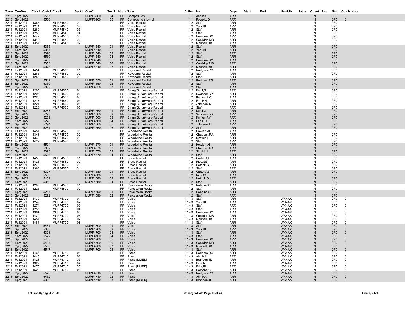|              | Term TrmDesc CIsN1 CIsN2 Crse1     |              |              |                                    |          | Sect1 Crse2                        | Sect2 Mode Title |                  |                                                          | CrHrs Inst                     |                                   | Days                     | <b>Start</b> | End | NewLib         | Intns | Cnsnt Req | Grd                      | <b>Comb Note</b> |
|--------------|------------------------------------|--------------|--------------|------------------------------------|----------|------------------------------------|------------------|------------------|----------------------------------------------------------|--------------------------------|-----------------------------------|--------------------------|--------------|-----|----------------|-------|-----------|--------------------------|------------------|
|              | 2213 Sprg2022                      |              | 5565         |                                    |          | <b>MUPF3900</b>                    | 04               | FF.              | Composition                                              |                                | `1 Ahn,KA                         | <b>ARR</b>               |              |     |                |       | N.        | GRD                      | $\mathsf{C}$     |
| 2213         | Sprg2022                           |              | 5566         | <b>MUPF4540</b>                    |          | <b>MUPF3900</b>                    | 05               | FF.              | <b>Composition [Lyric]</b>                               | ` 1<br>$^{\circ}$ 2            | Powell, JG                        | <b>ARR</b>               |              |     |                |       | N         | GRD<br>GRD               | $\mathsf{C}$     |
| 2211<br>2211 | <b>Fall2021</b><br><b>Fall2021</b> | 1365<br>1271 |              | <b>MUPF4540</b>                    | 01<br>02 |                                    |                  | FF.<br>FF.       | Voice Recital<br><b>Voice Recital</b>                    | $^{\circ}$ 2                   | Staff<br>York,KL                  | ARR<br><b>ARR</b>        |              |     |                |       | N<br>N    | GRD                      |                  |
| 2211         | <b>Fall2021</b>                    | 1269         |              | <b>MUPF4540</b>                    | 03       |                                    |                  | FF.              | Voice Recital                                            | $^{\circ}$ 2                   | Staff                             | ARR                      |              |     |                |       | N         | GRD                      |                  |
|              | 2211 Fall2021                      | 1250         |              | <b>MUPF4540</b>                    | 04       |                                    |                  | FF.              | Voice Recital                                            |                                | 2 Staff                           | ARR                      |              |     |                |       | N         | GRD                      |                  |
| 2211         | <b>Fall2021</b>                    | 1442         |              | <b>MUPF4540</b>                    | 05       |                                    |                  | FF               | Voice Recital                                            | $^{\circ}$ 2                   | Huntoon, DM                       | ARR                      |              |     |                |       | N         | GRD                      |                  |
| 2211<br>2211 | <b>Fall2021</b><br><b>Fall2021</b> | 1348<br>1357 |              | <b>MUPF4540</b><br><b>MUPF4540</b> | 06<br>07 |                                    |                  | FF<br>FF         | <b>Voice Recital</b><br><b>Voice Recital</b>             | $\overline{2}$<br>$^{\circ}$ 2 | Coolidge, MB<br>Mannell.DB        | ARR<br><b>ARR</b>        |              |     |                |       | N<br>Ν    | GRD<br>GRD               |                  |
| 2213         | Sprg2022                           |              | 5355         |                                    |          | <b>MUPF4540</b>                    | 01               | FF.              | <b>Voice Recital</b>                                     | $\overline{2}$                 | Staff                             | <b>ARR</b>               |              |     |                |       | N         | <b>GRD</b>               |                  |
| 2213         | Sprg2022                           |              | 5357         |                                    |          | <b>MUPF4540</b>                    | 02               | FF.              | <b>Voice Recital</b>                                     | $\cdot$ 2                      | York, KL                          | <b>ARR</b>               |              |     |                |       | N         | <b>GRD</b>               |                  |
| 2213         | Sprg2022                           |              | 5396         |                                    |          | <b>MUPF4540</b>                    | 03               | FF.              | <b>Voice Recital</b>                                     | $^{\circ}$ 2                   | Staff                             | <b>ARR</b>               |              |     |                |       | Ν         | <b>GRD</b>               |                  |
| 2213<br>2213 | Sprg2022<br>Sprg2022               |              | 5530<br>5409 |                                    |          | <b>MUPF4540</b><br><b>MUPF4540</b> | 04<br>05         | FF.<br>FF.       | <b>Voice Recital</b><br><b>Voice Recital</b>             | $^{\circ}$ 2<br>$^{\circ}$ 2   | Staff<br>Huntoon, DM              | <b>ARR</b><br><b>ARR</b> |              |     |                |       | Ν<br>N    | GRD<br><b>GRD</b>        |                  |
| 2213         | Sprg2022                           |              | 5353         |                                    |          | <b>MUPF4540</b>                    | 06               | FF.              | <b>Voice Recital</b>                                     | $^{\circ}$ 2                   | Coolidge, MB                      | <b>ARR</b>               |              |     |                |       | N         | <b>GRD</b>               |                  |
| 2213         | Sprg2022                           |              | 5375         |                                    |          | <b>MUPF4540</b>                    | 07               | FF.              | <b>Voice Recital</b>                                     |                                | 2 Mannell,DB                      | <b>ARR</b>               |              |     |                |       | N         | GRD                      |                  |
| 2211         | <b>Fall2021</b>                    | 1454         |              | <b>MUPF4550</b>                    | 01       |                                    |                  | FF               | <b>Keyboard Recital</b>                                  | $^{\circ}$ 2                   | Rodgers.RG                        | ARR                      |              |     |                |       | N         | GRD                      |                  |
| 2211         | <b>Fall2021</b><br><b>Fall2021</b> | 1265         |              | <b>MUPF4550</b>                    | 02       |                                    |                  | FF<br>FF         | <b>Keyboard Recital</b><br><b>Keyboard Recital</b>       | $^{\circ}$ 2<br>$^{\circ}$ 2   | Staff<br>Staff                    | ARR<br><b>ARR</b>        |              |     |                |       | N<br>N    | GRD<br>GRD               |                  |
| 2211<br>2213 | Sprg2022                           | 1252         | 5512         | <b>MUPF4550</b>                    | 03       | <b>MUPF4550</b>                    | 01               | FF.              | <b>Keyboard Recital</b>                                  | $^{\circ}$ 2                   | Rodgers, RG                       | <b>ARR</b>               |              |     |                |       | N         | GRD                      |                  |
|              | 2213 Sprg2022                      |              | 5330         |                                    |          | <b>MUPF4550</b>                    | 02               | <b>FF</b>        | <b>Keyboard Recital</b>                                  |                                | 2 Staff                           | <b>ARR</b>               |              |     |                |       | N         | <b>GRD</b>               |                  |
| 2213         | Sprg2022                           |              | 5399         |                                    |          | <b>MUPF4550</b>                    | 03               | FF.              | <b>Keyboard Recital</b>                                  | $^{\circ}$ 2                   | Staff                             | <b>ARR</b>               |              |     |                |       | Ν         | <b>GRD</b>               |                  |
| 2211         | <b>Fall2021</b>                    | 1205         |              | <b>MUPF4560</b>                    | 01       |                                    |                  | FF               | String/Guitar/Harp Recital                               | $^{\circ}$ 2                   | Kumi,G                            | ARR                      |              |     |                |       | N         | GRD                      |                  |
| 2211<br>2211 | <b>Fall2021</b><br><b>Fall2021</b> | 1206<br>1223 |              | <b>MUPF4560</b><br><b>MUPF4560</b> | 02<br>03 |                                    |                  | FF<br>FF         | String/Guitar/Harp Recital<br>String/Guitar/Harp Recital | $^{\circ}$ 2<br>$^{\circ}$ 2   | Swanson, YK<br>Kniffen, AM        | <b>ARR</b><br>ARR        |              |     |                |       | N<br>N    | GRD<br>GRD               |                  |
|              | 2211 Fall2021                      | 1217         |              | <b>MUPF4560</b>                    | 04       |                                    |                  | FF               | String/Guitar/Harp Recital                               |                                | `2 Fan,HH                         | ARR                      |              |     |                |       | N         | GRD                      |                  |
| 2211         | <b>Fall2021</b>                    | 1221         |              | <b>MUPF4560</b>                    | 05       |                                    |                  | FF               | String/Guitar/Harp Recital                               | $\overline{2}$                 | Johnson, JJ                       | ARR                      |              |     |                |       | N         | GRD                      |                  |
| 2211         | <b>Fall2021</b>                    | 1228         |              | <b>MUPF4560</b>                    | 06       |                                    |                  | FF               | String/Guitar/Harp Recital                               | $^{\circ}$ 2                   | Staff                             | ARR                      |              |     |                |       | N         | GRD                      |                  |
| 2213<br>2213 | Sprg2022<br>Sprg2022               |              | 5287<br>5293 |                                    |          | <b>MUPF4560</b><br><b>MUPF4560</b> | 01<br>02         | <b>FF</b><br>FF. | String/Guitar/Harp Recital<br>String/Guitar/Harp Recital | $^{\circ}$ 2<br>$\degree$ 2    | Kumi.G<br>Swanson, YK             | <b>ARR</b><br><b>ARR</b> |              |     |                |       | N<br>N    | GRD<br><b>GRD</b>        |                  |
| 2213         | Sprg2022                           |              | 5269         |                                    |          | <b>MUPF4560</b>                    | 03               | <b>FF</b>        | String/Guitar/Harp Recital                               | $^{\circ}$ 2                   | Kniffen,AM                        | <b>ARR</b>               |              |     |                |       | N         | <b>GRD</b>               |                  |
| 2213         | Sprg2022                           |              | 5278         |                                    |          | <b>MUPF4560</b>                    | 04               | FF               | String/Guitar/Harp Recital                               | $^{\circ}$ 2                   | Fan,HH                            | <b>ARR</b>               |              |     |                |       | Ν         | <b>GRD</b>               |                  |
| 2213         | Sprg2022                           |              | 5294         |                                    |          | <b>MUPF4560</b>                    | 05               | FF               | String/Guitar/Harp Recital                               | $^{\circ}$ 2                   | Johnson, JJ                       | <b>ARR</b>               |              |     |                |       | Ν         | GRD                      |                  |
| 2213<br>2211 | Spra2022<br><b>Fall2021</b>        | 1451         | 5281         | <b>MUPF4570</b>                    | 01       | <b>MUPF4560</b>                    | 06               | <b>FF</b><br>FF  | String/Guitar/Harp Recital<br><b>Woodwind Recital</b>    | $\cdot$ 2                      | Staff<br>2 Howlett, AI            | <b>ARR</b><br>ARR        |              |     |                |       | N         | GRD<br>GRD               |                  |
| 2211         | Fall2021                           | 1343         |              | <b>MUPF4570</b>                    | 02       |                                    |                  | FF.              | <b>Woodwind Recital</b>                                  | $^{\circ}$ 2                   | Chappell, RA                      | ARR                      |              |     |                |       | N         | GRD                      |                  |
| 2211         | <b>Fall2021</b>                    | 1338         |              | <b>MUPF4570</b>                    | 03       |                                    |                  | FF               | <b>Woodwind Recital</b>                                  | $^{\circ}$ 2                   | Sirotkin, L                       | ARR                      |              |     |                |       | N         | GRD                      |                  |
| 2211         | <b>Fall2021</b>                    | 1429         |              | <b>MUPF4570</b>                    | 04       |                                    |                  | FF               | <b>Woodwind Recital</b>                                  | $^{\circ}$ 2                   | Staff                             | ARR                      |              |     |                |       | Ν         | GRD                      |                  |
| 2213<br>2213 | Sprg2022<br>Sprg2022               |              | 5524         |                                    |          | <b>MUPF4570</b><br><b>MUPF4570</b> | 01               | FF.<br>FF.       | <b>Woodwind Recital</b><br><b>Woodwind Recital</b>       | $^{\circ}$ 2<br>$^{\circ}$ 2   | Howlett, AI<br>Chappell, RA       | <b>ARR</b><br><b>ARR</b> |              |     |                |       | N<br>N    | <b>GRD</b><br>GRD        |                  |
| 2213         | Sprg2022                           |              | 5332<br>5393 |                                    |          | <b>MUPF4570</b>                    | 02<br>03         | <b>FF</b>        | <b>Woodwind Recital</b>                                  | $^{\circ}$ 2                   | Sirotkin, L                       | <b>ARR</b>               |              |     |                |       | N         | <b>GRD</b>               |                  |
| 2213         | Sprg2022                           |              | 5526         |                                    |          | <b>MUPF4570</b>                    | 04               | FF.              | <b>Woodwind Recital</b>                                  | $^{\circ}$ 2                   | Staff                             | <b>ARR</b>               |              |     |                |       | N         | <b>GRD</b>               |                  |
| 2211         | <b>Fall2021</b>                    | 1450         |              | <b>MUPF4580</b>                    | 01       |                                    |                  | FF.              | <b>Brass Recital</b>                                     | $^{\circ}$ 2                   | Carter, AJ                        | ARR                      |              |     |                |       | N         | GRD                      |                  |
| 2211         | <b>Fall2021</b>                    | 1426         |              | <b>MUPF4580</b>                    | 02       |                                    |                  | FF               | <b>Brass Recital</b>                                     | $^{\circ}$ 2<br>2              | Rice, SS                          | <b>ARR</b>               |              |     |                |       | N         | GRD<br>GRD               |                  |
| 2211<br>2211 | <b>Fall2021</b><br>Fall2021        | 1273<br>1363 |              | <b>MUPF4580</b><br><b>MUPF4580</b> | 03<br>04 |                                    |                  | FF<br>FF         | <b>Brass Recital</b><br><b>Brass Recital</b>             |                                | Hetrick,GL<br>`2 Staff            | ARR<br><b>ARR</b>        |              |     |                |       | N<br>N    | GRD                      |                  |
| 2213         | Sprg2022                           |              | 5327         |                                    |          | <b>MUPF4580</b>                    | 01               | FF               | <b>Brass Recital</b>                                     | $^{\circ}$ 2                   | Carter, AJ                        | <b>ARR</b>               |              |     |                |       | N         | <b>GRD</b>               |                  |
| 2213         | Sprg2022                           |              | 5533         |                                    |          | <b>MUPF4580</b>                    | 02               | FF.              | <b>Brass Recital</b>                                     | $^{\circ}$ 2                   | Rice, SS                          | <b>ARR</b>               |              |     |                |       | Ν         | GRD                      |                  |
| 2213<br>2213 | Sprg2022<br>Sprg2022               |              | 5452<br>5350 |                                    |          | <b>MUPF4580</b><br><b>MUPF4580</b> | 03<br>04         | <b>FF</b><br>FF. | <b>Brass Recital</b><br><b>Brass Recital</b>             | $^{\circ}$ 2<br>$^{\circ}$ 2   | <b>Hetrick.GL</b><br>Staff        | <b>ARR</b><br><b>ARR</b> |              |     |                |       | N<br>N    | <b>GRD</b><br>GRD        |                  |
|              | 2211 Fall2021                      | 1207         |              | <b>MUPF4590</b>                    | 01       |                                    |                  | FF               | <b>Percussion Recital</b>                                |                                | 2 Robbins, SD                     | <b>ARR</b>               |              |     |                |       | N         | GRD                      |                  |
|              | 2211 Fall2021                      | 1225         |              | <b>MUPF4590</b>                    | 02       |                                    |                  | FF               | <b>Percussion Recital</b>                                | $^{\circ}$ 2                   | Staff                             | <b>ARR</b>               |              |     |                |       | N         | GRD                      |                  |
| 2213         | Sprg2022                           |              | 5267         |                                    |          | <b>MUPF4590</b>                    | 01               | FF               | <b>Percussion Recital</b>                                | $^{\circ}$ 2                   | Robbins, SD                       | <b>ARR</b>               |              |     |                |       | Ν         | GRD                      |                  |
| 2213<br>2211 | Sprg2022<br><b>Fall2021</b>        | 1430         | 5292         | <b>MUPF4700</b>                    | 01       | <b>MUPF4590</b>                    | 02 <sub>2</sub>  | <b>FF</b><br>FF. | <b>Percussion Recital</b><br>Voice                       | $\cdot$ 2<br>$\cdot$ 1 - 3     | Staff<br>Staff                    | <b>ARR</b><br>ARR        |              |     | WK4AX          |       | N<br>N    | <b>GRD</b><br>GRD        | C                |
| 2211         | Fall2021                           | 1249         |              | <b>MUPF4700</b>                    | 02       |                                    |                  | FF.              | Voice                                                    |                                | 1-3 York,KL                       | ARR                      |              |     | WK4AX          |       | N         | GRD                      | C                |
| 2211         | <b>Fall2021</b>                    | 1274         |              | <b>MUPF4700</b>                    | 03       |                                    |                  | FF               | Voice                                                    | $1 - 3$                        | Staff                             | ARR                      |              |     | WK4AX          |       | N         | GRD                      | C                |
| 2211         | <b>Fall2021</b>                    | 1256         |              | <b>MUPF4700</b>                    | 04       |                                    |                  | FF               | Voice                                                    | $1 - 3$                        | Staff                             | ARR                      |              |     | WK4AX          |       | N         | GRD                      | C                |
| 2211<br>2211 | <b>Fall2021</b><br><b>Fall2021</b> | 1364<br>1422 |              | <b>MUPF4700</b><br><b>MUPF4700</b> | 05<br>06 |                                    |                  | FF<br>FF.        | Voice<br>Voice                                           | $\cdot$ 1 - 3<br>$1 - 3$       | Huntoon, DM<br>Coolidge, MB       | <b>ARR</b><br>ARR        |              |     | WK4AX<br>WK4AX |       | N<br>N    | GRD<br>GRD               | C<br>C           |
|              | 2211 Fall2021                      | 1457         |              | <b>MUPF4700</b>                    | 07       |                                    |                  | FF               | Voice                                                    | $\cdot$ 1 - 3                  | Mannell,DB                        | ARR                      |              |     | WK4AX          |       | N         | GRD                      | $\mathsf{C}$     |
| 2211         | <b>Fall2021</b>                    | 1481         |              | <b>MUPF4700</b>                    | 08       |                                    |                  | FF.              | Voice                                                    | $1 - 3$                        | Staff                             | ARR                      |              |     | WK4AX          |       | N         | GRD                      | C                |
| 2213         | Spra2022                           |              | 5481         |                                    |          | <b>MUPF4700</b>                    | 01               | FF.              | Voice                                                    | $\cdot$ 1 - 3                  | Staff                             | <b>ARR</b>               |              |     | WK4AX          |       | Ν         | GRD                      | С                |
| 2213<br>2213 | Sprg2022<br>Sprg2022               |              | 5338<br>5323 |                                    |          | <b>MUPF4700</b><br><b>MUPF4700</b> | 02<br>03         | FF.<br>FF.       | Voice<br>Voice                                           | $\cdot$ 1 - 3<br>$\cdot$ 1 - 3 | York.KL<br>Staff                  | <b>ARR</b><br><b>ARR</b> |              |     | WK4AX<br>WK4AX |       | N<br>N    | <b>GRD</b><br><b>GRD</b> | C<br>C           |
|              | 2213 Sprg2022                      |              | 5522         |                                    |          | <b>MUPF4700</b>                    | 04               | FF.              | Voice                                                    | $1 - 3$ Staff                  |                                   | <b>ARR</b>               |              |     | WK4AX          |       | N.        | GRD                      | $\mathsf{C}$     |
|              | 2213 Sprg2022                      |              | 5408         |                                    |          | <b>MUPF4700</b>                    | 05               | FF.              | Voice                                                    |                                | $\dot{ }$ 1 - 3 Huntoon, DM       | <b>ARR</b>               |              |     | WK4AX          |       |           | GRD                      | $\cap$           |
|              | 2213 Sprg2022                      |              | 5404         |                                    |          | <b>MUPF4700</b>                    | 06               |                  | FF Voice                                                 |                                | 1-3 Coolidge, MB                  | ARR                      |              |     | WK4AX          |       | N         | GRD                      | C                |
|              | 2213 Sprg2022                      |              | 5503         |                                    |          | <b>MUPF4700</b>                    | 07<br>08         | FF.              | FF Voice                                                 | $1 - 3$ Staff                  | $\cdot$ 1 - 3 Mannell, DB         | <b>ARR</b>               |              |     | WK4AX          |       | N.        | GRD                      | C<br>C           |
|              | 2213 Sprg2022<br>2211 Fall2021     | 1466         | 5547         | <b>MUPF4710</b>                    | 01       | <b>MUPF4700</b>                    |                  |                  | Voice<br>FF Piano                                        |                                | 1 - 3 Rodgers, RG                 | <b>ARR</b><br>ARR        |              |     | WK4AX<br>WK4AX |       | N<br>N    | GRD<br>GRD               | C                |
|              | 2211 Fall2021                      | 1445         |              | <b>MUPF4710</b>                    | 02       |                                    |                  |                  | FF Piano                                                 |                                | $1 - 3$ Ahn, KA                   | ARR                      |              |     | WK4AX          |       | N         | GRD                      | C                |
|              | 2211 Fall2021                      | 1423         |              | <b>MUPF4710</b>                    | 03       |                                    |                  |                  | FF Piano [MUED]                                          |                                | 1 - 3 Brandon, JL                 | ARR                      |              |     | WK4AX          |       | N         | GRD                      | C                |
|              | 2211 Fall2021                      | 1327         |              | <b>MUPF4710</b>                    | 04<br>05 |                                    |                  |                  | FF Piano                                                 |                                | $1 - 3$ Pine, N                   | ARR                      |              |     | WK4AX          |       | N         | GRD<br>GRD               | C<br>C           |
|              | 2211 Fall2021<br>2211 Fall2021     | 1475<br>1528 |              | <b>MUPF4710</b><br><b>MUPF4710</b> | 06       |                                    |                  |                  | FF Piano [MUED]<br>FF Piano                              |                                | 1 - 3 Edie, RL<br>1 - 3 Romano.CL | ARR<br>ARR               |              |     | WK4AX<br>WK4AX |       | N<br>N    | GRD                      | C                |
|              | 2213 Sprg2022                      |              | 5523         |                                    |          | <b>MUPF4710</b>                    | 01               | FF.              | Piano                                                    |                                | $\dot{ }$ 1 - 3 Rodgers, RG       | <b>ARR</b>               |              |     | WK4AX          |       | N         | GRD                      | C                |
|              | 2213 Sprg2022                      |              | 5432         |                                    |          | <b>MUPF4710</b>                    | 02               | FF.              | Piano                                                    |                                | $\cdot$ 1 - 3 Ahn, KA             | <b>ARR</b>               |              |     | WK4AX          |       | N         | <b>GRD</b>               | $\mathsf{C}$     |
|              | 2213 Sprq2022                      |              | 5320         |                                    |          | <b>MUPF4710</b>                    | 03               |                  | FF Piano [MUED]                                          |                                | 1 - 3 Brandon, JL                 | ARR                      |              |     | WK4AX          |       | N         | <b>GRD</b>               | C                |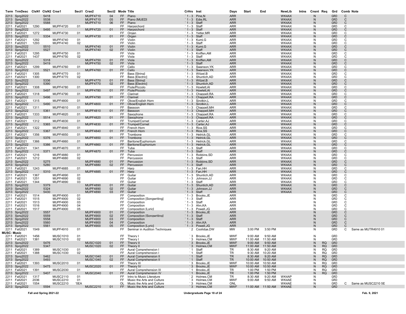|                                                    |              | Term TrmDesc CIsN1 CIsN2 Crse1     |          | Sect1 Crse2                        | Sect2    | Mode Title |                                    | CrHrs Inst    |                                          | Days                     | Start   | End                                      | NewLib         | Intns Cnsnt Req |                 | Grd        | <b>Comb Note</b>             |
|----------------------------------------------------|--------------|------------------------------------|----------|------------------------------------|----------|------------|------------------------------------|---------------|------------------------------------------|--------------------------|---------|------------------------------------------|----------------|-----------------|-----------------|------------|------------------------------|
| 2213 Sprg2022                                      |              | 5418                               |          | <b>MUPF4710</b>                    | 04       | FF.        | Piano                              |               | $1 - 3$ Pine, N                          | <b>ARR</b>               |         |                                          | WK4AX          | N               |                 | GRD        | C                            |
| 2213 Sprg2022                                      |              | 5538                               |          | <b>MUPF4710</b>                    | 05       | FF.        | Piano [MUED]                       |               | $1 - 3$ Edie.RL                          | <b>ARR</b>               |         |                                          | WK4AX          | N               |                 | GRD        | C                            |
| 2213 Sprg2022                                      |              | 5588                               |          | <b>MUPF4710</b>                    | 06       |            | FF Piano                           | $1 - 3$ Staff |                                          | <b>ARR</b>               |         |                                          | WK4AX          |                 |                 | GRD        | C                            |
| 2211 Fall2021                                      | 1290         | <b>MUPF4720</b>                    | 01       |                                    |          |            | FF Harpsichord                     | $1 - 3$ Staff |                                          | <b>ARR</b>               |         |                                          | WK4AX          | N               |                 | GRD        | C                            |
| 2213 Sprg2022                                      |              | 5495                               |          | <b>MUPF4720</b>                    | 01       |            | FF Harpsichord                     | $1 - 3$ Staff |                                          | <b>ARR</b>               |         |                                          | WK4AX          | N               |                 | GRD        | C                            |
| 2211 Fall2021                                      | 1272         | <b>MUPF4730</b>                    | 01       |                                    |          |            | FF Organ                           |               | 1 - 3 Yetter, MR                         | ARR                      |         |                                          | WK4AX          | N               |                 | GRD        | C                            |
| 2213 Sprg2022                                      |              | 5334                               |          | <b>MUPF4730</b>                    | 01       |            | FF Organ                           | $1 - 3$ Staff |                                          | <b>ARR</b>               |         |                                          | WK4AX          | N               |                 | GRD        | C                            |
| 2211 Fall2021                                      | 1292         | <b>MUPF4740</b>                    | 01       |                                    |          | FF.        | Violin                             |               | $\dot{ }$ 1 - 3 Kumi.G                   | ARR                      |         |                                          | WK4AX          | N               |                 | GRD        | C                            |
| 2211 Fall2021                                      | 1293         | <b>MUPF4740</b>                    | 02       |                                    |          |            | FF Violin<br>FF Violin             | $1 - 3$ Staff |                                          | <b>ARR</b>               |         |                                          | WK4AX          | N               |                 | GRD        | C                            |
| 2213 Sprg2022<br>2213 Sprg2022                     |              | 5510<br>5527                       |          | <b>MUPF4740</b><br><b>MUPF4740</b> | 01<br>02 |            | FF Violin                          |               | 1 - 3 Kumi, G                            | <b>ARR</b><br><b>ARR</b> |         |                                          | WK4AX<br>WK4AX | N               |                 | GRD<br>GRD | $\mathsf{C}$<br>$\mathsf{C}$ |
| 2211 Fall2021                                      | 1295         | <b>MUPF4750</b>                    | 01       |                                    |          |            | FF Viola                           | $1 - 3$ Staff | 1 - 3 Kniffen, AM                        | ARR                      |         |                                          | WK4AX          | N               |                 | GRD        | C                            |
| 2211 Fall2021                                      | 1437         | <b>MUPF4750</b>                    | 02       |                                    |          |            | FF Viola                           | $1 - 3$ Staff |                                          | <b>ARR</b>               |         |                                          | WK4AX          | N               |                 | GRD        | $\mathsf{C}$                 |
| 2213 Sprg2022                                      |              | 5318                               |          | <b>MUPF4750</b>                    | 01       |            | FF Viola                           |               | 1-3 Kniffen, AM                          | <b>ARR</b>               |         |                                          | WK4AX          | N               |                 | GRD        | C                            |
| 2213 Sprg2022                                      |              | 5419                               |          | <b>MUPF4750</b>                    | 02       |            | FF Viola                           | $1 - 3$ Staff |                                          | <b>ARR</b>               |         |                                          | WK4AX          |                 |                 | GRD        | $\mathsf{C}$                 |
| 2211 Fall2021                                      | 1299         | <b>MUPF4760</b>                    | 01       |                                    |          |            | FF Cello                           |               | 1 - 3 Swanson, YK                        | ARR                      |         |                                          | WK4AX          | N               |                 | GRD        | C                            |
| 2213 Spra2022                                      |              | 5521                               |          | <b>MUPF4760</b>                    | 01       |            | FF Cello                           |               | 1 - 3 Swanson, YK                        | <b>ARR</b>               |         |                                          | WK4AX          | N               |                 | GRD        | C                            |
| 2211 Fall2021                                      | 1305         | <b>MUPF4770</b>                    | 01       |                                    |          | FF.        | Bass [String]                      |               | $\dot{ }$ 1 - 3 Witzel, B                | ARR                      |         |                                          | WK4AX          | N               |                 | GRD        | C                            |
| 2211 Fall2021                                      | 1300         | <b>MUPF4770</b>                    | 02       |                                    |          | FF.        | <b>Bass [Electric]</b>             |               | 1 - 3 Shuntich, AD                       | <b>ARR</b>               |         |                                          | WK4AX          |                 |                 | GRD        | C                            |
| 2213 Sprg2022                                      |              | 5336                               |          | <b>MUPF4770</b>                    | 01       |            | FF Bass [String]                   |               | $\dot{ }$ 1 - 3 Witzel, B                | <b>ARR</b>               |         |                                          | WK4AX          | N               |                 | GRD        | C                            |
| 2213 Sprg2022                                      |              | 5390                               |          | <b>MUPF4770</b>                    | 02       |            | FF Bass [Electric]                 |               | 1 - 3 Shuntich, AD                       | <b>ARR</b>               |         |                                          | WK4AX          |                 |                 | GRD        | $\mathsf{C}$                 |
| 2211 Fall2021                                      | 1308         | <b>MUPF4780</b>                    | 01       |                                    |          |            | FF Flute/Piccolo                   |               | 1 - 3 Howlett, AI                        | ARR                      |         |                                          | WK4AX          | N               |                 | GRD        | C                            |
| 2213 Sprg2022                                      |              | 5497                               |          | <b>MUPF4780</b>                    | 01       |            | FF Flute/Piccolo                   |               | 1 - 3 Howlett, AI                        | <b>ARR</b>               |         |                                          | WK4AX          |                 |                 | GRD        | C                            |
| 2211 Fall2021                                      | 1318         | <b>MUPF4790</b>                    | 01       |                                    |          |            | FF Clarinet                        |               | 1 - 3 Chappell, RA                       | <b>ARR</b>               |         |                                          | WK4AX          | N               |                 | GRD        | C                            |
| 2213 Sprg2022                                      |              | 5496                               |          | <b>MUPF4790</b>                    | 01       |            | FF Clarinet                        |               | 1-3 Chappell, RA                         | <b>ARR</b><br><b>ARR</b> |         |                                          | WK4AX          | N               |                 | GRD<br>GRD | C                            |
| 2211 Fall2021<br>2213 Sprg2022                     | 1315         | <b>MUPF4800</b><br>5490            | 01       | <b>MUPF4800</b>                    |          |            | FF Oboe/English Horn               |               | 1 - 3 Sirotkin, L<br>$1 - 3$ Sirotkin, L | <b>ARR</b>               |         |                                          | WK4AX<br>WK4AX | N               |                 | GRD        | C                            |
| 2211 Fall2021                                      | 1311         | MUPF4810                           | 01       |                                    | 01       |            | FF Oboe/English Horn<br>FF Bassoon |               | 1 - 3 Chappell, MH                       | <b>ARR</b>               |         |                                          | WK4AX          | N               |                 | GRD        | C<br>C                       |
| 2213 Sprg2022                                      |              | 5361                               |          | <b>MUPF4810</b>                    | 01       |            | FF Bassoon                         |               | 1 - 3 Chappell.MH                        | <b>ARR</b>               |         |                                          | WK4AX          | N               |                 | GRD        | C                            |
| 2211 Fall2021                                      | 1333         | <b>MUPF4820</b>                    | 01       |                                    |          |            | FF Saxophone                       |               | 1 - 3 Chappell, RA                       | <b>ARR</b>               |         |                                          | WK4AX          | N               |                 | GRD        | C                            |
| 2213 Sprg2022                                      |              | 5514                               |          | <b>MUPF4820</b>                    | 01       |            | FF Saxophone                       |               | 1 - 3 Chappell, RA                       | <b>ARR</b>               |         |                                          | WK4AX          | N               |                 | GRD        | C                            |
| 2211 Fall2021                                      | 1312         | <b>MUPF4830</b>                    | 01       |                                    |          |            | FF Trumpet/Cornet                  |               | 1 - 3 Carter, AJ                         | ARR                      |         |                                          | WK4AX          | N               |                 | GRD        | C                            |
| 2213 Sprg2022                                      |              | 5365                               |          | MUPF4830                           | 01       |            | FF Trumpet/Cornet                  |               | 1-3 Carter, AJ                           | <b>ARR</b>               |         |                                          | WK4AX          |                 |                 | GRD        | C                            |
| 2211 Fall2021                                      | 1322         | <b>MUPF4840</b>                    | 01       |                                    |          |            | FF French Horn                     |               | $1 - 3$ Rice, SS                         | <b>ARR</b>               |         |                                          | WK4AX          | N               |                 | GRD        | C                            |
| 2213 Sprg2022                                      |              | 5367                               |          | <b>MUPF4840</b>                    | 01       |            | FF French Horn                     |               | $1 - 3$ Rice, SS                         | <b>ARR</b>               |         |                                          | WK4AX          |                 |                 | GRD        | C                            |
| 2211 Fall2021                                      | 1356         | <b>MUPF4850</b>                    | 01       |                                    |          |            | FF Trombone                        |               | 1 - 3 Hetrick, GL                        | ARR                      |         |                                          | WK4AX          | N               |                 | GRD        | C                            |
| 2213 Sprg2022                                      |              | 5376                               |          | <b>MUPF4850</b>                    | 01       |            | FF Trombone                        |               | 1 - 3 Hetrick.GL                         | <b>ARR</b>               |         |                                          | WK4AX          | N               |                 | GRD        | C                            |
| 2211 Fall2021                                      | 1366         | <b>MUPF4860</b>                    | 01       |                                    |          |            | FF Baritone/Euphonium              |               | 1 - 3 Hetrick, GL                        | <b>ARR</b>               |         |                                          | WK4AX          | N               |                 | GRD        | C                            |
| 2213 Spra2022                                      |              | 5386                               |          | <b>MUPF4860</b>                    | 01       |            | FF Baritone/Euphonium              |               | 1 - 3 Hetrick, GL                        | <b>ARR</b>               |         |                                          | WK4AX          | N               |                 | GRD        | C                            |
| 2211 Fall2021                                      | 1341         | <b>MUPF4870</b>                    | 01       |                                    |          |            | FF Tuba                            | $1 - 3$ Staff |                                          | ARR                      |         |                                          | WK4AX          | N               |                 | GRD        | C                            |
| 2213 Sprg2022                                      |              | 5371                               |          | <b>MUPF4870</b>                    | 01       |            | FF Tuba                            | $1 - 3$ Staff |                                          | <b>ARR</b>               |         |                                          | WK4AX          | N               |                 | <b>GRD</b> | C                            |
| 2211 Fall2021<br>2211 Fall2021                     | 1216<br>1212 | <b>MUPF4880</b><br><b>MUPF4880</b> | 01<br>02 |                                    |          | FF.        | FF Percussion                      | $1 - 3$ Staff | 1 - 3 Robbins, SD                        | ARR<br><b>ARR</b>        |         |                                          | WK4AX<br>WK4AX | N<br>N          |                 | GRD<br>GRD | C<br>C                       |
| 2213 Sprg2022                                      |              | 5275                               |          | <b>MUPF4880</b>                    | 01       | FF.        | Percussion<br>Percussion           |               | 1-3 Robbins, SD                          | <b>ARR</b>               |         |                                          | WK4AX          | N               |                 | GRD        | C                            |
| 2213 Sprg2022                                      |              | 5280                               |          | <b>MUPF4880</b>                    | 02       |            | FF Percussion                      | $1 - 3$ Staff |                                          | <b>ARR</b>               |         |                                          | WK4AX          | N               |                 | GRD        | $\mathsf{C}$                 |
| 2211 Fall2021                                      | 1243         | <b>MUPF4885</b>                    | 01       |                                    |          |            | FF Harp                            |               | $\cdot$ 1 - 3 Fan, HH                    | ARR                      |         |                                          | WK4AX          | N               |                 | GRD        | C                            |
| 2213 Sprg2022                                      |              | 5310                               |          | <b>MUPF4885</b>                    | 01       | FF.        | Harp                               |               | $\dot{ }$ 1 - 3 Fan, HH                  | <b>ARR</b>               |         |                                          | WK4AX          | N               |                 | GRD        | C                            |
| 2211<br><b>Fall2021</b>                            | 1367         | <b>MUPF4890</b>                    | 01       |                                    |          | FF.        | Guitar                             |               | 1 - 3 Shuntich, AD                       | ARR                      |         |                                          | WK4AX          | N               |                 | GRD        | C                            |
| 2211 Fall2021                                      | 1251         | <b>MUPF4890</b>                    | 02       |                                    |          | FF.        | Guitar                             |               | $1 - 3$ Johnson, JJ                      | <b>ARR</b>               |         |                                          | WK4AX          | N               |                 | GRD        | C                            |
| 2211 Fall2021                                      | 1344         | <b>MUPF4890</b>                    | 03       |                                    |          | FF.        | Guitar                             | $1 - 3$ Staff |                                          | <b>ARR</b>               |         |                                          | WK4AX          | N               |                 | GRD        | C                            |
| 2213 Sprg2022                                      |              | 5379                               |          | <b>MUPF4890</b>                    | 01       | FF.        | Guitar                             |               | $\dot{ }$ 1 - 3 Shuntich, AD             | <b>ARR</b>               |         |                                          | WK4AX          | N               |                 | <b>GRD</b> | C                            |
| 2213 Sprg2022                                      |              | 5324                               |          | <b>MUPF4890</b>                    | 02       | FF.        | Guitar                             |               | $\dot{ }$ 1 - 3 Johnson, JJ              | <b>ARR</b>               |         |                                          | WK4AX          | N               |                 | GRD        | C                            |
| 2213<br>Sprg2022                                   |              | 5430                               |          | <b>MUPF4890</b>                    | 03       | FF.        | Guitar                             | $1 - 3$ Staff |                                          | <b>ARR</b>               |         |                                          | WK4AX          |                 |                 | GRD        | $\mathsf{C}$                 |
| 2211 Fall2021                                      | 1514         | <b>MUPF4900</b>                    | 01       |                                    |          | FF.        | Composition                        |               | 1 - 3 Brooks, JE                         | ARR                      |         |                                          |                |                 |                 | GRD        | C                            |
| 2211 Fall2021                                      | 1515         | <b>MUPF4900</b>                    | 02       |                                    |          | FF.        | <b>Composition [Songwriting]</b>   | $1 - 3$ Staff |                                          | <b>ARR</b>               |         |                                          |                |                 |                 | GRD        | C                            |
| 2211<br><b>Fall2021</b>                            | 1513         | <b>MUPF4900</b>                    | 03       |                                    |          | FF.        | Composition                        | $1 - 3$ Staff |                                          | <b>ARR</b>               |         |                                          |                |                 |                 | GRD        | C                            |
| <b>Fall2021</b><br>2211<br><b>Fall2021</b><br>2211 | 1516<br>1517 | <b>MUPF4900</b><br><b>MUPF4900</b> | 04<br>05 |                                    |          | FF<br>FF.  | Composition<br>Composition [Lyric] |               | $1 - 3$ Ahn, KA<br>1 - 3 Powell, JG      | <b>ARR</b><br><b>ARR</b> |         |                                          |                |                 |                 | GRD<br>GRD | C<br>C                       |
| 2213 Sprg2022                                      |              | 5557                               |          | <b>MUPF4900</b>                    | 01       | FF.        | Composition                        |               | 1-3 Brooks, JE                           | <b>ARR</b>               |         |                                          |                |                 |                 | GRD        | C                            |
| 2213 Sprg2022                                      |              | 5559                               |          | <b>MUPF4900</b>                    | 02       | FF.        | <b>Composition [Songwriting]</b>   | $1 - 3$ Staff |                                          | <b>ARR</b>               |         |                                          |                |                 |                 | GRD        | $\mathsf{C}$                 |
| 2213 Sprg2022                                      |              | 5558                               |          | <b>MUPF4900</b>                    | 03       | FF.        | Composition                        | $1 - 3$ Staff |                                          | <b>ARR</b>               |         |                                          |                |                 |                 | GRD        |                              |
| 2213 Sprg2022                                      |              | 5560                               |          | <b>MUPF4900</b>                    | 04       | FF.        | Composition                        |               | $1 - 3$ Ahn, KA                          | <b>ARR</b>               |         |                                          |                | N               |                 | GRD        | C                            |
| 2213 Spra2022                                      |              | 5561                               |          | <b>MUPF4900</b>                    | 05       | FF.        | Composition [Lyric]                |               | $1 - 3$ Powell, JG                       | <b>ARR</b>               |         |                                          |                |                 |                 | <b>GRD</b> | C                            |
| 2211 Fall2021                                      | 1549         | <b>MUPF4910</b>                    | 01       |                                    |          |            | FF Seminar in Audition Techniques  |               | 2 Coolidge, DW                           | MW                       | 3:00 PM | 3:50 PM                                  |                |                 |                 | GRD        | C<br>Same as MUTR4910 01     |
| <b>MUSC: Music</b>                                 |              |                                    |          |                                    |          |            |                                    |               |                                          |                          |         |                                          |                |                 |                 |            |                              |
| 2211 Fall2021                                      | 1456         | <b>MUSC1010</b>                    | 01       |                                    |          |            | FF Theory I                        |               | 3 Brooks, JE                             | <b>MWF</b>               | 9:00 AM | 9:50 AM                                  |                | N               |                 | GRD        |                              |
| 2211 Fall2021                                      | 1381         | <b>MUSC1010</b>                    | 02       |                                    |          |            | FF Theory I                        |               | `3 Holmes, CM                            | MWF                      |         | 11:00 AM 11:50 AM                        |                |                 |                 | GRD        |                              |
| 2213 Sprg2022                                      |              | 5476                               |          | <b>MUSC1020</b>                    | 01       |            | FF Theory II                       |               | 3 Brooks, JE                             | <b>MWF</b>               |         | 9:00 AM 9:50 AM                          |                | N               | <b>RQ</b>       | GRD        |                              |
| 2213 Sprg2022                                      |              | 5347                               |          | <b>MUSC1020</b>                    | 02       |            | FF Theory II                       |               | `3 Holmes, CM                            | <b>MWF</b>               |         | 11:00 AM 11:50 AM                        |                | N.              | <b>RQ</b>       | GRD        |                              |
| 2211 Fall2021                                      | 1389         | <b>MUSC1030</b>                    | 01       |                                    |          |            | FF Aural Comprehension I           |               | `1 Staff                                 | TR                       |         | 8:30 AM 9:20 AM                          |                | Ν               | RQ              | GRD        |                              |
| 2211 Fall2021                                      | 1388         | <b>MUSC1030</b>                    | 02       |                                    |          |            | FF Aural Comprehension             |               | `1 Staff                                 | TR                       |         | 9:30 AM 10:20 AM                         |                | N               | RQ              | GRD        |                              |
| 2213 Sprg2022                                      |              | 5462                               |          | <b>MUSC1040</b>                    | 01       |            | FF Aural Comprehension II          |               | `1 Staff                                 | <b>TR</b>                |         | 8:30 AM 9:20 AM                          |                | N               | <b>RQ</b>       | GRD        |                              |
| 2213 Sprg2022                                      |              | 5493                               |          | <b>MUSC1040</b>                    | 02       |            | FF Aural Comprehension II          |               | '1 Staff                                 | TR.                      |         | 10:00 AM  10:50 AM                       |                | N               | <b>RQ</b>       | GRD        |                              |
| 2211 Fall2021<br>2213 Sprg2022                     | 1393         | <b>MUSC2010</b><br>5475            | 01       | <b>MUSC2020</b>                    | 01       |            | FF Theory III<br>FF Theory IV      |               | 3 Brooks, JE<br>3 Brooks, JE             | <b>MWF</b><br><b>MWF</b> |         | 10:00 AM  10:50 AM<br>10:00 AM  10:50 AM |                | N<br>N          | RQ<br><b>RQ</b> | GRD<br>GRD |                              |
| 2211 Fall2021                                      | 1391         | <b>MUSC2030</b>                    | 01       |                                    |          |            | FF Aural Comprehension III         |               | 1 Brooks, JE                             | TR.                      | 1:00 PM | 1:50 PM                                  |                | N               | RQ              | GRD        |                              |
| 2213 Sprg2022                                      |              | 5407                               |          | <b>MUSC2040</b>                    | 01       |            | FF Aural Comprehension IV          |               | 1 Brooks.JE                              | TR.                      | 1:00 PM | 1:50 PM                                  |                | N               | <b>RQ</b>       | <b>GRD</b> |                              |
| 2211 Fall2021                                      | 1317         | <b>MUSC2110</b>                    | 01       |                                    |          |            | FF Intro to Music Literature       |               | 2 Holmes, CM                             | TR                       | 8:30 AM | 9:20 AM                                  | WK4AP          | N               |                 | GRD        |                              |
| 2211 Fall2021                                      | 2036         | <b>MUSC2210</b>                    | 01       |                                    |          |            | FF Music the Arts and Culture      |               | ` 3 Holmes, CM                           | <b>MWF</b>               | 9:00 AM | 9:50 AM                                  | WK4AE          | Ν               |                 | GRD        |                              |
| 2211 Fall2021                                      | 1554         | <b>MUSC2210</b>                    | '0EA     |                                    |          |            | OL Music the Arts and Culture      |               | ` 3 Holmes, CM                           | ONL                      |         |                                          | WK4AE          | Ν               |                 | GRD        | C Same as MUSC2210 5E        |
| 2213 Sprg2022                                      |              | 5594                               |          | <b>MUSC2210</b>                    |          |            | 01 FF Music the Arts and Culture   |               | 3 Holmes, CM                             | <b>MWF</b>               |         | 11:00 AM  11:50 AM  WK4AE                |                | N               |                 | <b>GRD</b> |                              |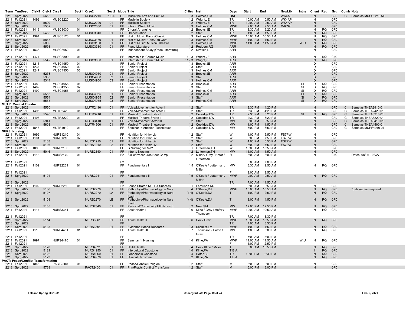|                      | Term TrmDesc CIsN1 CIsN2 Crse1             |      |              |                 |    | Sect1 Crse2                        | Sect2 Mode Title |                |                                                                 | CrHrs Inst |                                        | Days                     | Start               | End                 | NewLib                       |                |                   |                  |                   | Intns Cnsnt Req Grd Comb Note                          |
|----------------------|--------------------------------------------|------|--------------|-----------------|----|------------------------------------|------------------|----------------|-----------------------------------------------------------------|------------|----------------------------------------|--------------------------|---------------------|---------------------|------------------------------|----------------|-------------------|------------------|-------------------|--------------------------------------------------------|
|                      | 2213 Sprg2022                              |      | 5618         |                 |    | <b>MUSC2210</b>                    | '0EA             |                | OL Music the Arts and Culture                                   |            | ` 3 Holmes, CM                         | ONL                      |                     |                     | WK4AE                        |                | N                 |                  | <b>GRD</b>        | C Same as MUSC2210 5E                                  |
|                      | 2211 Fall2021                              | 1492 |              | <b>MUSC2220</b> | 01 |                                    |                  |                | FF Music in Society                                             |            | 2 Wright, JE                           | TR                       | 10:00 AM            | 10:50 AM            | WK4AP                        |                | N                 |                  | GRD               |                                                        |
| 2213                 | Sprg2022                                   |      | 5599         |                 |    | <b>MUSC2220</b>                    | 01               |                | FF Music in Society                                             |            | 2 Wright, JE                           | <b>TR</b>                | 10:00 AM            | 10:50 AM            | WK4AP                        |                | N                 |                  | GRD               |                                                        |
|                      | 2213 Sprg2022                              |      | 5552         |                 |    | <b>MUSC2330</b>                    | 01               |                | FF Intro to World Music                                         |            | ` 3 Holmes, CM                         | <b>MWF</b>               | 9:00 AM             | 9:50 AM             | WK7GI                        |                | N                 |                  | GRD               |                                                        |
|                      | 2211 Fall2021                              | 1413 |              | <b>MUSC3030</b> | 01 |                                    |                  | FF.            | Choral Arranging                                                |            | 2 Brooks, JE                           | TR                       | 8:30 AM             | 9:20 AM             |                              |                | N                 | <b>RQ</b>        | GRD               |                                                        |
|                      | 2213 Sprg2022                              |      | 5456         |                 |    | <b>MUSC3040</b>                    | 01               |                | FF Orchestration                                                |            | 2 Staff                                | <b>TR</b>                | 1:00 PM             | 1:50 PM             |                              |                | N                 | <b>RQ</b>        | GRD               |                                                        |
| 2211                 | <b>Fall2021</b>                            | 1994 |              | <b>MUSC3120</b> | 01 |                                    | 01               | FF.<br>FF.     | Hist of Music:Baroq/Classic                                     |            | 3 Holmes, CM                           | <b>MWF</b><br><b>MWF</b> | 10:00 AM            | 10:50 AM            |                              |                | N                 | <b>RQ</b>        | GRD<br>GRD        |                                                        |
|                      | 2213 Sprg2022<br>2213 Sprg2022             |      | 5868<br>5869 |                 |    | <b>MUSC3130</b><br><b>MUSC3180</b> | 01               | FF.            | Hist of Music: 19th/20th Cent<br>Hist of Music: Musical Theatre |            | 3 Holmes, CM<br>` 3 Holmes, CM         | <b>MWF</b>               | 1:00 PM<br>11:00 AM | 1:50 PM<br>11:50 AM |                              | WIU            | N<br>$\mathsf{N}$ | RQ<br>${\sf RQ}$ | GRD               |                                                        |
|                      | 2213 Sprg2022                              |      | 5598         |                 |    | <b>MUSC3380</b>                    | 01               |                | FF Piano Literature                                             |            | 2 Rodgers, RG                          | <b>ARR</b>               |                     |                     |                              |                | N                 | <b>RQ</b>        | GRD               |                                                        |
|                      | 2211 Fall2021                              | 1536 |              | <b>MUSC3650</b> | 01 |                                    |                  |                | FF Independent Study [Oboe Literature]                          |            | 2 Sirotkin,L                           | <b>ARR</b>               |                     |                     |                              |                | N                 |                  | GRD               |                                                        |
|                      |                                            |      |              |                 |    |                                    |                  |                |                                                                 |            |                                        |                          |                     |                     |                              |                |                   |                  |                   |                                                        |
|                      | 2211 Fall2021                              | 1471 |              | <b>MUSC3800</b> | 01 |                                    |                  |                | FF Internship in Church Music                                   |            | $\dot{ }$ 1 - 3 Wright, JE             | <b>ARR</b>               |                     |                     |                              |                | N                 | <b>RQ</b>        | CNC               |                                                        |
|                      | 2213 Sprg2022                              |      | 5542         |                 |    | <b>MUSC3800</b>                    | 01               |                | FF Internship in Church Music                                   |            | 1 - 3 Wright, JE                       | <b>ARR</b>               |                     |                     |                              |                | N                 | <b>RQ</b>        | <b>CNC</b>        |                                                        |
|                      | 2211 Fall2021                              | 1213 |              | <b>MUSC4950</b> | 01 |                                    |                  | FF.            | Senior Project                                                  |            | 3 Brooks, JE                           | <b>ARR</b>               |                     |                     |                              |                | D                 |                  | GRD               |                                                        |
|                      | 2211 Fall2021                              | 1234 |              | <b>MUSC4950</b> | 02 |                                    |                  | FF.            | Senior Project                                                  |            | `3 Staff                               | ARR                      |                     |                     |                              |                | D                 |                  | GRD               |                                                        |
|                      | 2211 Fall2021                              | 1247 |              | <b>MUSC4950</b> | 03 |                                    |                  | FF.            | Senior Project                                                  |            | 3 Holmes, CM                           | <b>ARR</b>               |                     |                     |                              |                | D<br>D            |                  | GRD               |                                                        |
|                      | 2213 Sprg2022<br>2213 Sprg2022             |      | 5273<br>5300 |                 |    | <b>MUSC4950</b><br><b>MUSC4950</b> | 01<br>02         | FF.<br>FF.     | Senior Project<br><b>Senior Project</b>                         |            | 3 Brooks, JE<br>`3 Staff               | <b>ARR</b><br><b>ARR</b> |                     |                     |                              |                | D                 |                  | GRD<br>GRD        |                                                        |
| 2213                 | Sprg2022                                   |      | 5314         |                 |    | <b>MUSC4950</b>                    | 03               | FF.            | <b>Senior Project</b>                                           |            | 3 Holmes, CM                           | <b>ARR</b>               |                     |                     |                              |                | D.                |                  | GRD               |                                                        |
|                      | 2211 Fall2021                              | 1488 |              | <b>MUSC4955</b> | 01 |                                    |                  | FF.            | Senior Presentation                                             |            | 3 Brooks, JE                           | <b>ARR</b>               |                     |                     |                              | <b>SI</b>      | D                 | <b>RQ</b>        | GRD               |                                                        |
| 2211                 | <b>Fall2021</b>                            | 1489 |              | <b>MUSC4955</b> | 02 |                                    |                  | FF.            | Senior Presentation                                             |            | `3 Staff                               | <b>ARR</b>               |                     |                     |                              | <b>SI</b>      | D                 | <b>RQ</b>        | GRD               |                                                        |
| 2211                 | <b>Fall2021</b>                            | 1490 |              | <b>MUSC4955</b> | 03 |                                    |                  | FF.            | Senior Presentation                                             |            | 3 Holmes, CM                           | <b>ARR</b>               |                     |                     |                              | SI             | D                 | <b>RQ</b>        | GRD               |                                                        |
|                      | 2213 Sprg2022                              |      | 5553         |                 |    | <b>MUSC4955</b>                    | 01               | FF.            | <b>Senior Presentation</b>                                      |            | 3 Brooks, JE                           | <b>ARR</b>               |                     |                     |                              | SI             | D                 | <b>RQ</b>        | GRD               |                                                        |
|                      | 2213 Sprg2022                              |      | 5554         |                 |    | <b>MUSC4955</b>                    | 02               | FF.            | Senior Presentation                                             |            | `3 Staff                               | <b>ARR</b>               |                     |                     |                              | SI             | D                 | RQ               | GRD               |                                                        |
|                      | 2213 Sprg2022                              |      | 5555         |                 |    | <b>MUSC4955</b>                    | 03               |                | FF Senior Presentation                                          |            | 3 Holmes, CM                           | <b>ARR</b>               |                     |                     |                              | S <sub>l</sub> | D                 | RQ               | GRD               |                                                        |
|                      | <b>MUTR: Musical Theatre</b>               |      |              |                 |    |                                    |                  |                |                                                                 |            |                                        |                          |                     |                     |                              |                |                   |                  |                   |                                                        |
|                      | 2213 Sprg2022<br>2211 Fall2021             | 1495 | 5550         | <b>MUTR2420</b> | 01 | <b>MUTR2410</b>                    | 01               |                | FF Voice/Movement for Actor I<br>FF Voice/Movement for Actor II |            | 2 Staff<br>`2 Staff                    | <b>TR</b><br>TR          | 3:30 PM<br>3:30 PM  | 4:20 PM<br>4:20 PM  |                              |                | N<br>N            |                  | GRD<br>GRD        | Same as THEA2410 01<br>C.<br>Same as THEA2420 01E<br>C |
|                      | 2213 Sprg2022                              |      | 5596         |                 |    | <b>MUTR3210</b>                    | 01               |                | FF Musical Theatre Styles I                                     |            | 2 Coolidge, DW                         | <b>TR</b>                | 2:30 PM             | 3:20 PM             |                              | <b>SI</b>      | N                 | <b>RQ</b>        | GRD               | Same as THEA3210 01<br>$\mathsf{C}$                    |
|                      | 2211 Fall2021                              | 1493 |              | <b>MUTR3220</b> | 01 |                                    |                  |                | FF Musical Theatre Styles II                                    |            | 2 Coolidge, DW                         | TR                       | 2:30 PM             | 3:20 PM             |                              |                | N                 |                  | GRD               | C<br>Same as THEA3220 01                               |
|                      | 2213 Sprg2022                              |      | 5941         |                 |    | <b>MUTR3410</b>                    | 01               |                | FF Voice/Movement Actor III                                     |            | 2 Staff                                | <b>MW</b>                | 9:00 AM             | 9:50 AM             |                              |                | N                 |                  | GRD               | Same as THEA3410 01<br>$\mathsf{C}$                    |
|                      | 2213 Sprg2022                              |      | 5608         |                 |    | <b>MUTR4500</b>                    | 01               |                | FF Musical Theatre Showcase                                     |            | 2 Coolidge, DW                         | <b>MW</b>                | 1:00 PM             | 1:50 PM             |                              |                | N                 |                  | GRD               | $\mathsf C$<br>Same as THEA4500 01                     |
|                      | 2211 Fall2021                              | 1548 |              | <b>MUTR4910</b> | 01 |                                    |                  |                | FF Seminar in Audition Techniques                               |            | 2 Coolidge, DW                         | <b>MW</b>                | 3:00 PM             | 3:50 PM             |                              |                | Ν                 |                  | GRD               | $\mathsf{C}$<br>Same as MUPF4910 01                    |
| <b>NURS: Nursing</b> |                                            |      |              |                 |    |                                    |                  |                |                                                                 |            |                                        |                          |                     |                     |                              |                |                   |                  |                   |                                                        |
|                      | 2211 Fall2021                              | 1099 |              | <b>NURS1210</b> | 01 |                                    |                  |                | FF Nutrition for Hlthy Liv                                      |            | 2 Staff                                | W                        | 4:00 PM             | 5:50 PM             | FS7PW                        |                | N                 |                  | GRD               |                                                        |
|                      | 2211 Fall2021                              | 1101 |              | <b>NURS1210</b> | 02 |                                    |                  |                | FF Nutrition for Hlthy Liv                                      |            | 2 Staff                                | W                        | 6:00 PM             | 7:50 PM             | <b>FS7PW</b>                 |                | N                 |                  | GRD               |                                                        |
|                      | 2213 Sprg2022<br>2213 Sprg2022             |      | 5103<br>5116 |                 |    | <b>NURS1210</b><br><b>NURS1210</b> | 01<br>02         |                | FF Nutrition for Hlthy Liv<br>FF Nutrition for Hithy Liv        |            | 2 Staff<br>2 Staff                     | W<br>W                   | 4:00 PM<br>6:00 PM  | 5:50 PM<br>7:50 PM  | <b>FS7PW</b><br><b>FS7PW</b> |                | N<br>N            |                  | GRD<br><b>GRD</b> |                                                        |
|                      | 2211 Fall2021                              | 1098 |              | <b>NURS2130</b> | 01 |                                    |                  |                | FF Is Nursing for Me?                                           |            | 1 Lutterman.TH                         | W                        | 10:00 AM            | 10:50 AM            |                              |                | N                 |                  | CNC               |                                                        |
|                      | 2213 Sprg2022                              |      | 5046         |                 |    | NURS2140                           | 01               |                | FF Intro to Nursing                                             |            | 2 Lutterman, TH                        | <b>MW</b>                | 11:00 AM            | 11:50 AM            |                              |                | N                 |                  | <b>GRD</b>        |                                                        |
| 2211                 | <b>Fall2021</b>                            | 1113 |              | <b>NURS2170</b> | 01 |                                    |                  | F2             | Skills/Procedures Boot Camp                                     |            | 2 Miller / Gray / Hofer /              | R                        | 8:00 AM             | 8:00 PM             |                              |                | N                 |                  | <b>CNC</b>        | Dates: 08/26 - 08/27                                   |
|                      |                                            |      |              |                 |    |                                    |                  |                |                                                                 |            | Lutterman                              |                          |                     |                     |                              |                |                   |                  |                   |                                                        |
|                      | 2211 Fall2021                              |      |              |                 |    |                                    |                  | F <sub>2</sub> |                                                                 |            |                                        |                          | 8:00 AM             | 7:00 PM             |                              |                |                   |                  |                   |                                                        |
|                      | 2211 Fall2021                              | 1109 |              | <b>NURS2231</b> | 01 |                                    |                  | FF.            | Fundamentals I                                                  |            | 5 O'Keefe / Lutterman /                | MW                       | 8:30 AM             | 9:50 AM             |                              |                | N                 | <b>RQ</b>        | GRD               |                                                        |
|                      |                                            |      |              |                 |    |                                    |                  |                |                                                                 |            | Miller                                 |                          |                     |                     |                              |                |                   |                  |                   |                                                        |
|                      | 2211 Fall2021                              |      |              |                 |    |                                    |                  | FF             |                                                                 |            |                                        |                          | 9:00 AM             | 9:50 AM             |                              |                |                   |                  |                   |                                                        |
|                      | 2213 Sprg2022                              |      | 5104         |                 |    | <b>NURS2241</b>                    | 01               |                | FF Fundamentals II                                              |            | 5 O'Keefe / Lutterman /                | <b>MWF</b>               | 9:00 AM             | 9:50 AM             |                              |                | N                 | <b>RQ</b>        | GRD               |                                                        |
|                      | 2213 Sprg2022                              |      |              |                 |    |                                    |                  | FF             |                                                                 |            | Miller                                 | <b>TR</b>                | 7:00 AM             | 11:50 AM            |                              |                |                   |                  |                   |                                                        |
|                      | 2211 Fall2021                              | 1102 |              | <b>NURS2250</b> | 01 |                                    |                  |                | F2 Found Strateg NCLEX Success                                  |            | 1 Ferguson, RR                         | F                        | 8:00 AM             | 8:50 AM             |                              |                | $\mathsf{N}$      |                  | GRD               |                                                        |
|                      | 2213 Sprg2022                              |      | 5106         |                 |    | <b>NURS2270</b>                    | 01               | FF.            | Pathophys/Pharmacology in Nurs                                  |            | 4 O'Keefe, DJ                          | <b>MWF</b>               | 10:00 AM            | 10:50 AM            |                              |                | N                 | RQ               | GRD               | *Lab section required                                  |
|                      | 2213 Sprg2022                              |      | 5107         |                 |    | <b>NURS2270</b>                    | LA               | FF.            | Pathophys/Pharmacology in Nurs                                  |            | $'(4)$ O'Keefe, DJ                     | T.                       | 1:00 PM             | 2:50 PM             |                              |                | N                 | RQ               | GRD               |                                                        |
|                      |                                            |      |              |                 |    |                                    |                  |                | <b>ILabl</b>                                                    |            |                                        |                          |                     |                     |                              |                |                   |                  |                   |                                                        |
|                      | 2213 Sprg2022                              |      | 5108         |                 |    | <b>NURS2270</b>                    | LB               |                | FF Pathophys/Pharmacology in Nurs                               |            | (4) O'Keefe, DJ                        | T                        | 3:00 PM             | 4:50 PM             |                              |                | N                 | <b>RQ</b>        | GRD               |                                                        |
|                      |                                            |      |              |                 |    |                                    |                  |                | $II$ abl                                                        |            |                                        |                          |                     |                     |                              |                |                   |                  |                   |                                                        |
|                      | 2213 Spra2022                              |      | 5105         |                 |    | <b>NURS2340</b>                    | 01               | FF.            | Personal/Community Hith Nursng                                  |            | 2 Neal, SM                             | <b>MW</b>                |                     | 12:00 PM  12:50 PM  |                              |                | N.                | <b>RQ</b>        | <b>GRD</b>        |                                                        |
|                      | 2211 Fall2021                              | 1114 |              | <b>NURS3351</b> | 01 |                                    |                  | FF.            | Adult Health I                                                  |            | 6 Kline / Gray / Hofer /               | MWF                      | 10:00 AM            | 10:50 AM            |                              |                | N                 | <b>RQ</b>        | GRD               |                                                        |
|                      | 2211 Fall2021                              |      |              |                 |    |                                    |                  | FF             |                                                                 |            | Thomnson                               | TR                       | 7:00 AM             | 3:30 PM             |                              |                |                   |                  |                   |                                                        |
|                      | 2213 Sprg2022                              |      | 5114         |                 |    | <b>NURS3361</b>                    | 01               | FF.            | Adult Health II                                                 |            | 6 Cox / Gray                           | <b>MWF</b>               | 10:00 AM            | 10:50 AM            |                              |                | N                 | <b>RQ</b>        | GRD               |                                                        |
|                      | 2213 Sprg2022                              |      |              |                 |    |                                    |                  | <b>FF</b>      |                                                                 |            |                                        | <b>TR</b>                | 7:00 AM             | 3:30 PM             |                              |                |                   |                  |                   |                                                        |
|                      | 2213 Sprg2022                              |      | 5115         |                 |    | <b>NURS3391</b>                    | 01               |                | FF Evidence-Based Research                                      |            | 3 Schmidt, LM                          | <b>MWF</b>               | 1:00 PM             | 1:50 PM             |                              |                | N.                | <b>RQ</b>        | GRD               |                                                        |
|                      | 2211 Fall2021                              | 1118 |              | <b>NURS4451</b> | 01 |                                    |                  | FF.            | Adult Health III                                                |            | 7 Thompson / Eaton /                   | MW                       | 1:00 PM             | 3:00 PM             |                              |                | N                 | <b>RQ</b>        | GRD               |                                                        |
|                      |                                            |      |              |                 |    |                                    |                  |                |                                                                 |            | Grav                                   |                          |                     |                     |                              |                |                   |                  |                   |                                                        |
|                      | 2211 Fall2021                              |      |              |                 |    |                                    |                  | FF             |                                                                 |            |                                        | <b>TR</b>                | 7:00 AM             | 5:00 PM             |                              |                |                   |                  |                   |                                                        |
|                      | 2211 Fall2021                              | 1097 |              | <b>NURS4470</b> | 01 |                                    |                  | FF.            | Seminar in Nursing                                              |            | 4 Kline, PA                            | <b>MWF</b>               | 11:00 AM            | 11:50 AM            |                              | WIU            | N                 | RQ               | GRD               |                                                        |
|                      | 2211 Fall2021                              |      |              |                 |    |                                    |                  | FF             |                                                                 |            |                                        | F<br>T                   | 1:00 PM             | 2:50 PM             |                              |                | N                 |                  |                   |                                                        |
| 2213                 | 2213 Sprg2022<br>Sprg2022                  |      | 5120<br>5121 |                 |    | <b>NURS4521</b><br><b>NURS4950</b> | 01<br>01         | FF.<br>FF.     | Child Health<br>Intercultural Capstone                          |            | 4 Cox / Kline / Miller<br>`4 Kline, PA | T.B.A.                   | 8:00 AM             | 10:50 AM            |                              |                |                   | <b>RQ</b><br>RQ  | GRD<br>GRD        |                                                        |
|                      | 2213 Sprg2022                              |      | 5122         |                 |    | <b>NURS4960</b>                    | 01               | FF.            | Leadership Capstone                                             |            | `4 Hofer, CL                           | TR I                     | 12:00 PM            | 2:30 PM             |                              |                | N                 | RQ               | GRD               |                                                        |
|                      | 2213 Sprg2022                              |      | 5123         |                 |    | <b>NURS4970</b>                    | 01               |                | FF Clinical Capstone                                            |            | 2 Kline, PA                            | T.B.A                    |                     |                     |                              |                |                   | <b>RQ</b>        | GRD               |                                                        |
|                      | <b>PACT: Peace/Conflict Transformation</b> |      |              |                 |    |                                    |                  |                |                                                                 |            |                                        |                          |                     |                     |                              |                |                   |                  |                   |                                                        |
|                      | 2211 Fall2021                              | 1846 |              | <b>PACT2300</b> | 01 |                                    |                  |                | FF Peace/Conflict/Religion                                      |            | `2 Staff                               | M                        | 6:00 PM             | 8:00 PM             |                              |                | $\mathsf{N}$      |                  | GRD               |                                                        |
|                      | 2213 Sprg2022                              |      | 5769         |                 |    | <b>PACT2400</b>                    | 01               |                | FF Prin/Practs Conflict Transform                               |            | 2 Staff                                | M                        | 6:00 PM             | 8:00 PM             |                              |                | N                 |                  | GRD               |                                                        |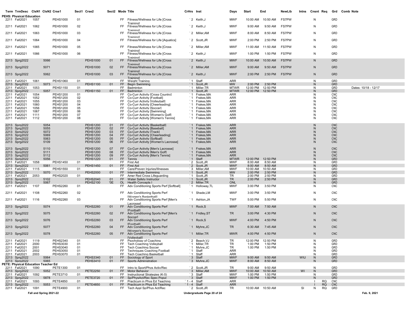|      |                                           |              | Term TrmDesc CIsN1 CIsN2 Crse1                  |          | Sect1 Crse2                        |          | Sect2 Mode Title |                                                                        | CrHrs Inst                   |                                | Days                     | <b>Start</b>        | End                 | NewLib       | Intns | Cnsnt Req Grd Comb Note |                   |                      |
|------|-------------------------------------------|--------------|-------------------------------------------------|----------|------------------------------------|----------|------------------|------------------------------------------------------------------------|------------------------------|--------------------------------|--------------------------|---------------------|---------------------|--------------|-------|-------------------------|-------------------|----------------------|
|      | PEHS: Physical Education<br>2211 Fall2021 | 1057         | <b>PEHS1000</b>                                 | 01       |                                    |          |                  | FF Fitness/Wellness for Life [Cross                                    |                              | `2 Keith,J                     | <b>MWF</b>               | 10:00 AM            | 10:50 AM            | <b>FS7PW</b> |       | Ν                       | GRD               |                      |
|      | 2211 Fall2021                             | 1062         | <b>PEHS1000</b>                                 | 02       |                                    |          | FF.              | Trainingl<br>Fitness/Wellness for Life [Cross                          |                              | 2 Keith,J                      | <b>MWF</b>               | 9:00 AM             | 9:50 AM             | <b>FS7PW</b> |       | N                       | GRD               |                      |
|      | 2211 Fall2021                             | 1063         | <b>PEHS1000</b>                                 | 03       |                                    |          | FF               | Trainingl<br>Fitness/Wellness for Life [Cross                          |                              | 2 Miller, AM                   | MWF                      | 8:00 AM             | 8:50 AM             | <b>FS7PW</b> |       | N                       | GRD               |                      |
|      | 2211 Fall2021                             | 1064         | <b>PEHS1000</b>                                 | 04       |                                    |          | FF               | Trainingl<br>Fitness/Wellness for Life [Aquatics]                      |                              | `2 Scott,JR                    | MWF                      | 2:00 PM             | 2:50 PM             | <b>FS7PW</b> |       | N                       | GRD               |                      |
|      | 2211 Fall2021                             | 1065         | <b>PEHS1000</b>                                 | 05       |                                    |          | FF               | Fitness/Wellness for Life [Cross                                       |                              | 2 Miller, AM                   | MWF                      | 11:00 AM            | 11:50 AM            | <b>FS7PW</b> |       | N                       | GRD               |                      |
|      | 2211 Fall2021                             | 1066         | <b>PEHS1000</b>                                 | 06       |                                    |          | FF.              | Trainingl<br>Fitness/Wellness for Life [Cross                          |                              | 2 Keith, J                     | MWF                      | 1:00 PM             | 1:50 PM             | <b>FS7PW</b> |       | N                       | GRD               |                      |
|      |                                           |              |                                                 |          |                                    |          |                  | Trainingl                                                              |                              |                                |                          |                     |                     |              |       |                         |                   |                      |
|      | 2213 Sprg2022                             |              | 5066                                            |          | <b>PEHS1000</b>                    | 01       |                  | FF Fitness/Wellness for Life [Cross<br>Training1                       |                              | 2 Keith, J                     | <b>MWF</b>               | 10:00 AM            | 10:50 AM            | <b>FS7PW</b> |       | N                       | GRD               |                      |
|      | 2213 Sprg2022                             |              | 5071                                            |          | <b>PEHS1000</b>                    | 02       | FF.              | Fitness/Wellness for Life [Cross<br>Trainingl                          |                              | 2 Miller, AM                   | <b>MWF</b>               | 9:00 AM             | 9:50 AM             | <b>FS7PW</b> |       | N                       | GRD               |                      |
|      | 2213 Sprg2022                             |              | 5062                                            |          | <b>PEHS1000</b>                    | 03       | FF               | Fitness/Wellness for Life [Cross<br>Trainingl                          |                              | 2 Keith, J                     | <b>MWF</b>               | 2:00 PM             | 2:50 PM             | <b>FS7PW</b> |       | N                       | <b>GRD</b>        |                      |
|      | 2211    Fall2021                          | 1061         | <b>PEHS1060</b>                                 | 01       |                                    |          | FF.              | Weight Training                                                        |                              | `1 Staff<br>1 Scott, JR        | ARR                      |                     |                     |              |       | N                       | GRD               |                      |
|      | 2213 Sprg2022<br>2211 Fall2021            | 1053         | 5073<br><b>PEHS1150</b>                         | 01       | <b>PEHS1100</b>                    | 01       | FF.<br>FF.       | <b>Begin Swimming</b><br>Badminton                                     |                              | 1 Miller, TR                   | <b>MW</b><br><b>MTWR</b> | 2:00 PM<br>12:00 PM | 2:50 PM<br>12:50 PM |              |       | N<br>N                  | <b>GRD</b><br>GRD | Dates: 10/18 - 12/17 |
|      | 2213 Sprg2022                             |              | 5057                                            |          | <b>PEHS1150</b>                    | 01       | FF.              | Badminton                                                              |                              | 1 Scott, JR                    | <b>MTWR</b>              |                     | 12:00 PM 12:50 PM   |              |       | N                       | GRD               |                      |
|      | 2211 Fall2021                             | 1054         | <b>PEHS1200</b>                                 | 01       |                                    |          | FF.              | Co-Curr Activity [Cross Country]                                       |                              | 1 Frakes, MA                   | <b>ARR</b>               |                     |                     |              |       | N                       | <b>CNC</b>        |                      |
|      | 2211 Fall2021                             | 1052         | <b>PEHS1200</b>                                 | 02       |                                    |          | FF.              | Co-Curr Activity [Football]                                            |                              | 1 Frakes, MA                   | ARR                      |                     |                     |              |       | N                       | <b>CNC</b>        |                      |
| 2211 | <b>Fall2021</b><br>Fall2021               | 1055<br>1060 | <b>PEHS1200</b>                                 | 03<br>04 |                                    |          | FF.<br>FF.       | Co-Curr Activity [Volleyball]                                          | $^{\circ}$ 1<br>$^{\circ}$ 1 | Frakes,MA<br>Frakes,MA         | <b>ARR</b><br>ARR        |                     |                     |              |       | Ν<br>N                  | CNC<br><b>CNC</b> |                      |
| 2211 | 2211 Fall2021                             | 1056         | <b>PEHS1200</b><br><b>PEHS1200</b>              | 05       |                                    |          | FF.              | Co-Curr Activity [Cheerleading]<br>Co-Curr Activity [Soccer]           |                              | 1 Frakes, MA                   | ARR                      |                     |                     |              |       | N                       | <b>CNC</b>        |                      |
|      | 2211 Fall2021                             | 1067         | <b>PEHS1200</b>                                 | 06       |                                    |          | FF.              | Co-Curr Activity [Swimming]                                            |                              | 1 Frakes, MA                   | <b>ARR</b>               |                     |                     |              |       | N                       | <b>CNC</b>        |                      |
|      | 2211 Fall2021                             | 1111         | <b>PEHS1200</b>                                 | 07       |                                    |          | FF               | Co-Curr Activity [Women's Golf]                                        |                              | 1 Frakes, MA                   | ARR                      |                     |                     |              |       | N                       | <b>CNC</b>        |                      |
|      | 2211 Fall2021                             | 1112         | <b>PEHS1200</b>                                 | 08       |                                    |          | FF.              | Co-Curr Activity [Women's Tennis]                                      |                              | 1 Frakes, MA                   | ARR                      |                     |                     |              |       | N                       | CNC               |                      |
|      |                                           |              |                                                 |          |                                    |          |                  | Co-Curr Activity [Basketball]                                          |                              |                                | <b>ARR</b>               |                     |                     |              |       | N                       | <b>CNC</b>        |                      |
|      | 2213 Sprg2022<br>2213 Sprg2022            |              | 5054<br>5055                                    |          | <b>PEHS1200</b><br><b>PEHS1200</b> | 01<br>02 | FF.<br>FF.       | <b>Co-Curr Activity [Baseball]</b>                                     |                              | 1 Frakes, MA<br>1 Frakes.MA    | <b>ARR</b>               |                     |                     |              |       | N                       | <b>CNC</b>        |                      |
|      | 2213 Sprg2022                             |              | 5072                                            |          | <b>PEHS1200</b>                    | 03       | FF.              | Co-Curr Activity [Track]                                               |                              | 1 Frakes, MA                   | <b>ARR</b>               |                     |                     |              |       | N                       | <b>CNC</b>        |                      |
|      | 2213 Sprg2022                             |              | 5069                                            |          | <b>PEHS1200</b>                    | 04       | FF.              | Co-Curr Activity [Cheerleading]                                        | $^{\circ}$ 1                 | Frakes, MA                     | <b>ARR</b>               |                     |                     |              |       | N                       | <b>CNC</b>        |                      |
|      | 2213 Sprg2022                             |              | 5063                                            |          | <b>PEHS1200</b>                    | 05       | FF.              | Co-Curr Activity [Softball]                                            |                              | Frakes, MA                     | <b>ARR</b>               |                     |                     |              |       | N                       | <b>CNC</b>        |                      |
|      | 2213 Sprg2022                             |              | 5109                                            |          | <b>PEHS1200</b>                    | 06       | FF.              | Co-Curr Activity [Women's Lacrosse]                                    |                              | 1 Frakes, MA                   | <b>ARR</b>               |                     |                     |              |       | Ν                       | <b>CNC</b>        |                      |
|      | 2213 Sprg2022                             |              | 5110                                            |          | <b>PEHS1200</b>                    | 07       | FF.              | Co-Curr Activity [Men's Lacrosse]                                      |                              | 1 Frakes, MA                   | <b>ARR</b>               |                     |                     |              |       | N                       | <b>CNC</b>        |                      |
|      | 2213 Sprg2022                             |              | 5111                                            |          | <b>PEHS1200</b>                    | 08       | FF.              | Co-Curr Activity [Men's Golf]                                          |                              | `1 Frakes, MA                  | <b>ARR</b>               |                     |                     |              |       | N                       | <b>CNC</b>        |                      |
|      | 2213 Sprg2022                             |              | 5112                                            |          | <b>PEHS1200</b>                    | 09       | FF.              | Co-Curr Activity [Men's Tennis]                                        |                              | 1 Frakes, MA                   | <b>ARR</b>               |                     |                     |              |       | N                       | <b>CNC</b>        |                      |
|      | 2213 Sprg2022                             |              | 5056                                            |          | <b>PEHS1220</b>                    | 01       |                  | FF Tennis                                                              |                              | `1 Staff                       | <b>MTWR</b>              | 12:00 PM            | 12:50 PM            |              |       | N                       | GRD               |                      |
|      | 2211 Fall2021<br>2213 Sprg2022            | 1058         | <b>PEHS1450</b><br>5061                         | 01       | <b>PEHS1450</b>                    | 01       | FF.              | FF First Aid<br><b>First Aid</b>                                       |                              | 2 Scott, JR<br>2 Scott, JR     | MWF<br><b>MWF</b>        | 8:00 AM<br>8:00 AM  | 8:50 AM<br>8:50 AM  |              |       | N                       | GRD<br>GRD        |                      |
|      | 2211 Fall2021                             | 1115         | <b>PEHS1550</b>                                 | 01       |                                    |          | FF.              | Care/Preven Injuries/Illnesses                                         |                              | `3 Miller, AM                  | MWF                      | 10:00 AM            | 10:50 AM            |              |       | N<br>Ν                  | GRD               |                      |
|      | 2213 Sprg2022                             |              | 5070                                            |          | <b>PEHS2000</b>                    | 01       |                  | FF Intermediate Swimming                                               |                              | 1 Scott, JR                    | <b>MW</b>                | 2:00 PM             | 2:50 PM             |              |       | N                       | GRD               |                      |
|      | 2211 Fall2021                             | 2053         | <b>PEHS2020</b>                                 | 01       |                                    |          | FF.              | Amer Red Cross Lifeguarding                                            | $^{\circ}$ 1                 | Scott, JR                      | TR                       | 2:00 PM             | 2:50 PM             |              |       | Ν                       | GRD               |                      |
|      | 2213 Sprg2022                             |              | 5102                                            |          | <b>PEHS2040</b>                    | 01       | FF.              | <b>Water Safety Instructor</b>                                         |                              | 1 Scott, JR                    | <b>TR</b>                | 2:00 PM             | 2:50 PM             |              |       | N                       | <b>GRD</b>        |                      |
|      | 2213 Sprg2022<br>2211 Fall2021            | 1107         | 5067<br><b>PEHS2260</b>                         | 01       | <b>PEHS2100</b>                    | '0E      | OL               | <b>Health Concepts I</b><br>FF Adv Conditioning Sports Perf [Softball] |                              | 2 Miller, TR<br>1 Holloway, TL | <b>ONL</b><br><b>MWF</b> | 3:00 PM             | 3:50 PM             |              |       | N<br>N                  | GRD<br><b>CNC</b> |                      |
|      | 2211 Fall2021                             | 1108         | <b>PEHS2260</b>                                 | 02       |                                    |          |                  | FF Adv Conditioning Sports Perf                                        |                              | 1 Shade, LM                    | <b>MWF</b>               | 3:00 PM             | 3:50 PM             |              |       | N                       | CNC               |                      |
|      | 2211 Fall2021                             | 1116         | <b>PEHS2260</b>                                 | 03       |                                    |          | FF               | IWomen's Basketball1<br>Adv Conditioning Sports Perf [Men's            |                              | 1 Ashton, JA                   | <b>TWF</b>               | 5:00 PM             | 5:50 PM             |              |       | N                       | CNC               |                      |
|      |                                           |              |                                                 |          |                                    |          |                  | Lacrossel                                                              |                              |                                |                          |                     |                     |              |       |                         |                   |                      |
|      | 2213 Sprg2022                             |              | 5074                                            |          | <b>PEHS2260</b>                    | 01       | FF.              | Adv Conditioning Sports Perf<br><b>IFootball1</b>                      |                              | 1 Rock, S                      | <b>MWF</b>               | 7:00 AM             | 7:50 AM             |              |       | N                       | <b>CNC</b>        |                      |
|      | 2213 Sprg2022                             |              | 5075                                            |          | <b>PEHS2260</b>                    | 02       | FF.              | Adv Conditioning Sports Perf [Men's<br>Soccerl                         |                              | 1 Fridley, ST                  | <b>TR</b>                | 3:00 PM             | 4:30 PM             |              |       | N                       | <b>CNC</b>        |                      |
|      | 2213 Sprg2022                             |              | 5076                                            |          | <b>PEHS2260</b>                    | 03       |                  | FF Adv Conditioning Sports Perf<br><b>IFootball1</b>                   |                              | 1 Rock, S                      | <b>MWF</b>               | 4:00 PM             | 4:50 PM             |              |       | N                       | <b>CNC</b>        |                      |
|      | 2213 Sprg2022                             |              | 5077                                            |          | <b>PEHS2260</b>                    | 04       | FF.              | Adv Conditioning Sports Perf<br><b>IWomen's Soccerl</b>                |                              | 1 Myhre, JC                    | <b>TR</b>                | 6:30 AM             | 7:45 AM             |              |       | N                       | <b>CNC</b>        |                      |
|      | 2213 Sprg2022                             |              | 5078                                            |          | <b>PEHS2260</b>                    | 05       | FF.              | Adv Conditioning Sports Perf<br><b>Nollevhall1</b>                     |                              | 1 Miller, TR                   | <b>MWR</b>               | 4:00 PM             | 4:50 PM             |              |       | N                       | <b>CNC</b>        |                      |
|      | 2211 Fall2021                             | 1119         | <b>PEHS2340</b>                                 | 01       |                                    |          | ۲F               | Psychology of Coaching                                                 |                              | 2 Beach, VJ                    | TR                       | 12:00 PM            | 12:50 PM            |              |       | N                       | GRD               |                      |
|      | 2211 Fall2021                             | 2000         | <b>PEHS3030</b>                                 | 01       |                                    |          | FF.              | <b>Tech Coaching Volleyball</b>                                        |                              | 1 Miller, TR                   | TR                       | 1:00 PM             | 1:50 PM             |              |       | Ν                       | GRD               |                      |
| 2211 | <b>Fall2021</b><br>2211 Fall2021          | 2001<br>2002 | <b>PEHS3040</b><br><b>PEHS3050</b>              | 01<br>01 |                                    |          | FF.<br>FF.       | <b>Tech Coaching Soccer</b><br><b>Techniques Coaching Football</b>     |                              | 1 Myhre, JC<br>`1 Staff        | TR<br>ARR                | 1:00 PM             | 1:50 PM             |              |       | N<br>N                  | GRD<br>GRD        |                      |
|      | 2211 Fall2021                             | 2003         | <b>PEHS3070</b>                                 | 01       |                                    |          | FF.              | <b>Tech Coaching Basketball</b>                                        |                              | `1 Staff                       | ARR                      |                     |                     |              |       | N                       | GRD               |                      |
|      | 2213 Sprg2022                             |              | 5064                                            |          | <b>PEHS3340</b>                    | 01       | FF.              | Sociology of Sport                                                     |                              | `3 Staff                       | <b>MWF</b>               | 9:00 AM             | 9:50 AM             |              | WIU   | N                       | GRD               |                      |
|      | 2213 Sprg2022                             |              | 5065                                            |          | <b>PEHS3410</b>                    | 01       |                  | FF Sports Administration                                               |                              | `3 Myhre, JC                   | <b>MWF</b>               | 8:00 AM             | 8:50 AM             |              |       | N                       | GRD               |                      |
|      | 2211 Fall2021                             | 1090         | PETE: Physical Education Teacher Ed<br>PETE1300 | 01       |                                    |          |                  | FF Intro to Sport/Phys Activ/Rec                                       |                              | 2 Scott, JR                    | TR                       | 9:00 AM             | 9:50 AM             |              |       | Ν                       | <b>GRD</b>        |                      |
|      | 2213 Sprg2022                             |              | 5052                                            |          | <b>PETE2250</b>                    | 01       |                  | FF Motor Behavior                                                      |                              | 3 Miller, AM                   | <b>MWF</b>               | 10:00 AM            | 10:50 AM            |              | WI    | N                       | GRD               |                      |
|      | 2211 Fall2021                             | 1092         | PETE3710                                        | 01       |                                    |          |                  | FF Instructional Strategies (K-5)                                      |                              | `3 Staff                       | <b>MWF</b>               | 1:00 PM             | 1:50 PM             |              |       | N                       | GRD               |                      |
|      | 2213 Sprg2022                             |              | 5878                                            |          | <b>PETE3720</b>                    | 01       |                  | FF Sp/PhysAct/Rec Spec Popul                                           |                              | `3 Staff                       | <b>MWF</b>               | 1:00 PM             | 1:50 PM             |              |       | N                       | GRD               |                      |
|      | 2211 Fall2021                             | 1093         | <b>PETE4850</b>                                 | 01       |                                    |          |                  | FF Practicum in Phys Ed Teaching                                       | $1 - 4$ Staff                |                                | ARR                      |                     |                     |              |       | RQ                      | <b>CNC</b>        |                      |
|      | 2213 Sprg2022<br>2211 Fall2021            | 1091         | 5053<br><b>PETE4900</b>                         | 01       | <b>PETE4850</b>                    | 01       |                  | FF Practicum in Phys Ed Teaching<br>FF Tech Appl Sp/Phys Act/Rec       | 1-4 Staff                    | 2 Scott, JR                    | <b>ARR</b><br>TR         | 10:00 AM            | 10:50 AM            |              | SI    | <b>RQ</b><br>N<br>RQ    | CNC<br>GRD        |                      |
|      |                                           |              | Fall and Spring 2021-22                         |          |                                    |          |                  |                                                                        |                              | Undergraduate Page 20 of 24    |                          |                     |                     |              |       |                         |                   | Feb. 9, 2021         |
|      |                                           |              |                                                 |          |                                    |          |                  |                                                                        |                              |                                |                          |                     |                     |              |       |                         |                   |                      |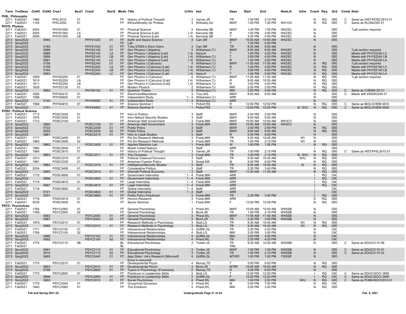|                                          | Term TrmDesc                     | CISN1 CISN2 Crse1       |              |                             |                  | Sect1 Crse2                        | Sect2 Mode Title |            |                                                                     | CrHrs Inst    |                                              | Days                     | Start               | End                                    | NewLib         | Intns      |              |                        | Cnsnt Req Grd Comb Note  |                   |                                                  |
|------------------------------------------|----------------------------------|-------------------------|--------------|-----------------------------|------------------|------------------------------------|------------------|------------|---------------------------------------------------------------------|---------------|----------------------------------------------|--------------------------|---------------------|----------------------------------------|----------------|------------|--------------|------------------------|--------------------------|-------------------|--------------------------------------------------|
| <b>PHIL: Philosophy</b><br>2211 Fall2021 |                                  | 1986                    |              | PHIL3010                    | 01               |                                    |                  |            | FF History of Political Thought                                     |               | 3 Varner, JR                                 | TR                       | 1:00 PM             | 2:15 PM                                |                |            | N            | RQ.                    | GRD                      | C                 | Same as HIST/POSC3010 01                         |
| 2211 Fall2021                            |                                  | 1145                    |              | <b>PHIL3250</b>             | 01               |                                    |                  | FF.        | <b>Ethics/Morality for Profess</b>                                  |               | 3 Willowby, NJ                               | MWF                      | 1:00 PM             | 1:50 PM                                | WK1CH          |            | N            | <b>RQ</b>              | GRD                      | $\mathsf C$       | Same as RLGN2350 01                              |
| <b>PHYS: Physics</b>                     |                                  |                         |              |                             |                  |                                    |                  |            |                                                                     |               |                                              |                          |                     |                                        |                |            |              |                        |                          |                   |                                                  |
| 2211 Fall2021                            |                                  | 2004                    |              | <b>PHYS1000</b>             | 01               |                                    |                  | FF.        | <b>Physical Science</b>                                             |               | '4 Kennedy, SB                               | <b>MWF</b>               | 1:00 PM             | 1:50 PM                                | WK2SC          |            | Ν            |                        | GRD                      |                   | *Lab section required                            |
| 2211 Fall2021<br>2211                    | <b>Fall2021</b>                  | 2005<br>2006            |              | <b>PHYS1000</b><br>PHYS1000 | LA.<br><b>LB</b> |                                    |                  | FF.<br>FF. | <b>Physical Science [Lab]</b><br>Physical Science [Lab]             | (4)           | $(4)$ Kennedy, SB<br>Kennedv.SB              | R                        | 1:00 PM<br>3:00 PM  | 2:50 PM<br>4:50 PM                     | WK2SC<br>WK2SC |            | N<br>N       |                        | GRD<br>GRD               |                   |                                                  |
| 2213                                     | Sprg2022                         |                         | 5945         |                             |                  | <b>PHYS1020</b>                    | 01               | FF.        | Earth and Space Science                                             |               | Carr, SR                                     | <b>MWF</b>               | 10:00 AM            | 10:50 AM                               | WK2SC          |            | N            |                        | GRD                      |                   |                                                  |
| 2213                                     | Sprg2022                         |                         |              |                             |                  |                                    |                  | FF.        | Lab                                                                 |               |                                              | T.                       | 1:00 PM             | 2:50 PM                                |                |            |              |                        |                          |                   |                                                  |
| 2213                                     | Sprg2022                         |                         | 5165         |                             |                  | <b>PHYS1030</b>                    | 01               | FF.        | Tcha STEM in Elem Clsrm                                             | $\cdot$ 3     | Carr, SR                                     | <b>TR</b>                | 8:00 AM             | 9:50 AM                                |                |            | N            |                        | <b>GRD</b>               |                   |                                                  |
| 2213                                     | 2213 Sprg2022<br>Sprg2022        |                         | 5888<br>5889 |                             |                  | <b>PHYS2140</b><br><b>PHYS2140</b> | 01<br>LA         | FF.<br>FF. | Gen Physics I (Algebra)<br>Gen Physics I (Algebra) [Lab]            | (4)           | 4 Williamson.TJ<br>Kang,K                    | <b>MWF</b><br>т          | 8:00 AM<br>1:00 PM  | 8:50 AM<br>2:50 PM                     | WK2SC<br>WK2SC |            | N<br>N       |                        | GRD<br><b>GRD</b>        |                   | *Lab section required<br>Meets with PHYS2240 LC  |
| 2213                                     | Sprg2022                         |                         | 5890         |                             |                  | <b>PHYS2140</b>                    | LB               | FF.        | Gen Physics I (Algebra) [Lab]                                       | (4)           | Williamson, TJ                               | т                        | 3:00 PM             | 4:50 PM                                | WK2SC          |            | N            |                        | GRD                      |                   | Meets with PHYS2240 LB                           |
| 2213                                     | Sprg2022                         |                         | 5891         |                             |                  | <b>PHYS2140</b>                    | LC               | FF.        | Gen Physics I (Algebra) [Lab]                                       |               | `(4) Williamson,TJ                           | R.                       | 1:00 PM             | 2:50 PM                                | WK2SC          |            | N.           |                        | GRD                      |                   | Meets with PHYS2240 LA                           |
| 2213                                     | Sprg2022                         |                         | 5158         |                             |                  | <b>PHYS2240</b>                    | 01               | FF.        | Gen Physics I (Calculus)                                            |               | Williamson, TJ                               | <b>MWF</b>               | 11:00 AM            | 11:50 AM                               | WK2SC          |            | N<br>N       | <b>RQ</b>              | <b>GRD</b><br>GRD        |                   | *Lab section required                            |
| 2213                                     | 2213 Sprg2022<br>Sprg2022        |                         | 5159<br>5160 |                             |                  | <b>PHYS2240</b><br><b>PHYS2240</b> | LA<br>LB         | FF.<br>FF. | Gen Physics I (Calculus) [Lab]<br>Gen Physics I (Calculus) [Lab]    |               | (4) Williamson, TJ<br>(4) Williamson, TJ     | R<br>T                   | 1:00 PM<br>3:00 PM  | 2:50 PM<br>4:50 PM                     | WK2SC<br>WK2SC |            | N            | <b>RQ</b><br><b>RQ</b> | <b>GRD</b>               |                   | Meets with PHYS2140 LC<br>Meets with PHYS2140 LB |
| 2213                                     | Sprg2022                         |                         | 5893         |                             |                  | <b>PHYS2240</b>                    | LC               | FF.        | Gen Physics I (Calculus) [Lab]                                      |               | $(4)$ Kang, K                                | Т                        | 1:00 PM             | 2:50 PM                                | WK2SC          |            | N            | <b>RQ</b>              | GRD                      |                   | Meets with PHYS2140 LA                           |
| 2211                                     | <b>Fall2021</b>                  | 1609                    |              | <b>PHYS2250</b>             | 01               |                                    |                  | FF         | Gen Physics II (Calculus)                                           |               | 4 Williamson.TJ                              | <b>MWF</b>               | 11:00 AM            | 11:50 AM                               |                |            | N            | <b>RQ</b>              | GRD                      |                   | *Lab section required                            |
| 2211<br>2211 Fall2021                    | <b>Fall2021</b>                  | 1610                    |              | <b>PHYS2250</b>             | LA               |                                    |                  | FF         | Gen Physics II (Calculus) [Lab]                                     |               | (4) Williamson, TJ                           | R                        | 9:00 AM             | 10:50 AM                               |                |            | Ν<br>Ν       | <b>RQ</b>              | GRD<br>GRD               |                   |                                                  |
| 2211 Fall2021                            |                                  | 1611<br>1635            |              | <b>PHYS2250</b><br>PHYS3130 | <b>LB</b><br>01  |                                    |                  | FF.<br>FF. | Gen Physics II (Calculus) [Lab]<br><b>Modern Physics</b>            |               | (4) Williamson, TJ<br>2 Williamson, TJ       | R<br>ΜW                  | 3:00 PM<br>2:00 PM  | 4:50 PM<br>2:50 PM                     |                |            | Ν            | <b>RQ</b><br><b>RQ</b> | GRD                      |                   |                                                  |
|                                          | 2213 Sprg2022                    |                         | 5882         |                             |                  | <b>PHYS4130</b>                    | 01               | FF.        | <b>Quantum Theory</b>                                               |               | 4 Williamson,TJ                              | <b>MW</b>                | $3:00$ PM           | 4:40 PM                                |                |            | N            | <b>RQ</b>              | GRD                      | C                 | Same as CHEM4120 01                              |
| 2211 Fall2021                            |                                  | 1626                    |              | PHYS4210                    | 01               |                                    |                  | FF.        | Electricity/Magnetism                                               |               | 3 Troy, WS                                   | <b>MWF</b>               | 8:00 AM             | 8:50 AM                                |                |            | N            |                        | GRD                      | C                 | Meets with ENGR3240 01                           |
| 2211 Fall2021                            | 2213 Sprg2022                    | 1596                    | 5140         | <b>PHYS4650</b>             | 01               | <b>PHYS4650</b>                    | 01               | FF.        | Independent Study<br>FF Independent Study                           |               | 1 - 4 Williamson, TJ<br>1 - 4 Williamson, TJ | ARR<br><b>ARR</b>        |                     |                                        |                |            | N<br>N       |                        | GRD<br><b>GRD</b>        |                   |                                                  |
| 2211 Fall2021                            |                                  | 1568                    |              | <b>PHYS4910</b>             | 01               |                                    |                  | FF.        | Science Seminar I                                                   |               | 1 Pottorf, RS                                | R                        |                     | 12:00 PM 12:50 PM                      |                |            | Ν            | RQ                     | GRD                      | C                 | Same as BIOL/CHEM 4910                           |
|                                          | 2213 Sprg2022                    |                         | 5151         |                             |                  | <b>PHYS4920</b>                    | 01               |            | FF Science Seminar II                                               |               | 1 Pottorf, RS                                | R.                       | 12:00 PM            | 12:50 PM                               |                | SI WIU     | N            | <b>RQ</b>              | GRD                      | $\mathsf{C}$      | Same as BIOL/CHEM 4920                           |
| <b>POSC: Political Science</b>           |                                  |                         |              |                             |                  |                                    |                  |            |                                                                     |               |                                              |                          |                     |                                        |                |            |              |                        |                          |                   |                                                  |
| 2211 Fall2021<br>2211 Fall2021           |                                  | 1713<br>1875            |              | POSC2020<br>POSC2030        | 01<br>01         |                                    |                  | FF.<br>FF. | Intro to Politics<br>Intro Nationl Security Studies                 | $\cdot$ 3     | `3 Staff<br>Staff                            | <b>MWF</b><br><b>MWF</b> | 2:00 PM<br>9:00 AM  | 2:50 PM<br>9:50 AM                     |                |            | N<br>Ν       |                        | GRD<br>GRD               |                   |                                                  |
| 2211 Fall2021                            |                                  | 1712                    |              | POSC2100                    | 01               |                                    |                  | FF.        | American Natl Government                                            |               | 3 Frank,MW                                   | <b>MWF</b>               | 10:00 AM            | 10:50 AM                               | WK3CV          |            | N            |                        | GRD                      |                   |                                                  |
| 2213                                     | Sprg2022                         |                         | 5860         |                             |                  | POSC2100                           | 01               | FF.        | American Natl Government                                            |               | 3 Frank, MW                                  | <b>MWF</b>               | 10:00 AM            | 10:50 AM                               | WK3CV          |            | N            |                        | GRD                      |                   |                                                  |
| 2213                                     | Sprg2022                         |                         | 5722         |                             |                  | <b>POSC2200</b>                    | 01               | FF.        | <b>Public Policy</b>                                                | $\cdot$ 3     | Staff                                        | <b>MWF</b>               | 2:00 PM             | 2:50 PM                                |                |            | N.           | <b>RQ</b>              | GRD                      |                   |                                                  |
| 2213                                     | Sprg2022<br>2213 Sprg2022        |                         | 5932<br>5861 |                             |                  | <b>POSC2200</b><br>POSC2210        | 02<br>01         | FF.        | <b>Public Policy</b><br>FF Intro to Legal Studies                   |               | `3 Staff<br>`3 Staff                         | <b>MWF</b><br>R          | 9:00 AM<br>5:00 PM  | 9:50 AM<br>8:00 PM                     |                |            | N<br>N       | <b>RQ</b>              | <b>GRD</b><br><b>GRD</b> |                   |                                                  |
| 2211                                     | <b>Fall2021</b>                  | 1717                    |              | POSC2400                    | 01               |                                    |                  | FF.        | Pol Sci Research Methods                                            |               | 3 Frank, MW                                  | TR                       | 9:30 AM             | 10:45 AM                               |                | WI         | Ν            |                        | GRD                      |                   |                                                  |
| 2211                                     | <b>Fall2021</b>                  | 1865                    |              | POSC2400                    | 02               |                                    |                  | FF.        | Pol Sci Research Methods                                            |               | `3 Frank,MW                                  | <b>TR</b>                | 1:00 PM             | 2:15 PM                                |                | WI         | N            |                        | GRD                      |                   |                                                  |
| 2213                                     | Sprg2022                         |                         | 5862         |                             |                  | POSC2420                           | 01               | FF.        | <b>Applied Statistics Lab</b>                                       |               | 1 Frank.MW                                   | W                        | 1:00 PM             | 1:50 PM                                |                |            | N            | <b>RQ</b>              | <b>GRD</b>               |                   |                                                  |
| 2211 Fall2021<br>2211 Fall2021           |                                  | 1884<br>1985            |              | POSC2840<br>POSC3010        | 01<br>01         |                                    |                  | FF.<br>FF. | <b>Model United Nations</b><br><b>History of Political Thought</b>  |               | `1 Staff<br>`3 Varner, JR                    | <b>ARR</b><br><b>TR</b>  | 1:00 PM             | 2:15 PM                                |                |            | Ν            | <b>RQ</b>              | GRD<br>GRD               |                   | C Same as HIST/PHIL3010 01                       |
| 2213                                     | Sprg2022                         |                         | 5863         |                             |                  | POSC3211                           | 01               | FF.        | The Congress                                                        |               | 3 Frank, MW                                  | <b>TR</b>                | 1:00 PM             | 2:15 PM                                |                | SI WIU     | $\mathsf{N}$ | <b>RQ</b>              | GRD                      |                   |                                                  |
| 2211 Fall2021                            |                                  | 1913                    |              | POSC3310                    | 01               |                                    |                  | FF.        | Political Violence/Terrorism                                        |               | `3 Staff                                     | TR                       | 9:30 AM             | 10:45 AM                               |                | WIU        | N            | <b>RQ</b>              | <b>GRD</b>               |                   |                                                  |
| 2211 Fall2021                            |                                  | 1991                    |              | POSC3330                    | 01               |                                    |                  | FF.        | American Foreign Policy                                             |               | 3 Dowd, AW                                   | м                        | 5:00 PM             | 8:00 PM                                |                | <b>SI</b>  | N            | <b>RQ</b>              | GRD                      |                   |                                                  |
| 2211 Fall2021                            | 2213 Sprg2022                    | 2034                    | 5864         | POSC3400                    | 01               | POSC3370                           | 01               | FF.        | FF Intelligence/Security Studies<br><b>Comparative Politics</b>     |               | :3 Staff<br>`3 Staff                         | <b>TR</b><br>TR.         | 9:30 AM<br>2:30 PM  | 10:45 AM<br>3:45 PM                    |                |            | N<br>N       | <b>RQ</b><br>RQ        | <b>GRD</b><br>GRD        |                   |                                                  |
| 2213                                     | Sprg2022                         |                         | 5865         |                             |                  | POSC3510                           | 01               |            | FF Internatl Political Economy                                      |               | `3 Staff                                     | <b>MWF</b>               |                     | 11:00 AM 11:50 AM                      |                |            | N.           | <b>RQ</b>              | <b>GRD</b>               |                   |                                                  |
| 2211 Fall2021                            |                                  | 1715                    |              | POSC4800                    | 01               |                                    |                  | FF.        | Government Internship                                               |               | $\cdot$ 1 - 4 Frank, MW                      | ARR                      |                     |                                        |                |            |              | <b>RQ</b>              | <b>CNC</b>               |                   |                                                  |
| 2211 Fall2021                            | 2213 Sprg2022                    | 1714                    | 5866         | POSC4810                    | 01               | POSC4800                           | 01               | FF.        | FF Government Internship<br>Legal Internship                        |               | 1-4 Frank, MW<br>1-4 Frank, MW               | <b>ARR</b><br><b>ARR</b> |                     |                                        |                |            |              | <b>RQ</b><br><b>RQ</b> | <b>CNC</b><br><b>CNC</b> |                   |                                                  |
|                                          | 2213 Sprg2022                    |                         | 5867         |                             |                  | POSC4810                           | 01               |            | FF Legal Internship                                                 |               | 1 - 4 Frank, MW                              | <b>ARR</b>               |                     |                                        |                |            |              | <b>RQ</b>              | <b>CNC</b>               |                   |                                                  |
| 2211 Fall2021                            |                                  | 1718                    |              | POSC4820                    | 01               |                                    |                  | FF.        | Global Internship                                                   | 1 - 4 Staff   |                                              | <b>ARR</b>               |                     |                                        |                |            |              |                        | <b>CNC</b>               |                   |                                                  |
|                                          | 2213 Sprg2022                    |                         | 5721         |                             |                  | POSC4820                           | 01               | FF.        | Global Internship                                                   | $1 - 4$ Staff |                                              | <b>ARR</b>               |                     |                                        |                |            |              |                        | CNC                      |                   |                                                  |
| 2213<br>2211                             | Sprg2022<br><b>Fall2021</b>      | 1716                    | 5931         | POSC4915                    | 01               | POSC4860                           | 01               | FF.<br>FF. | <b>Public Policy Practicum</b><br>Honors Research                   | $\degree{3}$  | Frank, MW<br>`3 Frank,MW                     | <b>TR</b><br>ARR         |                     | 2:30 PM 3:45 PM                        |                |            | D            | <b>RQ</b><br>RQ        | <b>GRD</b><br><b>GRD</b> |                   |                                                  |
| 2211 Fall2021                            |                                  | 2035                    |              | POSC4930                    | 01               |                                    |                  | FF.        | Senior Seminar                                                      |               | 1 Frank, MW                                  | F.                       |                     | 12:00 PM 12:50 PM                      |                |            | N            | <b>RQ</b>              | <b>GRD</b>               |                   |                                                  |
| <b>PSYC: Psychology</b>                  |                                  |                         |              |                             |                  |                                    |                  |            |                                                                     |               |                                              |                          |                     |                                        |                |            |              |                        |                          |                   |                                                  |
| 2211 Fall2021<br>2211 Fall2021           |                                  | 1764<br>1768            |              | <b>PSYC2000</b><br>PSYC2000 | 01<br>02         |                                    |                  | FF.<br>FF. | General Psychology<br>General Psychology                            | $\cdot$ 3     | 3 Priest, WL<br>Blunt, JR                    | <b>MWF</b><br><b>TR</b>  | 10:00 AM<br>1:00 PM | 10:50 AM<br>2:15 PM                    | WK5SB<br>WK5SB |            | N<br>N       |                        | GRD<br>GRD               |                   |                                                  |
|                                          | 2213 Sprg2022                    |                         | 5683         |                             |                  | <b>PSYC2000</b>                    | 01               | FF.        | General Psychology                                                  |               | 3 Priest, WL                                 | <b>MWF</b>               | 11:00 AM            | 11:50 AM                               | WK5SB          |            | N            |                        | <b>GRD</b>               |                   |                                                  |
|                                          | 2213 Sprg2022                    |                         | 5687         |                             |                  | <b>PSYC2000</b>                    | 02               |            | FF General Psychology                                               |               | 3 Blunt, JR                                  | <b>TR</b>                | 2:30 PM             | 3:45 PM                                | WK5SB          |            | N            |                        | GRD                      |                   |                                                  |
| 2211 Fall2021                            |                                  | 1879                    |              | <b>PSYC2010</b>             | 01               |                                    |                  | FF.        | Research Methods in Psychology                                      |               | 3 Stull.LG                                   | <b>TR</b>                | 9:30 AM             | 10:45 AM                               |                | WI         | N            | <b>RQ</b>              | <b>GRD</b>               |                   |                                                  |
| 2211                                     | 2213 Sprg2022<br><b>Fall2021</b> | 1771                    | 5689         | PSYC2100                    | 01               | <b>PSYC2010</b>                    | 01               | FF.<br>FF. | Research Methods in Psychology<br>Interpersonal Relationships       | 3             | Stull,LG<br>' 4 Griffith, GL                 | TR<br><b>TR</b>          | 9:30 AM<br>2:30 PM  | 10:45 AM<br>4:20 PM                    |                | WI         | N<br>N       | <b>RQ</b>              | GRD<br><b>CNC</b>        |                   |                                                  |
| 2211 Fall2021                            |                                  | 1769                    |              | <b>PSYC2100</b>             | 02               |                                    |                  | FF.        | Interpersonal Relationships                                         | $^{\circ}$ 4  | Stull,LG                                     | MW                       | 2:00 PM             | 3:50 PM                                |                |            | N            |                        | <b>CNC</b>               |                   |                                                  |
|                                          | 2213 Sprg2022                    |                         | 5688         |                             |                  | <b>PSYC2100</b>                    | 01               |            | FF Interpersonal Relationships                                      |               | `4 Griffith.GL                               | <b>MW</b>                | 3:00 PM             | 4:50 PM                                |                |            | N.           |                        | <b>CNC</b>               |                   |                                                  |
|                                          | 2213 Sprg2022<br>2211 Fall2021   | 1774                    | 5692         | <b>PSYC2110</b>             | 0B               | <b>PSYC2100</b>                    | 02 <sup>2</sup>  | BL         | FF Interpersonal Relationships<br><b>Educational Psychology</b>     | $\cdot$ 3     | ` 4 Priest, WL                               | <b>TR</b><br>TR          | 2:30 PM             | 4:20 PM                                | WK5SB          |            | N<br>N       |                        | CNC<br>GRD               | C                 | Same as EDUC2110 0E                              |
| 2211 Fall2021                            |                                  |                         |              |                             |                  |                                    |                  | <b>BL</b>  |                                                                     |               | Trotter,JS                                   | ONL                      |                     | 9:30 AM 10:45 AM                       |                |            |              |                        |                          |                   |                                                  |
|                                          | 2213 Sprg2022                    |                         | 5691         |                             |                  | <b>PSYC2110</b>                    | 01               | FF.        | <b>Educational Psychology</b>                                       |               | 3 Trotter, JS                                | <b>MWF</b>               | 1:00 PM             | 1:50 PM                                | WK5SB          |            | N            |                        | <b>GRD</b>               | C                 | Same as EDUC2110 01                              |
|                                          | 2213 Sprg2022                    |                         | 5810         |                             |                  | <b>PSYC2110</b>                    | 02               |            | FF Educational Psychology                                           |               | 3 Trotter, JS                                | TR.                      | 1:00 PM             | 2:15 PM                                | WK5SB          |            | N            |                        | GRD                      | $\mathsf{C}$      | Same as EDUC2110 02                              |
|                                          | 2213 Sprg2022                    |                         | 5685         |                             |                  | <b>PSYC2440</b>                    | 01               |            | FF Appl Stats / Intro Research [Microsoft<br>Excel is required1     |               | ` 4 Griffith, GL                             | <b>MTWR</b>              | 1:00 PM             | 1:50 PM                                | FS5QR          |            | N            |                        | GRD                      |                   |                                                  |
|                                          | 2211 Fall2021                    | 1770                    |              | PSYC2510                    | 01               |                                    |                  |            | FF Developmental Psych                                              |               | ' 4 Murray, TE                               | T.                       | 5:00 PM             | 9:00 PM                                |                |            | N            | <b>RQ</b>              | GRD                      |                   |                                                  |
|                                          | 2213 Sprg2022                    |                         | 5853         |                             |                  | <b>PSYC2510</b>                    | 01               |            | FF Developmental Psych                                              |               | 4 Blunt, JR                                  | <b>MTRF</b>              | 10:00 AM            | 10:50 AM                               |                |            | N            | <b>RQ</b>              | GRD                      |                   |                                                  |
|                                          | 2213 Sprg2022                    |                         | 5798         |                             |                  | <b>PSYC2600</b>                    | 01               |            | FF Topics in Psychology: [Forensics]                                |               | 2 Murray, TE                                 | R                        | 4:00 PM             | 6:00 PM                                |                |            | N            |                        | GRD                      |                   |                                                  |
|                                          | 2211 Fall2021<br>2213 Sprg2022   | 1775                    | 5696         | <b>PSYC2850</b>             | 01               | <b>PSYC2850</b>                    | 01               | FF.        | FF Practicum in Leadership Skills<br>Practicum in Leadership Skills |               | 2 Stull,LG<br>2 Griffith.GL                  | T<br>F                   |                     | 12:00 PM 12:50 PM<br>12:00 PM 12:50 PM |                |            |              | <b>RQ</b><br><b>RQ</b> | <b>CNC</b><br><b>CNC</b> | C<br>$\mathsf{C}$ | Same as EDUC/SOCI 2850<br>Same as EDUC/SOCI 2850 |
|                                          | 2213 Sprg2022                    |                         | 5693         |                             |                  | <b>PSYC3010</b>                    | 01               |            | FF Social Psychology                                                |               | 4 Priest, WL                                 | <b>MW</b>                | 1:00 PM             | 2:50 PM                                |                | <b>WIU</b> | N            | <b>RQ</b>              | GRD                      |                   | C Same as PUBH/SOCI3010 01                       |
| 2211 Fall2021                            |                                  | 1778                    |              | PSYC3040                    | 01               |                                    |                  | FF.        | <b>Group/Insti Dynamics</b>                                         |               | 3 Priest.WL                                  | м                        | 5:00 PM             | 7:50 PM                                |                |            | D            | <b>RQ</b>              | <b>CNC</b>               |                   |                                                  |
| 2211 Fall2021                            |                                  | 1840                    |              | <b>PSYC3060</b>             | 01               |                                    |                  |            | FF The Emotions                                                     |               | 4 Priest, WL                                 | <b>MW</b>                |                     | 2:00 PM 3:50 PM                        |                |            | N            | RQ                     | GRD                      |                   |                                                  |
|                                          |                                  | Fall and Spring 2021-22 |              |                             |                  |                                    |                  |            |                                                                     |               | Undergraduate Page 21 of 24                  |                          |                     |                                        |                |            |              |                        |                          |                   | Feb. 9, 2021                                     |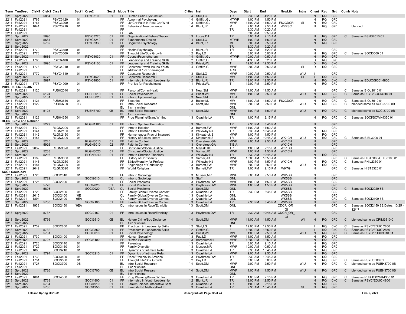|              | Term TrmDesc CIsN1 CIsN2 Crse1                   |              |              |                                    |          | Sect1 Crse2                        | Sect2 Mode Title |                 |                                                                   | CrHrs Inst                |                                    | Days                      | Start                | End                                  | NewLib                 | Intns            | Cnsnt Req |                        | Grd               | <b>Comb Note</b>  |                                                     |
|--------------|--------------------------------------------------|--------------|--------------|------------------------------------|----------|------------------------------------|------------------|-----------------|-------------------------------------------------------------------|---------------------------|------------------------------------|---------------------------|----------------------|--------------------------------------|------------------------|------------------|-----------|------------------------|-------------------|-------------------|-----------------------------------------------------|
|              | 2213 Sprg2022                                    |              | 5854         |                                    |          | <b>PSYC3100</b>                    | 01               | FF.             | <b>Human Brain Dysfunction</b>                                    |                           | 4 Stull, LG                        | TR                        | 2:30 PM              | 4:20 PM                              |                        |                  | N         | <b>RQ</b>              | GRD               |                   |                                                     |
| 2211<br>2211 | <b>Fall2021</b><br><b>Fall2021</b>               | 1765<br>1767 |              | <b>PSYC3120</b><br><b>PSYC3200</b> | 01<br>01 |                                    |                  | FF<br>FF.       | Abnormal Psychology<br>Liv Chr Faith in Post-Chr Wrld             | $^{\circ}$ 4<br>$\cdot$ 3 | Griffith, GL<br>Griffith, GL       | <b>MTWR</b><br><b>MWF</b> | 1:00 PM<br>11:00 AM  | 1:50 PM<br>11:50 AM                  | <b>FS2CDCR</b>         | -SI              | N<br>N    | <b>RQ</b><br><b>RQ</b> | GRD<br>GRD        |                   |                                                     |
| 2211         | <b>Fall2021</b>                                  | 1841         |              | <b>PSYC3210</b>                    | 01       |                                    |                  | <b>FF</b>       | <b>Behavioral Neuroscience</b>                                    | $\Delta$                  | Blunt, JR                          | М                         | 9:00 AM              | 9:50 AM                              | WK2SC                  |                  | N         | <b>RQ</b>              | GRD               |                   | blended                                             |
| 2211         | <b>Fall2021</b>                                  |              |              |                                    |          |                                    |                  | <b>FF</b>       |                                                                   |                           |                                    | <b>TR</b>                 | 9:30 AM              | 10:20 AM                             |                        |                  |           |                        |                   |                   |                                                     |
| 2213         | 2211 Fall2021<br>Sprg2022                        |              | 5690         |                                    |          | <b>PSYC3220</b>                    | 01               | FF.<br>FF.      | Lab<br>Organizational Behav/Theory                                | $3^{\circ}$               | Lucas,DJ                           | F<br><b>TR</b>            | 8:00 AM<br>8:00 AM   | 9:50 AM<br>9:15 AM                   |                        |                  | N         | <b>RQ</b>              | GRD               | $\mathsf{C}$      | Same as BSNS4010 01                                 |
| 2213         | Sprg2022                                         |              | 5684         |                                    |          | <b>PSYC3240</b>                    | 01               | FF.             | <b>Experimental Design</b>                                        |                           | Stull.LG                           | <b>MTWR</b>               | 1:00 PM              | 1:50 PM                              |                        |                  | N         | <b>RQ</b>              | GRD               |                   |                                                     |
| 2213         | Sprg2022                                         |              | 5762         |                                    |          | <b>PSYC3330</b>                    | 01               | FF.             | <b>Coanitive Psychology</b>                                       |                           | Blunt, JR                          | MF                        | 9:00 AM              | 9:50 AM                              |                        |                  | N         | <b>RQ</b>              | <b>GRD</b>        |                   |                                                     |
| 2213         | Sprg2022<br>2211 Fall2021                        | 1779         |              | <b>PSYC3450</b>                    | 01       |                                    |                  | <b>FF</b><br>FF | Health Psychology                                                 |                           | 4 Blunt, JR                        | <b>TR</b><br><b>TR</b>    | 8:30 AM<br>2:30 PM   | 9:20 AM<br>4:20 PM                   |                        |                  | N         |                        | GRD               |                   |                                                     |
| 2211         | <b>Fall2021</b>                                  | 1773         |              | <b>PSYC3500</b>                    | 01       |                                    |                  | FF.             | Thought Life/Spir Growth                                          |                           | 2 Pay,LD                           | м                         | 3:00 PM              | 5:00 PM                              |                        |                  | N         | <b>RQ</b>              | GRD               |                   | C Same as SOCI3500 01                               |
| 2213         | Sprg2022                                         |              | 5686         |                                    |          | <b>PSYC4030</b>                    | 01               | FF.             | Counsl/Psychotherapy                                              |                           | 4 Griffith, GL                     | <b>MTWR</b>               | 10:00 AM             | 10:50 AM                             |                        |                  | N         | <b>RQ</b>              | GRD               |                   |                                                     |
| 2213         | 2211 Fall2021<br>Sprg2022                        | 1766         | 5695         | <b>PSYC4100</b>                    | 01       | <b>PSYC4100</b>                    | 01               | FF.<br>FF.      | Leadership and Training Skills<br>Leadership and Training Skills  |                           | 2 Griffith, GL<br>2 Priest, WL     | R                         | 4:30 PM<br>12:00 PM  | 5:20 PM<br>12:50 PM                  |                        |                  | D<br>D    | <b>RQ</b><br><b>RQ</b> | CNC<br><b>CNC</b> |                   |                                                     |
| 2211         | <b>Fall2021</b>                                  | 1776         |              | PSYC4210                           | 01       |                                    |                  | FF              | Capstone: Psych Issues Youth                                      |                           | 4 Griffith, GL                     | <b>MWF</b>                | 9:00 AM              | 9:50 AM                              |                        | <b>SI</b>        | D         | RQ                     | GRD               |                   |                                                     |
| 2211         | <b>Fall2021</b>                                  |              |              |                                    |          |                                    |                  | FF.             | additional 1 cr hr arranged                                       |                           |                                    | <b>ARR</b>                |                      |                                      |                        |                  |           |                        |                   |                   |                                                     |
| 2211         | <b>Fall2021</b><br>2213 Sprg2022                 | 1772         | 5776         | <b>PSYC4510</b>                    | 01       | <b>PSYC4520</b>                    | 01               | FF.<br>FF.      | Capstone Research<br>Capstone Research II                         | $\cdot$ 3                 | Stull.LG<br>2 Stull,LG             | <b>MWF</b><br><b>MW</b>   | 10:00 AM<br>11:00 AM | 10:50 AM<br>11:50 AM                 |                        | WIU<br><b>SI</b> |           | <b>RQ</b>              | GRD<br><b>GRD</b> |                   |                                                     |
| 2213         | Sprg2022                                         |              | 5697         |                                    |          | <b>PSYC4800</b>                    | 01               | FF.             | Internship in Youth Leadership                                    |                           | 2 Blunt, JR                        | <b>TR</b>                 | 12:00 PM             | 12:50 PM                             |                        |                  | N         | <b>RQ</b>              | <b>CNC</b>        |                   | C Same as EDUC/SOCI 4800                            |
|              | 2211 Fall2021                                    | 1777         |              | <b>PSYC4900</b>                    | 01       |                                    |                  |                 | FF Prof Iss for Psychologist                                      |                           | 1 Priest, WL                       | T.                        | 12:00 PM             | 12:50 PM                             |                        |                  | Ν         | <b>RQ</b>              | GRD               |                   |                                                     |
|              | PUBH: Public Health<br>2211 Fall2021             | 1120         |              | <b>PUBH2040</b>                    | 01       |                                    |                  |                 | FF Personal/Comm Health                                           |                           | 3 Neal, SM                         | <b>MWF</b>                | 11:00 AM             | 11:50 AM                             |                        |                  | N         |                        | GRD               | C                 | Same as BIOL2010 01                                 |
|              | 2213 Sprg2022                                    |              | 5124         |                                    |          | <b>PUBH3010</b>                    | 01               | FF.             | Social Psychology                                                 | $^{\circ}$ 4              | Priest, WL                         | <b>MW</b>                 | 1:00 PM              | 2:50 PM                              |                        | WIU              | N         | <b>RQ</b>              | GRD               | $\mathsf{C}$      | Same as PSYC/SOCI3010 01                            |
| 2213         | Sprg2022                                         |              | 5131         |                                    |          | <b>PUBH3020</b>                    | 01               | FF.             | Intro to Epidemiology                                             |                           | 3 Neal, SM                         | T.B.A                     |                      |                                      |                        |                  | N         |                        | GRD               |                   |                                                     |
| 2211<br>2211 | <b>Fall2021</b>                                  | 1121<br>1122 |              | PUBH3510<br>PUBH3700               | 01<br>0B |                                    |                  | FF.<br>BL       | <b>Bioethics</b>                                                  | $\overline{4}$            | 2 Bailey,MJ<br>Scott, DM           | MW<br><b>MWF</b>          | 11:00 AM             | 11:50 AM<br>2:50 PM                  | <b>FS2CDCR</b>         | WIU              | N<br>Ν    | <b>RQ</b><br><b>RQ</b> | GRD<br>GRD        | C<br>C            | Same as BIOL3510 01<br>blended same as SOCI3700 0B  |
|              | <b>Fall2021</b><br>2211 Fall2021                 |              |              |                                    |          |                                    |                  | BL              | Intro Social Research<br>1 cr hr online                           |                           |                                    | ONL                       | 2:00 PM              |                                      |                        |                  |           |                        |                   |                   |                                                     |
|              | 2213 Sprg2022                                    |              | 5125         |                                    |          | <b>PUBH3700</b>                    | 0B               | BL.             | Intro Social Research                                             | 4                         | Scott,DM                           | <b>MWF</b>                | 1:00 PM              | 1:50 PM                              |                        | WIU              | N         | <b>RQ</b>              | GRD               | C                 | blended same as SOCI3700 0B                         |
| 2213         | Sprg2022                                         |              |              |                                    | 01       |                                    |                  | BL.             | 1 cr hr online                                                    |                           |                                    | <b>ONL</b>                |                      |                                      |                        |                  |           | <b>RQ</b>              | GRD               | C                 |                                                     |
|              | 2211 Fall2021<br><b>RLGN: Bible and Religion</b> | 1123         |              | <b>PUBH4350</b>                    |          |                                    |                  |                 | FF Prog Planning/Grant Writing                                    |                           | 3 Quashie,LA                       | TR                        | 1:00 PM              | 2:15 PM                              |                        |                  | N         |                        |                   |                   | Same as SOCI/SOWK4350 01                            |
|              | 2213 Spra2022                                    |              | 5229         |                                    |          | <b>RLGN1100</b>                    | 01               |                 | FF Intro to Spiritual Formation                                   |                           | 3 Staff                            | TR.                       | 2:30 PM              | 3:45 PM                              |                        |                  | N         |                        | GRD               |                   |                                                     |
|              | 2211 Fall2021                                    | 1179         |              | <b>RLGN2000</b>                    | 01       |                                    |                  | FF.<br>FF.      | Intro to Religion<br>Intro to Christian Ethics                    |                           | 3 Burnett, FW                      | <b>MWF</b>                | 11:00 AM             | 11:50 AM                             |                        |                  | N<br>N    | <b>RQ</b>              | GRD<br>GRD        |                   |                                                     |
| 2211<br>2211 | <b>Fall2021</b><br><b>Fall2021</b>               | 1141<br>1142 |              | <b>RLGN2130</b><br><b>RLGN2150</b> | 01<br>01 |                                    |                  | FF.             | Hermeneutics: Prac of Interpret                                   |                           | 3 Willowby,NJ<br>3 Kirkpatrick, S  | TR<br>MWF                 | 9:30 AM<br>1:00 PM   | 10:45 AM<br>1:50 PM                  |                        |                  | Ν         | <b>RQ</b>              | GRD               |                   |                                                     |
| 2211         | <b>Fall2021</b>                                  | 1154         |              | <b>RLGN3000</b>                    | 01       |                                    |                  | FF.             | History of Biblical Interp                                        | 3                         | Kirkpatrick,S                      | TR                        | 9:30 AM              | 10:45 AM                             | WK1CH                  | WIU              | N         | <b>RQ</b>              | GRD               | C                 | Same as BIBL3000 01                                 |
| 2213         | Sprg2022                                         |              | 5245         |                                    |          | <b>RLGN3010</b>                    | 01               | FF.             | <b>Faith in Context</b>                                           | 3                         | Overstreet, GA                     | <b>MWF</b>                | 9:00 AM              | 9:50 AM                              | WK1CH                  |                  | N         |                        | GRD               |                   |                                                     |
| 2213         | Sprg2022<br>2211 Fall2021                        | 2032         | 5926         | <b>RLGN3020</b>                    | 01       | <b>RLGN3010</b>                    | 02               | FF.<br>FF.      | <b>Faith in Context</b><br>Christianity/Social Justice            | $3^{\circ}$<br>3          | Overstreet, GA<br>Majeski,KS       | T.B.A<br>TR               | 1:00 PM              | 2:15 PM                              | WK1CH<br>WK1CH         |                  | N<br>N    |                        | GRD<br>GRD        |                   |                                                     |
|              | 2213 Sprg2022                                    |              | 5238         |                                    |          | <b>RLGN3020</b>                    | 01               | FF.             | Christianity/Social Justice                                       |                           | 3 Varner, JR                       | <b>MWF</b>                | 1:00 PM              | 1:50 PM                              | WK1CH                  |                  | N         |                        | GRD               |                   |                                                     |
| 2213         | Sprg2022                                         |              | 5216         |                                    |          | <b>RLGN3040</b>                    | 01               | FF.             | Intro to Christian Theology                                       | $\cdot$ 3                 | Willowby.NJ                        | TR                        | 9:30 AM              | 10:45 AM                             |                        |                  | N         | <b>RQ</b>              | GRD               |                   |                                                     |
| 2211<br>2211 | <b>Fall2021</b><br><b>Fall2021</b>               | 1189<br>1146 |              | <b>RLGN3060</b><br><b>RLGN3250</b> | 01<br>01 |                                    |                  | FF<br>FF.       | History of Christianity<br><b>Ethics/Morality for Profess</b>     | 3                         | `3 Varner,JR<br>Willowby,NJ        | <b>MWF</b><br><b>MWF</b>  | 10:00 AM<br>1:00 PM  | 10:50 AM<br>1:50 PM                  | WK1CH                  |                  | N<br>Ν    | RQ                     | GRD<br>GRD        | C<br>C            | Same as HIST3060/CHIS5100 01<br>Same as PHIL2350 01 |
| 2211         | <b>Fall2021</b>                                  | 1181         |              | <b>RLGN3300</b>                    | 01       |                                    |                  | FF.             | Beginnings of Christianity                                        | `3                        | Burnett,FW                         | <b>MWF</b>                | 2:00 PM              | 2:50 PM                              |                        | WIU              | N         | <b>RQ</b>              | GRD               |                   |                                                     |
|              | 2211 Fall2021                                    | 2042         |              | <b>RLGN3320</b>                    | 01       |                                    |                  | FF.             | <b>World Religions</b>                                            | `3                        | Burnett,FW                         | TR                        | 1:00 PM              | 2:15 PM                              | WK7GI                  |                  | N         |                        | GRD               | C                 | Same as HIST3320 01                                 |
|              | <b>SOCI: Sociology</b><br>2211 Fall2021          | 1726         |              | SOCI2010                           | 01       |                                    |                  |                 | FF Intro to Sociology                                             |                           | 3 Musser, MR                       | <b>MWF</b>                | 9:00 AM              | 9:50 AM                              | WK5SB                  |                  | N         |                        | GRD               |                   |                                                     |
|              | 2213 Sprg2022                                    |              | 5729         |                                    |          | SOCI2010                           | '0E              |                 | OL Intro to Sociology                                             | 3                         | Staff                              | ONL                       |                      |                                      | WK5SB                  |                  | N         |                        | GRD               |                   |                                                     |
|              | 2211 Fall2021                                    | 1725         |              | <b>SOCI2020</b>                    | 01       |                                    |                  | FF.             | Social Problems                                                   | $\cdot$ 3                 | Poythress, DW                      | <b>MWF</b>                | 1:00 PM              | 1:50 PM                              | WK5SB                  |                  | N         |                        | GRD               |                   |                                                     |
| 2213         | 2213 Sprg2022<br>Sprg2022                        |              | 5728<br>5803 |                                    |          | <b>SOCI2020</b><br><b>SOCI2020</b> | 01<br>'0EA       | FF.<br>OL.      | Social Problems<br>Social Problems                                | $\cdot$ 3<br>$\cdot$ 3    | Poythress, DW<br>Scott, DM         | <b>MWF</b><br>ONL         | 1:00 PM              | 1:50 PM                              | WK5SB<br>WK5SB         |                  | N<br>N    |                        | GRD<br>GRD        |                   | C Same as SOCI2020 8E                               |
|              | 2211 Fall2021                                    | 1728         |              | SOCI2100                           | 01       |                                    |                  | FF.             | Family Global/Diverse Context                                     | `ვ                        | Quashie,LA                         | TR                        | 2:30 PM              | 3:45 PM                              | WK5SB                  |                  | N         |                        | GRD               |                   |                                                     |
| 2211         | <b>Fall2021</b>                                  | 2015         |              | SOCI2100                           | '0E      |                                    |                  | OL              | Family Global/Diverse Context                                     | `ვ                        | Quashie,LA                         | ONL                       |                      |                                      | WK5SB                  |                  | N         |                        | GRD<br>GRD        |                   |                                                     |
| 2211<br>2213 | <b>Fall2021</b><br>Sprg2022                      | 1894         | 5730         | SOCI2100                           | '0EA     | SOCI2100                           | 01               | OL<br>FF.       | Family Global/Diverse Context<br>Family Global/Diverse Context    | `3                        | Quashie,LA<br>3 Quashie,LA         | ONL<br>TR.                | 2:30 PM              | 3:45 PM                              | WK5SB<br>WK5SB         |                  | N<br>N    |                        | GRD               | C                 | Same as SOCI2100 5E                                 |
| 2211         | <b>Fall2021</b>                                  | 1938         |              | SOCI2450                           | '0EA     |                                    |                  | OL              | Intro Issues in Race/Ethnicity                                    | $\degree{3}$              | Scott,DM                           | ONL                       |                      |                                      | CDCR OR                |                  | N         |                        | GRD               | C                 | Same as SOCI2450 8E:Dates: 10/25                    |
|              |                                                  |              |              |                                    |          |                                    |                  |                 |                                                                   |                           |                                    |                           |                      |                                      | GI                     |                  |           |                        |                   |                   | 12/17                                               |
|              | 2213 Sprg2022                                    |              | 5737         |                                    |          | SOCI2450                           | 01               |                 | FF Intro Issues in Race/Ethnicity                                 |                           | 3 Poythress, DW                    | TR.                       | 9:30 AM              |                                      | 10:45 AM CDCR OR<br>GI |                  | N         |                        | <b>GRD</b>        |                   |                                                     |
|              | 2213 Spra2022                                    |              | 5736         |                                    |          | <b>SOCI2510</b>                    | 0B               |                 | BL Nature Crime/Soc Deviance                                      |                           | `4 Scott,DM                        | <b>MWF</b>                | 11:00 AM             | 11:50 AM                             |                        | WI               | N         | <b>RQ</b>              | <b>GRD</b>        | C                 | blended same as CRIM2510 01                         |
| 2213         | Sprg2022                                         |              |              |                                    |          |                                    |                  | BL.             | 1 cr hr online                                                    |                           |                                    | <b>ONL</b>                |                      |                                      |                        |                  |           |                        |                   |                   |                                                     |
| 2213         | 2211 Fall2021<br>Sprg2022                        | 1732         | 5732         | <b>SOCI2850</b>                    | 01       | <b>SOCI2850</b>                    | 01               | FF.<br>FF.      | Practicum in Leadership Skills<br>Practicum in Leadership Skills  |                           | 2 Stull, LG<br>2 Griffith, GL      | т                         | 12:00 PM<br>12:00 PM | 12:50 PM<br>12:50 PM                 |                        |                  |           | <b>RQ</b><br><b>RQ</b> | CNC<br><b>CNC</b> | C<br>$\mathsf{C}$ | Same as PSYC/EDUC 2850<br>Same as PSYC/EDUC 2850    |
| 2213         | Sprg2022                                         |              | 5731         |                                    |          | SOCI3010                           | 01               | FF.             | Social Psychology                                                 |                           | `4 Priest,WL                       | <b>MW</b>                 | 1:00 PM              | 2:50 PM                              |                        | WIU              | N         | <b>RQ</b>              | GRD               | C                 | Same as PSYC/PUBH3010 01                            |
|              | 2211 Fall2021                                    | 1730         |              | SOCI3100                           | 01       |                                    |                  | FF.             | <b>Human Sexuality</b>                                            |                           | 3 Pay,LD                           | <b>MWF</b>                | 11:00 AM             | 11:50 AM                             |                        |                  | N         | <b>RQ</b>              | GRD               |                   |                                                     |
|              | 2213 Sprg2022<br>2211 Fall2021                   | 1723         | 5/2/         | SOCI3140                           | 01       | <b>SOCI3100</b>                    |                  |                 | <b>FF</b> Human Sexuality<br>FF Parenting                         |                           | Bargerstock,L<br>3 Quashie.LA      | <b>MWF</b><br>TR.         | 8:00 AM              | 12:00 PM  12:50 PM<br>9:15 AM        |                        |                  | Ν         | RQ.<br><b>RQ</b>       | <b>GRD</b><br>GRD |                   |                                                     |
|              | 2211 Fall2021                                    | 1729         |              | SOCI3150                           | 01       |                                    |                  |                 | FF Family Diversity                                               |                           | 3 Musser, MR                       | MWF                       | 10:00 AM             | 10:50 AM                             |                        |                  | Ν         | RQ                     | GRD               |                   |                                                     |
|              | 2211 Fall2021                                    | 1880         |              | SOCI3210                           | 01       |                                    |                  |                 | FF Dynamics of Intimate Relat                                     |                           | ` 3 Quashie, LA                    | TR                        | 9:30 AM              | 10:45 AM                             |                        |                  | N         | <b>RQ</b>              | GRD               |                   |                                                     |
|              | 2213 Sprg2022<br>2211 Fall2021                   | 1733         | 5794         | SOCI3400                           | 01       | SOCI3210                           | 01               | FF.             | <b>Dynamics of Intimate Relat</b><br>FF Race/Ethnicity in America |                           | 3 Quashie, LA<br>` 3 Poythress, DW | <b>MWF</b><br>TR          | 9:00 AM<br>9:30 AM   | 9:50 AM<br>10:45 AM                  |                        |                  | N<br>N    | <b>RQ</b><br>RQ        | GRD<br>GRD        |                   |                                                     |
|              | 2211 Fall2021                                    | 1731         |              | SOCI3500                           | 01       |                                    |                  |                 | FF Thought Life/Spir Growth                                       |                           | 2 Pay,LD                           | м                         | 3:00 PM              | 5:00 PM                              |                        |                  | N         | <b>RQ</b>              | GRD               | C                 | Same as PSYC3500 01                                 |
|              | 2211 Fall2021                                    | 1727         |              | SOCI3700                           | 0B       |                                    |                  | BL              | Intro Social Research                                             |                           | `4 Scott,DM                        | <b>MWF</b>                | 2:00 PM              | 2:50 PM                              |                        | WIU              | N         | RQ                     | GRD               | C                 | blended same as PUBH3700 0B                         |
|              | 2211 Fall2021<br>2213 Sprg2022                   |              | 5726         |                                    |          | <b>SOCI3700</b>                    | 0B               | BL              | 1 cr hr online<br><b>BL</b> Intro Social Research                 | $\overline{4}$            | Scott,DM                           | ONL<br><b>MWF</b>         | 1:00 PM              | 1:50 PM                              |                        | <b>WIU</b>       | N         | <b>RQ</b>              | <b>GRD</b>        | C                 | blended same as PUBH3700 0B                         |
|              | 2213 Sprg2022                                    |              |              |                                    |          |                                    |                  |                 | BL 1 cr hr online                                                 |                           |                                    | <b>ONL</b>                |                      |                                      |                        |                  |           |                        |                   |                   |                                                     |
|              | 2211 Fall2021                                    | 1881         |              | SOCI4350                           | 01       |                                    |                  |                 | FF Prog Planning/Grant Writing                                    |                           | 3 Quashie, LA                      | TR                        | 1:00 PM              | 2:15 PM                              |                        |                  | N         | <b>RQ</b>              | GRD               | C                 | Same as PUBH/SOWK4350 01                            |
|              | 2213 Sprg2022<br>2213 Sprg2022                   |              | 5733<br>5734 |                                    |          | SOCI4800<br>SOCI4910               | 01<br>01         | FF.<br>FF.      | Internship in Youth Leadership<br>Family Science Integrative Sem  |                           | 2 Blunt, JR<br>` 3 Quashie, LA     | <b>TR</b><br><b>TR</b>    |                      | 12:00 PM 12:50 PM<br>1:00 PM 2:15 PM |                        |                  | N<br>N    | <b>RQ</b><br><b>RQ</b> | <b>CNC</b><br>GRD | $\mathsf{C}$      | Same as PSYC/EDUC 4800                              |
|              | 2213 Sprg2022                                    |              | 5735         |                                    |          | <b>SOCI4950</b>                    | 01               |                 | FF Fam Life Ed Method/Prof Eth                                    |                           | ` 3 Quashie, LA                    | TR.                       |                      | 9:30 AM 10:45 AM                     |                        | <b>SI</b>        | N         | <b>RQ</b>              | GRD               |                   |                                                     |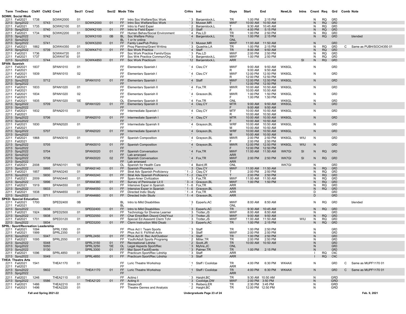|      | Term TrmDesc CIsN1 CIsN2 Crse1                            |              |                         |                      | Sect1 Crse2 |                 | Sect2 Mode Title |            |                                                                 | CrHrs Inst     |                                    | Days                     | Start                | End                                       | NewLib | Intns Cnsnt Req Grd Comb Note |         |                        |                   |   |                            |
|------|-----------------------------------------------------------|--------------|-------------------------|----------------------|-------------|-----------------|------------------|------------|-----------------------------------------------------------------|----------------|------------------------------------|--------------------------|----------------------|-------------------------------------------|--------|-------------------------------|---------|------------------------|-------------------|---|----------------------------|
|      | SOWK: Social Work                                         |              |                         |                      |             |                 |                  |            |                                                                 |                |                                    |                          |                      |                                           |        |                               |         |                        |                   |   |                            |
|      | 2211 Fall2021<br>2213 Sprg2022                            | 1738         | 5743                    | SOWK2000             | 01          | SOWK2000        | 01               |            | FF Intro Soc Welfare/Soc Work<br>FF Intro Soc Welfare/Soc Work  |                | ` 3 Bargerstock, L<br>3 Musser, MR | <b>TR</b><br><b>MWF</b>  | 1:00 PM<br>10:00 AM  | 2:15 PM<br>10:50 AM                       |        |                               | N<br>N  | <b>RQ</b><br><b>RQ</b> | GRD<br>GRD        |   |                            |
|      | 2211 Fall2021                                             | 1735         |                         | SOWK2100             | 01          |                 |                  |            | FF Intro to Field Exper                                         |                | 2 Bargerstock,L                    | T.                       | 9:30 AM              | 10:45 AM                                  |        |                               | N       | <b>RQ</b>              | GRD               |   |                            |
|      | 2213 Sprg2022                                             |              | 5740                    |                      |             | SOWK2100        | 01               |            | FF Intro to Field Exper                                         |                | 2 Staff                            | R                        | 4:00 PM              | 5:15 PM                                   |        |                               | N       | <b>RQ</b>              | GRD               |   |                            |
|      | 2211 Fall2021                                             | 1734         |                         | <b>SOWK2200</b>      | 01          |                 |                  |            | FF Human Behav/Social Environment                               |                | 4 Pay,LD<br>4 Bargerstock.L        | TR                       | 1:00 PM              | 2:50 PM                                   |        |                               | N<br>N  | <b>RQ</b>              | GRD               |   |                            |
|      | 2213 Sprg2022<br>2213 Sprg2022                            |              | 5742                    |                      |             | SOWK3100        | 0B               | BL.<br>BL. | Soc Welfare Policy<br>1 cr hr online                            |                |                                    | TR.<br><b>ONL</b>        | 1:00 PM              | 2:15 PM                                   |        |                               |         | <b>RQ</b>              | <b>GRD</b>        |   | blended                    |
|      | 2213 Sprg2022                                             |              | 5741                    |                      |             | <b>SOWK3200</b> | 01               | FF.        | Famly Law/Pub Policy                                            |                | ` 3 Musser, MR                     | <b>MWF</b>               | 11:00 AM             | 11:50 AM                                  |        |                               | N       |                        | GRD               |   |                            |
|      | 2211 Fall2021                                             | 1882         |                         | SOWK4350             | 01          |                 |                  |            | FF Prog Planning/Grant Writing                                  |                | 3 Quashie.LA                       | TR                       | 1:00 PM              | 2:15 PM                                   |        |                               | Ν       | <b>RQ</b>              | GRD               |   | C Same as PUBH/SOCI4350 01 |
|      | 2213 Sprg2022<br>2211 Fall2021                            |              | 5739                    |                      | 01          | SOWK4710        | 01               | FF.        | FF Soc Work Practice                                            |                | 4 Staff                            | <b>TR</b><br>MWF         | 8:00 AM              | 9:50 AM                                   |        |                               | N<br>N  | <b>RQ</b><br>RQ        | GRD<br>GRD        |   |                            |
|      | 2211 Fall2021                                             | 1736<br>1737 |                         | SOWK4720<br>SOWK4730 | 01          |                 |                  | FF.        | Soc Work Practice Family/Grps<br>Soc Wrk Practice Commun/Org    |                | 3 Pay,LD<br>` 3 Bargerstock, L     | MWF                      | 2:00 PM<br>1:00 PM   | 2:50 PM<br>2:50 PM                        |        |                               | N       | <b>RQ</b>              | GRD               |   |                            |
|      | 2213 Sprg2022                                             |              | 5744                    |                      |             | <b>SOWK4850</b> |                  |            | 01 FF Soc Work Practicum                                        |                | 12 Bargerstock,L                   | <b>ARR</b>               |                      |                                           |        | <b>SI</b>                     | N       | <b>RQ</b>              | GRD               |   |                            |
|      | SPAN: Spanish                                             |              |                         |                      |             |                 |                  |            |                                                                 |                |                                    |                          |                      |                                           |        |                               |         |                        |                   |   |                            |
|      | 2211 Fall2021<br>2211 Fall2021                            | 1837         |                         | SPAN1010             | 01          |                 |                  | FF.<br>FF  | Elementary Spanish I                                            |                | `4 Clay,CY                         | <b>MWF</b><br>R          | 9:00 AM<br>9:00 AM   | 9:50 AM<br>9:50 AM                        | WK6GL  |                               | N       |                        | GRD               |   |                            |
|      | 2211 Fall2021                                             | 1839         |                         | SPAN1010             | 02          |                 |                  | FF         | Elementary Spanish I                                            | $4^{\circ}$    | Clay,CY                            | MWF                      | 12:00 PM             | 12:50 PM                                  | WK6GL  |                               | N       |                        | GRD               |   |                            |
|      | 2211 Fall2021                                             |              |                         |                      |             |                 |                  | FF         |                                                                 |                |                                    | R.                       | 12:00 PM             | 12:50 PM                                  |        |                               |         |                        |                   |   |                            |
|      | 2213 Sprg2022                                             |              | 5712                    |                      |             | <b>SPAN1010</b> | 01               | FF.        | <b>Elementary Spanish I</b>                                     | $\overline{4}$ | Staff                              | <b>MWF</b>               | 12:00 PM             | 12:50 PM                                  | WK6GL  |                               | N       |                        | <b>GRD</b>        |   |                            |
|      | 2213 Sprg2022<br>2211 Fall2021                            | 1833         |                         | <b>SPAN1020</b>      | 01          |                 |                  | FF<br>FF   | Elementary Spanish II                                           |                | 4 Fox,TR                           | <b>MWR</b>               | 12:00 PM<br>10:00 AM | 12:50 PM<br>10:50 AM                      | WK6GL  |                               | N       |                        | GRD               |   |                            |
|      | 2211 Fall2021                                             |              |                         |                      |             |                 |                  | FF         |                                                                 |                |                                    | F.                       | 10:00 AM             | 10:50 AM                                  |        |                               |         |                        |                   |   |                            |
| 2211 | <b>Fall2021</b>                                           | 1834         |                         | SPAN1020             | 02          |                 |                  | FF         | Elementary Spanish II                                           |                | Grayson, BL                        | <b>MWR</b>               | 1:00 PM              | 1:50 PM                                   | WK6GL  |                               | N       |                        | GRD               |   |                            |
|      | 2211 Fall2021                                             |              |                         |                      |             |                 |                  | FF         |                                                                 |                |                                    | F.<br>ONL                | 1:00 PM              | 1:50 PM                                   | WK6GL  |                               | N       |                        | GRD               |   |                            |
|      | 2211 Fall2021<br>2213 Sprg2022                            | 1835         | 5709                    | <b>SPAN1020</b>      | '0E         | <b>SPAN1020</b> | 01               | OL<br>FF.  | Elementary Spanish II<br><b>Elementary Spanish II</b>           | $4^{\circ}$    | 4 Fox,TR<br>Clay, CY               | <b>MTR</b>               | 9:00 AM              | 9:50 AM                                   | WK6GL  |                               | N       |                        | <b>GRD</b>        |   |                            |
|      | 2213 Sprg2022                                             |              |                         |                      |             |                 |                  | FF         |                                                                 |                |                                    |                          | 9:00 AM              | 9:50 AM                                   |        |                               |         |                        |                   |   |                            |
|      | 2211 Fall2021                                             | 1832         |                         | SPAN2010             | 01          |                 |                  | FF         | Intermediate Spanish I                                          | $^{\circ}$ 4   | Clay, CY                           | <b>MTF</b>               | 10:00 AM             | 10:50 AM                                  | WK6GL  |                               | N       |                        | GRD               |   |                            |
|      | 2211 Fall2021<br>2213 Sprg2022                            |              | 5706                    |                      |             |                 | 01               | FF<br>FF   | Intermediate Spanish I                                          | $\overline{4}$ |                                    | R<br><b>MTR</b>          | 10:00 AM<br>10:00 AM | 10:50 AM<br>10:50 AM                      | WK6GL  |                               | N       |                        | GRD               |   |                            |
|      | 2213 Sprg2022                                             |              |                         |                      |             | SPAN2010        |                  | FF.        |                                                                 |                | Clay,CY                            |                          | 10:00 AM             | 10:50 AM                                  |        |                               |         |                        |                   |   |                            |
|      | 2211 Fall2021                                             | 1830         |                         | <b>SPAN2020</b>      | 01          |                 |                  | FF         | Intermediate Spanish II                                         |                | 4 Grayson, BL                      | <b>WRF</b>               | 10:00 AM             | 10:50 AM                                  | WK6GL  |                               | N       |                        | GRD               |   |                            |
|      | 2211 Fall2021                                             |              |                         |                      |             |                 |                  | FF         |                                                                 |                |                                    | м                        | 10:00 AM             | 10:50 AM                                  |        |                               |         |                        |                   |   |                            |
|      | 2213 Sprg2022<br>2213 Sprg2022                            |              | 5707                    |                      |             | <b>SPAN2020</b> | 01               | FF.<br>FF  | Intermediate Spanish II                                         |                | Grayson, BL                        | <b>WRF</b><br>M          | 10:00 AM<br>10:00 AM | 10:50 AM<br>10:50 AM                      | WK6GL  |                               | N       |                        | <b>GRD</b>        |   |                            |
|      | 2211 Fall2021                                             | 1868         |                         | SPAN3010             | 01          |                 |                  | FF.        | Spanish Composition                                             | $4^{\circ}$    | Grayson,BL                         | <b>MWR</b>               | 2:00 PM              | 2:50 PM                                   | WK6GL  | WIU                           | N       |                        | GRD               |   |                            |
|      | 2211 Fall2021                                             |              |                         |                      |             |                 |                  | FF         |                                                                 |                |                                    | F.                       | 2:00 PM              | 2:50 PM                                   |        |                               |         |                        |                   |   |                            |
|      | 2213 Sprg2022                                             |              | 5705                    |                      |             | <b>SPAN3010</b> | 01               | FF.        | <b>Spanish Composition</b>                                      |                | Grayson, BL                        | <b>MWR</b><br>F.         | 12:00 PM             | 12:50 PM                                  | WK6GL  | WIU                           | N       |                        | <b>GRD</b>        |   |                            |
|      | 2213 Sprg2022<br>2213 Sprg2022                            |              | 5704                    |                      |             | <b>SPAN3020</b> | 01               | FF.<br>FF. | <b>Spanish Conversation</b>                                     | $4^{\circ}$    | Fox.TR                             | <b>MWF</b>               | 12:00 PM<br>11:00 AM | 12:50 PM<br>11:50 AM                      | WK7GI  | <b>SI</b>                     | N       | <b>RQ</b>              | GRD               |   |                            |
|      | 2213 Sprg2022                                             |              |                         |                      |             |                 |                  | FF.        | Lab arranged                                                    |                |                                    | <b>ARR</b>               |                      |                                           |        |                               |         |                        |                   |   |                            |
|      | 2213 Sprg2022                                             |              | 5708                    |                      |             | <b>SPAN3020</b> | 02               | FF.        | <b>Spanish Conversation</b>                                     |                | 4 Fox, TR                          | <b>MWF</b>               | 2:00 PM              | 2:50 PM                                   | WK7GI  | <b>SI</b>                     | N       | <b>RQ</b>              | GRD               |   |                            |
|      | 2213 Sprg2022<br>2211 Fall2021                            | 2008         |                         | SPAN3101             | '0E         |                 |                  | FF.        | Lab arranged<br>OL Spanish for Health Care                      |                | 4 Baird, IR                        | <b>ARR</b><br>ONL        |                      |                                           | WK7GI  |                               | Ν       |                        | GRD               |   |                            |
|      | 2213 Sprg2022                                             |              | 5895                    |                      |             | SPAN3140        | 01               |            | FF Spanish Phonetics                                            |                | `3 Clay, CY                        | <b>MWF</b>               |                      | 11:00 AM 11:50 AM                         |        |                               | N       | <b>RQ</b>              | GRD               |   |                            |
|      | 2211 Fall2021                                             | 1857         |                         | <b>SPAN3240</b>      | 01          |                 |                  | FF.        | Strat Adv Spanish Proficiency                                   |                | $1 - 2$ Clay, CY                   | T.                       | 2:00 PM              | 2:50 PM                                   |        |                               | Ν       | <b>RQ</b>              | GRD               |   |                            |
|      | 2213 Sprg2022                                             |              | 5830                    |                      |             | <b>SPAN3240</b> | 01               |            | FF Strat Adv Spanish Proficiency                                |                | $1 - 2$ Clay, CY                   | T.                       | 2:00 PM              | 2:50 PM                                   |        |                               | N       | <b>RQ</b>              | <b>GRD</b>        |   |                            |
|      | 2211 Fall2021<br>2213 Sprg2022                            | 2009         | 5896                    | <b>SPAN3440</b>      | 01          | <b>SPAN4380</b> | 01               | FF.        | Span-Amer Civilization<br>FF Survey of Peninsular Lit II        |                | 3 Fox, TR<br>3 - 4 Grayson, BL     | <b>MWF</b><br><b>MWF</b> | 11:00 AM<br>1:00 PM  | 11:50 AM<br>1:50 PM                       |        |                               | Ν<br>N  | <b>RQ</b><br><b>RQ</b> | GRD<br><b>GRD</b> |   |                            |
|      | 2211 Fall2021                                             | 1919         |                         | SPAN4550             | 01          |                 |                  |            | FF Intensive Exper in Spanish                                   |                | $1 - 6$ Fox, TR                    | ARR                      |                      |                                           |        |                               | N       | <b>RQ</b>              | GRD               |   |                            |
|      | 2213 Sprg2022                                             |              | 5833                    |                      |             | <b>SPAN4550</b> | 01               |            | FF Intensive Exper in Spanish                                   |                | 1-6 Grayson, BL                    | <b>ARR</b>               |                      |                                           |        |                               | N       | <b>RQ</b>              | GRD               |   |                            |
|      | 2211 Fall2021                                             | 1838         |                         | <b>SPAN4650</b>      | 01          |                 |                  |            | FF Directed Indiv Study                                         |                | $1 - 4$ Fox, TR                    | <b>ARR</b>               |                      |                                           |        |                               | D<br>D  |                        | GRD               |   |                            |
|      | 2213 Sprg2022<br><b>SPED: Special Education</b>           |              | 5711                    |                      |             | <b>SPAN4660</b> | 01               |            | FF Directed Indiv Study                                         |                | 1-4 Grayson, BL                    | <b>ARR</b>               |                      |                                           |        |                               |         |                        | <b>GRD</b>        |   |                            |
|      | 2211 Fall2021                                             | 1700         |                         | <b>SPED2400</b>      | 0B          |                 |                  |            | BL Intro to Mild Disabilities                                   |                | 3 Epperly, AC                      | <b>MWF</b>               | 8:00 AM              | 8:50 AM                                   |        |                               | N       | <b>RQ</b>              | GRD               |   | blended                    |
|      | 2211 Fall2021                                             |              |                         |                      |             |                 |                  | <b>BL</b>  |                                                                 |                |                                    | ONL                      |                      |                                           |        |                               |         |                        |                   |   |                            |
|      | 2213 Sprg2022<br>2211 Fall2021                            | 1924         | 5638                    | <b>SPED2500</b>      | 01          | <b>SPED2400</b> | 01               | FF.        | FF Intro to Mild Disabilities<br>Technology for Diverse Learner |                | 3 Epperly, AC<br>3 Trotter, JS     | TR.<br>MWF               | 9:30 AM<br>8:00 AM   | 10:45 AM<br>8:50 AM                       |        |                               | N.<br>Ν | <b>RQ</b>              | GRD<br>GRD        |   |                            |
|      | 2213 Sprg2022                                             |              | 5838                    |                      |             | <b>SPED2550</b> | 01               |            | FF Char Emot/Beh Disord Chld/Yout                               |                | 3 Trotter.JS                       | <b>MWF</b>               | 9:00 AM              | 9:50 AM                                   |        |                               | N       | <b>RQ</b>              | GRD               |   |                            |
|      | 2211 Fall2021                                             | 1701         |                         | SPED3120             | 01          |                 |                  |            | FF Special Ed Assesmt Clsrm Tchr                                |                | 3 Trotter, JS                      | <b>MWF</b>               | 11:00 AM             | 11:50 AM                                  |        | WIU                           | Ν       | <b>RQ</b>              | GRD               |   |                            |
|      | 2213 Sprg2022                                             |              | 5834                    |                      |             | <b>SPED3200</b> | 01               |            | FF Clsrm Instruction Mild Disab                                 |                | 3 Epperly, AC                      | TR.                      | 1:00 PM              | 2:15 PM                                   |        |                               | N       | <b>RQ</b>              | GRD               |   |                            |
|      | <b>SPRL: Sport/Recreation Leadership</b><br>2211 Fall2021 | 1094         |                         | <b>SPRL1350</b>      | 01          |                 |                  | FF.        | Phys Act I: Team Sports                                         |                | `3 Staff                           | TR.                      | 1:00 PM              | 2:50 PM                                   |        |                               | Ν       |                        | GRD               |   |                            |
|      | 2211 Fall2021                                             | 1999         |                         | <b>SPRL2350</b>      | 01          |                 |                  |            | FF Phys Act II: Fit/Well Activ                                  |                | `3 Staff                           | <b>MWF</b>               | 2:00 PM              | 2:50 PM                                   |        |                               | Ν       |                        | GRD               |   |                            |
|      | 2213 Sprg2022                                             |              | 5047                    |                      |             | <b>SPRL2450</b> |                  |            | 01 FF Phys Act III: Rec Act/Outdoor                             |                | `3 Staff                           | TR.                      |                      | 1:00 PM 2:50 PM                           |        |                               | N       |                        | GRD               |   |                            |
|      | 2211 Fall2021<br>2213 Sprg2022                            | 1095         | 5048                    | <b>SPRL2550</b>      |             | <b>SPRL3150</b> | 01               |            | FF Youth/Adult Sports Programg<br>FF Recreational Ldrshp        |                | 2 Miller, TR<br>2 Scott, JR        | <b>TR</b><br><b>TR</b>   |                      | $2:00$ PM $2:50$ PM<br>10:00 AM  10:50 AM |        |                               | N<br>N  |                        | GRD<br>GRD        |   |                            |
|      | 2213 Sprg2022                                             |              | 5050                    |                      |             | <b>SPRL3250</b> | '0E              |            | OL Legal Aspects Sport/Rec                                      |                | `3 Myhre, JC                       | <b>ONL</b>               |                      |                                           |        |                               | N       |                        | GRD               |   |                            |
|      | 2213 Sprg2022                                             |              | 5130                    |                      |             | <b>SPRL3300</b> | 01               |            | FF Mgt Sport Facil/Events                                       |                | ` 3 Palmer, TR                     | TR.                      |                      | 1:00 PM 2:15 PM                           |        |                               | N       |                        | <b>GRD</b>        |   |                            |
|      | 2211 Fall2021                                             | 1096         |                         | <b>SPRL4850</b>      | 01          |                 |                  |            | FF Practicum Sport/Rec Ldrship                                  |                | `3 Staff                           | ARR                      |                      |                                           |        |                               |         | <b>RQ</b>              | CNC               |   |                            |
|      | 2213 Sprg2022<br>THEA: Theatre Arts                       |              | 5049                    |                      |             | <b>SPRL4850</b> | 01               |            | FF Practicum Sport/Rec Ldrship                                  |                | `3 Staff                           | <b>ARR</b>               |                      |                                           |        |                               |         | <b>RQ</b>              | <b>CNC</b>        |   |                            |
|      | 2211 Fall2021 1541                                        |              |                         | <b>THEA1170</b>      | 01          |                 |                  |            | FF Lyric Theatre Workshop                                       |                | 1 Staff / Coolidge                 | TR                       | 4:00 PM              | 6:30 PM                                   | WK4AX  |                               | N       |                        | GRD               | C | Same as MUPF1170 01        |
|      | 2211 Fall2021                                             |              |                         |                      |             |                 |                  | FF.        |                                                                 |                |                                    | <b>ARR</b>               |                      |                                           |        |                               |         |                        |                   |   |                            |
|      | 2213 Sprg2022                                             |              | 5602                    |                      |             | <b>THEA1170</b> | 01               |            | FF Lyric Theatre Workshop                                       |                | 1 Staff / Coolidge                 | <b>TR</b>                | 4:00 PM              | 6:30 PM                                   | WK4AX  |                               | N       |                        | <b>GRD</b>        |   | C Same as MUPF1170 01      |
|      | 2213 Sprg2022<br>2211 Fall2021                            | 1246         |                         | <b>THEA2110</b>      | 01          |                 |                  | FF.        | FF Acting I                                                     |                | ` 3 Haight, BC                     | <b>ARR</b><br>TR         |                      | 9:30 AM 10:50 AM                          |        |                               | N       |                        | GRD               |   |                            |
|      | 2213 Sprg2022                                             |              | 5586                    |                      |             | <b>THEA2120</b> | 01               |            | FF Acting II                                                    |                | 3 Coolidge, DW                     | <b>MWF</b>               |                      | 2:00 PM 3:50 PM                           |        |                               | N       |                        | <b>GRD</b>        |   |                            |
|      | 2211 Fall2021                                             | 1486         |                         | <b>THEA2210</b>      | 01          |                 |                  |            | FF Stagecraft                                                   |                | 3 Reiberg, ER                      | TR                       |                      | 2:30 PM 3:45 PM                           |        |                               | N       |                        | GRD               |   |                            |
|      | 2211 Fall2021                                             | 1496         |                         | <b>THEA2220</b>      | 01          |                 |                  |            | FF Theatre Genres and Analysis                                  |                | 2 Haight, BC                       | TR                       |                      | 12:00 PM 12:50 PM                         |        |                               | N       |                        | GRD               |   |                            |
|      |                                                           |              | Fall and Spring 2021-22 |                      |             |                 |                  |            |                                                                 |                | Undergraduate Page 23 of 24        |                          |                      |                                           |        |                               |         |                        |                   |   | Feb. 9, 2021               |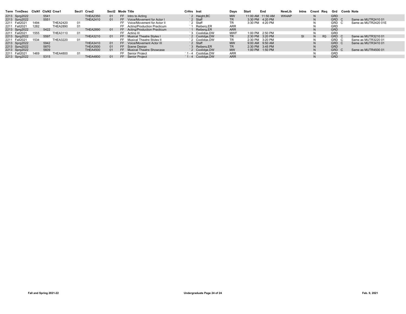| Term TrmDesc CIsN1 CIsN2 Crse1 |      |      |                 |    | Sect1 Crse2     | Sect2 Mode Title |                                | CrHrs Inst |                   | Days       | Start | End                 | NewLib | Intns     | Cnsnt Rea | Grd        | Comb Note |                      |
|--------------------------------|------|------|-----------------|----|-----------------|------------------|--------------------------------|------------|-------------------|------------|-------|---------------------|--------|-----------|-----------|------------|-----------|----------------------|
| 2213 Spra2022                  |      | 5541 |                 |    | <b>THEA2350</b> | 01               | FF Intro to Acting             |            | 2 Haight.BC       | <b>MW</b>  |       | 11:00 AM 11:50 AM   | WK4AP  |           |           | <b>GRD</b> |           |                      |
| 2213 Spra2022                  |      | 5551 |                 |    | <b>THEA2410</b> | O <sub>1</sub>   | FF Voice/Movement for Actor I  |            | 2 Staff           | <b>TR</b>  |       | 3:30 PM 4:20 PM     |        |           |           | GRD C      |           | Same as MUTR2410 01  |
| 2211 Fall2021                  | 1494 |      | <b>THEA2420</b> | 01 |                 |                  | FF Voice/Movement for Actor II |            | 2 Staff           | TR         |       | 3:30 PM 4:20 PM     |        |           |           | GRD C      |           | Same as MUTR2420 01E |
| 2211 Fall2021                  | 1282 |      | <b>THEA2890</b> |    |                 |                  | FF Acting/Production Practicum |            | Reiberg ER        | <b>ARR</b> |       |                     |        |           |           | GRD        |           |                      |
| 2213 Spra2022                  |      | 5422 |                 |    | <b>THEA2890</b> | 01               | FF Acting/Production Practicum |            | Reibera.ER        | <b>ARR</b> |       |                     |        |           |           | <b>GRD</b> |           |                      |
| 2211 Fall2021                  | 1555 |      | <b>THEA3110</b> | 01 |                 |                  | FF Acting III                  |            | 3 Coolidae.DW     | <b>MWF</b> |       | 1:00 PM 2:50 PM     |        |           |           | GRD        |           |                      |
| 2213 Spra2022                  |      | 5597 |                 |    | <b>THEA3210</b> | 01               | FF Musical Theatre Styles I    |            | 2 Coolidge.DW     | <b>TR</b>  |       | $2:30$ PM $3:20$ PM |        | <b>SI</b> | RQ.       | GRD C      |           | Same as MUTR3210 01  |
| 2211 Fall2021                  | 1534 |      | <b>THEA3220</b> | 01 |                 |                  | FF Musical Theatre Styles II   |            | 2 Coolidge.DW     | TR         |       | 2:30 PM 3:20 PM     |        |           |           | GRD C      |           | Same as MUTR3220 01  |
| 2213 Spra2022                  |      | 5942 |                 |    | <b>THEA3410</b> | 01               | FF Voice/Movement Actor III    |            | 2 Staff           | <b>MW</b>  |       | 9:00 AM 9:50 AM     |        |           |           | <b>GRD</b> |           | Same as MUTR3410 01  |
| 2213 Spra2022                  |      | 5870 |                 |    | <b>THEA3500</b> | O <sub>1</sub>   | FF Scene Design                |            | 3 Reiberg.ER      | <b>TR</b>  |       | 2:30 PM 3:45 PM     |        |           |           | <b>GRD</b> |           |                      |
| 2213 Sprg2022                  |      | 5609 |                 |    | <b>THEA4500</b> | O <sub>1</sub>   | FF Musical Theatre Showcase    |            | 2 Coolidge.DW     | <b>MW</b>  |       | 1:00 PM 1:50 PM     |        |           |           | GRD C      |           | Same as MUTR4500 01  |
| 2211 Fall2021                  | 1469 |      | <b>THEA4800</b> | 01 |                 |                  | FF Senior Project              |            | 1-4 Coolidge.DW   | ARR        |       |                     |        |           |           | GRD        |           |                      |
| 2213 Spra2022                  |      | 5315 |                 |    | <b>THEA4800</b> | O <sub>1</sub>   | FF Senior Project              |            | 1 - 4 Coolidge.DW | <b>ARR</b> |       |                     |        |           |           | <b>GRD</b> |           |                      |